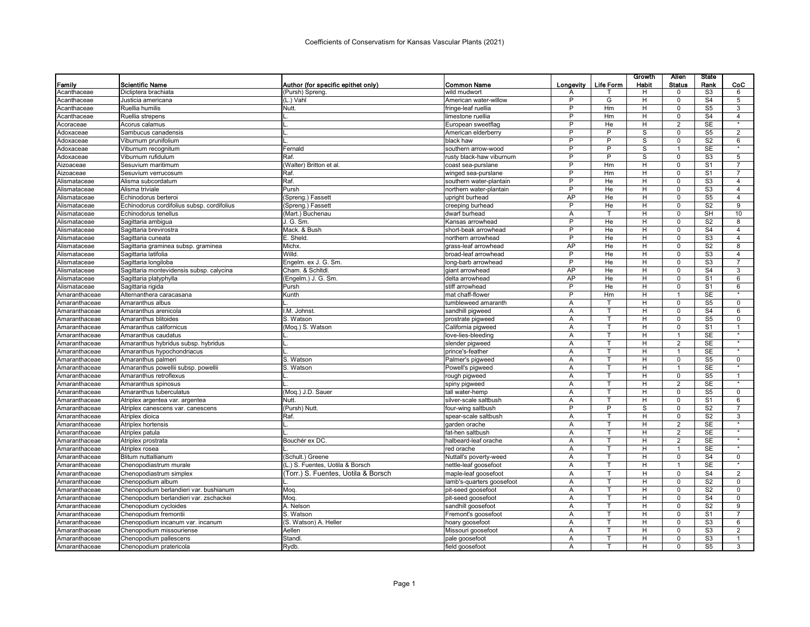|               |                                            |                                                      |                                    |                |              | Growth     | Alien                     | <b>State</b>           |                |
|---------------|--------------------------------------------|------------------------------------------------------|------------------------------------|----------------|--------------|------------|---------------------------|------------------------|----------------|
| Family        | Scientific Name<br>Dicliptera brachiata    | Author (for specific epithet only)<br>Pursh) Spreng. | <b>Common Name</b><br>wild mudwort | Longevity      | Life Form    | Habit<br>H | <b>Status</b><br>$\Omega$ | Rank<br>S3             | CoC<br>6       |
| Acanthaceae   | Justicia americana                         |                                                      | American water-willow              | A<br>P         | G            | H          | $\mathbf 0$               | S <sub>4</sub>         | 5              |
| Acanthaceae   |                                            | L.) Vahl                                             |                                    |                |              |            |                           |                        |                |
| Acanthaceae   | Ruellia humilis                            | Nutt.                                                | fringe-leaf ruellia                | P<br>P         | Hm           | H          | $\Omega$<br>$\Omega$      | S <sub>5</sub>         | 3              |
| Acanthaceae   | Ruellia strepens                           |                                                      | limestone ruellia                  | P              | Hm           | H.         |                           | S <sub>4</sub>         | $\overline{4}$ |
| Acoraceae     | Acorus calamus                             |                                                      | European sweetflag                 |                | He           | H          | $\overline{2}$            | <b>SE</b>              |                |
| Adoxaceae     | Sambucus canadensis                        |                                                      | American elderberry                | P              | P            | S          | $\Omega$                  | S <sub>5</sub>         | $\overline{2}$ |
| Adoxaceae     | Viburnum prunifolium                       |                                                      | black haw                          | P              | P            | S          | $\Omega$                  | S <sub>2</sub>         | 6<br>$\star$   |
| Adoxaceae     | Viburnum recognitum                        | Fernald                                              | southern arrow-wood                | P              | P            | S          | $\mathbf{1}$              | SE                     |                |
| Adoxaceae     | Viburnum rufidulum                         | Raf.                                                 | rusty black-haw viburnum           | P              | P            | S          | $\mathbf 0$               | S <sub>3</sub>         | 5              |
| Aizoaceae     | Sesuvium maritimum                         | (Walter) Britton et al.                              | coast sea-purslane                 | P              | Hm           | H          | $\Omega$                  | S <sub>1</sub>         | $\overline{7}$ |
| Aizoaceae     | Sesuvium verrucosum                        | Raf.                                                 | winged sea-purslane                | P              | Hm           | н          | $\mathbf 0$               | S <sub>1</sub>         | $\overline{7}$ |
| Alismataceae  | Alisma subcordatum                         | Raf.                                                 | southern water-plantain            | P              | He           | H          | $\Omega$                  | S <sub>3</sub>         | $\overline{4}$ |
| Alismataceae  | Alisma triviale                            | Pursh                                                | northern water-plantain            | P              | He           | H          | $\mathbf 0$               | S <sub>3</sub>         | $\overline{4}$ |
| Alismataceae  | Echinodorus berteroi                       | Spreng.) Fassett                                     | upright burhead                    | AP             | He           | н          | $\Omega$                  | $\overline{\text{S5}}$ | $\overline{4}$ |
| Alismataceae  | Echinodorus cordifolius subsp. cordifolius | Spreng.) Fassett                                     | creeping burhead                   | $\overline{P}$ | He           | H          | $\mathbf 0$               | $\overline{S2}$        | $\overline{9}$ |
| Alismataceae  | Echinodorus tenellus                       | (Mart.) Buchenau                                     | dwarf burhead                      | Α              |              | н          | $\Omega$                  | SH                     | 10             |
| Alismataceae  | Sagittaria ambigua                         | J. G. Sm                                             | Kansas arrowhead                   | P              | He           | H          | $\Omega$                  | S <sub>2</sub>         | 8              |
| Alismataceae  | Sagittaria brevirostra                     | Mack. & Bush                                         | short-beak arrowhead               | P              | He           | H.         | $\Omega$                  | S <sub>4</sub>         | $\overline{4}$ |
| Alismataceae  | Sagittaria cuneata                         | E. Sheld.                                            | northern arrowhead                 | P              | He           | H          | $\Omega$                  | S3                     | $\overline{4}$ |
| Alismataceae  | Sagittaria graminea subsp. graminea        | <b>Michx</b>                                         | grass-leaf arrowhead               | AP             | He           | н          | $\mathbf 0$               | S <sub>2</sub>         | 8              |
| Alismataceae  | Sagittaria latifolia                       | Willd.                                               | broad-leaf arrowhead               | P              | He           | H.         | $\Omega$                  | S <sub>3</sub>         | $\overline{4}$ |
| Alismataceae  | Sagittaria longiloba                       | Engelm. ex J. G. Sm.                                 | long-barb arrowhead                | P              | He           | н          | $\Omega$                  | S <sub>3</sub>         | $\overline{7}$ |
| Alismataceae  | Sagittaria montevidensis subsp. calycina   | Cham. & Schitdl.                                     | giant arrowhead                    | AP             | He           | н          | $\Omega$                  | S <sub>4</sub>         | 3              |
| Alismataceae  | Sagittaria platyphylla                     | (Engelm.) J. G. Sm.                                  | delta arrowhead                    | AP             | He           | H          | $\mathbf 0$               | S <sub>1</sub>         | 6              |
| Alismataceae  | Sagittaria rigida                          | Pursh                                                | stiff arrowhead                    | P              | He           | н          | $\overline{0}$            | S <sub>1</sub>         | 6              |
| Amaranthaceae | Alternanthera caracasana                   | Kunth                                                | mat chaff-flower                   | P              | Hm           | H          | 1                         | <b>SE</b>              |                |
| Amaranthaceae | Amaranthus albus                           |                                                      | tumbleweed amaranth                | A              |              | н          | $\mathbf 0$               | S <sub>5</sub>         | $\mathbf 0$    |
| Amaranthaceae | Amaranthus arenicola                       | I.M. Johnst.                                         | sandhill pigweed                   | A              | T            | H          | $\Omega$                  | S <sub>4</sub>         | 6              |
| Amaranthaceae | Amaranthus blitoides                       | S. Watson                                            | prostrate pigweed                  | Α              |              | H          | $\Omega$                  | S <sub>5</sub>         | $\mathbf 0$    |
| Amaranthaceae | Amaranthus californicus                    | (Moq.) S. Watson                                     | California pigweed                 | Α              | T.           | H          | $\Omega$                  | S <sub>1</sub>         | $\mathbf{1}$   |
| Amaranthaceae | Amaranthus caudatus                        |                                                      | love-lies-bleeding                 | Α              |              | н          | $\overline{1}$            | <b>SE</b>              |                |
| Amaranthaceae | Amaranthus hybridus subsp. hybridus        |                                                      | slender pigweed                    | A              | т            | H          | $\overline{2}$            | <b>SE</b>              | $\star$        |
| Amaranthaceae | Amaranthus hypochondriacus                 |                                                      | prince's-feather                   | Α              |              | н          | 1                         | SE                     |                |
| Amaranthaceae | Amaranthus palmeri                         | S. Watson                                            | Palmer's pigweed                   | Α              | т            | H          | $\Omega$                  | S <sub>5</sub>         | $\overline{0}$ |
| Amaranthaceae | Amaranthus powellii subsp. powellii        | S. Watson                                            | Powell's pigweed                   | Α              |              | н          | -1                        | <b>SE</b>              |                |
| Amaranthaceae | Amaranthus retroflexus                     |                                                      | rough pigweed                      | A              |              | H          | $\Omega$                  | S <sub>5</sub>         | $\mathbf{1}$   |
| Amaranthaceae | Amaranthus spinosus                        |                                                      | spiny pigweed                      | Α              | $\mathsf{T}$ | H.         | 2                         | SE                     |                |
| Amaranthaceae | Amaranthus tuberculatus                    | Moq.) J.D. Sauer                                     | tall water-hemp                    | A              |              | н          | $\Omega$                  | S <sub>5</sub>         | $\overline{0}$ |
| Amaranthaceae | Atriplex argentea var. argentea            | Nutt.                                                | silver-scale saltbush              | A              | T            | H          | $\mathbf 0$               | S <sub>1</sub>         | 6              |
| Amaranthaceae | Atriplex canescens var. canescens          | (Pursh) Nutt.                                        | four-wing saltbush                 | P              | P            | S          | $\Omega$                  | S <sub>2</sub>         | $\overline{7}$ |
| Amaranthaceae | Atriplex dioica                            | Raf.                                                 | spear-scale saltbush               | A              | T            | H          | $\Omega$                  | S <sub>2</sub>         | 3              |
| Amaranthaceae | Atriplex hortensis                         |                                                      | garden orache                      | Α              |              | H          | $\overline{2}$            | <b>SE</b>              |                |
| Amaranthaceae | Atriplex patula                            |                                                      | fat-hen saltbush                   | A              |              | H          | $\overline{2}$            | <b>SE</b>              |                |
| Amaranthaceae | Atriplex prostrata                         | Bouchér ex DC                                        | halbeard-leaf orache               | A              |              | H          | $\overline{2}$            | <b>SE</b>              |                |
| Amaranthaceae | Atriplex rosea                             |                                                      | red orache                         | Α              | T.           | H          | $\mathbf{1}$              | SE                     | $\star$        |
| Amaranthaceae | Blitum nuttallianum                        | (Schult.) Greene                                     | Nuttall's poverty-weed             | A              |              | H          | $\mathbf 0$               | S <sub>4</sub>         | $\mathbf 0$    |
| Amaranthaceae | Chenopodiastrum murale                     | (L.) S. Fuentes, Uotila & Borsch                     | nettle-leaf goosefoot              | A              | T            | H.         | $\overline{1}$            | <b>SE</b>              | $\star$        |
| Amaranthaceae | Chenopodiastrum simplex                    | (Torr.) S. Fuentes, Uotila & Borsch                  | maple-leaf goosefoot               | Α              | Т            | H          | $\Omega$                  | S <sub>4</sub>         | 2              |
| Amaranthaceae | Chenopodium album                          |                                                      | lamb's-quarters goosefoot          | A              |              | H          | $\Omega$                  | $\overline{S2}$        | $\overline{0}$ |
| Amaranthaceae | Chenopodium berlandieri var. bushianum     | Moq.                                                 | pit-seed goosefoot                 | Α              | $\mathsf{T}$ | H          | $\mathbf 0$               | S <sub>2</sub>         | 0              |
| Amaranthaceae | Chenopodium berlandieri var. zschackei     | Moq.                                                 | pit-seed goosefoot                 | Α              |              | н          | $\Omega$                  | S <sub>4</sub>         | $\mathbf 0$    |
| Amaranthaceae | Chenopodium cycloides                      | A. Nelson                                            | sandhill goosefoot                 | Α              | T.           | H.         | $\Omega$                  | S <sub>2</sub>         | 9              |
| Amaranthaceae | Chenopodium fremontii                      | S. Watson                                            | Fremont's goosefoot                | Α              |              | н          | $\Omega$                  | S <sub>1</sub>         | $\overline{7}$ |
| Amaranthaceae | Chenopodium incanum var. incanum           | (S. Watson) A. Heller                                | hoary goosefoot                    | Α              | $\mathsf{T}$ | H          | $\Omega$                  | S <sub>3</sub>         | 6              |
| Amaranthaceae | Chenopodium missouriense                   | Aellen                                               | Missouri goosefoot                 | Α              |              | H          | $\mathbf 0$               | S <sub>3</sub>         | $\overline{2}$ |
| Amaranthaceae | Chenopodium pallescens                     | Standl                                               | pale goosefoot                     | A              |              | H          | $\Omega$                  | S <sub>3</sub>         | 1              |
| Amaranthaceae | Chenopodium pratericola                    | Rydb.                                                | field goosefoot                    | A              |              | H          | $\Omega$                  | S <sub>5</sub>         | 3              |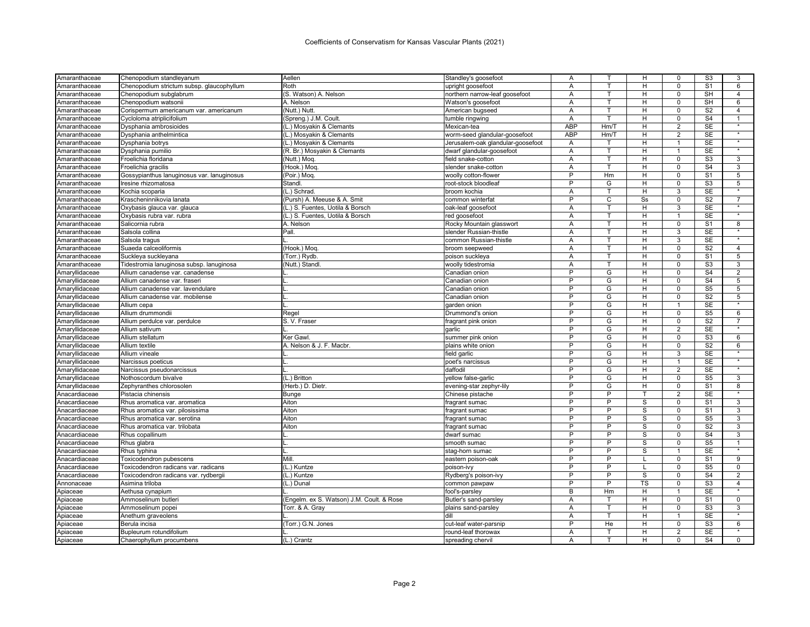| Amaranthaceae  | Chenopodium standleyanum                   | Aellen                                    | Standley's goosefoot              | Α              |                | H                       | 0              | S <sub>3</sub>   | 3                 |
|----------------|--------------------------------------------|-------------------------------------------|-----------------------------------|----------------|----------------|-------------------------|----------------|------------------|-------------------|
| Amaranthaceae  | Chenopodium strictum subsp. glaucophyllum  | Roth                                      | upright goosefoot                 | A              | T.             | H                       | $\mathbf 0$    | S <sub>1</sub>   | 6                 |
| Amaranthaceae  | Chenopodium subglabrum                     | (S. Watson) A. Nelson                     | northern narrow-leaf goosefoot    | Α              | т              | н                       | $\pmb{0}$      | SH               | $\overline{4}$    |
| Amaranthaceae  | Chenopodium watsonii                       | A. Nelson                                 | Watson's goosefoot                | A              | T              | н                       | $\Omega$       | <b>SH</b>        | 6                 |
| Amaranthaceae  | Corispermum americanum var. americanum     | (Nutt.) Nutt.                             | American bugseed                  | Α              | т              | н                       | $\mathbf 0$    | S <sub>2</sub>   | $\overline{4}$    |
| Amaranthaceae  | Cycloloma atriplicifolium                  | (Spreng.) J.M. Coult.                     | tumble ringwing                   | Α              | т              | H                       | $\Omega$       | S <sub>4</sub>   |                   |
| Amaranthaceae  | Dysphania ambrosioides                     | (L.) Mosyakin & Clemants                  | Mexican-tea                       | <b>ABP</b>     | Hm/T           | н                       | 2              | <b>SE</b>        |                   |
| Amaranthaceae  | Dysphania anthelmintica                    | (L.) Mosyakin & Clemants                  | worm-seed glandular-goosefoot     | ABP            | Hm/T           | Н                       | 2              | <b>SE</b>        |                   |
| Amaranthaceae  | Dysphania botrys                           | (L.) Mosyakin & Clemants                  | Jerusalem-oak glandular-goosefoot | A              | т              | H                       | $\overline{1}$ | <b>SE</b>        | $\star$           |
| Amaranthaceae  | Dysphania pumilio                          | (R. Br.) Mosyakin & Clemants              | dwarf glandular-goosefoot         | A              | T.             | H                       | $\mathbf{1}$   | <b>SE</b>        |                   |
| Amaranthaceae  | Froelichia floridana                       | (Nutt.) Mog.                              | field snake-cotton                | Α              | T              | н                       | $\mathbf 0$    | S <sub>3</sub>   | 3                 |
| Amaranthaceae  | Froelichia gracilis                        | (Hook.) Moq                               | slender snake-cotton              | A              | T              | н                       | $\mathbf 0$    | S <sub>4</sub>   | 3                 |
| Amaranthaceae  | Gossypianthus lanuginosus var. lanuginosus | (Poir.) Moq.                              | woolly cotton-flower              | P              | Hm             | н                       | $\mathbf 0$    | S <sub>1</sub>   | 5                 |
| Amaranthaceae  | Iresine rhizomatosa                        | Standl.                                   | root-stock bloodleaf              | P              | G              | H                       | $\overline{0}$ | S <sub>3</sub>   | $\overline{5}$    |
| Amaranthaceae  | Kochia scoparia                            | (L.) Schrad.                              | broom kochia                      | Α              | т              | н                       | 3              | <b>SE</b>        |                   |
| Amaranthaceae  | Krascheninnikovia lanata                   | (Pursh) A. Meeuse & A. Smit               | common winterfat                  | Þ              | $\overline{C}$ | S <sub>S</sub>          | $\Omega$       | S <sub>2</sub>   | $\overline{7}$    |
| Amaranthaceae  | Oxybasis glauca var. glauca                | (L.) S. Fuentes, Uotila & Borsch          | oak-leaf goosefoot                | Α              | т              | H                       | 3              | <b>SE</b>        |                   |
| Amaranthaceae  | Oxybasis rubra var. rubra                  | (L.) S. Fuentes, Uotila & Borsch          | red goosefoot                     | Α              | T              | H                       | 1              | SE               |                   |
| Amaranthaceae  | Salicornia rubra                           | A. Nelson                                 | Rocky Mountain glasswort          | Α              | T.             | н                       | $\mathbf 0$    | S <sub>1</sub>   | 8                 |
| Amaranthaceae  | Salsola collina                            | Pall.                                     | slender Russian-thistle           | Α              | T              | H                       | 3              | SE               |                   |
| Amaranthaceae  | Salsola tragus                             |                                           | common Russian-thistle            | $\overline{A}$ | $\mathsf{T}$   | H                       | 3              | <b>SE</b>        | $\star$           |
| Amaranthaceae  | Suaeda calceoliformis                      | (Hook.) Moq.                              | broom seepweed                    | A              | T.             | H                       | $\overline{0}$ | S <sub>2</sub>   | $\overline{4}$    |
| Amaranthaceae  | Suckleya suckleyana                        | (Torr.) Rydb.                             | poison suckleya                   | Α              | T              | H                       | $\mathbf 0$    | $\overline{S}1$  | $5\overline{)}$   |
| Amaranthaceae  | Tidestromia lanuginosa subsp. lanuginosa   | (Nutt.) Stand                             | woolly tidestromia                | Α              | т              | H                       | $\mathbf 0$    | S <sub>3</sub>   | 3                 |
| Amaryllidaceae | Allium canadense var. canadense            |                                           | Canadian onion                    | P              | G              | н                       | 0              | S <sub>4</sub>   | $\overline{c}$    |
| Amaryllidaceae | Allium canadense var. fraseri              |                                           | Canadian onion                    | P              | G              | H                       | $\mathbf 0$    | S <sub>4</sub>   | 5                 |
| Amaryllidaceae | Allium canadense var. lavendulare          |                                           | Canadian onion                    | P              | G              | H                       | $\mathbf 0$    | S <sub>5</sub>   | 5                 |
| Amaryllidaceae | Allium canadense var. mobilense            |                                           | Canadian onion                    | P              | G              | H                       | $\Omega$       | S <sub>2</sub>   | 5                 |
| Amaryllidaceae | Allium cepa                                |                                           | garden onion                      | P              | G              | H                       | $\mathbf{1}$   | <b>SE</b>        | $\star$           |
| Amaryllidaceae | Allium drummondii                          | Regel                                     | Drummond's onion                  | P              | G              | H                       | $\mathbf 0$    | S <sub>5</sub>   | 6                 |
| Amaryllidaceae | Allium perdulce var. perdulce              | S. V. Fraser                              | fragrant pink onion               | P              | G              | H                       | $\Omega$       | S <sub>2</sub>   | $\overline{7}$    |
| Amaryllidaceae | Allium sativum                             |                                           | garlic                            | P              | G              | H                       | $\overline{2}$ | <b>SE</b>        |                   |
| Amaryllidaceae | Allium stellatum                           | Ker Gawl.                                 | summer pink onion                 | P              | G              | H                       | $\Omega$       | S <sub>3</sub>   | 6                 |
| Amaryllidaceae | Allium textile                             | A. Nelson & J. F. Macbr.                  | plains white onion                | P              | G              | н                       | $\overline{0}$ | $\overline{S2}$  | 6                 |
| Amaryllidaceae | Allium vineale                             |                                           | field garlic                      | P              | G              | н                       | 3              | SE               | $\star$           |
| Amaryllidaceae | Narcissus poeticus                         |                                           | poet's narcissus                  | P              | G              | н                       | $\mathbf{1}$   | <b>SE</b>        | $\star$           |
| Amaryllidaceae | Narcissus pseudonarcissus                  |                                           | daffodil                          | P              | G              | H                       | 2              | SE               | $\star$           |
| Amaryllidaceae | Nothoscordum bivalve                       | (L.) Britton                              | yellow false-garlic               | P              | G              | H                       | $\Omega$       | S <sub>5</sub>   | 3                 |
| Amaryllidaceae | Zephyranthes chlorosolen                   | (Herb.) D. Dietr.                         | evening-star zephyr-lily          | P              | G              | н                       | $\mathbf 0$    | S <sub>1</sub>   | 8                 |
| Anacardiaceae  | Pistacia chinensis                         | <b>Bunge</b>                              | Chinese pistache                  | P              | P              |                         | $\overline{2}$ | <b>SE</b>        |                   |
| Anacardiaceae  | Rhus aromatica var. aromatica              | Aiton                                     | fragrant sumac                    | $\overline{P}$ | $\overline{P}$ | s                       | $\mathbf 0$    | $\overline{s_1}$ | $\overline{3}$    |
| Anacardiaceae  | Rhus aromatica var. pilosissima            | Aiton                                     | fragrant sumac                    | P              | P              | S                       | $\Omega$       | S <sub>1</sub>   | 3                 |
| Anacardiaceae  | Rhus aromatica var. serotina               | Aiton                                     | fragrant sumac                    | P              | P              | S                       | $\mathbf 0$    | S <sub>5</sub>   | 3                 |
| Anacardiaceae  | Rhus aromatica var. trilobata              | Aiton                                     | fragrant sumac                    | P              | P              | S                       | $\mathbf 0$    | S <sub>2</sub>   | 3                 |
| Anacardiaceae  | Rhus copallinum                            |                                           | dwarf sumac                       | P              | Þ              | S                       | $\Omega$       | S <sub>4</sub>   | 3                 |
| Anacardiaceae  | Rhus glabra                                |                                           | smooth sumac                      | P              | P              | $\mathbf{s}$            | $\mathbf 0$    | S <sub>5</sub>   | $\mathbf{1}$      |
| Anacardiaceae  | Rhus typhina                               |                                           | stag-horn sumac                   | P              | P              | $\overline{\mathbf{s}}$ | 1              | <b>SE</b>        |                   |
| Anacardiaceae  | Toxicodendron pubescens                    | Mill.                                     | eastern poison-oak                | P              | $\overline{P}$ |                         | $\mathbf 0$    | S <sub>1</sub>   | 9                 |
| Anacardiaceae  | Toxicodendron radicans var. radicans       | (L.) Kuntze                               | poison-ivy                        | P              | P              |                         | $\Omega$       | S <sub>5</sub>   | $\mathbf 0$       |
| Anacardiaceae  | Toxicodendron radicans var. rydbergi       | (L.) Kuntze                               | Rydberg's poison-ivy              | P              | P              | s                       | $\mathbf 0$    | S <sub>4</sub>   | $\overline{2}$    |
| Annonaceae     | Asimina triloba                            | (L.) Dunal                                | common pawpaw                     | P              | P              | <b>TS</b>               | $\mathbf 0$    | S <sub>3</sub>   | $\overline{4}$    |
| Apiaceae       | Aethusa cynapium                           |                                           | fool's-parsley                    | B              | Hm             | H                       |                | SE               | $\overline{\ast}$ |
| Apiaceae       | Ammoselinum butleri                        | (Engelm. ex S. Watson) J.M. Coult. & Rose | Butler's sand-parsley             | Α              | т              | н                       | $\mathbf 0$    | S <sub>1</sub>   | $\mathbf 0$       |
| Apiaceae       | Ammoselinum popei                          | Torr. & A. Gray                           | plains sand-parsley               | Α              | T              | H                       | $\mathbf 0$    | S <sub>3</sub>   | 3                 |
| Apiaceae       | Anethum graveolens                         |                                           | dill                              | A              | T.             | H                       | $\mathbf{1}$   | <b>SE</b>        | $\star$           |
| Apiaceae       | Berula incisa                              | (Torr.) G.N. Jones                        | cut-leaf water-parsnip            | P              | He             | H                       | $\mathbf 0$    | S3               | 6                 |
| Apiaceae       | Bupleurum rotundifolium                    |                                           | round-leaf thorowax               | A              |                | H                       | $\overline{2}$ | <b>SE</b>        | $\star$           |
| Apiaceae       | Chaerophyllum procumbens                   | (L.) Crantz                               | spreading chervil                 | A              | т              | H                       | $\Omega$       | S <sub>4</sub>   | $\Omega$          |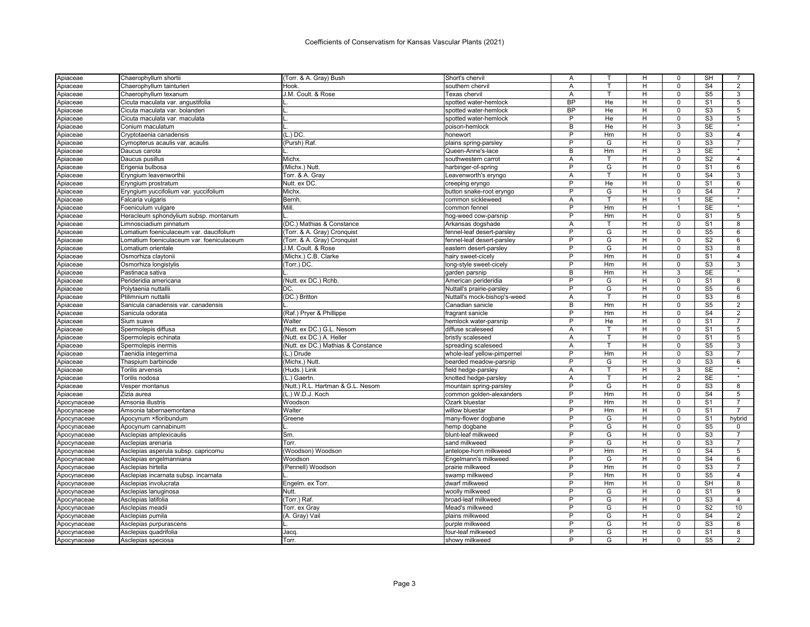| Apiaceae    | Chaerophyllum shortii                     | (Torr. & A. Gray) Bush             | Short's chervil              | Α              |        | н              | 0              | SH                     | 7              |
|-------------|-------------------------------------------|------------------------------------|------------------------------|----------------|--------|----------------|----------------|------------------------|----------------|
| Apiaceae    | Chaerophyllum tainturieri                 | Hook.                              | southern chervil             | A              | T.     | H              | $\Omega$       | S <sub>4</sub>         | $\overline{2}$ |
| Apiaceae    | Chaerophyllum texanum                     | J.M. Coult. & Rose                 | Texas chervil                | А              | т      | H              | $\mathbf 0$    | S <sub>5</sub>         | 3              |
| Apiaceae    | Cicuta maculata var. angustifolia         |                                    | spotted water-hemlock        | <b>BP</b>      | He     | H              | $\Omega$       | S <sub>1</sub>         | 5              |
| Apiaceae    | Cicuta maculata var. bolanderi            |                                    | spotted water-hemlock        | <b>BP</b>      | He     | н              | $\mathbf 0$    | S3                     | 5              |
| Apiaceae    | Cicuta maculata var. maculata             |                                    | spotted water-hemlock        | P              | He     | H              | $\Omega$       | S <sub>3</sub>         | 5              |
| Apiaceae    | Conium maculatum                          |                                    | poison-hemlock               | B              | He     | H              | $\overline{3}$ | <b>SE</b>              | $\star$        |
| Apiaceae    | Cryptotaenia canadensis                   | $(L.)$ DC.                         | honewort                     | P              | Hm     | H              | $\mathbf 0$    | S <sub>3</sub>         | $\overline{4}$ |
| Apiaceae    | Cymopterus acaulis var. acaulis           | (Pursh) Raf.                       | plains spring-parsley        | P              | G      | H              | $\mathbf 0$    | S3                     | $\overline{7}$ |
| Apiaceae    | Daucus carota                             |                                    | Queen-Anne's-lace            | B              | Hm     | H              | 3              | <b>SE</b>              |                |
| Apiaceae    | Daucus pusillus                           | Michx.                             | southwestern carrot          | Α              | т      | Н              | 0              | S <sub>2</sub>         | $\overline{4}$ |
| Apiaceae    | Erigenia bulbosa                          | (Michx.) Nutt.                     | harbinger-of-spring          | P              | G      | H              | $\mathbf 0$    | S <sub>1</sub>         | 6              |
| Apiaceae    | Eryngium leavenworthii                    | Torr. & A. Gray                    | Leavenworth's eryngo         | Α              |        | H              | $\mathbf 0$    | S <sub>4</sub>         | 3              |
| Apiaceae    | Eryngium prostratum                       | Nutt. ex DC.                       | creeping eryngo              | P              | He     | H              | $\mathbf 0$    | S <sub>1</sub>         | 6              |
| Apiaceae    | Eryngium yuccifolium var. yuccifolium     | Michx.                             | button snake-root eryngo     | P              | G      | н              | $\overline{0}$ | $\overline{S4}$        | $\overline{7}$ |
| Apiaceae    | Falcaria vulgaris                         | Bernh.                             | common sickleweed            | А              | T      | H              | 1              | <b>SE</b>              |                |
| Apiaceae    | Foeniculum vulgare                        | Mill.                              | common fennel                | P              | Hm     | H              | $\mathbf{1}$   | <b>SE</b>              | $\star$        |
| Apiaceae    | Heracleum sphondylium subsp. montanum     |                                    | hog-weed cow-parsnip         | P              | Hm     | H              | $\mathbf 0$    | S <sub>1</sub>         | 5              |
| Apiaceae    | Limnosciadium pinnatum                    | (DC.) Mathias & Constance          | Arkansas dogshade            | A              | T      | н              | $\mathsf 0$    | S <sub>1</sub>         | 8              |
| Apiaceae    | Lomatium foeniculaceum var. daucifolium   | (Torr. & A. Gray) Cronquist        | fennel-leaf desert-parsley   | P              | G      | H              | 0              | S <sub>5</sub>         | 6              |
| Apiaceae    | Lomatium foeniculaceum var. foeniculaceum | (Torr. & A. Gray) Cronquist        | fennel-leaf desert-parsley   | P              | G      | H              | $\Omega$       | S <sub>2</sub>         | 6              |
| Apiaceae    | Lomatium orientale                        | J.M. Coult. & Rose                 | eastern desert-parsley       | P              | G      | H              | $\mathbf 0$    | S3                     | 8              |
| Apiaceae    | Osmorhiza claytonii                       | (Michx.) C.B. Clarke               | hairy sweet-cicely           | P              | Hm     | H              | $\mathbf 0$    | S <sub>1</sub>         | $\overline{4}$ |
| Apiaceae    | Osmorhiza longistylis                     | (Torr.) DC.                        | long-style sweet-cicely      | P              | Hm     | H              | $\mathbf 0$    | S <sub>3</sub>         | 3              |
| Apiaceae    | Pastinaca sativa                          |                                    | garden parsnip               | B              | Hm     | H              | 3              | <b>SE</b>              |                |
| Apiaceae    | Perideridia americana                     | (Nutt. ex DC.) Rchb.               | American perideridia         | P              | G      | H              | $\mathbf 0$    | S <sub>1</sub>         | 8              |
| Apiaceae    | Polytaenia nuttallii                      | DC.                                | Nuttall's prairie-parsley    | P              | G      | H              | $\mathbf 0$    | S <sub>5</sub>         | 6              |
|             | Ptilimnium nuttallii                      |                                    |                              | A              | T      | H              | $\Omega$       | S <sub>3</sub>         | 6              |
| Apiaceae    |                                           | (DC.) Britton                      | Nuttall's mock-bishop's-weed | B              | Hm     |                | $\mathbf 0$    | S <sub>5</sub>         | $\overline{2}$ |
| Apiaceae    | Sanicula canadensis var. canadensis       |                                    | Canadian sanicle             | P              |        | H              |                |                        |                |
| Apiaceae    | Sanicula odorata                          | (Raf.) Pryer & Phillippe           | fragrant sanicle             | P              | Hm     | н              | $\mathbf 0$    | S <sub>4</sub>         | 2              |
| Apiaceae    | Sium suave                                | Walter                             | hemlock water-parsnip        |                | He     | H              | $\Omega$       | S <sub>1</sub>         | $\overline{7}$ |
| Apiaceae    | Spermolepis diffusa                       | (Nutt. ex DC.) G.L. Nesom          | diffuse scaleseed            | A              | т<br>T | Н              | $\Omega$       | S <sub>1</sub>         | 5              |
| Apiaceae    | Spermolepis echinata                      | (Nutt. ex DC.) A. Heller           | bristly scaleseed            | A              |        | H              | $\mathbf 0$    | S <sub>1</sub>         | 5              |
| Apiaceae    | Spermolepis inermis                       | (Nutt. ex DC.) Mathias & Constance | spreading scaleseed          | Α              | т      | н              | $\overline{0}$ | $\overline{\text{S5}}$ | $\overline{3}$ |
| Apiaceae    | Taenidia integerrima                      | (L.) Drude                         | whole-leaf yellow-pimpernel  | P              | Hm     | H              | $\Omega$       | S <sub>3</sub>         | $\overline{7}$ |
| Apiaceae    | Thaspium barbinode                        | (Michx.) Nutt.                     | bearded meadow-parsnip       | $\overline{P}$ | G      | H              | $\mathbf 0$    | $\overline{\text{S3}}$ | 6              |
| Apiaceae    | Torilis arvensis                          | (Huds.) Link                       | field hedge-parsley          | A              | т      | H              | 3              | SE                     | $\star$        |
| Apiaceae    | Torilis nodosa                            | (L.) Gaertn.                       | knotted hedge-parsley        | A              | T      | H              | $\overline{2}$ | <b>SE</b>              |                |
| Apiaceae    | Vesper montanus                           | (Nutt.) R.L. Hartman & G.L. Nesom  | mountain spring-parsley      | P              | G      | H              | $\mathbf 0$    | S <sub>3</sub>         | 8              |
| Apiaceae    | Zizia aurea                               | (L.) W.D.J. Koch                   | common golden-alexanders     | P              | Hm     | $\overline{H}$ | $\mathbf 0$    | S <sub>4</sub>         | $\overline{5}$ |
| Apocynaceae | Amsonia illustris                         | Woodson                            | Ozark bluestar               | P              | Hm     | H              | $\mathbf 0$    | S <sub>1</sub>         | $\overline{7}$ |
| Apocynaceae | Amsonia tabernaemontana                   | Walter                             | willow bluestar              | P              | Hm     | H              | $\mathbf 0$    | S <sub>1</sub>         | $\overline{7}$ |
| Apocynaceae | Apocynum ×floribundum                     | Greene                             | many-flower dogbane          | P              | G      | H              | $\mathbf 0$    | S <sub>1</sub>         | hybrid         |
| Apocynaceae | Apocynum cannabinum                       |                                    | hemp dogbane                 | P              | G      | H              | $\mathsf 0$    | S <sub>5</sub>         | 0              |
| Apocynaceae | Asclepias amplexicaulis                   | Sm.                                | blunt-leaf milkweed          | P              | G      | H              | $\Omega$       | S <sub>3</sub>         | $\overline{7}$ |
| Apocynaceae | Asclepias arenaria                        | Torr.                              | sand milkweed                | P              | G      | н              | $\mathsf 0$    | S <sub>3</sub>         | $\overline{7}$ |
| Apocynaceae | Asclepias asperula subsp. capricornu      | Woodson) Woodson                   | antelope-horn milkweed       | P              | Hm     | H              | $\Omega$       | S <sub>4</sub>         | 5              |
| Apocynaceae | Asclepias engelmanniana                   | Woodson                            | Engelmann's milkweed         | $\overline{P}$ | G      | H              | $\mathbf 0$    | $\overline{S4}$        | 6              |
| Apocynaceae | Asclepias hirtella                        | (Pennell) Woodson                  | prairie milkweed             | P              | Hm     | н              | $\Omega$       | S <sub>3</sub>         | 7              |
| Apocynaceae | Asclepias incarnata subsp. incarnata      |                                    | swamp milkweed               | P              | Hm     | H              | $\mathbf 0$    | S <sub>5</sub>         | $\overline{4}$ |
| Apocynaceae | Asclepias involucrata                     | Engelm. ex Torr.                   | dwarf milkweed               | P              | Hm     | Н              | 0              | <b>SH</b>              | 8              |
| Apocynaceae | Asclepias lanuginosa                      | Nutt.                              | woolly milkweed              | P              | G      | H              | $\Omega$       | S <sub>1</sub>         | 9              |
| Apocynaceae | Asclepias latifolia                       | (Torr.) Raf.                       | broad-leaf milkweed          | P              | G      | H              | $\mathbf 0$    | S <sub>3</sub>         | $\overline{4}$ |
| Apocynaceae | Asclepias meadii                          | Torr. ex Gray                      | Mead's milkweed              | P              | G      | H              | $\Omega$       | S <sub>2</sub>         | 10             |
| Apocynaceae | Asclepias pumila                          | (A. Gray) Vail                     | plains milkweed              | P              | G      | H              | $\mathbf 0$    | S <sub>4</sub>         | 2              |
| Apocynaceae | Asclepias purpurascens                    |                                    | purple milkweed              | P              | G      | H              | $\Omega$       | S <sub>3</sub>         | 6              |
| Apocynaceae | Asclepias quadrifolia                     | Jacq                               | four-leaf milkweed           | P              | G      | H              | $\Omega$       | S <sub>1</sub>         | 8              |
| Apocynaceae | Asclepias speciosa                        | Torr.                              | showy milkweed               | P              | G      | H              | $\Omega$       | S <sub>5</sub>         | 2              |
|             |                                           |                                    |                              |                |        |                |                |                        |                |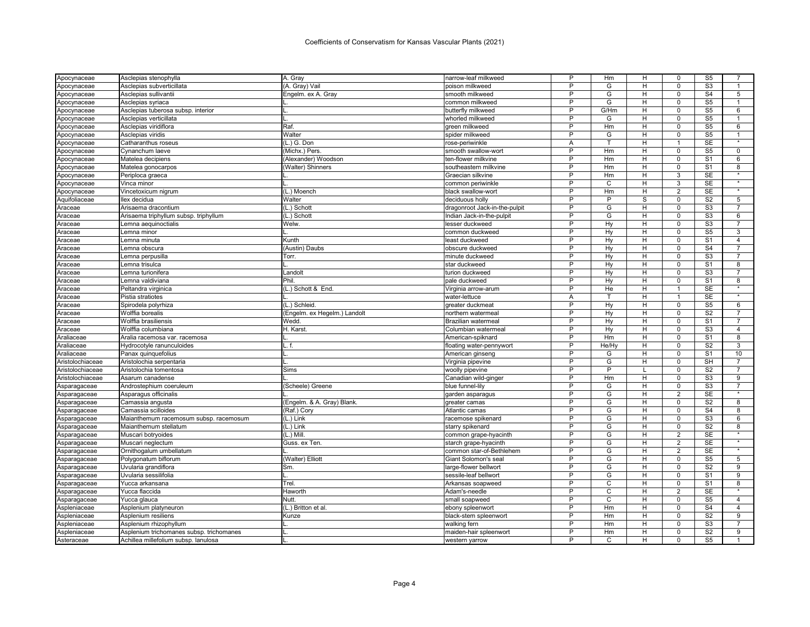| Apocynaceae      | Asclepias stenophylla                    | A. Gray                      | narrow-leaf milkweed          | P              | Hm    | H                       | 0              | S5               |                 |
|------------------|------------------------------------------|------------------------------|-------------------------------|----------------|-------|-------------------------|----------------|------------------|-----------------|
| Apocynaceae      | Asclepias subverticillata                | (A. Gray) Vail               | poison milkweed               | P              | G     | H                       | $\Omega$       | S <sub>3</sub>   | $\mathbf{1}$    |
| Apocynaceae      | Asclepias sullivantii                    | Engelm. ex A. Gray           | smooth milkweed               | P              | G     | н                       | $\mathbf 0$    | S <sub>4</sub>   | 5               |
| Apocynaceae      | Asclepias syriaca                        |                              | common milkweed               | P              | G     | н                       | $\Omega$       | S <sub>5</sub>   | $\mathbf{1}$    |
| Apocynaceae      | Asclepias tuberosa subsp. interior       |                              | butterfly milkweed            | P              | G/Hm  | н                       | $\overline{0}$ | S <sub>5</sub>   | $6\overline{6}$ |
| Apocynaceae      | Asclepias verticillata                   |                              | whorled milkweed              | P              | G     | н                       | $\Omega$       | S <sub>5</sub>   |                 |
| Apocynaceae      | Asclepias viridiflora                    | Raf.                         | green milkweed                | P              | Hm    | н                       | $\Omega$       | S <sub>5</sub>   | 6               |
| Apocynaceae      | Asclepias viridis                        | Walter                       | spider milkweed               | P              | G     | н                       | $\Omega$       | S <sub>5</sub>   | 1               |
| Apocynaceae      | Catharanthus roseus                      | (L.) G. Don                  | rose-periwinkle               | A              | T     | H                       | $\overline{1}$ | <b>SE</b>        | $\star$         |
| Apocynaceae      | Cynanchum laeve                          | (Michx.) Pers.               | smooth swallow-wort           | P              | Hm    | H                       | $\mathbf 0$    | S <sub>5</sub>   | $\mathbf 0$     |
| Apocynaceae      | Matelea decipiens                        | (Alexander) Woodson          | ten-flower milkvine           | P              | Hm    | H                       | $\Omega$       | S <sub>1</sub>   | 6               |
| Apocynaceae      | Matelea gonocarpos                       | (Walter) Shinners            | southeastern milkvine         | P              | Hm    | H                       | $\mathbf 0$    | S <sub>1</sub>   | 8               |
| Apocynaceae      | Periploca graeca                         |                              | Graecian silkvine             | P              | Hm    | н                       | 3              | SE               |                 |
| Apocynaceae      | Vinca minor                              |                              | common periwinkle             | P              | C     | H                       | 3              | <b>SE</b>        | $\star$         |
| Apocynaceae      | Vincetoxicum nigrum                      | (L.) Moench                  | black swallow-wort            | P              | Hm    | H                       | $\overline{2}$ | <b>SE</b>        |                 |
| Aquifoliaceae    | llex decidua                             | Walter                       | deciduous holly               | P              | P     | S                       | $\Omega$       | S <sub>2</sub>   | 5               |
| Araceae          | Arisaema dracontium                      | (L.) Schott                  | dragonroot Jack-in-the-pulpit | P              | G     | Ξ                       | $\overline{0}$ | S3               | $\overline{7}$  |
| Araceae          | Arisaema triphyllum subsp. triphyllum    | (L.) Schott                  | Indian Jack-in-the-pulpit     | P              | G     | H                       | $\Omega$       | S <sub>3</sub>   | 6               |
| Araceae          | Lemna aequinoctialis                     | Welw.                        | lesser duckweed               | P              | Hy    | н                       | $\mathbf 0$    | S <sub>3</sub>   | $\overline{7}$  |
| Araceae          | Lemna minor                              |                              | common duckweed               | P              | Hy    | Н                       | $\Omega$       | S <sub>5</sub>   | 3               |
| Araceae          | Lemna minuta                             | Kunth                        | least duckweed                | P              | Hy    | H                       | $\Omega$       | S <sub>1</sub>   | $\overline{4}$  |
| Araceae          | Lemna obscura                            | (Austin) Daubs               | obscure duckweed              | P              | Hy    | н                       | $\Omega$       | S <sub>4</sub>   | $\overline{7}$  |
| Araceae          | Lemna perpusilla                         | Torr.                        | minute duckweed               | $\overline{P}$ | Hv    | H                       | $\overline{0}$ | S3               | $\overline{7}$  |
| Araceae          | Lemna trisulca                           |                              | star duckweed                 | P              | Hy    | H                       | $\mathbf 0$    | S <sub>1</sub>   | 8               |
| Araceae          | Lemna turionifera                        | Landolt                      | turion duckweed               | P              | Hy    | H                       | $\Omega$       | S3               | 7               |
| Araceae          | Lemna valdiviana                         | <b>Phil</b>                  | pale duckweed                 | P              | Hy    | н                       | $\mathbf 0$    | S <sub>1</sub>   | 8               |
| Araceae          | Peltandra virginica                      | (L.) Schott & End.           | Virginia arrow-arum           | P              | He    | H                       | 1              | <b>SE</b>        |                 |
| Araceae          | Pistia stratiotes                        |                              | water-lettuce                 | A              | т     | H                       | 1              | <b>SE</b>        | $\star$         |
| Araceae          | Spirodela polyrhiza                      | (L.) Schleid.                | greater duckmeat              | P              | Hy    | H                       | $\mathbf 0$    | S <sub>5</sub>   | 6               |
| Araceae          | Wolffia borealis                         | (Engelm. ex Hegelm.) Landolt | northern watermeal            | P              | Hy    | H                       | $\Omega$       | $\overline{S2}$  | $\overline{7}$  |
| Araceae          | Wolffia brasiliensis                     | Wedd.                        | Brazilian watermeal           | P              | Hy    | H                       | $\Omega$       | S <sub>1</sub>   | $\overline{7}$  |
| Araceae          | Wolffia columbiana                       | H. Karst.                    | Columbian watermeal           | P              | Hy    | н                       | $\Omega$       | S <sub>3</sub>   | 4               |
| Araliaceae       | Aralia racemosa var. racemosa            |                              | American-spiknard             | P              | Hm    | H                       | $\Omega$       | S <sub>1</sub>   | 8               |
| Araliaceae       | Hydrocotyle ranunculoides                | L.f                          | floating water-pennywort      | P              | He/Hy | H                       | 0              | S <sub>2</sub>   | 3               |
| Araliaceae       | Panax quinquefolius                      |                              | American ginseng              | P              | G     | н                       | $\Omega$       | S <sub>1</sub>   | 10              |
| Aristolochiaceae | Aristolochia serpentaria                 |                              | Virginia pipevine             | P              | G     | н                       | $\mathbf 0$    | SH               | $\overline{7}$  |
| Aristolochiaceae | Aristolochia tomentosa                   | Sims                         | woolly pipevine               | P              | P     |                         | $\Omega$       | S <sub>2</sub>   | $\overline{7}$  |
| Aristolochiaceae | Asarum canadense                         |                              | Canadian wild-ginger          | P              | Hm    | н                       | $\mathbf 0$    | S <sub>3</sub>   | 9               |
| Asparagaceae     | Androstephium coeruleum                  | (Scheele) Greene             | blue funnel-lily              | P              | G     | н                       | $\Omega$       | S <sub>3</sub>   | $\overline{7}$  |
| Asparagaceae     | Asparagus officinalis                    |                              | garden asparagus              | P              | G     | H                       | $\overline{2}$ | <b>SE</b>        | $\bullet$       |
| Asparagaceae     | Camassia angusta                         | (Engelm. & A. Gray) Blank.   | greater camas                 | P              | G     | H                       | $\mathbf 0$    | S <sub>2</sub>   | 8               |
| Asparagaceae     | Camassia scilloides                      | (Raf.) Cory                  | Atlantic camas                | P              | G     | $\overline{\mathsf{H}}$ | $\overline{0}$ | S <sub>4</sub>   | 8               |
| Asparagaceae     | Maianthemum racemosum subsp. racemosum   | (L.) Link                    | racemose spikenard            | P              | G     | н                       | $\mathbf 0$    | S <sub>3</sub>   | 6               |
| Asparagaceae     | Maianthemum stellatum                    | (L.) Link                    | starry spikenard              | P              | G     | H                       | $\Omega$       | S <sub>2</sub>   | 8               |
| Asparagaceae     | Muscari botryoides                       | (L.) Mill                    | common grape-hyacinth         | P              | G     | H                       | $\overline{2}$ | <b>SE</b>        | $\star$         |
| Asparagaceae     | Muscari neglectum                        | Guss. ex Ten.                | starch grape-hyacinth         | P              | G     | H                       | $\overline{2}$ | SE               | $\bullet$       |
| Asparagaceae     | Ornithogalum umbellatum                  |                              | common star-of-Bethlehem      | P              | G     | H                       | 2              | SE               | $\star$         |
| Asparagaceae     | Polygonatum biflorum                     | (Walter) Elliott             | Giant Solomon's seal          | P              | G     | н                       | $\mathbf 0$    | S <sub>5</sub>   | 5               |
| Asparagaceae     | Uvularia grandiflora                     | Sm.                          | large-flower bellwort         | P              | G     | н                       | $\mathbf 0$    | S <sub>2</sub>   | 9               |
| Asparagaceae     | Uvularia sessilifolia                    |                              | sessile-leaf bellwort         | P              | G     | H                       | $\mathbf 0$    | $\overline{s_1}$ | $\overline{9}$  |
| Asparagaceae     | Yucca arkansana                          | <b>Trel</b>                  | Arkansas soapweed             | P              | C     | H                       | 0              | S <sub>1</sub>   | 8               |
| Asparagaceae     | Yucca flaccida                           | Haworth                      | Adam's-needle                 | P              | C     | H                       | $\overline{2}$ | <b>SE</b>        | $\star$         |
| Asparagaceae     | Yucca glauca                             | Nutt.                        | small soapweed                | P              | С     | H                       | $\mathbf 0$    | S <sub>5</sub>   | $\overline{4}$  |
| Aspleniaceae     | Asplenium platyneuron                    | (L.) Britton et al.          | ebony spleenwort              | P              | Hm    | H                       | $\mathbf 0$    | S <sub>4</sub>   | $\overline{4}$  |
| Aspleniaceae     | Asplenium resiliens                      | Kunze                        | black-stem spleenwort         | P              | Hm    | H                       | $\mathbf 0$    | S <sub>2</sub>   | 9               |
| Aspleniaceae     | Asplenium rhizophyllum                   |                              | walking fern                  | P              | Hm    | H                       | $\Omega$       | S3               | 7               |
| Aspleniaceae     | Asplenium trichomanes subsp. trichomanes | IL.                          | maiden-hair spleenwort        | P              | Hm    | н                       | $\Omega$       | S <sub>2</sub>   | 9               |
|                  |                                          |                              |                               |                | C     | H                       | $\Omega$       | S <sub>5</sub>   |                 |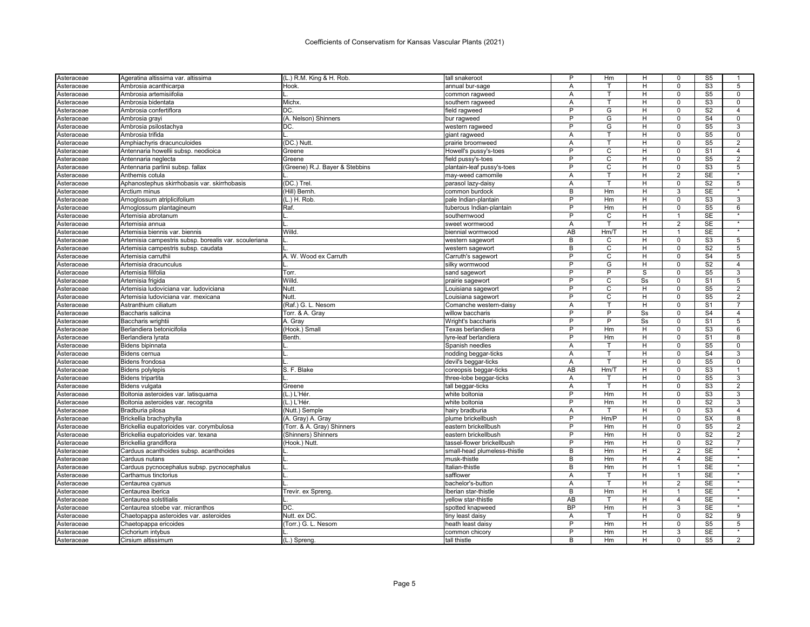| Asteraceae | Ageratina altissima var. altissima                    | (L.) R.M. King & H. Rob.       | tall snakeroot               | P              | Нm             | н  | 0              | S <sub>5</sub> |                |
|------------|-------------------------------------------------------|--------------------------------|------------------------------|----------------|----------------|----|----------------|----------------|----------------|
| Asteraceae | Ambrosia acanthicarpa                                 | Hook.                          | annual bur-sage              | A              | T              | H  | $\Omega$       | S <sub>3</sub> | 5              |
| Asteraceae | Ambrosia artemisiifolia                               |                                | common ragweed               | A              | т              | H  | $\mathbf 0$    | S <sub>5</sub> | 0              |
| Asteraceae | Ambrosia bidentata                                    | Michx.                         | southern ragweed             | A              | T              | H  | $\Omega$       | S <sub>3</sub> | $\Omega$       |
| Asteraceae | Ambrosia confertiflora                                | DC.                            | field ragweed                | P              | G              | н  | $\mathbf 0$    | S <sub>2</sub> | 4              |
| Asteraceae | Ambrosia grayi                                        | (A. Nelson) Shinners           | bur ragweed                  | P              | G              | H  | $\Omega$       | S <sub>4</sub> | $\Omega$       |
| Asteraceae | Ambrosia psilostachya                                 | DC                             | western ragweed              | P              | G              | H  | $\Omega$       | S <sub>5</sub> | 3              |
| Asteraceae | Ambrosia trifida                                      |                                | giant ragweed                | A              | т              | H  | $\mathbf 0$    | S <sub>5</sub> | $\mathbf 0$    |
| Asteraceae | Amphiachyris dracunculoides                           | (DC.) Nutt                     | prairie broomweed            | Α              | т              | H  | $\mathbf 0$    | S <sub>5</sub> | 2              |
| Asteraceae | Antennaria howellii subsp. neodioica                  | Greene                         | Howell's pussy's-toes        | P              | $\mathsf{C}$   | H  | $\Omega$       | S <sub>1</sub> | $\overline{4}$ |
| Asteraceae | Antennaria neglecta                                   | Greene                         | field pussy's-toes           | P              | С              | н  | 0              | S <sub>5</sub> | $\overline{2}$ |
| Asteraceae | Antennaria parlinii subsp. fallax                     | (Greene) R.J. Bayer & Stebbins | plantain-leaf pussy's-toes   | P              | C              | H  | $\mathbf 0$    | S <sub>3</sub> | 5              |
| Asteraceae | Anthemis cotula                                       |                                | may-weed camomile            | Α              |                | н  | $\overline{2}$ | SE             |                |
| Asteraceae | Aphanostephus skirrhobasis var. skirrhobasis          | (DC.) Trel                     | parasol lazy-daisy           | A              | $\mathsf{T}$   | H  | $\mathbf 0$    | S <sub>2</sub> | 5              |
| Asteraceae | Arctium minus                                         | (Hill) Bernh.                  | common burdock               | В              | Hm             | н  | 3              | <b>SE</b>      |                |
| Asteraceae | Arnoglossum atriplicifolium                           | (L.) H. Rob.                   | pale Indian-plantain         | P              | Hm             | H  | $\Omega$       | S3             | 3              |
| Asteraceae | Arnoglossum plantagineum                              | Raf.                           | tuberous Indian-plantain     | P              | Hm             | н  | $\mathbf 0$    | S <sub>5</sub> | 6              |
| Asteraceae | Artemisia abrotanum                                   |                                | southernwood                 | P              | C              | н  | 1              | <b>SE</b>      | $\star$        |
| Asteraceae | Artemisia annua                                       |                                | sweet wormwood               | A              | т              | н  | $\overline{2}$ | SE             | $\star$        |
| Asteraceae | Artemisia biennis var. biennis                        | Willd                          | biennial wormwood            | AB             | Hm/T           | H  | 1              | <b>SE</b>      | $\star$        |
| Asteraceae | Artemisia campestris subsp. borealis var. scouleriana |                                | western sagewort             | B              | C              | H  | $\Omega$       | S <sub>3</sub> | 5              |
| Asteraceae | Artemisia campestris subsp. caudata                   |                                | western sagewort             | B              | $\overline{C}$ | H  | $\mathbf 0$    | S <sub>2</sub> | 5              |
| Asteraceae | Artemisia carruthii                                   | A. W. Wood ex Carruth          | Carruth's sagewort           | P              | C              | H  | $\mathbf 0$    | S <sub>4</sub> | 5              |
|            | Artemisia dracunculus                                 |                                |                              | P              | G              | H  | $\mathbf 0$    | S <sub>2</sub> | $\overline{4}$ |
| Asteraceae |                                                       |                                | silky wormwood               | P              | P              | S  | 0              |                |                |
| Asteraceae | Artemisia filifolia                                   | Torr.<br>Willd                 | sand sagewort                | P              | C              | Ss | $\Omega$       | S <sub>5</sub> | 3              |
| Asteraceae | Artemisia frigida                                     |                                | prairie sagewort             |                |                |    |                | S <sub>1</sub> | 5              |
| Asteraceae | Artemisia ludoviciana var. ludoviciana                | Nutt                           | Louisiana sagewort           | P              | C              | H  | 0              | S <sub>5</sub> | 2              |
| Asteraceae | Artemisia ludoviciana var. mexicana                   | Nutt                           | Louisiana sagewort           | P              | C              | H  | $\Omega$       | S <sub>5</sub> | $\overline{2}$ |
| Asteraceae | Astranthium ciliatum                                  | (Raf.) G. L. Nesom             | Comanche western-daisy       | Α              | T              | H  | $\mathbf 0$    | S <sub>1</sub> | $\overline{7}$ |
| Asteraceae | Baccharis salicina                                    | Torr. & A. Gray                | willow baccharis             | P              | P              | Ss | $\Omega$       | S <sub>4</sub> | $\overline{4}$ |
| Asteraceae | Baccharis wrightii                                    | A. Gray                        | Wright's baccharis           | P              | P              | Ss | $\mathbf 0$    | S <sub>1</sub> | 5              |
| Asteraceae | Berlandiera betonicifolia                             | (Hook.) Small                  | Texas berlandiera            | P              | Hm             | н  | $\Omega$       | S <sub>3</sub> | 6              |
| Asteraceae | Berlandiera lyrata                                    | Benth.                         | yre-leaf berlandiera         | P              | Hm             | H  | $\mathbf 0$    | S <sub>1</sub> | 8              |
| Asteraceae | Bidens bipinnata                                      |                                | Spanish needles              | A              | т              | H  | $\mathbf 0$    | S <sub>5</sub> | $\mathbf 0$    |
| Asteraceae | Bidens cernua                                         |                                | nodding beggar-ticks         | A              | T              | H  | $\Omega$       | S <sub>4</sub> | 3              |
| Asteraceae | <b>Bidens frondosa</b>                                |                                | devil's beggar-ticks         | A              | T              | H  | $\mathbf 0$    | S <sub>5</sub> | $\mathbf 0$    |
| Asteraceae | <b>Bidens polylepis</b>                               | S. F. Blake                    | coreopsis beggar-ticks       | AB             | Hm/T           | H  | $\mathbf 0$    | S <sub>3</sub> | 1              |
| Asteraceae | <b>Bidens tripartita</b>                              |                                | three-lobe beggar-ticks      | A              | т              | H  | $\Omega$       | S <sub>5</sub> | 3              |
| Asteraceae | Bidens vulgata                                        | Greene                         | tall beggar-ticks            | Α              | т              | Н  | 0              | S <sub>3</sub> | 2              |
| Asteraceae | Boltonia asteroides var. latisquama                   | (L.) L'Hér                     | white boltonia               | P              | Hm             | H  | $\mathbf 0$    | S <sub>3</sub> | 3              |
| Asteraceae | Boltonia asteroides var. recognita                    | (L.) L'Hér.                    | white boltonia               | P              | Hm             | H  | 0              | S <sub>2</sub> | 3              |
| Asteraceae | Bradburia pilosa                                      | (Nutt.) Semple                 | hairy bradburia              | A              | т              | H  | $\Omega$       | S <sub>3</sub> | 4              |
| Asteraceae | Brickellia brachyphylla                               | (A. Gray) A. Gray              | plume brickellbush           | $\overline{P}$ | Hm/P           | н  | $\mathbf 0$    | <b>SX</b>      | 8              |
| Asteraceae | Brickellia eupatorioides var. corymbulosa             | (Torr. & A. Gray) Shinners     | eastern brickellbush         | P              | Hm             | H  | $\mathbf 0$    | S <sub>5</sub> | $\overline{2}$ |
| Asteraceae | Brickellia eupatorioides var. texana                  | (Shinners) Shinners            | eastern brickellbush         | P              | Hm             | H  | $\mathbf 0$    | S <sub>2</sub> | $\overline{2}$ |
| Asteraceae | Brickellia grandiflora                                | (Hook.) Nutt.                  | tassel-flower brickellbush   | P              | Hm             | H  | $\mathbf 0$    | S <sub>2</sub> | $\overline{7}$ |
| Asteraceae | Carduus acanthoides subsp. acanthoides                |                                | small-head plumeless-thistle | B              | Hm             | H  | $\overline{2}$ | <b>SE</b>      | $\star$        |
| Asteraceae | Carduus nutans                                        |                                | musk-thistle                 | B              | Hm             | H  | 4              | <b>SE</b>      |                |
| Asteraceae | Carduus pycnocephalus subsp. pycnocephalus            |                                | Italian-thistle              | B              | Hm             | н  | 1              | <b>SE</b>      |                |
| Asteraceae | Carthamus tinctorius                                  |                                | safflower                    | A              | т              | H  | $\mathbf{1}$   | <b>SE</b>      | $\star$        |
| Asteraceae | Centaurea cyanus                                      |                                | bachelor's-button            | Α              |                | н  | $\overline{2}$ | <b>SE</b>      |                |
| Asteraceae | Centaurea iberica                                     | Trevir. ex Spreng.             | Iberian star-thistle         | B              | Hm             | H  | $\overline{1}$ | SE             | $\star$        |
| Asteraceae | Centaurea solstitialis                                |                                | yellow star-thistle          | AB             | т              | H  | $\overline{4}$ | SE             | $\star$        |
| Asteraceae | Centaurea stoebe var. micranthos                      | DC.                            | spotted knapweed             | <b>BP</b>      | Hm             | H  | 3              | <b>SE</b>      | $\star$        |
| Asteraceae | Chaetopappa asteroides var. asteroides                | Nutt. ex DC.                   | tiny least daisy             | A              | т              | н  | $\mathbf 0$    | S <sub>2</sub> | 9              |
| Asteraceae | Chaetopappa ericoides                                 | (Torr.) G. L. Nesom            | heath least daisy            | P              | Hm             | H  | $\Omega$       | S <sub>5</sub> | 5              |
| Asteraceae | Cichorium intybus                                     |                                | common chicory               | P              | Hm             | н  | 3              | <b>SE</b>      | *              |
|            |                                                       |                                |                              | R              | Hm             | H  | $\Omega$       | S <sub>5</sub> | $\overline{2}$ |
| Asteraceae | Cirsium altissimum                                    | (L.) Spreng.                   | tall thistle                 |                |                |    |                |                |                |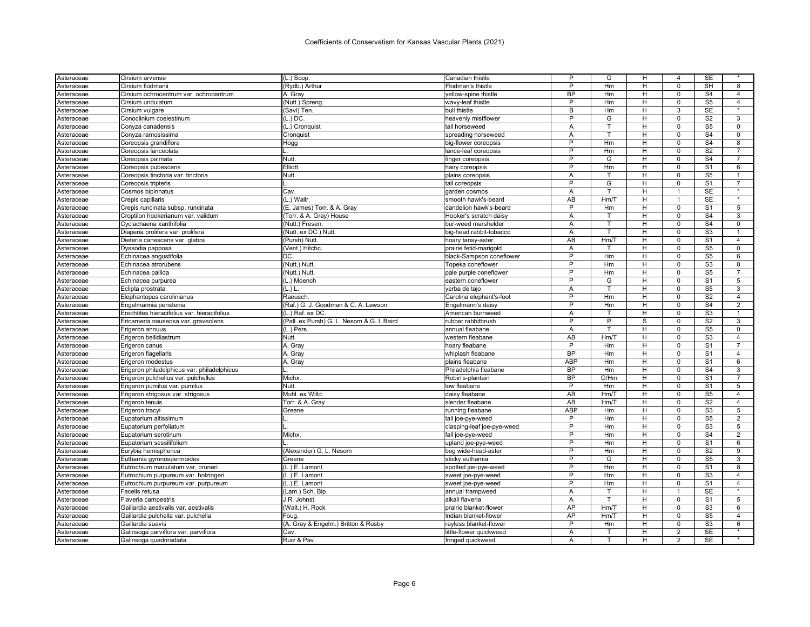| Cirsium flodmanii<br>(Rydb.) Arthur<br>Flodman's thistle<br><b>BP</b><br>S <sub>4</sub><br>H<br>$\mathbf 0$<br>$\overline{4}$<br>Cirsium ochrocentrum var. ochrocentrum<br>A. Gray<br>yellow-spine thistle<br>Hm<br>P<br>S <sub>5</sub><br>Hm<br>н<br>$\Omega$<br>$\overline{4}$<br>Cirsium undulatum<br>(Nutt.) Spreng.<br>wavy-leaf thistle<br><b>SE</b><br>В<br>(Savi) Ten.<br>bull thistle<br>н<br>3<br>Cirsium vulgare<br>Hm<br>S <sub>2</sub><br>$\overline{3}$<br>$(L.)$ DC.<br>P<br>Conoclinium coelestinum<br>heavenly mistflower<br>G<br>H<br>$\Omega$<br>S <sub>5</sub><br>(L.) Cronquist<br>tall horseweed<br>т<br>H<br>$\Omega$<br>0<br>Conyza canadensis<br>A<br>S <sub>4</sub><br>$\mathbf 0$<br>Conyza ramosissima<br>Cronquist<br>spreading horseweed<br>Α<br>н<br>$\Omega$<br>P<br>S <sub>4</sub><br>Hm<br>H<br>$\mathbf 0$<br>8<br>Coreopsis grandiflora<br>Hogg<br>big-flower coreopsis<br>P<br>S <sub>2</sub><br>H<br>$\mathbf 0$<br>Coreopsis lanceolata<br>lance-leaf coreopsis<br>Hm<br>$\overline{7}$<br>Nutt.<br>P<br>G<br>$\Omega$<br>S <sub>4</sub><br>$\overline{7}$<br>н<br>Coreopsis palmata<br>finger coreopsis<br>P<br>Elliott<br>S <sub>1</sub><br>Hm<br>н<br>$\mathbf 0$<br>6<br>Coreopsis pubescens<br>hairy coreopsis<br>Nutt.<br>H<br>$\Omega$<br>S <sub>5</sub><br>Coreopsis tinctoria var. tinctoria<br>plains coreopsis<br>Α<br>1<br>P<br>G<br>H<br>$\mathbf 0$<br>S <sub>1</sub><br>$\overline{7}$<br>Coreopsis tripteris<br>tall coreopsis<br><b>SE</b><br>Cosmos bipinnatus<br>Cav.<br>A<br>н<br>garden cosmos<br>(L.) Wallr.<br>AB<br>Hm/T<br>H<br>$\overline{1}$<br><b>SE</b><br>$\star$<br>Crepis capillaris<br>smooth hawk's-beard<br>P<br>$\overline{0}$<br>S <sub>1</sub><br>Crepis runcinata subsp. runcinata<br>(E. James) Torr. & A. Gray<br>dandelion hawk's-beard<br>Hm<br>H<br>5<br>S <sub>4</sub><br>(Torr. & A. Gray) House<br>$\Omega$<br>3<br>Croptilon hookerianum var. validum<br>Hooker's scratch daisy<br>A<br>т<br>н<br>S <sub>4</sub><br>Cyclachaena xanthifolia<br>(Nutt.) Fresen.<br>T<br>н<br>$\mathbf 0$<br>0<br>bur-weed marshelder<br>Α<br>(Nutt. ex DC.) Nutt.<br>S <sub>3</sub><br>Diaperia prolifera var. prolifera<br>big-head rabbit-tobacco<br>A<br>т<br>H<br>$\Omega$<br>AB<br>S <sub>1</sub><br>Dieteria canescens var. glabra<br>(Pursh) Nutt<br>Hm/T<br>H<br>$\Omega$<br>$\overline{4}$<br>hoary tansy-aster<br>(Vent.) Hitchc.<br>H<br>$\mathbf 0$<br>S <sub>5</sub><br>$\mathbf 0$<br>Dyssodia papposa<br>prairie fetid-marigold<br>Α<br>т<br>DC.<br>$\overline{P}$<br>H<br>$\overline{0}$<br>S <sub>5</sub><br>6<br>Hm<br>Echinacea angustifolia<br>black-Sampson coneflower<br>S3<br>(Nutt.) Nutt.<br>P<br>Echinacea atrorubens<br>Topeka coneflower<br>Hm<br>H<br>$\mathbf 0$<br>8<br>P<br>S <sub>5</sub><br>(Nutt.) Nutt.<br>Hm<br>$\mathbf 0$<br>$\overline{7}$<br>Echinacea pallida<br>pale purple coneflower<br>н<br>P<br>S <sub>1</sub><br>G<br>5<br>Echinacea purpurea<br>(L.) Moench<br>eastern coneflower<br>H<br>$\Omega$<br>S <sub>5</sub><br>(L.) L<br>A<br>т<br>Н<br>0<br>3<br>Asteraceae<br>Eclipta prostrata<br>yerba de tajo<br>S <sub>2</sub><br>P<br>Hm<br>H<br>$\mathbf 0$<br>$\overline{4}$<br>Elephantopus carolinianus<br>Raeusch<br>Carolina elephant's-foot<br>P<br>H<br>$\mathbf 0$<br>S <sub>4</sub><br>$\overline{2}$<br>(Raf.) G. J. Goodman & C. A. Lawson<br>Hm<br>Engelmannia peristenia<br>Engelmann's daisy<br>S <sub>3</sub><br>H<br>$\Omega$<br>Erechtites hieracifolius var. hieracifolius<br>(L.) Raf. ex DC.<br>American burnweed<br>A<br>т<br>1<br>$\overline{P}$<br>$\overline{P}$<br>S <sub>2</sub><br>$\overline{3}$<br>(Pall. ex Pursh) G. L. Nesom & G. I. Baird<br>rubber rabbitbrush<br>S<br>$\mathbf 0$<br>Ericameria nauseosa var. graveolens<br>S <sub>5</sub><br>Erigeron annuus<br>(L.) Pers.<br>annual fleabane<br>Α<br>H<br>$\Omega$<br>0<br><b>AB</b><br>S <sub>3</sub><br>Erigeron bellidiastrum<br>Nutt.<br>western fleabane<br>Hm/T<br>н<br>$\mathbf 0$<br>4<br>P<br>S <sub>1</sub><br>Erigeron canus<br>A. Gray<br>hoary fleabane<br>Hm<br>н<br>$\Omega$<br>BP<br>A. Gray<br>Hm<br>H<br>$\Omega$<br>S <sub>1</sub><br>$\overline{4}$<br>Erigeron flagellaris<br>whiplash fleabane<br>ABP<br>S <sub>1</sub><br>A. Gray<br>Hm<br>H<br>$\mathbf 0$<br>6<br>Erigeron modestus<br>plains fleabane<br><b>BP</b><br>S <sub>4</sub><br>3<br>Erigeron philadelphicus var. philadelphicus<br>Philadelphia fleabane<br>Hm<br>H<br>$\mathbf 0$<br><b>BP</b><br>G/Hm<br>S <sub>1</sub><br>Erigeron pulchellus var. pulchellus<br>Michx.<br>Robin's-plantain<br>H<br>$\Omega$<br>$\overline{7}$<br>P<br>Nutt.<br>low fleabane<br>н<br>$\Omega$<br>S <sub>1</sub><br>5<br>Erigeron pumilus var. pumilus<br>Hm<br>Muhl. ex Willd.<br>AB<br>Hm/T<br>$\mathbf 0$<br>S <sub>5</sub><br>Erigeron strigosus var. strigosus<br>daisy fleabane<br>H<br>$\overline{4}$<br>S <sub>2</sub><br>Torr. & A. Gray<br>slender fleabane<br>AB<br>Hm/T<br>H<br>0<br>$\overline{4}$<br>Erigeron tenuis<br><b>ABP</b><br>Hm<br>H<br>$\Omega$<br>S <sub>3</sub><br>5<br>Erigeron tracyi<br>Greene<br>running fleabane<br>$\overline{P}$<br>S <sub>5</sub><br>H<br>$\mathbf 0$<br>$\overline{2}$<br>Hm<br>Eupatorium altissimum<br>tall joe-pye-weed<br>P<br>S <sub>3</sub><br>5<br>Eupatorium perfoliatum<br>clasping-leaf joe-pye-weed<br>Hm<br>H<br>$\Omega$<br>Michx.<br>P<br>Hm<br>H<br>$\Omega$<br>S <sub>4</sub><br>$\overline{2}$<br>Eupatorium serotinum<br>fall joe-pye-weed<br>P<br>S <sub>1</sub><br>Eupatorium sessilifolium<br>upland joe-pye-weed<br>Hm<br>H<br>$\Omega$<br>6<br>P<br>S <sub>2</sub><br>(Alexander) G. L. Nesom<br>bog wide-head-aster<br>Hm<br>H<br>$\mathbf 0$<br>9<br>Eurybia hemispherica<br>P<br>G<br>H<br>$\mathbf 0$<br>S <sub>5</sub><br>3<br>Greene<br>sticky euthamia<br>Euthamia gymnospermoides<br>(L.) E. Lamont<br>P<br>Hm<br>$\overline{H}$<br>$\overline{0}$<br>S <sub>1</sub><br>$\overline{8}$<br>spotted joe-pye-weed<br>Eutrochium maculatum var. bruneri<br>S3<br>P<br>$\mathbf 0$<br>(L.) E. Lamont<br>Hm<br>H<br>$\overline{4}$<br>Eutrochium purpureum var. holzingeri<br>sweet joe-pye-weed<br>S <sub>1</sub><br>(L.) E. Lamont<br>P<br>$\overline{4}$<br>Eutrochium purpureum var. purpureum<br>sweet joe-pye-weed<br>Hm<br>H<br>$\mathbf 0$<br>(Lam.) Sch. Bip.<br>SE<br>Facelis retusa<br>annual trampweed<br>A<br>т<br>H<br>$\mathbf{1}$<br>$\star$<br>J.R. Johnst.<br>alkali flaveria<br>A<br>T<br>H<br>$\mathbf 0$<br>S <sub>1</sub><br>5<br>Flaveria campestris<br>AP<br>Hm/T<br>H<br>$\mathbf 0$<br>S <sub>3</sub><br>6<br>Gaillardia aestivalis var. aestivalis<br>(Walt.) H. Rock<br>prairie blanket-flower<br>AP<br>S <sub>5</sub><br>Gaillardia pulchella var. pulchella<br>Indian blanket-flower<br>Hm/T<br>н<br>$\mathsf 0$<br>$\overline{4}$<br>Foug.<br>$\overline{P}$<br>S3<br>(A. Gray & Engelm.) Britton & Rusby<br>Hm<br>н<br>$\Omega$<br>6<br>Gaillardia suavis<br>rayless blanket-flower<br><b>SE</b><br>н<br>$\overline{2}$<br>Galinsoga parviflora var. parviflora<br>Cav.<br>little-flower quickweed<br>Α<br>т<br><b>SE</b><br>Galinsoga quadriradiata<br>Ruiz & Pav.<br>fringed quickweed<br>H<br>A<br>2 | Asteraceae | Cirsium arvense | $(L.)$ Scop. | Canadian thistle | P | G  | H | 4           | SE        |   |
|-------------------------------------------------------------------------------------------------------------------------------------------------------------------------------------------------------------------------------------------------------------------------------------------------------------------------------------------------------------------------------------------------------------------------------------------------------------------------------------------------------------------------------------------------------------------------------------------------------------------------------------------------------------------------------------------------------------------------------------------------------------------------------------------------------------------------------------------------------------------------------------------------------------------------------------------------------------------------------------------------------------------------------------------------------------------------------------------------------------------------------------------------------------------------------------------------------------------------------------------------------------------------------------------------------------------------------------------------------------------------------------------------------------------------------------------------------------------------------------------------------------------------------------------------------------------------------------------------------------------------------------------------------------------------------------------------------------------------------------------------------------------------------------------------------------------------------------------------------------------------------------------------------------------------------------------------------------------------------------------------------------------------------------------------------------------------------------------------------------------------------------------------------------------------------------------------------------------------------------------------------------------------------------------------------------------------------------------------------------------------------------------------------------------------------------------------------------------------------------------------------------------------------------------------------------------------------------------------------------------------------------------------------------------------------------------------------------------------------------------------------------------------------------------------------------------------------------------------------------------------------------------------------------------------------------------------------------------------------------------------------------------------------------------------------------------------------------------------------------------------------------------------------------------------------------------------------------------------------------------------------------------------------------------------------------------------------------------------------------------------------------------------------------------------------------------------------------------------------------------------------------------------------------------------------------------------------------------------------------------------------------------------------------------------------------------------------------------------------------------------------------------------------------------------------------------------------------------------------------------------------------------------------------------------------------------------------------------------------------------------------------------------------------------------------------------------------------------------------------------------------------------------------------------------------------------------------------------------------------------------------------------------------------------------------------------------------------------------------------------------------------------------------------------------------------------------------------------------------------------------------------------------------------------------------------------------------------------------------------------------------------------------------------------------------------------------------------------------------------------------------------------------------------------------------------------------------------------------------------------------------------------------------------------------------------------------------------------------------------------------------------------------------------------------------------------------------------------------------------------------------------------------------------------------------------------------------------------------------------------------------------------------------------------------------------------------------------------------------------------------------------------------------------------------------------------------------------------------------------------------------------------------------------------------------------------------------------------------------------------------------------------------------------------------------------------------------------------------------------------------------------------------------------------------------------------------------------------------------------------------------------------------------------------------------------------------------------------------------------------------------------------------------------------------------------------------------------------------------------------------------------------------------------------------------------------------------------------------------------------------------------------------------------------------------------------------------------------------------------------------------------------------------------------------------------------------------------------------------------------------------------------------------------------------------------------------------------------------------------------------------------------------------------------------------------------------------------------------------------------------------------------------------------------------------------------------------------------------------------------------------------------------------------------------------------------------------------------------------------------------------------------------------------------------------------------------------------------------------------------------------------------------------------------------------------------------------|------------|-----------------|--------------|------------------|---|----|---|-------------|-----------|---|
|                                                                                                                                                                                                                                                                                                                                                                                                                                                                                                                                                                                                                                                                                                                                                                                                                                                                                                                                                                                                                                                                                                                                                                                                                                                                                                                                                                                                                                                                                                                                                                                                                                                                                                                                                                                                                                                                                                                                                                                                                                                                                                                                                                                                                                                                                                                                                                                                                                                                                                                                                                                                                                                                                                                                                                                                                                                                                                                                                                                                                                                                                                                                                                                                                                                                                                                                                                                                                                                                                                                                                                                                                                                                                                                                                                                                                                                                                                                                                                                                                                                                                                                                                                                                                                                                                                                                                                                                                                                                                                                                                                                                                                                                                                                                                                                                                                                                                                                                                                                                                                                                                                                                                                                                                                                                                                                                                                                                                                                                                                                                                                                                                                                                                                                                                                                                                                                                                                                                                                                                                                                                                                                                                                                                                                                                                                                                                                                                                                                                                                                                                                                                                                                                                                                                                                                                                                                                                                                                                                                                                                                                                                                                                                                                       | Asteraceae |                 |              |                  | P | Hm | H | $\mathbf 0$ | <b>SH</b> | 8 |
|                                                                                                                                                                                                                                                                                                                                                                                                                                                                                                                                                                                                                                                                                                                                                                                                                                                                                                                                                                                                                                                                                                                                                                                                                                                                                                                                                                                                                                                                                                                                                                                                                                                                                                                                                                                                                                                                                                                                                                                                                                                                                                                                                                                                                                                                                                                                                                                                                                                                                                                                                                                                                                                                                                                                                                                                                                                                                                                                                                                                                                                                                                                                                                                                                                                                                                                                                                                                                                                                                                                                                                                                                                                                                                                                                                                                                                                                                                                                                                                                                                                                                                                                                                                                                                                                                                                                                                                                                                                                                                                                                                                                                                                                                                                                                                                                                                                                                                                                                                                                                                                                                                                                                                                                                                                                                                                                                                                                                                                                                                                                                                                                                                                                                                                                                                                                                                                                                                                                                                                                                                                                                                                                                                                                                                                                                                                                                                                                                                                                                                                                                                                                                                                                                                                                                                                                                                                                                                                                                                                                                                                                                                                                                                                                       | Asteraceae |                 |              |                  |   |    |   |             |           |   |
|                                                                                                                                                                                                                                                                                                                                                                                                                                                                                                                                                                                                                                                                                                                                                                                                                                                                                                                                                                                                                                                                                                                                                                                                                                                                                                                                                                                                                                                                                                                                                                                                                                                                                                                                                                                                                                                                                                                                                                                                                                                                                                                                                                                                                                                                                                                                                                                                                                                                                                                                                                                                                                                                                                                                                                                                                                                                                                                                                                                                                                                                                                                                                                                                                                                                                                                                                                                                                                                                                                                                                                                                                                                                                                                                                                                                                                                                                                                                                                                                                                                                                                                                                                                                                                                                                                                                                                                                                                                                                                                                                                                                                                                                                                                                                                                                                                                                                                                                                                                                                                                                                                                                                                                                                                                                                                                                                                                                                                                                                                                                                                                                                                                                                                                                                                                                                                                                                                                                                                                                                                                                                                                                                                                                                                                                                                                                                                                                                                                                                                                                                                                                                                                                                                                                                                                                                                                                                                                                                                                                                                                                                                                                                                                                       | Asteraceae |                 |              |                  |   |    |   |             |           |   |
|                                                                                                                                                                                                                                                                                                                                                                                                                                                                                                                                                                                                                                                                                                                                                                                                                                                                                                                                                                                                                                                                                                                                                                                                                                                                                                                                                                                                                                                                                                                                                                                                                                                                                                                                                                                                                                                                                                                                                                                                                                                                                                                                                                                                                                                                                                                                                                                                                                                                                                                                                                                                                                                                                                                                                                                                                                                                                                                                                                                                                                                                                                                                                                                                                                                                                                                                                                                                                                                                                                                                                                                                                                                                                                                                                                                                                                                                                                                                                                                                                                                                                                                                                                                                                                                                                                                                                                                                                                                                                                                                                                                                                                                                                                                                                                                                                                                                                                                                                                                                                                                                                                                                                                                                                                                                                                                                                                                                                                                                                                                                                                                                                                                                                                                                                                                                                                                                                                                                                                                                                                                                                                                                                                                                                                                                                                                                                                                                                                                                                                                                                                                                                                                                                                                                                                                                                                                                                                                                                                                                                                                                                                                                                                                                       | Asteraceae |                 |              |                  |   |    |   |             |           |   |
|                                                                                                                                                                                                                                                                                                                                                                                                                                                                                                                                                                                                                                                                                                                                                                                                                                                                                                                                                                                                                                                                                                                                                                                                                                                                                                                                                                                                                                                                                                                                                                                                                                                                                                                                                                                                                                                                                                                                                                                                                                                                                                                                                                                                                                                                                                                                                                                                                                                                                                                                                                                                                                                                                                                                                                                                                                                                                                                                                                                                                                                                                                                                                                                                                                                                                                                                                                                                                                                                                                                                                                                                                                                                                                                                                                                                                                                                                                                                                                                                                                                                                                                                                                                                                                                                                                                                                                                                                                                                                                                                                                                                                                                                                                                                                                                                                                                                                                                                                                                                                                                                                                                                                                                                                                                                                                                                                                                                                                                                                                                                                                                                                                                                                                                                                                                                                                                                                                                                                                                                                                                                                                                                                                                                                                                                                                                                                                                                                                                                                                                                                                                                                                                                                                                                                                                                                                                                                                                                                                                                                                                                                                                                                                                                       | Asteraceae |                 |              |                  |   |    |   |             |           |   |
|                                                                                                                                                                                                                                                                                                                                                                                                                                                                                                                                                                                                                                                                                                                                                                                                                                                                                                                                                                                                                                                                                                                                                                                                                                                                                                                                                                                                                                                                                                                                                                                                                                                                                                                                                                                                                                                                                                                                                                                                                                                                                                                                                                                                                                                                                                                                                                                                                                                                                                                                                                                                                                                                                                                                                                                                                                                                                                                                                                                                                                                                                                                                                                                                                                                                                                                                                                                                                                                                                                                                                                                                                                                                                                                                                                                                                                                                                                                                                                                                                                                                                                                                                                                                                                                                                                                                                                                                                                                                                                                                                                                                                                                                                                                                                                                                                                                                                                                                                                                                                                                                                                                                                                                                                                                                                                                                                                                                                                                                                                                                                                                                                                                                                                                                                                                                                                                                                                                                                                                                                                                                                                                                                                                                                                                                                                                                                                                                                                                                                                                                                                                                                                                                                                                                                                                                                                                                                                                                                                                                                                                                                                                                                                                                       | Asteraceae |                 |              |                  |   |    |   |             |           |   |
|                                                                                                                                                                                                                                                                                                                                                                                                                                                                                                                                                                                                                                                                                                                                                                                                                                                                                                                                                                                                                                                                                                                                                                                                                                                                                                                                                                                                                                                                                                                                                                                                                                                                                                                                                                                                                                                                                                                                                                                                                                                                                                                                                                                                                                                                                                                                                                                                                                                                                                                                                                                                                                                                                                                                                                                                                                                                                                                                                                                                                                                                                                                                                                                                                                                                                                                                                                                                                                                                                                                                                                                                                                                                                                                                                                                                                                                                                                                                                                                                                                                                                                                                                                                                                                                                                                                                                                                                                                                                                                                                                                                                                                                                                                                                                                                                                                                                                                                                                                                                                                                                                                                                                                                                                                                                                                                                                                                                                                                                                                                                                                                                                                                                                                                                                                                                                                                                                                                                                                                                                                                                                                                                                                                                                                                                                                                                                                                                                                                                                                                                                                                                                                                                                                                                                                                                                                                                                                                                                                                                                                                                                                                                                                                                       | Asteraceae |                 |              |                  |   |    |   |             |           |   |
|                                                                                                                                                                                                                                                                                                                                                                                                                                                                                                                                                                                                                                                                                                                                                                                                                                                                                                                                                                                                                                                                                                                                                                                                                                                                                                                                                                                                                                                                                                                                                                                                                                                                                                                                                                                                                                                                                                                                                                                                                                                                                                                                                                                                                                                                                                                                                                                                                                                                                                                                                                                                                                                                                                                                                                                                                                                                                                                                                                                                                                                                                                                                                                                                                                                                                                                                                                                                                                                                                                                                                                                                                                                                                                                                                                                                                                                                                                                                                                                                                                                                                                                                                                                                                                                                                                                                                                                                                                                                                                                                                                                                                                                                                                                                                                                                                                                                                                                                                                                                                                                                                                                                                                                                                                                                                                                                                                                                                                                                                                                                                                                                                                                                                                                                                                                                                                                                                                                                                                                                                                                                                                                                                                                                                                                                                                                                                                                                                                                                                                                                                                                                                                                                                                                                                                                                                                                                                                                                                                                                                                                                                                                                                                                                       | Asteraceae |                 |              |                  |   |    |   |             |           |   |
|                                                                                                                                                                                                                                                                                                                                                                                                                                                                                                                                                                                                                                                                                                                                                                                                                                                                                                                                                                                                                                                                                                                                                                                                                                                                                                                                                                                                                                                                                                                                                                                                                                                                                                                                                                                                                                                                                                                                                                                                                                                                                                                                                                                                                                                                                                                                                                                                                                                                                                                                                                                                                                                                                                                                                                                                                                                                                                                                                                                                                                                                                                                                                                                                                                                                                                                                                                                                                                                                                                                                                                                                                                                                                                                                                                                                                                                                                                                                                                                                                                                                                                                                                                                                                                                                                                                                                                                                                                                                                                                                                                                                                                                                                                                                                                                                                                                                                                                                                                                                                                                                                                                                                                                                                                                                                                                                                                                                                                                                                                                                                                                                                                                                                                                                                                                                                                                                                                                                                                                                                                                                                                                                                                                                                                                                                                                                                                                                                                                                                                                                                                                                                                                                                                                                                                                                                                                                                                                                                                                                                                                                                                                                                                                                       | Asteraceae |                 |              |                  |   |    |   |             |           |   |
|                                                                                                                                                                                                                                                                                                                                                                                                                                                                                                                                                                                                                                                                                                                                                                                                                                                                                                                                                                                                                                                                                                                                                                                                                                                                                                                                                                                                                                                                                                                                                                                                                                                                                                                                                                                                                                                                                                                                                                                                                                                                                                                                                                                                                                                                                                                                                                                                                                                                                                                                                                                                                                                                                                                                                                                                                                                                                                                                                                                                                                                                                                                                                                                                                                                                                                                                                                                                                                                                                                                                                                                                                                                                                                                                                                                                                                                                                                                                                                                                                                                                                                                                                                                                                                                                                                                                                                                                                                                                                                                                                                                                                                                                                                                                                                                                                                                                                                                                                                                                                                                                                                                                                                                                                                                                                                                                                                                                                                                                                                                                                                                                                                                                                                                                                                                                                                                                                                                                                                                                                                                                                                                                                                                                                                                                                                                                                                                                                                                                                                                                                                                                                                                                                                                                                                                                                                                                                                                                                                                                                                                                                                                                                                                                       | Asteraceae |                 |              |                  |   |    |   |             |           |   |
|                                                                                                                                                                                                                                                                                                                                                                                                                                                                                                                                                                                                                                                                                                                                                                                                                                                                                                                                                                                                                                                                                                                                                                                                                                                                                                                                                                                                                                                                                                                                                                                                                                                                                                                                                                                                                                                                                                                                                                                                                                                                                                                                                                                                                                                                                                                                                                                                                                                                                                                                                                                                                                                                                                                                                                                                                                                                                                                                                                                                                                                                                                                                                                                                                                                                                                                                                                                                                                                                                                                                                                                                                                                                                                                                                                                                                                                                                                                                                                                                                                                                                                                                                                                                                                                                                                                                                                                                                                                                                                                                                                                                                                                                                                                                                                                                                                                                                                                                                                                                                                                                                                                                                                                                                                                                                                                                                                                                                                                                                                                                                                                                                                                                                                                                                                                                                                                                                                                                                                                                                                                                                                                                                                                                                                                                                                                                                                                                                                                                                                                                                                                                                                                                                                                                                                                                                                                                                                                                                                                                                                                                                                                                                                                                       | Asteraceae |                 |              |                  |   |    |   |             |           |   |
|                                                                                                                                                                                                                                                                                                                                                                                                                                                                                                                                                                                                                                                                                                                                                                                                                                                                                                                                                                                                                                                                                                                                                                                                                                                                                                                                                                                                                                                                                                                                                                                                                                                                                                                                                                                                                                                                                                                                                                                                                                                                                                                                                                                                                                                                                                                                                                                                                                                                                                                                                                                                                                                                                                                                                                                                                                                                                                                                                                                                                                                                                                                                                                                                                                                                                                                                                                                                                                                                                                                                                                                                                                                                                                                                                                                                                                                                                                                                                                                                                                                                                                                                                                                                                                                                                                                                                                                                                                                                                                                                                                                                                                                                                                                                                                                                                                                                                                                                                                                                                                                                                                                                                                                                                                                                                                                                                                                                                                                                                                                                                                                                                                                                                                                                                                                                                                                                                                                                                                                                                                                                                                                                                                                                                                                                                                                                                                                                                                                                                                                                                                                                                                                                                                                                                                                                                                                                                                                                                                                                                                                                                                                                                                                                       | Asteraceae |                 |              |                  |   |    |   |             |           |   |
|                                                                                                                                                                                                                                                                                                                                                                                                                                                                                                                                                                                                                                                                                                                                                                                                                                                                                                                                                                                                                                                                                                                                                                                                                                                                                                                                                                                                                                                                                                                                                                                                                                                                                                                                                                                                                                                                                                                                                                                                                                                                                                                                                                                                                                                                                                                                                                                                                                                                                                                                                                                                                                                                                                                                                                                                                                                                                                                                                                                                                                                                                                                                                                                                                                                                                                                                                                                                                                                                                                                                                                                                                                                                                                                                                                                                                                                                                                                                                                                                                                                                                                                                                                                                                                                                                                                                                                                                                                                                                                                                                                                                                                                                                                                                                                                                                                                                                                                                                                                                                                                                                                                                                                                                                                                                                                                                                                                                                                                                                                                                                                                                                                                                                                                                                                                                                                                                                                                                                                                                                                                                                                                                                                                                                                                                                                                                                                                                                                                                                                                                                                                                                                                                                                                                                                                                                                                                                                                                                                                                                                                                                                                                                                                                       | Asteraceae |                 |              |                  |   |    |   |             |           |   |
|                                                                                                                                                                                                                                                                                                                                                                                                                                                                                                                                                                                                                                                                                                                                                                                                                                                                                                                                                                                                                                                                                                                                                                                                                                                                                                                                                                                                                                                                                                                                                                                                                                                                                                                                                                                                                                                                                                                                                                                                                                                                                                                                                                                                                                                                                                                                                                                                                                                                                                                                                                                                                                                                                                                                                                                                                                                                                                                                                                                                                                                                                                                                                                                                                                                                                                                                                                                                                                                                                                                                                                                                                                                                                                                                                                                                                                                                                                                                                                                                                                                                                                                                                                                                                                                                                                                                                                                                                                                                                                                                                                                                                                                                                                                                                                                                                                                                                                                                                                                                                                                                                                                                                                                                                                                                                                                                                                                                                                                                                                                                                                                                                                                                                                                                                                                                                                                                                                                                                                                                                                                                                                                                                                                                                                                                                                                                                                                                                                                                                                                                                                                                                                                                                                                                                                                                                                                                                                                                                                                                                                                                                                                                                                                                       | Asteraceae |                 |              |                  |   |    |   |             |           |   |
|                                                                                                                                                                                                                                                                                                                                                                                                                                                                                                                                                                                                                                                                                                                                                                                                                                                                                                                                                                                                                                                                                                                                                                                                                                                                                                                                                                                                                                                                                                                                                                                                                                                                                                                                                                                                                                                                                                                                                                                                                                                                                                                                                                                                                                                                                                                                                                                                                                                                                                                                                                                                                                                                                                                                                                                                                                                                                                                                                                                                                                                                                                                                                                                                                                                                                                                                                                                                                                                                                                                                                                                                                                                                                                                                                                                                                                                                                                                                                                                                                                                                                                                                                                                                                                                                                                                                                                                                                                                                                                                                                                                                                                                                                                                                                                                                                                                                                                                                                                                                                                                                                                                                                                                                                                                                                                                                                                                                                                                                                                                                                                                                                                                                                                                                                                                                                                                                                                                                                                                                                                                                                                                                                                                                                                                                                                                                                                                                                                                                                                                                                                                                                                                                                                                                                                                                                                                                                                                                                                                                                                                                                                                                                                                                       | Asteraceae |                 |              |                  |   |    |   |             |           |   |
|                                                                                                                                                                                                                                                                                                                                                                                                                                                                                                                                                                                                                                                                                                                                                                                                                                                                                                                                                                                                                                                                                                                                                                                                                                                                                                                                                                                                                                                                                                                                                                                                                                                                                                                                                                                                                                                                                                                                                                                                                                                                                                                                                                                                                                                                                                                                                                                                                                                                                                                                                                                                                                                                                                                                                                                                                                                                                                                                                                                                                                                                                                                                                                                                                                                                                                                                                                                                                                                                                                                                                                                                                                                                                                                                                                                                                                                                                                                                                                                                                                                                                                                                                                                                                                                                                                                                                                                                                                                                                                                                                                                                                                                                                                                                                                                                                                                                                                                                                                                                                                                                                                                                                                                                                                                                                                                                                                                                                                                                                                                                                                                                                                                                                                                                                                                                                                                                                                                                                                                                                                                                                                                                                                                                                                                                                                                                                                                                                                                                                                                                                                                                                                                                                                                                                                                                                                                                                                                                                                                                                                                                                                                                                                                                       | Asteraceae |                 |              |                  |   |    |   |             |           |   |
|                                                                                                                                                                                                                                                                                                                                                                                                                                                                                                                                                                                                                                                                                                                                                                                                                                                                                                                                                                                                                                                                                                                                                                                                                                                                                                                                                                                                                                                                                                                                                                                                                                                                                                                                                                                                                                                                                                                                                                                                                                                                                                                                                                                                                                                                                                                                                                                                                                                                                                                                                                                                                                                                                                                                                                                                                                                                                                                                                                                                                                                                                                                                                                                                                                                                                                                                                                                                                                                                                                                                                                                                                                                                                                                                                                                                                                                                                                                                                                                                                                                                                                                                                                                                                                                                                                                                                                                                                                                                                                                                                                                                                                                                                                                                                                                                                                                                                                                                                                                                                                                                                                                                                                                                                                                                                                                                                                                                                                                                                                                                                                                                                                                                                                                                                                                                                                                                                                                                                                                                                                                                                                                                                                                                                                                                                                                                                                                                                                                                                                                                                                                                                                                                                                                                                                                                                                                                                                                                                                                                                                                                                                                                                                                                       | Asteraceae |                 |              |                  |   |    |   |             |           |   |
|                                                                                                                                                                                                                                                                                                                                                                                                                                                                                                                                                                                                                                                                                                                                                                                                                                                                                                                                                                                                                                                                                                                                                                                                                                                                                                                                                                                                                                                                                                                                                                                                                                                                                                                                                                                                                                                                                                                                                                                                                                                                                                                                                                                                                                                                                                                                                                                                                                                                                                                                                                                                                                                                                                                                                                                                                                                                                                                                                                                                                                                                                                                                                                                                                                                                                                                                                                                                                                                                                                                                                                                                                                                                                                                                                                                                                                                                                                                                                                                                                                                                                                                                                                                                                                                                                                                                                                                                                                                                                                                                                                                                                                                                                                                                                                                                                                                                                                                                                                                                                                                                                                                                                                                                                                                                                                                                                                                                                                                                                                                                                                                                                                                                                                                                                                                                                                                                                                                                                                                                                                                                                                                                                                                                                                                                                                                                                                                                                                                                                                                                                                                                                                                                                                                                                                                                                                                                                                                                                                                                                                                                                                                                                                                                       | Asteraceae |                 |              |                  |   |    |   |             |           |   |
|                                                                                                                                                                                                                                                                                                                                                                                                                                                                                                                                                                                                                                                                                                                                                                                                                                                                                                                                                                                                                                                                                                                                                                                                                                                                                                                                                                                                                                                                                                                                                                                                                                                                                                                                                                                                                                                                                                                                                                                                                                                                                                                                                                                                                                                                                                                                                                                                                                                                                                                                                                                                                                                                                                                                                                                                                                                                                                                                                                                                                                                                                                                                                                                                                                                                                                                                                                                                                                                                                                                                                                                                                                                                                                                                                                                                                                                                                                                                                                                                                                                                                                                                                                                                                                                                                                                                                                                                                                                                                                                                                                                                                                                                                                                                                                                                                                                                                                                                                                                                                                                                                                                                                                                                                                                                                                                                                                                                                                                                                                                                                                                                                                                                                                                                                                                                                                                                                                                                                                                                                                                                                                                                                                                                                                                                                                                                                                                                                                                                                                                                                                                                                                                                                                                                                                                                                                                                                                                                                                                                                                                                                                                                                                                                       | Asteraceae |                 |              |                  |   |    |   |             |           |   |
|                                                                                                                                                                                                                                                                                                                                                                                                                                                                                                                                                                                                                                                                                                                                                                                                                                                                                                                                                                                                                                                                                                                                                                                                                                                                                                                                                                                                                                                                                                                                                                                                                                                                                                                                                                                                                                                                                                                                                                                                                                                                                                                                                                                                                                                                                                                                                                                                                                                                                                                                                                                                                                                                                                                                                                                                                                                                                                                                                                                                                                                                                                                                                                                                                                                                                                                                                                                                                                                                                                                                                                                                                                                                                                                                                                                                                                                                                                                                                                                                                                                                                                                                                                                                                                                                                                                                                                                                                                                                                                                                                                                                                                                                                                                                                                                                                                                                                                                                                                                                                                                                                                                                                                                                                                                                                                                                                                                                                                                                                                                                                                                                                                                                                                                                                                                                                                                                                                                                                                                                                                                                                                                                                                                                                                                                                                                                                                                                                                                                                                                                                                                                                                                                                                                                                                                                                                                                                                                                                                                                                                                                                                                                                                                                       | Asteraceae |                 |              |                  |   |    |   |             |           |   |
|                                                                                                                                                                                                                                                                                                                                                                                                                                                                                                                                                                                                                                                                                                                                                                                                                                                                                                                                                                                                                                                                                                                                                                                                                                                                                                                                                                                                                                                                                                                                                                                                                                                                                                                                                                                                                                                                                                                                                                                                                                                                                                                                                                                                                                                                                                                                                                                                                                                                                                                                                                                                                                                                                                                                                                                                                                                                                                                                                                                                                                                                                                                                                                                                                                                                                                                                                                                                                                                                                                                                                                                                                                                                                                                                                                                                                                                                                                                                                                                                                                                                                                                                                                                                                                                                                                                                                                                                                                                                                                                                                                                                                                                                                                                                                                                                                                                                                                                                                                                                                                                                                                                                                                                                                                                                                                                                                                                                                                                                                                                                                                                                                                                                                                                                                                                                                                                                                                                                                                                                                                                                                                                                                                                                                                                                                                                                                                                                                                                                                                                                                                                                                                                                                                                                                                                                                                                                                                                                                                                                                                                                                                                                                                                                       | Asteraceae |                 |              |                  |   |    |   |             |           |   |
|                                                                                                                                                                                                                                                                                                                                                                                                                                                                                                                                                                                                                                                                                                                                                                                                                                                                                                                                                                                                                                                                                                                                                                                                                                                                                                                                                                                                                                                                                                                                                                                                                                                                                                                                                                                                                                                                                                                                                                                                                                                                                                                                                                                                                                                                                                                                                                                                                                                                                                                                                                                                                                                                                                                                                                                                                                                                                                                                                                                                                                                                                                                                                                                                                                                                                                                                                                                                                                                                                                                                                                                                                                                                                                                                                                                                                                                                                                                                                                                                                                                                                                                                                                                                                                                                                                                                                                                                                                                                                                                                                                                                                                                                                                                                                                                                                                                                                                                                                                                                                                                                                                                                                                                                                                                                                                                                                                                                                                                                                                                                                                                                                                                                                                                                                                                                                                                                                                                                                                                                                                                                                                                                                                                                                                                                                                                                                                                                                                                                                                                                                                                                                                                                                                                                                                                                                                                                                                                                                                                                                                                                                                                                                                                                       | Asteraceae |                 |              |                  |   |    |   |             |           |   |
|                                                                                                                                                                                                                                                                                                                                                                                                                                                                                                                                                                                                                                                                                                                                                                                                                                                                                                                                                                                                                                                                                                                                                                                                                                                                                                                                                                                                                                                                                                                                                                                                                                                                                                                                                                                                                                                                                                                                                                                                                                                                                                                                                                                                                                                                                                                                                                                                                                                                                                                                                                                                                                                                                                                                                                                                                                                                                                                                                                                                                                                                                                                                                                                                                                                                                                                                                                                                                                                                                                                                                                                                                                                                                                                                                                                                                                                                                                                                                                                                                                                                                                                                                                                                                                                                                                                                                                                                                                                                                                                                                                                                                                                                                                                                                                                                                                                                                                                                                                                                                                                                                                                                                                                                                                                                                                                                                                                                                                                                                                                                                                                                                                                                                                                                                                                                                                                                                                                                                                                                                                                                                                                                                                                                                                                                                                                                                                                                                                                                                                                                                                                                                                                                                                                                                                                                                                                                                                                                                                                                                                                                                                                                                                                                       | Asteraceae |                 |              |                  |   |    |   |             |           |   |
|                                                                                                                                                                                                                                                                                                                                                                                                                                                                                                                                                                                                                                                                                                                                                                                                                                                                                                                                                                                                                                                                                                                                                                                                                                                                                                                                                                                                                                                                                                                                                                                                                                                                                                                                                                                                                                                                                                                                                                                                                                                                                                                                                                                                                                                                                                                                                                                                                                                                                                                                                                                                                                                                                                                                                                                                                                                                                                                                                                                                                                                                                                                                                                                                                                                                                                                                                                                                                                                                                                                                                                                                                                                                                                                                                                                                                                                                                                                                                                                                                                                                                                                                                                                                                                                                                                                                                                                                                                                                                                                                                                                                                                                                                                                                                                                                                                                                                                                                                                                                                                                                                                                                                                                                                                                                                                                                                                                                                                                                                                                                                                                                                                                                                                                                                                                                                                                                                                                                                                                                                                                                                                                                                                                                                                                                                                                                                                                                                                                                                                                                                                                                                                                                                                                                                                                                                                                                                                                                                                                                                                                                                                                                                                                                       | Asteraceae |                 |              |                  |   |    |   |             |           |   |
|                                                                                                                                                                                                                                                                                                                                                                                                                                                                                                                                                                                                                                                                                                                                                                                                                                                                                                                                                                                                                                                                                                                                                                                                                                                                                                                                                                                                                                                                                                                                                                                                                                                                                                                                                                                                                                                                                                                                                                                                                                                                                                                                                                                                                                                                                                                                                                                                                                                                                                                                                                                                                                                                                                                                                                                                                                                                                                                                                                                                                                                                                                                                                                                                                                                                                                                                                                                                                                                                                                                                                                                                                                                                                                                                                                                                                                                                                                                                                                                                                                                                                                                                                                                                                                                                                                                                                                                                                                                                                                                                                                                                                                                                                                                                                                                                                                                                                                                                                                                                                                                                                                                                                                                                                                                                                                                                                                                                                                                                                                                                                                                                                                                                                                                                                                                                                                                                                                                                                                                                                                                                                                                                                                                                                                                                                                                                                                                                                                                                                                                                                                                                                                                                                                                                                                                                                                                                                                                                                                                                                                                                                                                                                                                                       | Asteraceae |                 |              |                  |   |    |   |             |           |   |
|                                                                                                                                                                                                                                                                                                                                                                                                                                                                                                                                                                                                                                                                                                                                                                                                                                                                                                                                                                                                                                                                                                                                                                                                                                                                                                                                                                                                                                                                                                                                                                                                                                                                                                                                                                                                                                                                                                                                                                                                                                                                                                                                                                                                                                                                                                                                                                                                                                                                                                                                                                                                                                                                                                                                                                                                                                                                                                                                                                                                                                                                                                                                                                                                                                                                                                                                                                                                                                                                                                                                                                                                                                                                                                                                                                                                                                                                                                                                                                                                                                                                                                                                                                                                                                                                                                                                                                                                                                                                                                                                                                                                                                                                                                                                                                                                                                                                                                                                                                                                                                                                                                                                                                                                                                                                                                                                                                                                                                                                                                                                                                                                                                                                                                                                                                                                                                                                                                                                                                                                                                                                                                                                                                                                                                                                                                                                                                                                                                                                                                                                                                                                                                                                                                                                                                                                                                                                                                                                                                                                                                                                                                                                                                                                       |            |                 |              |                  |   |    |   |             |           |   |
|                                                                                                                                                                                                                                                                                                                                                                                                                                                                                                                                                                                                                                                                                                                                                                                                                                                                                                                                                                                                                                                                                                                                                                                                                                                                                                                                                                                                                                                                                                                                                                                                                                                                                                                                                                                                                                                                                                                                                                                                                                                                                                                                                                                                                                                                                                                                                                                                                                                                                                                                                                                                                                                                                                                                                                                                                                                                                                                                                                                                                                                                                                                                                                                                                                                                                                                                                                                                                                                                                                                                                                                                                                                                                                                                                                                                                                                                                                                                                                                                                                                                                                                                                                                                                                                                                                                                                                                                                                                                                                                                                                                                                                                                                                                                                                                                                                                                                                                                                                                                                                                                                                                                                                                                                                                                                                                                                                                                                                                                                                                                                                                                                                                                                                                                                                                                                                                                                                                                                                                                                                                                                                                                                                                                                                                                                                                                                                                                                                                                                                                                                                                                                                                                                                                                                                                                                                                                                                                                                                                                                                                                                                                                                                                                       | Asteraceae |                 |              |                  |   |    |   |             |           |   |
|                                                                                                                                                                                                                                                                                                                                                                                                                                                                                                                                                                                                                                                                                                                                                                                                                                                                                                                                                                                                                                                                                                                                                                                                                                                                                                                                                                                                                                                                                                                                                                                                                                                                                                                                                                                                                                                                                                                                                                                                                                                                                                                                                                                                                                                                                                                                                                                                                                                                                                                                                                                                                                                                                                                                                                                                                                                                                                                                                                                                                                                                                                                                                                                                                                                                                                                                                                                                                                                                                                                                                                                                                                                                                                                                                                                                                                                                                                                                                                                                                                                                                                                                                                                                                                                                                                                                                                                                                                                                                                                                                                                                                                                                                                                                                                                                                                                                                                                                                                                                                                                                                                                                                                                                                                                                                                                                                                                                                                                                                                                                                                                                                                                                                                                                                                                                                                                                                                                                                                                                                                                                                                                                                                                                                                                                                                                                                                                                                                                                                                                                                                                                                                                                                                                                                                                                                                                                                                                                                                                                                                                                                                                                                                                                       | Asteraceae |                 |              |                  |   |    |   |             |           |   |
|                                                                                                                                                                                                                                                                                                                                                                                                                                                                                                                                                                                                                                                                                                                                                                                                                                                                                                                                                                                                                                                                                                                                                                                                                                                                                                                                                                                                                                                                                                                                                                                                                                                                                                                                                                                                                                                                                                                                                                                                                                                                                                                                                                                                                                                                                                                                                                                                                                                                                                                                                                                                                                                                                                                                                                                                                                                                                                                                                                                                                                                                                                                                                                                                                                                                                                                                                                                                                                                                                                                                                                                                                                                                                                                                                                                                                                                                                                                                                                                                                                                                                                                                                                                                                                                                                                                                                                                                                                                                                                                                                                                                                                                                                                                                                                                                                                                                                                                                                                                                                                                                                                                                                                                                                                                                                                                                                                                                                                                                                                                                                                                                                                                                                                                                                                                                                                                                                                                                                                                                                                                                                                                                                                                                                                                                                                                                                                                                                                                                                                                                                                                                                                                                                                                                                                                                                                                                                                                                                                                                                                                                                                                                                                                                       | Asteraceae |                 |              |                  |   |    |   |             |           |   |
|                                                                                                                                                                                                                                                                                                                                                                                                                                                                                                                                                                                                                                                                                                                                                                                                                                                                                                                                                                                                                                                                                                                                                                                                                                                                                                                                                                                                                                                                                                                                                                                                                                                                                                                                                                                                                                                                                                                                                                                                                                                                                                                                                                                                                                                                                                                                                                                                                                                                                                                                                                                                                                                                                                                                                                                                                                                                                                                                                                                                                                                                                                                                                                                                                                                                                                                                                                                                                                                                                                                                                                                                                                                                                                                                                                                                                                                                                                                                                                                                                                                                                                                                                                                                                                                                                                                                                                                                                                                                                                                                                                                                                                                                                                                                                                                                                                                                                                                                                                                                                                                                                                                                                                                                                                                                                                                                                                                                                                                                                                                                                                                                                                                                                                                                                                                                                                                                                                                                                                                                                                                                                                                                                                                                                                                                                                                                                                                                                                                                                                                                                                                                                                                                                                                                                                                                                                                                                                                                                                                                                                                                                                                                                                                                       | Asteraceae |                 |              |                  |   |    |   |             |           |   |
|                                                                                                                                                                                                                                                                                                                                                                                                                                                                                                                                                                                                                                                                                                                                                                                                                                                                                                                                                                                                                                                                                                                                                                                                                                                                                                                                                                                                                                                                                                                                                                                                                                                                                                                                                                                                                                                                                                                                                                                                                                                                                                                                                                                                                                                                                                                                                                                                                                                                                                                                                                                                                                                                                                                                                                                                                                                                                                                                                                                                                                                                                                                                                                                                                                                                                                                                                                                                                                                                                                                                                                                                                                                                                                                                                                                                                                                                                                                                                                                                                                                                                                                                                                                                                                                                                                                                                                                                                                                                                                                                                                                                                                                                                                                                                                                                                                                                                                                                                                                                                                                                                                                                                                                                                                                                                                                                                                                                                                                                                                                                                                                                                                                                                                                                                                                                                                                                                                                                                                                                                                                                                                                                                                                                                                                                                                                                                                                                                                                                                                                                                                                                                                                                                                                                                                                                                                                                                                                                                                                                                                                                                                                                                                                                       | Asteraceae |                 |              |                  |   |    |   |             |           |   |
|                                                                                                                                                                                                                                                                                                                                                                                                                                                                                                                                                                                                                                                                                                                                                                                                                                                                                                                                                                                                                                                                                                                                                                                                                                                                                                                                                                                                                                                                                                                                                                                                                                                                                                                                                                                                                                                                                                                                                                                                                                                                                                                                                                                                                                                                                                                                                                                                                                                                                                                                                                                                                                                                                                                                                                                                                                                                                                                                                                                                                                                                                                                                                                                                                                                                                                                                                                                                                                                                                                                                                                                                                                                                                                                                                                                                                                                                                                                                                                                                                                                                                                                                                                                                                                                                                                                                                                                                                                                                                                                                                                                                                                                                                                                                                                                                                                                                                                                                                                                                                                                                                                                                                                                                                                                                                                                                                                                                                                                                                                                                                                                                                                                                                                                                                                                                                                                                                                                                                                                                                                                                                                                                                                                                                                                                                                                                                                                                                                                                                                                                                                                                                                                                                                                                                                                                                                                                                                                                                                                                                                                                                                                                                                                                       | Asteraceae |                 |              |                  |   |    |   |             |           |   |
|                                                                                                                                                                                                                                                                                                                                                                                                                                                                                                                                                                                                                                                                                                                                                                                                                                                                                                                                                                                                                                                                                                                                                                                                                                                                                                                                                                                                                                                                                                                                                                                                                                                                                                                                                                                                                                                                                                                                                                                                                                                                                                                                                                                                                                                                                                                                                                                                                                                                                                                                                                                                                                                                                                                                                                                                                                                                                                                                                                                                                                                                                                                                                                                                                                                                                                                                                                                                                                                                                                                                                                                                                                                                                                                                                                                                                                                                                                                                                                                                                                                                                                                                                                                                                                                                                                                                                                                                                                                                                                                                                                                                                                                                                                                                                                                                                                                                                                                                                                                                                                                                                                                                                                                                                                                                                                                                                                                                                                                                                                                                                                                                                                                                                                                                                                                                                                                                                                                                                                                                                                                                                                                                                                                                                                                                                                                                                                                                                                                                                                                                                                                                                                                                                                                                                                                                                                                                                                                                                                                                                                                                                                                                                                                                       | Asteraceae |                 |              |                  |   |    |   |             |           |   |
|                                                                                                                                                                                                                                                                                                                                                                                                                                                                                                                                                                                                                                                                                                                                                                                                                                                                                                                                                                                                                                                                                                                                                                                                                                                                                                                                                                                                                                                                                                                                                                                                                                                                                                                                                                                                                                                                                                                                                                                                                                                                                                                                                                                                                                                                                                                                                                                                                                                                                                                                                                                                                                                                                                                                                                                                                                                                                                                                                                                                                                                                                                                                                                                                                                                                                                                                                                                                                                                                                                                                                                                                                                                                                                                                                                                                                                                                                                                                                                                                                                                                                                                                                                                                                                                                                                                                                                                                                                                                                                                                                                                                                                                                                                                                                                                                                                                                                                                                                                                                                                                                                                                                                                                                                                                                                                                                                                                                                                                                                                                                                                                                                                                                                                                                                                                                                                                                                                                                                                                                                                                                                                                                                                                                                                                                                                                                                                                                                                                                                                                                                                                                                                                                                                                                                                                                                                                                                                                                                                                                                                                                                                                                                                                                       | Asteraceae |                 |              |                  |   |    |   |             |           |   |
|                                                                                                                                                                                                                                                                                                                                                                                                                                                                                                                                                                                                                                                                                                                                                                                                                                                                                                                                                                                                                                                                                                                                                                                                                                                                                                                                                                                                                                                                                                                                                                                                                                                                                                                                                                                                                                                                                                                                                                                                                                                                                                                                                                                                                                                                                                                                                                                                                                                                                                                                                                                                                                                                                                                                                                                                                                                                                                                                                                                                                                                                                                                                                                                                                                                                                                                                                                                                                                                                                                                                                                                                                                                                                                                                                                                                                                                                                                                                                                                                                                                                                                                                                                                                                                                                                                                                                                                                                                                                                                                                                                                                                                                                                                                                                                                                                                                                                                                                                                                                                                                                                                                                                                                                                                                                                                                                                                                                                                                                                                                                                                                                                                                                                                                                                                                                                                                                                                                                                                                                                                                                                                                                                                                                                                                                                                                                                                                                                                                                                                                                                                                                                                                                                                                                                                                                                                                                                                                                                                                                                                                                                                                                                                                                       | Asteraceae |                 |              |                  |   |    |   |             |           |   |
|                                                                                                                                                                                                                                                                                                                                                                                                                                                                                                                                                                                                                                                                                                                                                                                                                                                                                                                                                                                                                                                                                                                                                                                                                                                                                                                                                                                                                                                                                                                                                                                                                                                                                                                                                                                                                                                                                                                                                                                                                                                                                                                                                                                                                                                                                                                                                                                                                                                                                                                                                                                                                                                                                                                                                                                                                                                                                                                                                                                                                                                                                                                                                                                                                                                                                                                                                                                                                                                                                                                                                                                                                                                                                                                                                                                                                                                                                                                                                                                                                                                                                                                                                                                                                                                                                                                                                                                                                                                                                                                                                                                                                                                                                                                                                                                                                                                                                                                                                                                                                                                                                                                                                                                                                                                                                                                                                                                                                                                                                                                                                                                                                                                                                                                                                                                                                                                                                                                                                                                                                                                                                                                                                                                                                                                                                                                                                                                                                                                                                                                                                                                                                                                                                                                                                                                                                                                                                                                                                                                                                                                                                                                                                                                                       | Asteraceae |                 |              |                  |   |    |   |             |           |   |
|                                                                                                                                                                                                                                                                                                                                                                                                                                                                                                                                                                                                                                                                                                                                                                                                                                                                                                                                                                                                                                                                                                                                                                                                                                                                                                                                                                                                                                                                                                                                                                                                                                                                                                                                                                                                                                                                                                                                                                                                                                                                                                                                                                                                                                                                                                                                                                                                                                                                                                                                                                                                                                                                                                                                                                                                                                                                                                                                                                                                                                                                                                                                                                                                                                                                                                                                                                                                                                                                                                                                                                                                                                                                                                                                                                                                                                                                                                                                                                                                                                                                                                                                                                                                                                                                                                                                                                                                                                                                                                                                                                                                                                                                                                                                                                                                                                                                                                                                                                                                                                                                                                                                                                                                                                                                                                                                                                                                                                                                                                                                                                                                                                                                                                                                                                                                                                                                                                                                                                                                                                                                                                                                                                                                                                                                                                                                                                                                                                                                                                                                                                                                                                                                                                                                                                                                                                                                                                                                                                                                                                                                                                                                                                                                       | Asteraceae |                 |              |                  |   |    |   |             |           |   |
|                                                                                                                                                                                                                                                                                                                                                                                                                                                                                                                                                                                                                                                                                                                                                                                                                                                                                                                                                                                                                                                                                                                                                                                                                                                                                                                                                                                                                                                                                                                                                                                                                                                                                                                                                                                                                                                                                                                                                                                                                                                                                                                                                                                                                                                                                                                                                                                                                                                                                                                                                                                                                                                                                                                                                                                                                                                                                                                                                                                                                                                                                                                                                                                                                                                                                                                                                                                                                                                                                                                                                                                                                                                                                                                                                                                                                                                                                                                                                                                                                                                                                                                                                                                                                                                                                                                                                                                                                                                                                                                                                                                                                                                                                                                                                                                                                                                                                                                                                                                                                                                                                                                                                                                                                                                                                                                                                                                                                                                                                                                                                                                                                                                                                                                                                                                                                                                                                                                                                                                                                                                                                                                                                                                                                                                                                                                                                                                                                                                                                                                                                                                                                                                                                                                                                                                                                                                                                                                                                                                                                                                                                                                                                                                                       | Asteraceae |                 |              |                  |   |    |   |             |           |   |
|                                                                                                                                                                                                                                                                                                                                                                                                                                                                                                                                                                                                                                                                                                                                                                                                                                                                                                                                                                                                                                                                                                                                                                                                                                                                                                                                                                                                                                                                                                                                                                                                                                                                                                                                                                                                                                                                                                                                                                                                                                                                                                                                                                                                                                                                                                                                                                                                                                                                                                                                                                                                                                                                                                                                                                                                                                                                                                                                                                                                                                                                                                                                                                                                                                                                                                                                                                                                                                                                                                                                                                                                                                                                                                                                                                                                                                                                                                                                                                                                                                                                                                                                                                                                                                                                                                                                                                                                                                                                                                                                                                                                                                                                                                                                                                                                                                                                                                                                                                                                                                                                                                                                                                                                                                                                                                                                                                                                                                                                                                                                                                                                                                                                                                                                                                                                                                                                                                                                                                                                                                                                                                                                                                                                                                                                                                                                                                                                                                                                                                                                                                                                                                                                                                                                                                                                                                                                                                                                                                                                                                                                                                                                                                                                       | Asteraceae |                 |              |                  |   |    |   |             |           |   |
|                                                                                                                                                                                                                                                                                                                                                                                                                                                                                                                                                                                                                                                                                                                                                                                                                                                                                                                                                                                                                                                                                                                                                                                                                                                                                                                                                                                                                                                                                                                                                                                                                                                                                                                                                                                                                                                                                                                                                                                                                                                                                                                                                                                                                                                                                                                                                                                                                                                                                                                                                                                                                                                                                                                                                                                                                                                                                                                                                                                                                                                                                                                                                                                                                                                                                                                                                                                                                                                                                                                                                                                                                                                                                                                                                                                                                                                                                                                                                                                                                                                                                                                                                                                                                                                                                                                                                                                                                                                                                                                                                                                                                                                                                                                                                                                                                                                                                                                                                                                                                                                                                                                                                                                                                                                                                                                                                                                                                                                                                                                                                                                                                                                                                                                                                                                                                                                                                                                                                                                                                                                                                                                                                                                                                                                                                                                                                                                                                                                                                                                                                                                                                                                                                                                                                                                                                                                                                                                                                                                                                                                                                                                                                                                                       | Asteraceae |                 |              |                  |   |    |   |             |           |   |
|                                                                                                                                                                                                                                                                                                                                                                                                                                                                                                                                                                                                                                                                                                                                                                                                                                                                                                                                                                                                                                                                                                                                                                                                                                                                                                                                                                                                                                                                                                                                                                                                                                                                                                                                                                                                                                                                                                                                                                                                                                                                                                                                                                                                                                                                                                                                                                                                                                                                                                                                                                                                                                                                                                                                                                                                                                                                                                                                                                                                                                                                                                                                                                                                                                                                                                                                                                                                                                                                                                                                                                                                                                                                                                                                                                                                                                                                                                                                                                                                                                                                                                                                                                                                                                                                                                                                                                                                                                                                                                                                                                                                                                                                                                                                                                                                                                                                                                                                                                                                                                                                                                                                                                                                                                                                                                                                                                                                                                                                                                                                                                                                                                                                                                                                                                                                                                                                                                                                                                                                                                                                                                                                                                                                                                                                                                                                                                                                                                                                                                                                                                                                                                                                                                                                                                                                                                                                                                                                                                                                                                                                                                                                                                                                       | Asteraceae |                 |              |                  |   |    |   |             |           |   |
|                                                                                                                                                                                                                                                                                                                                                                                                                                                                                                                                                                                                                                                                                                                                                                                                                                                                                                                                                                                                                                                                                                                                                                                                                                                                                                                                                                                                                                                                                                                                                                                                                                                                                                                                                                                                                                                                                                                                                                                                                                                                                                                                                                                                                                                                                                                                                                                                                                                                                                                                                                                                                                                                                                                                                                                                                                                                                                                                                                                                                                                                                                                                                                                                                                                                                                                                                                                                                                                                                                                                                                                                                                                                                                                                                                                                                                                                                                                                                                                                                                                                                                                                                                                                                                                                                                                                                                                                                                                                                                                                                                                                                                                                                                                                                                                                                                                                                                                                                                                                                                                                                                                                                                                                                                                                                                                                                                                                                                                                                                                                                                                                                                                                                                                                                                                                                                                                                                                                                                                                                                                                                                                                                                                                                                                                                                                                                                                                                                                                                                                                                                                                                                                                                                                                                                                                                                                                                                                                                                                                                                                                                                                                                                                                       | Asteraceae |                 |              |                  |   |    |   |             |           |   |
|                                                                                                                                                                                                                                                                                                                                                                                                                                                                                                                                                                                                                                                                                                                                                                                                                                                                                                                                                                                                                                                                                                                                                                                                                                                                                                                                                                                                                                                                                                                                                                                                                                                                                                                                                                                                                                                                                                                                                                                                                                                                                                                                                                                                                                                                                                                                                                                                                                                                                                                                                                                                                                                                                                                                                                                                                                                                                                                                                                                                                                                                                                                                                                                                                                                                                                                                                                                                                                                                                                                                                                                                                                                                                                                                                                                                                                                                                                                                                                                                                                                                                                                                                                                                                                                                                                                                                                                                                                                                                                                                                                                                                                                                                                                                                                                                                                                                                                                                                                                                                                                                                                                                                                                                                                                                                                                                                                                                                                                                                                                                                                                                                                                                                                                                                                                                                                                                                                                                                                                                                                                                                                                                                                                                                                                                                                                                                                                                                                                                                                                                                                                                                                                                                                                                                                                                                                                                                                                                                                                                                                                                                                                                                                                                       | Asteraceae |                 |              |                  |   |    |   |             |           |   |
|                                                                                                                                                                                                                                                                                                                                                                                                                                                                                                                                                                                                                                                                                                                                                                                                                                                                                                                                                                                                                                                                                                                                                                                                                                                                                                                                                                                                                                                                                                                                                                                                                                                                                                                                                                                                                                                                                                                                                                                                                                                                                                                                                                                                                                                                                                                                                                                                                                                                                                                                                                                                                                                                                                                                                                                                                                                                                                                                                                                                                                                                                                                                                                                                                                                                                                                                                                                                                                                                                                                                                                                                                                                                                                                                                                                                                                                                                                                                                                                                                                                                                                                                                                                                                                                                                                                                                                                                                                                                                                                                                                                                                                                                                                                                                                                                                                                                                                                                                                                                                                                                                                                                                                                                                                                                                                                                                                                                                                                                                                                                                                                                                                                                                                                                                                                                                                                                                                                                                                                                                                                                                                                                                                                                                                                                                                                                                                                                                                                                                                                                                                                                                                                                                                                                                                                                                                                                                                                                                                                                                                                                                                                                                                                                       | Asteraceae |                 |              |                  |   |    |   |             |           |   |
|                                                                                                                                                                                                                                                                                                                                                                                                                                                                                                                                                                                                                                                                                                                                                                                                                                                                                                                                                                                                                                                                                                                                                                                                                                                                                                                                                                                                                                                                                                                                                                                                                                                                                                                                                                                                                                                                                                                                                                                                                                                                                                                                                                                                                                                                                                                                                                                                                                                                                                                                                                                                                                                                                                                                                                                                                                                                                                                                                                                                                                                                                                                                                                                                                                                                                                                                                                                                                                                                                                                                                                                                                                                                                                                                                                                                                                                                                                                                                                                                                                                                                                                                                                                                                                                                                                                                                                                                                                                                                                                                                                                                                                                                                                                                                                                                                                                                                                                                                                                                                                                                                                                                                                                                                                                                                                                                                                                                                                                                                                                                                                                                                                                                                                                                                                                                                                                                                                                                                                                                                                                                                                                                                                                                                                                                                                                                                                                                                                                                                                                                                                                                                                                                                                                                                                                                                                                                                                                                                                                                                                                                                                                                                                                                       | Asteraceae |                 |              |                  |   |    |   |             |           |   |
|                                                                                                                                                                                                                                                                                                                                                                                                                                                                                                                                                                                                                                                                                                                                                                                                                                                                                                                                                                                                                                                                                                                                                                                                                                                                                                                                                                                                                                                                                                                                                                                                                                                                                                                                                                                                                                                                                                                                                                                                                                                                                                                                                                                                                                                                                                                                                                                                                                                                                                                                                                                                                                                                                                                                                                                                                                                                                                                                                                                                                                                                                                                                                                                                                                                                                                                                                                                                                                                                                                                                                                                                                                                                                                                                                                                                                                                                                                                                                                                                                                                                                                                                                                                                                                                                                                                                                                                                                                                                                                                                                                                                                                                                                                                                                                                                                                                                                                                                                                                                                                                                                                                                                                                                                                                                                                                                                                                                                                                                                                                                                                                                                                                                                                                                                                                                                                                                                                                                                                                                                                                                                                                                                                                                                                                                                                                                                                                                                                                                                                                                                                                                                                                                                                                                                                                                                                                                                                                                                                                                                                                                                                                                                                                                       | Asteraceae |                 |              |                  |   |    |   |             |           |   |
|                                                                                                                                                                                                                                                                                                                                                                                                                                                                                                                                                                                                                                                                                                                                                                                                                                                                                                                                                                                                                                                                                                                                                                                                                                                                                                                                                                                                                                                                                                                                                                                                                                                                                                                                                                                                                                                                                                                                                                                                                                                                                                                                                                                                                                                                                                                                                                                                                                                                                                                                                                                                                                                                                                                                                                                                                                                                                                                                                                                                                                                                                                                                                                                                                                                                                                                                                                                                                                                                                                                                                                                                                                                                                                                                                                                                                                                                                                                                                                                                                                                                                                                                                                                                                                                                                                                                                                                                                                                                                                                                                                                                                                                                                                                                                                                                                                                                                                                                                                                                                                                                                                                                                                                                                                                                                                                                                                                                                                                                                                                                                                                                                                                                                                                                                                                                                                                                                                                                                                                                                                                                                                                                                                                                                                                                                                                                                                                                                                                                                                                                                                                                                                                                                                                                                                                                                                                                                                                                                                                                                                                                                                                                                                                                       | Asteraceae |                 |              |                  |   |    |   |             |           |   |
|                                                                                                                                                                                                                                                                                                                                                                                                                                                                                                                                                                                                                                                                                                                                                                                                                                                                                                                                                                                                                                                                                                                                                                                                                                                                                                                                                                                                                                                                                                                                                                                                                                                                                                                                                                                                                                                                                                                                                                                                                                                                                                                                                                                                                                                                                                                                                                                                                                                                                                                                                                                                                                                                                                                                                                                                                                                                                                                                                                                                                                                                                                                                                                                                                                                                                                                                                                                                                                                                                                                                                                                                                                                                                                                                                                                                                                                                                                                                                                                                                                                                                                                                                                                                                                                                                                                                                                                                                                                                                                                                                                                                                                                                                                                                                                                                                                                                                                                                                                                                                                                                                                                                                                                                                                                                                                                                                                                                                                                                                                                                                                                                                                                                                                                                                                                                                                                                                                                                                                                                                                                                                                                                                                                                                                                                                                                                                                                                                                                                                                                                                                                                                                                                                                                                                                                                                                                                                                                                                                                                                                                                                                                                                                                                       | Asteraceae |                 |              |                  |   |    |   |             |           |   |
|                                                                                                                                                                                                                                                                                                                                                                                                                                                                                                                                                                                                                                                                                                                                                                                                                                                                                                                                                                                                                                                                                                                                                                                                                                                                                                                                                                                                                                                                                                                                                                                                                                                                                                                                                                                                                                                                                                                                                                                                                                                                                                                                                                                                                                                                                                                                                                                                                                                                                                                                                                                                                                                                                                                                                                                                                                                                                                                                                                                                                                                                                                                                                                                                                                                                                                                                                                                                                                                                                                                                                                                                                                                                                                                                                                                                                                                                                                                                                                                                                                                                                                                                                                                                                                                                                                                                                                                                                                                                                                                                                                                                                                                                                                                                                                                                                                                                                                                                                                                                                                                                                                                                                                                                                                                                                                                                                                                                                                                                                                                                                                                                                                                                                                                                                                                                                                                                                                                                                                                                                                                                                                                                                                                                                                                                                                                                                                                                                                                                                                                                                                                                                                                                                                                                                                                                                                                                                                                                                                                                                                                                                                                                                                                                       | Asteraceae |                 |              |                  |   |    |   |             |           |   |
|                                                                                                                                                                                                                                                                                                                                                                                                                                                                                                                                                                                                                                                                                                                                                                                                                                                                                                                                                                                                                                                                                                                                                                                                                                                                                                                                                                                                                                                                                                                                                                                                                                                                                                                                                                                                                                                                                                                                                                                                                                                                                                                                                                                                                                                                                                                                                                                                                                                                                                                                                                                                                                                                                                                                                                                                                                                                                                                                                                                                                                                                                                                                                                                                                                                                                                                                                                                                                                                                                                                                                                                                                                                                                                                                                                                                                                                                                                                                                                                                                                                                                                                                                                                                                                                                                                                                                                                                                                                                                                                                                                                                                                                                                                                                                                                                                                                                                                                                                                                                                                                                                                                                                                                                                                                                                                                                                                                                                                                                                                                                                                                                                                                                                                                                                                                                                                                                                                                                                                                                                                                                                                                                                                                                                                                                                                                                                                                                                                                                                                                                                                                                                                                                                                                                                                                                                                                                                                                                                                                                                                                                                                                                                                                                       | Asteraceae |                 |              |                  |   |    |   |             |           |   |
|                                                                                                                                                                                                                                                                                                                                                                                                                                                                                                                                                                                                                                                                                                                                                                                                                                                                                                                                                                                                                                                                                                                                                                                                                                                                                                                                                                                                                                                                                                                                                                                                                                                                                                                                                                                                                                                                                                                                                                                                                                                                                                                                                                                                                                                                                                                                                                                                                                                                                                                                                                                                                                                                                                                                                                                                                                                                                                                                                                                                                                                                                                                                                                                                                                                                                                                                                                                                                                                                                                                                                                                                                                                                                                                                                                                                                                                                                                                                                                                                                                                                                                                                                                                                                                                                                                                                                                                                                                                                                                                                                                                                                                                                                                                                                                                                                                                                                                                                                                                                                                                                                                                                                                                                                                                                                                                                                                                                                                                                                                                                                                                                                                                                                                                                                                                                                                                                                                                                                                                                                                                                                                                                                                                                                                                                                                                                                                                                                                                                                                                                                                                                                                                                                                                                                                                                                                                                                                                                                                                                                                                                                                                                                                                                       | Asteraceae |                 |              |                  |   |    |   |             |           |   |
|                                                                                                                                                                                                                                                                                                                                                                                                                                                                                                                                                                                                                                                                                                                                                                                                                                                                                                                                                                                                                                                                                                                                                                                                                                                                                                                                                                                                                                                                                                                                                                                                                                                                                                                                                                                                                                                                                                                                                                                                                                                                                                                                                                                                                                                                                                                                                                                                                                                                                                                                                                                                                                                                                                                                                                                                                                                                                                                                                                                                                                                                                                                                                                                                                                                                                                                                                                                                                                                                                                                                                                                                                                                                                                                                                                                                                                                                                                                                                                                                                                                                                                                                                                                                                                                                                                                                                                                                                                                                                                                                                                                                                                                                                                                                                                                                                                                                                                                                                                                                                                                                                                                                                                                                                                                                                                                                                                                                                                                                                                                                                                                                                                                                                                                                                                                                                                                                                                                                                                                                                                                                                                                                                                                                                                                                                                                                                                                                                                                                                                                                                                                                                                                                                                                                                                                                                                                                                                                                                                                                                                                                                                                                                                                                       | Asteraceae |                 |              |                  |   |    |   |             |           |   |
|                                                                                                                                                                                                                                                                                                                                                                                                                                                                                                                                                                                                                                                                                                                                                                                                                                                                                                                                                                                                                                                                                                                                                                                                                                                                                                                                                                                                                                                                                                                                                                                                                                                                                                                                                                                                                                                                                                                                                                                                                                                                                                                                                                                                                                                                                                                                                                                                                                                                                                                                                                                                                                                                                                                                                                                                                                                                                                                                                                                                                                                                                                                                                                                                                                                                                                                                                                                                                                                                                                                                                                                                                                                                                                                                                                                                                                                                                                                                                                                                                                                                                                                                                                                                                                                                                                                                                                                                                                                                                                                                                                                                                                                                                                                                                                                                                                                                                                                                                                                                                                                                                                                                                                                                                                                                                                                                                                                                                                                                                                                                                                                                                                                                                                                                                                                                                                                                                                                                                                                                                                                                                                                                                                                                                                                                                                                                                                                                                                                                                                                                                                                                                                                                                                                                                                                                                                                                                                                                                                                                                                                                                                                                                                                                       | Asteraceae |                 |              |                  |   |    |   |             |           |   |
|                                                                                                                                                                                                                                                                                                                                                                                                                                                                                                                                                                                                                                                                                                                                                                                                                                                                                                                                                                                                                                                                                                                                                                                                                                                                                                                                                                                                                                                                                                                                                                                                                                                                                                                                                                                                                                                                                                                                                                                                                                                                                                                                                                                                                                                                                                                                                                                                                                                                                                                                                                                                                                                                                                                                                                                                                                                                                                                                                                                                                                                                                                                                                                                                                                                                                                                                                                                                                                                                                                                                                                                                                                                                                                                                                                                                                                                                                                                                                                                                                                                                                                                                                                                                                                                                                                                                                                                                                                                                                                                                                                                                                                                                                                                                                                                                                                                                                                                                                                                                                                                                                                                                                                                                                                                                                                                                                                                                                                                                                                                                                                                                                                                                                                                                                                                                                                                                                                                                                                                                                                                                                                                                                                                                                                                                                                                                                                                                                                                                                                                                                                                                                                                                                                                                                                                                                                                                                                                                                                                                                                                                                                                                                                                                       | Asteraceae |                 |              |                  |   |    |   |             |           |   |
|                                                                                                                                                                                                                                                                                                                                                                                                                                                                                                                                                                                                                                                                                                                                                                                                                                                                                                                                                                                                                                                                                                                                                                                                                                                                                                                                                                                                                                                                                                                                                                                                                                                                                                                                                                                                                                                                                                                                                                                                                                                                                                                                                                                                                                                                                                                                                                                                                                                                                                                                                                                                                                                                                                                                                                                                                                                                                                                                                                                                                                                                                                                                                                                                                                                                                                                                                                                                                                                                                                                                                                                                                                                                                                                                                                                                                                                                                                                                                                                                                                                                                                                                                                                                                                                                                                                                                                                                                                                                                                                                                                                                                                                                                                                                                                                                                                                                                                                                                                                                                                                                                                                                                                                                                                                                                                                                                                                                                                                                                                                                                                                                                                                                                                                                                                                                                                                                                                                                                                                                                                                                                                                                                                                                                                                                                                                                                                                                                                                                                                                                                                                                                                                                                                                                                                                                                                                                                                                                                                                                                                                                                                                                                                                                       | Asteraceae |                 |              |                  |   |    |   |             |           |   |
|                                                                                                                                                                                                                                                                                                                                                                                                                                                                                                                                                                                                                                                                                                                                                                                                                                                                                                                                                                                                                                                                                                                                                                                                                                                                                                                                                                                                                                                                                                                                                                                                                                                                                                                                                                                                                                                                                                                                                                                                                                                                                                                                                                                                                                                                                                                                                                                                                                                                                                                                                                                                                                                                                                                                                                                                                                                                                                                                                                                                                                                                                                                                                                                                                                                                                                                                                                                                                                                                                                                                                                                                                                                                                                                                                                                                                                                                                                                                                                                                                                                                                                                                                                                                                                                                                                                                                                                                                                                                                                                                                                                                                                                                                                                                                                                                                                                                                                                                                                                                                                                                                                                                                                                                                                                                                                                                                                                                                                                                                                                                                                                                                                                                                                                                                                                                                                                                                                                                                                                                                                                                                                                                                                                                                                                                                                                                                                                                                                                                                                                                                                                                                                                                                                                                                                                                                                                                                                                                                                                                                                                                                                                                                                                                       | Asteraceae |                 |              |                  |   |    |   |             |           |   |
|                                                                                                                                                                                                                                                                                                                                                                                                                                                                                                                                                                                                                                                                                                                                                                                                                                                                                                                                                                                                                                                                                                                                                                                                                                                                                                                                                                                                                                                                                                                                                                                                                                                                                                                                                                                                                                                                                                                                                                                                                                                                                                                                                                                                                                                                                                                                                                                                                                                                                                                                                                                                                                                                                                                                                                                                                                                                                                                                                                                                                                                                                                                                                                                                                                                                                                                                                                                                                                                                                                                                                                                                                                                                                                                                                                                                                                                                                                                                                                                                                                                                                                                                                                                                                                                                                                                                                                                                                                                                                                                                                                                                                                                                                                                                                                                                                                                                                                                                                                                                                                                                                                                                                                                                                                                                                                                                                                                                                                                                                                                                                                                                                                                                                                                                                                                                                                                                                                                                                                                                                                                                                                                                                                                                                                                                                                                                                                                                                                                                                                                                                                                                                                                                                                                                                                                                                                                                                                                                                                                                                                                                                                                                                                                                       | Asteraceae |                 |              |                  |   |    |   |             |           |   |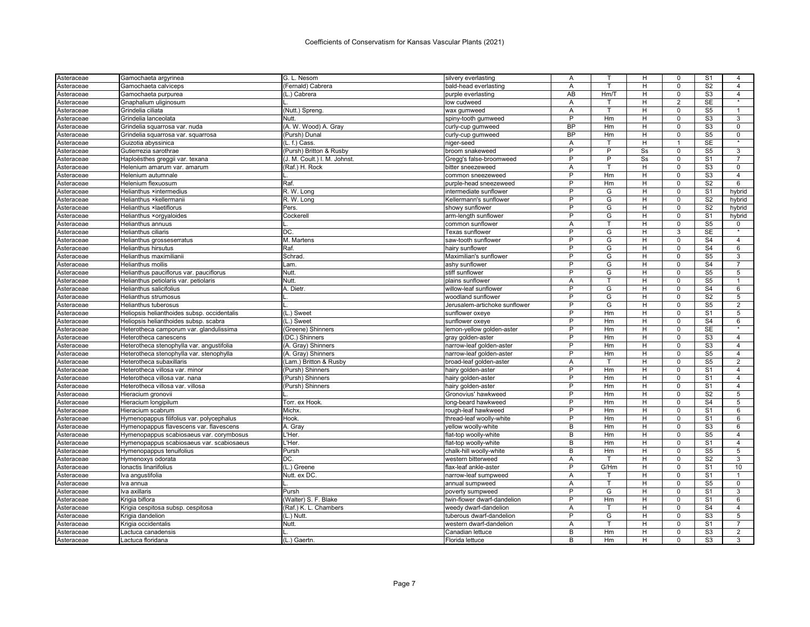| Asteraceae               | Gamochaeta argyrinea                                  | G. L. Nesom                                   | silvery everlasting                               | Α         |      | H  | 0              | S <sub>1</sub>  | 4               |
|--------------------------|-------------------------------------------------------|-----------------------------------------------|---------------------------------------------------|-----------|------|----|----------------|-----------------|-----------------|
| Asteraceae               | Gamochaeta calviceps                                  | (Fernald) Cabrera                             | bald-head everlasting                             | A         | T    | H  | $\Omega$       | S <sub>2</sub>  | $\overline{4}$  |
| Asteraceae               | Gamochaeta purpurea                                   | (L.) Cabrera                                  | purple everlasting                                | AB        | Hm/T | н  | $\mathsf 0$    | S <sub>3</sub>  | $\overline{4}$  |
| Asteraceae               | Gnaphalium uliginosum                                 |                                               | low cudweed                                       | A         | т    | н  | $\overline{2}$ | <b>SE</b>       | $\star$         |
| Asteraceae               | Grindelia ciliata                                     | (Nutt.) Spreng                                | wax gumweed                                       | Α         | т    | н  | $\mathbf 0$    | S <sub>5</sub>  | $\mathbf{1}$    |
| Asteraceae               | Grindelia lanceolata                                  | Nutt.                                         | spiny-tooth gumweed                               | P         | Hm   | H  | $\Omega$       | S <sub>3</sub>  | 3               |
| Asteraceae               | Grindelia squarrosa var. nuda                         | (A. W. Wood) A. Gray                          | curly-cup gumweed                                 | <b>BP</b> | Hm   | н  | $\Omega$       | S <sub>3</sub>  | 0               |
| Asteraceae               | Grindelia squarrosa var. squarrosa                    | (Pursh) Dunal                                 | curly-cup gumweed                                 | <b>BP</b> | Hm   | Н  | $\Omega$       | S <sub>5</sub>  | 0               |
| Asteraceae               | Guizotia abyssinica                                   | (L. f.) Cass.                                 | niger-seed                                        | A         | T    | H  | $\mathbf{1}$   | <b>SE</b>       | $\ast$          |
| Asteraceae               | Gutierrezia sarothrae                                 | (Pursh) Britton & Rusby                       | broom snakeweed                                   | P         | P    | Ss | $\mathbf 0$    | S <sub>5</sub>  | 3               |
| Asteraceae               | Haploësthes greggii var. texana                       | (J. M. Coult.) I. M. Johnst.                  | Gregg's false-broomweed                           | P         | P    | Ss | $\Omega$       | S <sub>1</sub>  | $\overline{7}$  |
| Asteraceae               | Helenium amarum var. amarum                           | (Raf.) H. Rock                                | bitter sneezeweed                                 | Α         | T    | н  | $\mathbf 0$    | S <sub>3</sub>  | $\mathbf 0$     |
| Asteraceae               | Helenium autumnale                                    |                                               | common sneezeweed                                 | P         | Hm   | н  | $\Omega$       | S <sub>3</sub>  | $\overline{4}$  |
| Asteraceae               | Helenium flexuosum                                    | Raf.                                          | purple-head sneezeweed                            | P         | Hm   | H  | $\mathbf 0$    | S <sub>2</sub>  | 6               |
| Asteraceae               | Helianthus ×intermedius                               | $R.$ W. Long                                  | intermediate sunflower                            | P         | G    | н  | $\mathbf 0$    | S <sub>1</sub>  | hybrid          |
| Asteraceae               | Helianthus ×kellermanii                               | R. W. Long                                    | Kellermann's sunflower                            | P         | G    | H  | $\Omega$       | S <sub>2</sub>  | hybrid          |
| Asteraceae               | Helianthus ×laetiflorus                               | Pers.                                         | showy sunflower                                   | P         | G    | H  | $\mathbf 0$    | S <sub>2</sub>  | hybrid          |
| Asteraceae               | Helianthus ×orgyaloides                               | Cockerell                                     | arm-length sunflower                              | P         | G    | н  | $\Omega$       | S <sub>1</sub>  | hybrid          |
| Asteraceae               | Helianthus annuus                                     |                                               | common sunflowei                                  | A         | T.   | н  | $\mathbf 0$    | S <sub>5</sub>  | 0               |
| Asteraceae               | <b>Helianthus ciliaris</b>                            | IDC.                                          | Texas sunflower                                   | P         | G    | H  | 3              | <b>SE</b>       | $\star$         |
| Asteraceae               | Helianthus grosseserratus                             | M. Martens                                    | saw-tooth sunflower                               | P         | G    | H  | $\overline{0}$ | S <sub>4</sub>  | $\overline{4}$  |
| Asteraceae               | <b>Helianthus hirsutus</b>                            | Raf.                                          | hairy sunflower                                   | P         | G    | H  | $\mathbf 0$    | S <sub>4</sub>  | 6               |
| Asteraceae               | Helianthus maximilianii                               | Schrad                                        | Maximilian's sunflower                            | P         | G    | H  | $\mathbf 0$    | S <sub>5</sub>  | 3               |
| Asteraceae               | Helianthus mollis                                     | Lam.                                          | ashy sunflower                                    | P         | G    | H  | $\mathbf 0$    | S <sub>4</sub>  | $\overline{7}$  |
| Asteraceae               | Helianthus pauciflorus var. pauciflorus               | Nutt.                                         | stiff sunflower                                   | P         | G    | Н  | 0              | S <sub>5</sub>  | 5               |
| Asteraceae               | Helianthus petiolaris var. petiolaris                 | Nutt.                                         | plains sunflower                                  | A         | T    | H  | $\mathbf 0$    | S <sub>5</sub>  | $\mathbf{1}$    |
| Asteraceae               | Helianthus salicifolius                               | A. Dietr                                      | willow-leaf sunflower                             | P         | G    | H  | $\mathbf 0$    | S <sub>4</sub>  | 6               |
| Asteraceae               | Helianthus strumosus                                  |                                               | woodland sunflower                                | P         | G    | H  | $\Omega$       | S <sub>2</sub>  | 5               |
| Asteraceae               | <b>Helianthus tuberosus</b>                           |                                               | Jerusalem-artichoke sunflower                     | P         | G    | H  | $\Omega$       | S <sub>5</sub>  | $\overline{2}$  |
| Asteraceae               | Heliopsis helianthoides subsp. occidentalis           | (L.) Sweet                                    | sunflower oxeye                                   | P         | Hm   | H  | $\Omega$       | S <sub>1</sub>  | 5               |
| Asteraceae               | Heliopsis helianthoides subsp. scabra                 | (L.) Sweet                                    | sunflower oxeye                                   | P         | Hm   | H  | $\Omega$       | S <sub>4</sub>  | 6               |
| Asteraceae               | Heterotheca camporum var. glandulissima               | (Greene) Shinners                             | lemon-yellow golden-aster                         | P         | Hm   | H  | $\Omega$       | <b>SE</b>       |                 |
| Asteraceae               | Heterotheca canescens                                 | (DC.) Shinners                                | gray golden-aster                                 | P         | Hm   | H  | $\Omega$       | S <sub>3</sub>  | $\overline{4}$  |
| Asteraceae               | Heterotheca stenophylla var. angustifolia             | (A. Gray) Shinners                            | narrow-leaf golden-aster                          | P         | Hm   | н  | $\mathbf 0$    | S3              | $\overline{4}$  |
| Asteraceae               | Heterotheca stenophylla var. stenophylla              | (A. Gray) Shinners                            | narrow-leaf golden-aster                          | P         | Hm   | н  | $\Omega$       | S <sub>5</sub>  | $\overline{4}$  |
| Asteraceae               | Heterotheca subaxillaris                              | (Lam.) Britton & Rusby                        | broad-leaf golden-aster                           | Α         | T.   | н  | $\mathbf 0$    | S <sub>5</sub>  | $\overline{2}$  |
| Asteraceae               | Heterotheca villosa var. minor                        | (Pursh) Shinners                              | hairy golden-aster                                | P         | Hm   | н  | $\mathbf 0$    | S <sub>1</sub>  | $\overline{4}$  |
| Asteraceae               | Heterotheca villosa var. nana                         | (Pursh) Shinners                              | hairy golden-aster                                | P         | Hm   | н  | $\Omega$       | S <sub>1</sub>  | $\overline{4}$  |
| Asteraceae               | Heterotheca villosa var. villosa                      | (Pursh) Shinners                              | hairy golden-aster                                | P         | Hm   | н  | $\mathbf 0$    | S <sub>1</sub>  | $\overline{4}$  |
| Asteraceae               | Hieracium gronovii                                    |                                               | Gronovius' hawkweed                               | P         | Hm   | H  | $\Omega$       | S <sub>2</sub>  | $\overline{5}$  |
| Asteraceae               | Hieracium longipilum                                  | Torr. ex Hook.                                | long-beard hawkweed                               | P         | Hm   | H  | $\mathbf 0$    | $\overline{S4}$ | $\overline{5}$  |
| Asteraceae               | Hieracium scabrum                                     | Michx.                                        | rough-leaf hawkweed                               | P         | Hm   | H  | $\Omega$       | S <sub>1</sub>  | 6               |
| Asteraceae               | Hymenopappus filifolius var. polycephalus             | Hook.                                         | thread-leaf woolly-white                          | P         | Hm   | H  | $\mathbf 0$    | S <sub>1</sub>  | 6               |
| Asteraceae               | Hymenopappus flavescens var. flavescens               | A. Gray                                       | yellow woolly-white                               | B         | Hm   | H  | $\Omega$       | S <sub>3</sub>  | 6               |
| Asteraceae               | Hymenopappus scabiosaeus var. corymbosus              | L'Her.                                        | flat-top woolly-white                             | B         | Hm   | H  | $\Omega$       | S <sub>5</sub>  | $\overline{4}$  |
| Asteraceae               | Hymenopappus scabiosaeus var. scabiosaeus             | L'Her.                                        | flat-top woolly-white                             | B         | Hm   | н  | $\mathbf 0$    | S <sub>1</sub>  | $\overline{4}$  |
| Asteraceae               | Hymenopappus tenuifolius                              | Pursh                                         | chalk-hill woolly-white                           | B         | Hm   | н  | $\Omega$       | S <sub>5</sub>  | $5\overline{)}$ |
| Asteraceae               | Hymenoxys odorata                                     | IDC.                                          | western bitterweed                                | A         | т    | н  | $\mathbf 0$    | S <sub>2</sub>  | 3               |
| Asteraceae               | Ionactis linariifolius                                | (L.) Greene                                   | flax-leaf ankle-aster                             | P         | G/Hm | н  | $\Omega$       | S <sub>1</sub>  | 10              |
|                          | Iva angustifolia                                      | Nutt. ex DC                                   | narrow-leaf sumpweed                              | A         |      | H  | $\mathbf 0$    | S <sub>1</sub>  |                 |
| Asteraceae<br>Asteraceae | Iva annua                                             |                                               | annual sumpweed                                   | Α         | т    | H  | $\mathbf 0$    | S <sub>5</sub>  | $\mathbf 0$     |
| Asteraceae               | Iva axillaris                                         | Pursh                                         | poverty sumpweed                                  | P         | G    | H  | $\Omega$       | S <sub>1</sub>  | 3               |
|                          | Krigia biflora                                        |                                               | twin-flower dwarf-dandelion                       | P         | Hm   | н  | $\mathbf 0$    | S <sub>1</sub>  | 6               |
| Asteraceae               |                                                       | (Walter) S. F. Blake<br>(Raf.) K. L. Chambers |                                                   | A         |      | н  | 0              | S <sub>4</sub>  | 4               |
| Asteraceae               | Krigia cespitosa subsp. cespitosa<br>Krigia dandelion | (L.) Nutt.                                    | weedy dwarf-dandelion<br>tuberous dwarf-dandelion | P         | G    | H  | $\Omega$       | S <sub>3</sub>  | 5               |
| Asteraceae               |                                                       | Nutt.                                         |                                                   | A         | T    | H  | $\Omega$       | S <sub>1</sub>  | $\overline{7}$  |
| Asteraceae<br>Asteraceae | Krigia occidentalis<br>Lactuca canadensis             |                                               | western dwarf-dandelion<br>Canadian lettuce       | B         | Hm   | H  | $\Omega$       | S <sub>3</sub>  | 2               |
| Asteraceae               | Lactuca floridana                                     | (L.) Gaertn.                                  | Florida lettuce                                   | B         | Hm   | H  | $\Omega$       | S3              | 3               |
|                          |                                                       |                                               |                                                   |           |      |    |                |                 |                 |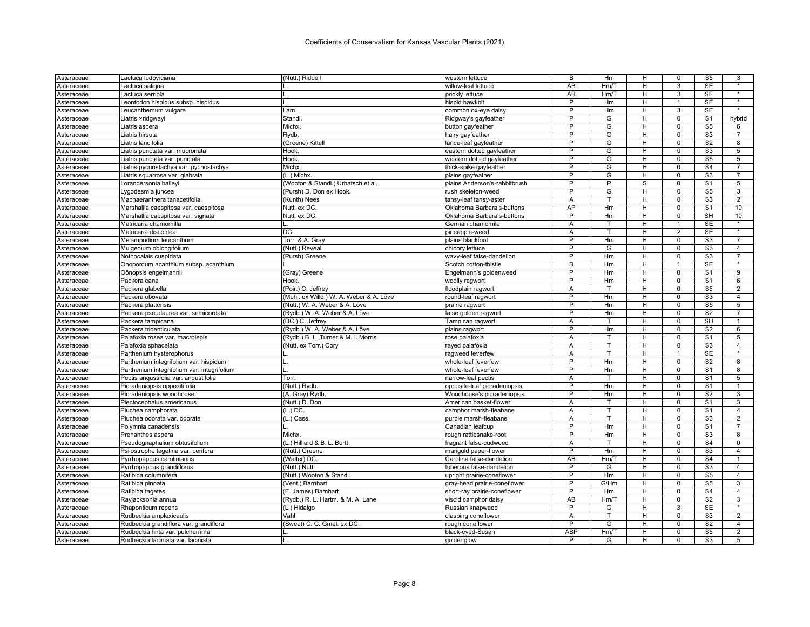| Asteraceae | Lactuca ludoviciana                                          | (Nutt.) Riddell                         | western lettuce               | в          | Нm   | н  | 0            | S5                     | 3                         |
|------------|--------------------------------------------------------------|-----------------------------------------|-------------------------------|------------|------|----|--------------|------------------------|---------------------------|
| Asteraceae | Lactuca saligna                                              |                                         | willow-leaf lettuce           | AB         | Hm/T | H  | 3            | <b>SE</b>              | $\star$                   |
| Asteraceae | Lactuca serriola                                             |                                         | prickly lettuce               | AB         | Hm/T | н  | 3            | <b>SE</b>              | $\star$                   |
| Asteraceae | Leontodon hispidus subsp. hispidus                           |                                         | hispid hawkbit                | P          | Hm   | H  | 1            | <b>SE</b>              | $\star$                   |
| Asteraceae | Leucanthemum vulgare                                         | Lam.                                    | common ox-eye daisy           | P          | Hm   | н  | 3            | <b>SE</b>              |                           |
| Asteraceae | Liatris ×ridgwayi                                            | Standl                                  | Ridgway's gayfeather          | P          | G    | н  | 0            | S <sub>1</sub>         | hybrid                    |
| Asteraceae | Liatris aspera                                               | Michx.                                  | button gayfeather             | P          | G    | н  | 0            | $\overline{\text{S5}}$ | 6                         |
| Asteraceae | Liatris hirsuta                                              | Rydb.                                   | hairy gayfeather              | P          | G    | н  | 0            | S <sub>3</sub>         |                           |
| Asteraceae | Liatris lancifolia                                           | (Greene) Kittell                        | lance-leaf gayfeather         | Þ          | G    | н  | $\Omega$     | S <sub>2</sub>         | 8                         |
| Asteraceae | Liatris punctata var. mucronata                              | Hook.                                   | eastern dotted gayfeather     | P          | G    | H  | 0            | S <sub>3</sub>         | 5                         |
| Asteraceae | Liatris punctata var. punctata                               | Hook.                                   | western dotted gayfeather     | P          | G    | н  | $\Omega$     | S <sub>5</sub>         | 5                         |
| Asteraceae | Liatris pycnostachya var. pycnostachya                       | Michx.                                  | thick-spike gayfeather        | P          | G    | н  | 0            | S <sub>4</sub>         | $\overline{7}$            |
| Asteraceae | Liatris squarrosa var. glabrata                              | (L.) Michx.                             | plains gayfeather             | P          | G    | н  | 0            | S3                     |                           |
| Asteraceae | Lorandersonia baileyi                                        | (Wooton & Standl.) Urbatsch et al       | plains Anderson's-rabbitbrush | P          | P    | S  | 0            | S <sub>1</sub>         | 5                         |
| Asteraceae | Lygodesmia juncea                                            | (Pursh) D. Don ex Hook.                 | rush skeleton-weed            | P          | G    | н  | 0            | S <sub>5</sub>         | 3                         |
| Asteraceae | Machaeranthera tanacetifolia                                 | (Kunth) Nees                            | tansy-leaf tansy-aster        | Α          | T    | H  | 0            | S <sub>3</sub>         | 2                         |
| Asteraceae | Marshallia caespitosa var. caespitosa                        | Nutt. ex DC.                            | Oklahoma Barbara's-buttons    | <b>AP</b>  | Hm   | н  | 0            | S <sub>1</sub>         | 10                        |
| Asteraceae | Marshallia caespitosa var. signata                           | Nutt. ex DC.                            | Oklahoma Barbara's-buttons    | P          | Hm   | н  | 0            | <b>SH</b>              | 10                        |
| Asteraceae | Matricaria chamomilla                                        |                                         | German chamomile              | Α          | T    | н  | $\mathbf{1}$ | <b>SE</b>              | $\star$                   |
| Asteraceae | Matricaria discoidea                                         | DC.                                     | pineapple-weed                | Α          |      | н  | 2            | SE                     | $\star$                   |
| Asteraceae | Melampodium leucanthum                                       | Torr. & A. Gray                         | plains blackfoot              | P          | Hm   | н  | $\Omega$     | S <sub>3</sub>         | $\overline{7}$            |
| Asteraceae | Mulgedium oblongifolium                                      | (Nutt.) Reveal                          | chicory lettuce               | P          | G    | н  | 0            | S <sub>3</sub>         | $\overline{4}$            |
| Asteraceae | Nothocalais cuspidata                                        | (Pursh) Greene                          | wavy-leaf false-dandelion     | P          | Hm   | H  | $\Omega$     | $\overline{\text{S3}}$ | $\overline{7}$            |
| Asteraceae |                                                              |                                         | Scotch cotton-thistle         | B          | Hm   | н  | -1           | <b>SE</b>              |                           |
|            | Onopordum acanthium subsp. acanthium<br>Oönopsis engelmannii |                                         | Engelmann's goldenweed        | P          | Hm   | н  | O            | S <sub>1</sub>         | 9                         |
| Asteraceae |                                                              | (Gray) Greene<br>Hook.                  |                               | P          |      |    | 0            | S <sub>1</sub>         |                           |
| Asteraceae | Packera cana                                                 |                                         | woolly ragwort                |            | Hm   | H  |              |                        | 6                         |
| Asteraceae | Packera glabella                                             | (Poir.) C. Jeffrey                      | floodplain ragwort            | A<br>P     |      | H  | 0            | S <sub>5</sub>         | 2                         |
| Asteraceae | Packera obovata                                              | (Muhl. ex Willd.) W. A. Weber & Á. Löve | round-leaf ragwort            |            | Hm   | H  | 0            | S <sub>3</sub>         | $\overline{4}$            |
| Asteraceae | Packera plattensis                                           | (Nutt.) W. A. Weber & Á. Löve           | prairie ragwort               | P          | Hm   | н  | 0            | S <sub>5</sub>         | 5                         |
| Asteraceae | Packera pseudaurea var. semicordata                          | (Rydb.) W. A. Weber & A. Löve           | false golden ragwort          | P          | Hm   | н  | 0            | S <sub>2</sub>         | $\overline{7}$            |
| Asteraceae | Packera tampicana                                            | (DC.) C. Jeffrey                        | Tampican ragwort              | A          | т    | н  | $\Omega$     | <b>SH</b>              | $\overline{1}$            |
| Asteraceae | Packera tridenticulata                                       | (Rydb.) W. A. Weber & Á. Löve           | plains ragwort                | P          | Hm   | н  | 0            | S <sub>2</sub>         | 6                         |
| Asteraceae | Palafoxia rosea var. macrolepis                              | (Rydb.) B. L. Turner & M. I. Morris     | rose palafoxia                | Α          | T    | н  | 0            | S <sub>1</sub>         | 5                         |
| Asteraceae | Palafoxia sphacelata                                         | (Nutt. ex Torr.) Cory                   | rayed palafoxia               | Α          |      | н  | 0            | S3                     | $\overline{4}$<br>$\star$ |
| Asteraceae | Parthenium hysterophorus                                     |                                         | ragweed feverfew              | A          | T    | H  | 1            | <b>SE</b>              |                           |
| Asteraceae | Parthenium integrifolium var. hispidum                       |                                         | whole-leaf feverfew           | P          | Hm   | H  | 0            | S <sub>2</sub>         | 8                         |
| Asteraceae | Parthenium integrifolium var. integrifolium                  |                                         | whole-leaf feverfew           | P          | Hm   | н  | U            | S <sub>1</sub>         | 8                         |
| Asteraceae | Pectis angustifolia var. angustifolia                        | Torr.                                   | narrow-leaf pectis            | Α          | т    | н  | 0            | S <sub>1</sub>         | 5                         |
| Asteraceae | Picradeniopsis oppositifolia                                 | (Nutt.) Rydb.                           | opposite-leaf picradeniopsis  | P          | Hm   | н  | 0            | S <sub>1</sub>         | $\mathbf 1$               |
| Asteraceae | Picradeniopsis woodhousei                                    | (A. Gray) Rydb                          | Woodhouse's picradeniopsis    | Þ          | Hm   | H  | 0            | S <sub>2</sub>         | 3                         |
| Asteraceae | Plectocephalus americanus                                    | (Nutt.) D. Don                          | American basket-flower        | Α          | т    | н  | 0            | S <sub>1</sub>         | 3                         |
| Asteraceae | Pluchea camphorata                                           | $(L.)$ DC.                              | camphor marsh-fleabane        | Α          | т    | H  | 0            | S <sub>1</sub>         | $\overline{4}$            |
| Asteraceae | Pluchea odorata var. odorata                                 | (L.) Cass                               | purple marsh-fleabane         | A          | T    | H. | 0            | S <sub>3</sub>         | 2                         |
| Asteraceae | Polymnia canadensis                                          |                                         | Canadian leafcup              | P          | Hm   | н  | 0            | S <sub>1</sub>         |                           |
| Asteraceae | Prenanthes aspera                                            | Michx.                                  | rough rattlesnake-root        | P          | Hm   | н  | 0            | S <sub>3</sub>         | 8                         |
| Asteraceae | Pseudognaphalium obtusifolium                                | (L.) Hilliard & B. L. Burtt             | fragrant false-cudweed        | Α          |      | н  | 0            | S <sub>4</sub>         | 0                         |
| Asteraceae | Psilostrophe tagetina var. cerifera                          | (Nutt.) Greene                          | marigold paper-flower         | P          | Hm   | H  | 0            | S <sub>3</sub>         | $\overline{4}$            |
| Asteraceae | Pyrrhopappus carolinianus                                    | (Walter) DC.                            | Carolina false-dandelion      | AB         | Hm/T | н  | $\Omega$     | S <sub>4</sub>         | $\overline{1}$            |
| Asteraceae | Pyrrhopappus grandiflorus                                    | (Nutt.) Nutt.                           | tuberous false-dandelion      | P          | G    | н  | 0            | S <sub>3</sub>         | $\overline{4}$            |
| Asteraceae | Ratibida columnifera                                         | (Nutt.) Wooton & Standl.                | upright prairie-coneflower    | P          | Hm   | н  | $\Omega$     | $\overline{\text{S5}}$ | $\overline{4}$            |
| Asteraceae | Ratibida pinnata                                             | (Vent.) Barnhart                        | gray-head prairie-coneflower  | P          | G/Hm | н  | 0            | S <sub>5</sub>         | 3                         |
| Asteraceae | Ratibida tagetes                                             | (E. James) Barnhart                     | short-ray prairie-coneflower  | P          | Hm   | H  | $\Omega$     | S <sub>4</sub>         | $\overline{4}$            |
| Asteraceae | Rayjacksonia annua                                           | (Rydb.) R. L. Hartm. & M. A. Lane       | viscid camphor daisy          | AB         | Hm/T | H  | 0            | S <sub>2</sub>         | 3                         |
| Asteraceae | Rhaponticum repens                                           | (L.) Hidalgo                            | Russian knapweed              | P          | G    | H  | 3            | <b>SE</b>              |                           |
| Asteraceae | Rudbeckia amplexicaulis                                      | Vahl                                    | clasping coneflower           | A          | т    | н  | 0            | S <sub>3</sub>         | 2                         |
| Asteraceae | Rudbeckia grandiflora var. grandiflora                       | (Sweet) C. C. Gmel. ex DC.              | ough coneflower               | P          | G    | н  | $\Omega$     | S <sub>2</sub>         | $\overline{4}$            |
| Asteraceae | Rudbeckia hirta var. pulcherrima                             |                                         | black-eyed-Susan              | <b>ABP</b> | Hm/T | H  | $\Omega$     | $\overline{\text{S5}}$ | $\overline{2}$            |
| Asteraceae | Rudbeckia laciniata var. laciniata                           |                                         | goldenglow                    | P          | G    | н  | $\Omega$     | S <sub>3</sub>         | 5                         |
|            |                                                              |                                         |                               |            |      |    |              |                        |                           |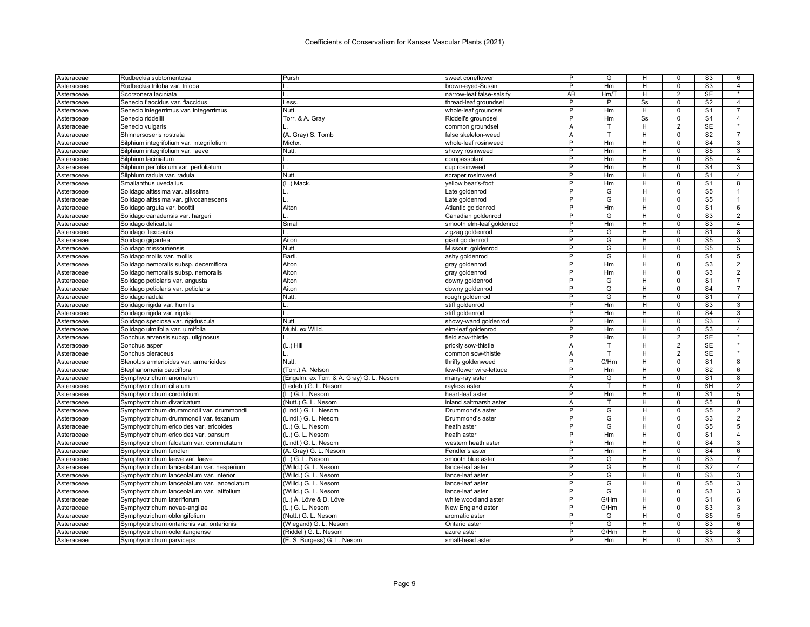| Asteraceae               | Rudbeckia subtomentosa                                            | Pursh                                    | sweet coneflower                        | P              | G      | н  | 0              | S3             | 6                       |
|--------------------------|-------------------------------------------------------------------|------------------------------------------|-----------------------------------------|----------------|--------|----|----------------|----------------|-------------------------|
| Asteraceae               | Rudbeckia triloba var. triloba                                    |                                          | brown-eyed-Susan                        | P              | Hm     | H  | $\Omega$       | S <sub>3</sub> | $\overline{4}$          |
| Asteraceae               | Scorzonera laciniata                                              |                                          | narrow-leaf false-salsify               | AB             | Hm/T   | H  | $\overline{2}$ | SE             | $\star$                 |
| Asteraceae               | Senecio flaccidus var. flaccidus                                  | Less.                                    | thread-leaf groundsel                   | P              | P      | Ss | $\Omega$       | S <sub>2</sub> | 4                       |
| Asteraceae               | Senecio integerrimus var. integerrimus                            | <b>Nutt</b>                              | whole-leaf groundse                     | P              | Hm     | H  | $\mathbf 0$    | S <sub>1</sub> | $\overline{7}$          |
| Asteraceae               | Senecio riddellii                                                 | Torr. & A. Gray                          | Riddell's groundsel                     | P              | Hm     | Ss | $\mathsf 0$    | S <sub>4</sub> | $\overline{4}$          |
| Asteraceae               | Senecio vulgaris                                                  |                                          | common groundsel                        | A              |        | н  | $\overline{2}$ | <b>SE</b>      | $\star$                 |
| Asteraceae               | Shinnersoseris rostrata                                           | (A. Gray) S. Tomb                        | false skeleton-weed                     | Α              | т      | н  | $\mathbf 0$    | S <sub>2</sub> | $\overline{7}$          |
| Asteraceae               | Silphium integrifolium var. integrifolium                         | Michx.                                   | whole-leaf rosinweed                    | P              | Hm     | H  | $\mathbf 0$    | S <sub>4</sub> | 3                       |
| Asteraceae               | Silphium integrifolium var. laeve                                 | Nutt.                                    | showy rosinweed                         | P              | Hm     | н  | $\mathbf 0$    | S <sub>5</sub> | 3                       |
| Asteraceae               | Silphium laciniatum                                               |                                          | compassplant                            | P              | Hm     | н  | $\Omega$       | S <sub>5</sub> | $\overline{4}$          |
| Asteraceae               | Silphium perfoliatum var. perfoliatum                             |                                          | cup rosinweed                           | P              | Hm     | H  | $\mathbf 0$    | S <sub>4</sub> | 3                       |
| Asteraceae               | Silphium radula var. radula                                       | <b>Nutt</b>                              | scraper rosinweed                       | P              | Hm     | H  | $\mathbf 0$    | S <sub>1</sub> | $\overline{4}$          |
| Asteraceae               | Smallanthus uvedalius                                             | (L.) Mack                                | yellow bear's-foot                      | P              | Hm     | H  | $\Omega$       | S <sub>1</sub> | 8                       |
| Asteraceae               | Solidago altissima var. altissima                                 |                                          | Late goldenrod                          | P              | G      | H  | $\mathbf 0$    | S <sub>5</sub> | -1                      |
| Asteraceae               | Solidago altissima var. gilvocanescens                            |                                          | Late goldenrod                          | P              | G      | H  | $\Omega$       | S <sub>5</sub> |                         |
| Asteraceae               | Solidago arguta var. boottii                                      | Aiton                                    | Atlantic goldenrod                      | P              | Hm     | H  | $\Omega$       | S <sub>1</sub> | 6                       |
| Asteraceae               | Solidago canadensis var. hargeri                                  |                                          | Canadian goldenrod                      | P              | G      | H  | $\Omega$       | S <sub>3</sub> | $\overline{2}$          |
| Asteraceae               | Solidago delicatula                                               | Small                                    | smooth elm-leaf goldenrod               | P              | Hm     | н  | $\Omega$       | S <sub>3</sub> | $\overline{\mathbf{A}}$ |
| Asteraceae               | Solidago flexicaulis                                              |                                          | zigzag goldenrod                        | P              | G      | H  | $\mathbf 0$    | S <sub>1</sub> | 8                       |
| Asteraceae               | Solidago gigantea                                                 | Aiton                                    | giant goldenrod                         | P              | G      | н  | $\Omega$       | S <sub>5</sub> | 3                       |
| Asteraceae               | Solidago missouriensis                                            | Nutt                                     | Missouri goldenrod                      | $\overline{P}$ | G      | н  | $\mathbf 0$    | S <sub>5</sub> | $\overline{5}$          |
| Asteraceae               | Solidago mollis var. mollis                                       | Bartl                                    | ashy goldenrod                          | P              | G      | н  | $\Omega$       | S <sub>4</sub> | $\overline{5}$          |
| Asteraceae               | Solidago nemoralis subsp. decemiflora                             | Aiton                                    | gray goldenrod                          | $\overline{P}$ | Hm     | н  | $\mathbf 0$    | S <sub>3</sub> | $\overline{2}$          |
| Asteraceae               | Solidago nemoralis subsp. nemoralis                               | Aiton                                    | gray goldenrod                          | P              | Hm     | н  | $\Omega$       | S <sub>3</sub> | $\overline{2}$          |
| Asteraceae               | Solidago petiolaris var. angusta                                  | Aiton                                    | downy goldenrod                         | P              | G      | H  | $\mathbf 0$    | S <sub>1</sub> | $\overline{7}$          |
| Asteraceae               | Solidago petiolaris var. petiolaris                               | Aiton                                    | downy goldenrod                         | P              | G      | H  | $\mathbf 0$    | S <sub>4</sub> | $\overline{7}$          |
|                          | Solidago radula                                                   | Nutt.                                    |                                         | P              | G      | H  | $\Omega$       | S <sub>1</sub> | $\overline{7}$          |
| Asteraceae               |                                                                   |                                          | rough goldenrod<br>stiff goldenrod      | P              | Hm     | H  | $\Omega$       | S <sub>3</sub> | 3                       |
| Asteraceae               | Solidago rigida var. humilis                                      |                                          | stiff goldenrod                         | P              | Hm     | H  | $\Omega$       | S <sub>4</sub> | 3                       |
| Asteraceae<br>Asteraceae | Solidago rigida var. rigida<br>Solidago speciosa var. rigiduscula | Nutt                                     | showy-wand goldenrod                    | P              | Hm     | H  | $\Omega$       | S <sub>3</sub> | $\overline{7}$          |
|                          | Solidago ulmifolia var. ulmifolia                                 | Muhl. ex Willd.                          |                                         | P              | Hm     | н  | $\Omega$       | S <sub>3</sub> | 4                       |
| Asteraceae               | Sonchus arvensis subsp. uliginosus                                |                                          | elm-leaf goldenrod<br>field sow-thistle | P              | Hm     | H  | $\overline{2}$ | <b>SE</b>      | $\star$                 |
| Asteraceae               |                                                                   | $(L.)$ Hill                              | prickly sow-thistle                     |                | т      | H  | 2              | <b>SE</b>      |                         |
| Asteraceae               | Sonchus asper                                                     |                                          |                                         | Α              | T      | н  | $\overline{2}$ | <b>SE</b>      | $\overline{\ast}$       |
| Asteraceae               | Sonchus oleraceus                                                 |                                          | common sow-thistle                      | A<br>P         | C/Hm   |    |                |                |                         |
| Asteraceae               | Stenotus armerioides var. armerioides                             | <b>Nutt</b>                              | thrifty goldenweed                      | P              |        | н  | $\mathbf 0$    | S <sub>1</sub> | 8                       |
| Asteraceae               | Stephanomeria pauciflora                                          | (Torr.) A. Nelson                        | few-flower wire-lettuce                 | P              | Hm     | H  | $\mathbf 0$    | S <sub>2</sub> | 6                       |
| Asteraceae               | Symphyotrichum anomalum                                           | (Engelm. ex Torr. & A. Gray) G. L. Nesom | many-ray aster                          |                | G<br>T | H  | $\mathbf 0$    | S <sub>1</sub> | 8                       |
| Asteraceae               | Symphyotrichum ciliatum                                           | (Ledeb.) G. L. Nesom                     | rayless aster                           | Α<br>P         |        | H  | $\mathbf 0$    | <b>SH</b>      | $\overline{2}$          |
| Asteraceae               | Symphyotrichum cordifolium                                        | (L.) G. L. Nesom                         | heart-leaf aster                        |                | Hm     | H  | $\mathbf 0$    | S <sub>1</sub> | 5                       |
| Asteraceae               | Symphyotrichum divaricatum                                        | (Nutt.) G. L. Nesom                      | inland saltmarsh aster                  | Α<br>P         | т      | н  | $\mathbf 0$    | S <sub>5</sub> | 0                       |
| Asteraceae               | Symphyotrichum drummondii var. drummondii                         | (Lindl.) G. L. Nesom                     | Drummond's aster                        |                | G      | H  | $\Omega$       | S <sub>5</sub> | $\overline{2}$          |
| Asteraceae               | Symphyotrichum drummondii var. texanum                            | (Lindl.) G. L. Nesom                     | Drummond's aster                        | P              | G      | н  | $\mathbf 0$    | S <sub>3</sub> | $\overline{2}$          |
| Asteraceae               | Symphyotrichum ericoides var. ericoides                           | (L.) G. L. Nesom                         | heath aster                             | P              | G      | н  | $\Omega$       | S <sub>5</sub> | 5                       |
| Asteraceae               | Symphyotrichum ericoides var. pansum                              | (L.) G. L. Nesom                         | heath aster                             | P              | Hm     | H  | $\Omega$       | S <sub>1</sub> | $\overline{4}$          |
| Asteraceae               | Symphyotrichum falcatum var. commutatum                           | (Lindl.) G. L. Nesom                     | western heath aster                     | P              | Hm     | H  | $\Omega$       | S <sub>4</sub> | 3                       |
| Asteraceae               | Symphyotrichum fendler                                            | (A. Gray) G. L. Nesom                    | Fendler's aster                         | P              | Hm     | H  | $\mathbf 0$    | S <sub>4</sub> | $6\overline{6}$         |
| Asteraceae               | Symphyotrichum laeve var. laeve                                   | (L.) G. L. Nesom                         | smooth blue aster                       | P              | G      | H  | $\mathbf 0$    | S3             | $\overline{7}$          |
| Asteraceae               | Symphyotrichum lanceolatum var. hesperium                         | (Willd.) G. L. Nesom                     | lance-leaf aster                        | P              | G      | H  | $\mathbf 0$    | S <sub>2</sub> | $\overline{4}$          |
| Asteraceae               | Symphyotrichum lanceolatum var. interior                          | (Willd.) G. L. Nesom                     | lance-leaf aster                        | P              | G      | H  | $\mathbf 0$    | S3             | 3                       |
| Asteraceae               | Symphyotrichum lanceolatum var. lanceolatum                       | (Willd.) G. L. Nesom                     | lance-leaf aster                        | P              | G      | H  | 0              | S <sub>5</sub> | 3                       |
| Asteraceae               | Symphyotrichum lanceolatum var. latifolium                        | (Willd.) G. L. Nesom                     | lance-leaf aster                        | P              | G      | н  | $\Omega$       | S <sub>3</sub> | 3                       |
| Asteraceae               | Symphyotrichum lateriflorum                                       | (L.) Á. Löve & D. Löve                   | white woodland aster                    | P              | G/Hm   | H  | $\mathsf 0$    | S <sub>1</sub> | 6                       |
| Asteraceae               | Symphyotrichum novae-angliae                                      | (L.) G. L. Nesom                         | New England aster                       | P              | G/Hm   | H  | $\mathbf 0$    | S <sub>3</sub> | 3                       |
| Asteraceae               | Symphyotrichum oblongifolium                                      | (Nutt.) G. L. Nesom                      | aromatic aster                          | P              | G      | H  | $\mathbf 0$    | S <sub>5</sub> | 5                       |
| Asteraceae               | Symphyotrichum ontarionis var. ontarionis                         | (Wiegand) G. L. Nesom                    | Ontario aster                           | P              | G      | н  | $\Omega$       | S <sub>3</sub> | 6                       |
| Asteraceae               | Symphyotrichum oolentangiense                                     | (Riddell) G. L. Nesom                    | azure aster                             | P              | G/Hm   | н  | $\Omega$       | S <sub>5</sub> | 8                       |
| Asteraceae               | Symphyotrichum parviceps                                          | (E. S. Burgess) G. L. Nesom              | small-head aster                        | P              | Hm     | н  | $\Omega$       | S <sub>3</sub> | 3                       |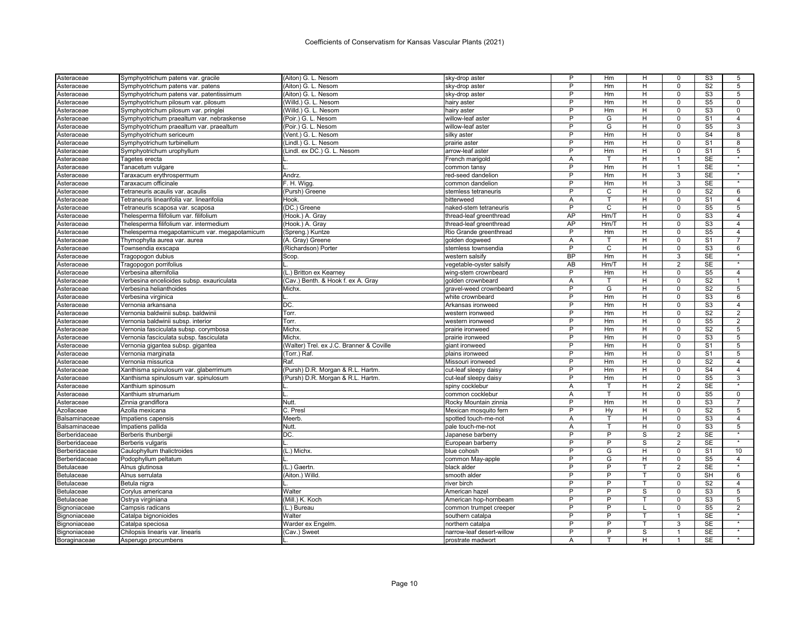| Asteraceae    | Symphyotrichum patens var. gracile           | (Aiton) G. L. Nesom                      | sky-drop aster                       | P              | Hm             | н            | 0              | S <sub>3</sub>  | 5                    |
|---------------|----------------------------------------------|------------------------------------------|--------------------------------------|----------------|----------------|--------------|----------------|-----------------|----------------------|
| Asteraceae    | Symphyotrichum patens var. patens            | (Aiton) G. L. Nesom                      | sky-drop aster                       | P              | Hm             | H            | $\mathbf 0$    | S <sub>2</sub>  | 5                    |
| Asteraceae    | Symphyotrichum patens var. patentissimum     | (Aiton) G. L. Nesom                      | sky-drop aster                       | P              | Hm             | н            | $\mathbf 0$    | S <sub>3</sub>  | 5                    |
| Asteraceae    | Symphyotrichum pilosum var. pilosum          | (Willd.) G. L. Nesom                     | hairy aster                          | P              | Hm             | H            | $\Omega$       | S <sub>5</sub>  | $\mathbf 0$          |
| Asteraceae    | Symphyotrichum pilosum var. pringlei         | (Willd.) G. L. Nesom                     | hairy aster                          | P              | Hm             | н            | $\mathbf 0$    | S <sub>3</sub>  | 0                    |
| Asteraceae    | Symphyotrichum praealtum var. nebraskense    | (Poir.) G. L. Nesom                      | willow-leaf aster                    | P              | G              | H            | $\Omega$       | S <sub>1</sub>  | $\overline{4}$       |
| Asteraceae    | Symphyotrichum praealtum var. praealtum      | (Poir.) G. L. Nesom                      | willow-leaf aster                    | $\overline{P}$ | G              | н            | $\mathbf 0$    | S <sub>5</sub>  | 3                    |
| Asteraceae    | Symphyotrichum sericeum                      | (Vent.) G. L. Nesom                      | silky aster                          | P              | Hm             | Н            | $\Omega$       | S <sub>4</sub>  | 8                    |
| Asteraceae    | Symphyotrichum turbinellum                   | (Lindl.) G. L. Nesom                     | prairie aster                        | $\overline{P}$ | Hm             | H            | $\mathbf 0$    | S <sub>1</sub>  | 8                    |
| Asteraceae    | Symphyotrichum urophyllum                    | (Lindl. ex DC.) G. L. Nesom              | arrow-leaf aster                     | P              | Hm             | H            | $\mathbf 0$    | S <sub>1</sub>  | 5                    |
| Asteraceae    | Tagetes erecta                               |                                          | French marigold                      | Α              | т              | H            | 1              | <b>SE</b>       | $\star$              |
| Asteraceae    | Tanacetum vulgare                            |                                          | common tansy                         | P              | Hm             | H            | $\overline{1}$ | SE              |                      |
| Asteraceae    | Taraxacum erythrospermum                     | Andrz.                                   | red-seed dandelion                   | P              | Hm             | н            | 3              | <b>SE</b>       | $\ddot{\phantom{1}}$ |
| Asteraceae    | Taraxacum officinale                         | F. H. Wigg                               | common dandelion                     | P              | Hm             | н            | 3              | <b>SE</b>       | $\star$              |
| Asteraceae    | Tetraneuris acaulis var. acaulis             | (Pursh) Greene                           | stemless tetraneuris                 | P              | C              | H            | 0              | S <sub>2</sub>  | 6                    |
| Asteraceae    | Tetraneuris linearifolia var. linearifolia   | Hook                                     | bitterweed                           | A              | T              | H            | $\mathbf 0$    | S <sub>1</sub>  | $\overline{4}$       |
| Asteraceae    | Tetraneuris scaposa var. scaposa             | (DC.) Greene                             | naked-stem tetraneuris               | $\overline{P}$ | $\overline{c}$ | н            | $\mathsf 0$    | S <sub>5</sub>  | $\overline{5}$       |
| Asteraceae    | Thelesperma filifolium var. filifolium       | (Hook.) A. Gray                          | thread-leaf greenthread              | AP             | Hm/T           | H            | $\Omega$       | S <sub>3</sub>  | $\overline{4}$       |
| Asteraceae    | Thelesperma filifolium var. intermedium      | (Hook.) A. Gray                          | thread-leaf greenthread              | AP             | Hm/T           | н            | $\mathbf 0$    | S <sub>3</sub>  | $\overline{4}$       |
| Asteraceae    | Thelesperma megapotamicum var. megapotamicum | (Spreng.) Kuntze                         | Rio Grande greenthread               | P              | Hm             | Н            | $\mathbf 0$    | S <sub>5</sub>  | $\overline{4}$       |
| Asteraceae    | Thymophylla aurea var. aurea                 | (A. Gray) Greene                         | golden dogweed                       | A              | T              | H            | $\Omega$       | S <sub>1</sub>  | $\overline{7}$       |
| Asteraceae    | Townsendia exscapa                           | (Richardson) Porter                      | stemless townsendia                  | P              | C              | H            | $\mathbf 0$    | S <sub>3</sub>  | 6                    |
| Asteraceae    | Tragopogon dubius                            | Scop.                                    | western salsify                      | <b>BP</b>      | Hm             | H            | $\overline{3}$ | <b>SE</b>       | $\overline{\ast}$    |
| Asteraceae    | Tragopogon porrifolius                       |                                          | vegetable-oyster salsif <sub>\</sub> | AB             | Hm/T           | H            | 2              | <b>SE</b>       |                      |
| Asteraceae    | Verbesina alternifolia                       | (L.) Britton ex Kearney                  | wing-stem crownbeard                 | P              | Hm             | H            | $\mathbf 0$    | S <sub>5</sub>  | $\overline{4}$       |
| Asteraceae    | Verbesina encelioides subsp. exauriculata    | (Cav.) Benth. & Hook f. ex A. Gray       | golden crownbeard                    | Α              | т              | н            | $\mathbf 0$    | S <sub>2</sub>  | $\mathbf{1}$         |
| Asteraceae    | Verbesina helianthoides                      | Michx.                                   | gravel-weed crownbeard               | P              | G              | H            | $\mathbf 0$    | S <sub>2</sub>  | 5                    |
|               |                                              |                                          |                                      | P              | Hm             | H            | $\Omega$       | S <sub>3</sub>  | 6                    |
| Asteraceae    | Verbesina virginica                          | DC.                                      | white crownbeard                     | P              | Hm             | H            | $\mathbf 0$    | S <sub>3</sub>  | $\overline{4}$       |
| Asteraceae    | Vernonia arkansana                           |                                          | Arkansas ironweed                    | P              |                |              | $\mathbf 0$    | $\overline{S2}$ | $\overline{2}$       |
| Asteraceae    | Vernonia baldwinii subsp. baldwinii          | Torr.                                    | western ironweed                     | P              | Hm             | H            | $\Omega$       | S <sub>5</sub>  |                      |
| Asteraceae    | Vernonia baldwinii subsp. interior           | Torr.                                    | western ironweed                     | P              | Hm             | H            | $\Omega$       |                 | $\overline{2}$       |
| Asteraceae    | Vernonia fasciculata subsp. corymbosa        | Michx                                    | prairie ironweed                     | P              | Hm             | н            |                | S <sub>2</sub>  | 5                    |
| Asteraceae    | Vernonia fasciculata subsp. fasciculata      | Michx                                    | prairie ironweed                     |                | Hm             | H            | $\mathbf 0$    | S <sub>3</sub>  | 5                    |
| Asteraceae    | Vernonia gigantea subsp. gigantea            | (Walter) Trel. ex J.C. Branner & Coville | giant ironweed                       | P              | Hm             | H            | $\mathbf 0$    | S <sub>1</sub>  | 5                    |
| Asteraceae    | Vernonia marginata                           | (Torr.) Raf.                             | plains ironweed                      | P              | Hm             | H            | $\mathbf 0$    | S <sub>1</sub>  | 5                    |
| Asteraceae    | Vernonia missurica                           | Raf.                                     | Missouri ironweed                    | P              | Hm             | н            | $\mathbf 0$    | S <sub>2</sub>  | $\overline{4}$       |
| Asteraceae    | Xanthisma spinulosum var. glaberrimum        | (Pursh) D.R. Morgan & R.L. Hartm         | cut-leaf sleepy daisy                | P              | Hm             | H            | $\mathbf 0$    | S <sub>4</sub>  | $\overline{4}$       |
| Asteraceae    | Xanthisma spinulosum var. spinulosum         | (Pursh) D.R. Morgan & R.L. Hartm         | cut-leaf sleepy daisy                | P              | Hm             | н            | $\mathbf 0$    | S <sub>5</sub>  | 3<br>$\star$         |
| Asteraceae    | Xanthium spinosum                            |                                          | spiny cocklebur                      | Α              | т              | H            | $\overline{2}$ | SE              |                      |
| Asteraceae    | Xanthium strumarium                          |                                          | common cocklebur                     | A              | T              | H            | $\mathbf 0$    | S <sub>5</sub>  | $\mathbf 0$          |
| Asteraceae    | Zinnia grandiflora                           | Nutt.                                    | Rocky Mountain zinnia                | P              | Hm             | H            | $\mathbf 0$    | S <sub>3</sub>  | 7                    |
| Azollaceae    | Azolla mexicana                              | C. Presl                                 | Mexican mosquito fern                | P              | Hy             | H            | $\Omega$       | S <sub>2</sub>  | $\overline{5}$       |
| Balsaminaceae | Impatiens capensis                           | Meerb                                    | spotted touch-me-not                 | Α              | T              | н            | $\mathbf 0$    | S <sub>3</sub>  | $\overline{4}$       |
| Balsaminaceae | Impatiens pallida                            | Nutt.                                    | pale touch-me-not                    | Α              |                | H            | $\mathbf 0$    | S <sub>3</sub>  | 5                    |
| Berberidaceae | Berberis thunbergii                          | DC.                                      | Japanese barberry                    | P              | P              | S            | $\overline{2}$ | SE              | $\star$              |
| Berberidaceae | Berberis vulgaris                            |                                          | European barberry                    | P              | P              | S            | $\overline{2}$ | <b>SE</b>       | ٠                    |
| Berberidaceae | Caulophyllum thalictroides                   | (L.) Michx.                              | blue cohosh                          | P              | G              | H            | $\mathbf 0$    | S <sub>1</sub>  | 10                   |
| Berberidaceae | Podophyllum peltatum                         |                                          | common May-apple                     | P              | G              | н            | $\mathbf 0$    | S <sub>5</sub>  | $\overline{4}$       |
| Betulaceae    | Alnus glutinosa                              | (L.) Gaertn.                             | black alder                          | P              | P              |              | $\overline{2}$ | <b>SE</b>       |                      |
| Betulaceae    | Alnus serrulata                              | (Aiton.) Willd.                          | smooth alder                         | P              | P              | $\mathsf{T}$ | $\Omega$       | SH              | 6                    |
| Betulaceae    | Betula nigra                                 |                                          | river birch                          | P              | P              |              | 0              | S <sub>2</sub>  | 4                    |
| Betulaceae    | Corylus americana                            | Walter                                   | American hazel                       | P              | P              | S            | $\Omega$       | S <sub>3</sub>  | 5                    |
| Betulaceae    | Ostrya virginiana                            | (Mill.) K. Koch                          | American hop-hornbeam                | P              | P              | т            | $\mathbf 0$    | S <sub>3</sub>  | 5                    |
| Bignoniaceae  | Campsis radicans                             | (L.) Bureau                              | common trumpet creeper               | P              | P              |              | $\mathbf 0$    | S <sub>5</sub>  | $\overline{2}$       |
| Bignoniaceae  | Catalpa bignonioides                         | Walter                                   | southern catalpa                     | P              | P              | т            | $\mathbf{1}$   | <b>SE</b>       |                      |
| Bignoniaceae  | Catalpa speciosa                             | Warder ex Engelm.                        | northern catalpa                     | P              | P              |              | 3              | <b>SE</b>       | $\overline{\ast}$    |
| Bignoniaceae  | Chilopsis linearis var. linearis             | (Cav.) Sweet                             | narrow-leaf desert-willow            | P              | P              | S            | $\mathbf{1}$   | <b>SE</b>       | $\star$              |
| Boraginaceae  | Asperugo procumbens                          |                                          | prostrate madwort                    | A              |                | H            |                | <b>SE</b>       |                      |
|               |                                              |                                          |                                      |                |                |              |                |                 |                      |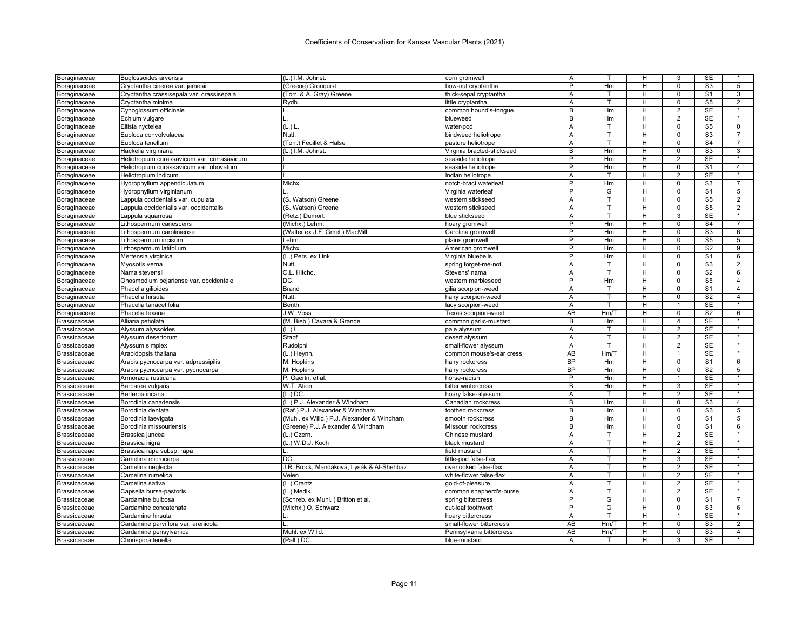| Boraginaceae                        | <b>Buglossoides arvensis</b>                | (L.) I.M. Johnst                           | corn gromwell                             | Α              |         | н              | 3              | <b>SE</b>                             |                   |
|-------------------------------------|---------------------------------------------|--------------------------------------------|-------------------------------------------|----------------|---------|----------------|----------------|---------------------------------------|-------------------|
| Boraginaceae                        | Cryptantha cinerea var. jamesii             | (Greene) Cronquist                         | bow-nut cryptantha                        | P              | Hm      | H              | $\Omega$       | S <sub>3</sub>                        | 5                 |
| Boraginaceae                        | Cryptantha crassisepala var. crassisepala   | (Torr. & A. Gray) Greene                   | thick-sepal cryptantha                    | A              | т       | н              | 0              | S <sub>1</sub>                        | 3                 |
| Boraginaceae                        | Cryptantha minima                           | Rydb.                                      | little cryptantha                         | Α              | т       | н              | 0              | S <sub>5</sub>                        | $\overline{2}$    |
| Boraginaceae                        | Cynoglossum officinale                      |                                            | common hound's-tongue                     | B              | Hm      | н              | $\overline{2}$ | <b>SE</b>                             | $\star$           |
| Boraginaceae                        | Echium vulgare                              |                                            | blueweed                                  | B              | Hm      | н              | 2              | <b>SE</b>                             |                   |
| Boraginaceae                        | Ellisia nyctelea                            | (L.) L                                     | water-pod                                 | A              | т       | H              | 0              | $\overline{\text{S5}}$                | $\mathbf 0$       |
| Boraginaceae                        | Euploca convolvulacea                       | Nutt.                                      | bindweed heliotrope                       | Α              | т       | н              | 0              | S3                                    | 7                 |
| Boraginaceae                        | Euploca tenellum                            | (Torr.) Feuillet & Halse                   | pasture heliotrope                        | Α              | T       | H              | 0              | S <sub>4</sub>                        | $\overline{7}$    |
| Boraginaceae                        | Hackelia virginiana                         | (L.) I.M. Johnst                           | Virginia bracted-stickseed                | B              | Hm      | н              | 0              | S <sub>3</sub>                        | 3                 |
| Boraginaceae                        | Heliotropium curassavicum var. currasavicum |                                            | seaside heliotrope                        | P              | Hm      | н              | 2              | SE                                    | $\star$           |
| Boraginaceae                        | Heliotropium curassavicum var. obovatum     |                                            | seaside heliotrope                        | P              | Hm      | н              | 0              | S <sub>1</sub>                        | $\overline{4}$    |
| Boraginaceae                        | Heliotropium indicum                        |                                            | Indian heliotrope                         | A              |         | H              | $\overline{2}$ | <b>SE</b>                             |                   |
| Boraginaceae                        | Hydrophyllum appendiculatum                 | Michx                                      | notch-bract waterleaf                     | P              | Hm      | H              | $\mathbf 0$    | S <sub>3</sub>                        | $\overline{7}$    |
| Boraginaceae                        | Hydrophyllum virginianum                    |                                            | Virginia waterleat                        | P              | G       | H.             | $\mathbf 0$    | S <sub>4</sub>                        | 5                 |
| Boraginaceae                        | Lappula occidentalis var. cupulata          | (S. Watson) Greene                         | western stickseed                         | A              | т       | н              | 0              | S <sub>5</sub>                        | 2                 |
| Boraginaceae                        | Lappula occidentalis var. occidentalis      | (S. Watson) Greene                         | western stickseed                         | A              | т       | н              | 0              | $\overline{\text{S5}}$                | 2                 |
| Boraginaceae                        | Lappula squarrosa                           | (Retz.) Dumort.                            | blue stickseed                            | Α              |         | н              | 3              | <b>SE</b>                             | $\star$           |
| Boraginaceae                        | Lithospermum canescens                      | (Michx.) Lehm                              | hoary gromwell                            | P              | Hm      | H              | 0              | S <sub>4</sub>                        | $\overline{7}$    |
| Boraginaceae                        | Lithospermum caroliniense                   | (Walter ex J.F. Gmel.) MacMill.            | Carolina gromwell                         | P              | Hm      | н              | $\mathbf 0$    | S <sub>3</sub>                        | 6                 |
| Boraginaceae                        | Lithospermum incisum                        | Lehm.                                      | plains gromwell                           | P              | Hm      | H              | O              | S <sub>5</sub>                        | 5                 |
| Boraginaceae                        | Lithospermum latifolium                     | Michx.                                     | American gromwell                         | P              | Hm      | н              | 0              | $\overline{S2}$                       | 9                 |
| Boraginaceae                        | Mertensia virginica                         | (L.) Pers. ex Link                         | Virginia bluebells                        | P              | Hm      | н              | 0              | S1                                    | 6                 |
| Boraginaceae                        | Myosotis verna                              | Nutt.                                      | spring forget-me-not                      | Α              | т       | н              | 0              | S <sub>3</sub>                        | $\overline{2}$    |
| Boraginaceae                        | Nama stevensii                              | C.L. Hitchc.                               | Stevens' nama                             | Α              |         | н              | 0              | S <sub>2</sub>                        | 6                 |
| Boraginaceae                        | Onosmodium bejariense var. occidentale      | DC.                                        | western marbleseed                        | Þ              | Hm      | H              | $\Omega$       | $\overline{\text{S5}}$                | $\overline{4}$    |
|                                     | Phacelia gilioides                          | Brand                                      | gilia scorpion-weed                       | A              | т       | H              | 0              | S <sub>1</sub>                        | $\overline{4}$    |
| Boraginaceae<br>Boraginaceae        | Phacelia hirsuta                            | Nutt.                                      | hairy scorpion-weed                       | A              | т       | н              | O              | S <sub>2</sub>                        | $\overline{4}$    |
|                                     | Phacelia tanacetifolia                      | Benth                                      |                                           | Α              | т       | H.             | $\mathbf{1}$   | <b>SE</b>                             | $\star$           |
| Boraginaceae                        | Phacelia texana                             | J.W. Voss                                  | lacy scorpion-weed<br>Texas scorpion-weed | AB             | Hm/T    | н              | 0              | S <sub>2</sub>                        | 6                 |
| Boraginaceae                        |                                             |                                            |                                           | $\overline{B}$ |         | н              | 4              | <b>SE</b>                             | $\star$           |
| Brassicaceae                        | Alliaria petiolata                          | (M. Bieb.) Cavara & Grande<br>(L.) L       | common garlic-mustard<br>pale alyssum     |                | Hm<br>т | н              | $\overline{2}$ | <b>SE</b>                             |                   |
| Brassicaceae<br><b>Brassicaceae</b> | Alyssum alyssoides<br>Alyssum desertorum    | Stapf                                      | desert alyssum                            | Α<br>Α         | T       | $\overline{H}$ | $\overline{2}$ | $\overline{\text{SE}}$                | $\overline{\ast}$ |
|                                     | Alyssum simplex                             | Rudolphi                                   |                                           | A              | т       | н              | $\overline{2}$ | <b>SE</b>                             |                   |
| <b>Brassicaceae</b>                 |                                             |                                            | small-flower alyssum                      |                |         |                | 1              | <b>SE</b>                             | $\overline{\ast}$ |
| Brassicaceae                        | Arabidopsis thaliana                        | (L.) Heynh.                                | common mouse's-ear cress                  | AB             | Hm/T    | н              |                |                                       |                   |
| <b>Brassicaceae</b>                 | Arabis pycnocarpa var. adpressipilis        | M. Hopkins                                 | hairy rockcress                           | <b>BP</b>      | Hm      | н              | 0              | S <sub>1</sub>                        | 6                 |
| Brassicaceae                        | Arabis pycnocarpa var. pycnocarpa           | M. Hopkins                                 | hairy rockcress                           | <b>BP</b><br>P | Hm      | н              | 0              | S <sub>2</sub>                        | 5<br>$\star$      |
| <b>Brassicaceae</b>                 | Armoracia rusticana                         | P. Gaertn. et al.                          | horse-radish                              |                | Hm      | H              | 1              | <b>SE</b>                             | $\overline{\ast}$ |
| <b>Brassicaceae</b>                 | Barbarea vulgaris                           | W.T. Ation                                 | bitter wintercress                        | B              | Hm      | H              | $\overline{3}$ | <b>SE</b>                             |                   |
| <b>Brassicaceae</b>                 | Berteroa incana                             | $(L.)$ DC.                                 | hoary false-alyssum                       | A              |         | н              | $\overline{2}$ | <b>SE</b><br>$\overline{\mathsf{S}3}$ |                   |
| <b>Brassicaceae</b>                 | Borodinia canadensis                        | (L.) P.J. Alexander & Windham              | Canadian rockcress                        | B              | Hm      | н              | $\Omega$       |                                       | $\overline{4}$    |
| Brassicaceae                        | Borodinia dentata                           | (Raf.) P.J. Alexander & Windham            | toothed rockcress                         | B              | Hm      | н              | 0              | S <sub>3</sub>                        | 5                 |
| Brassicaceae                        | Borodinia laevigata                         | (Muhl. ex Willd.) P.J. Alexander & Windham | smooth rockcress                          | B              | Hm      | H              | $\Omega$       | S <sub>1</sub>                        | 5                 |
| <b>Brassicaceae</b>                 | Borodinia missouriensis                     | (Greene) P.J. Alexander & Windham          | Missouri rockcress                        | B              | Hm      | н              | 0              | S <sub>1</sub>                        | 6<br>$\star$      |
| <b>Brassicaceae</b>                 | Brassica juncea                             | (L.) Czern.                                | Chinese mustard                           | A              | т       | H              | $\overline{2}$ | <b>SE</b>                             |                   |
| <b>Brassicaceae</b>                 | Brassica nigra                              | (L.) W.D.J. Koch                           | black mustard                             | Α              | T.      | H              | $\overline{2}$ | <b>SE</b>                             |                   |
| <b>Brassicaceae</b>                 | Brassica rapa subsp. rapa                   |                                            | field mustard                             | A              | т       | н              | 2              | <b>SE</b>                             | $\star$           |
| Brassicaceae                        | Camelina microcarpa                         | DC.                                        | little-pod false-flax                     | Α              | T       | H              | 3              | SE                                    |                   |
| Brassicaceae                        | Camelina neglecta                           | J.R. Brock, Mandáková, Lysák & Al-Shehbaz  | overlooked false-flax                     | Α              |         | н              | 2              | <b>SE</b>                             | $\star$           |
| Brassicaceae                        | Camelina rumelica                           | Velen                                      | white-flower false-flax                   | Α              | T       | н              | $\overline{2}$ | <b>SE</b>                             |                   |
| Brassicaceae                        | Camelina sativa                             | (L.) Crantz                                | gold-of-pleasure                          | A              | т       | H              | $\overline{2}$ | <b>SE</b>                             |                   |
| Brassicaceae                        | Capsella bursa-pastoris                     | (L.) Medik.                                | common shepherd's-purse                   | Α              | T       | н              | $\overline{2}$ | <b>SE</b>                             | $\overline{\ast}$ |
| Brassicaceae                        | Cardamine bulbosa                           | (Schreb. ex Muhl.) Britton et al           | spring bittercress                        | P              | G       | н              | 0              | S <sub>1</sub>                        | $\overline{7}$    |
| Brassicaceae                        | Cardamine concatenata                       | (Michx.) O. Schwarz                        | cut-leaf toothwort                        | P              | G       | н              | $\Omega$       | S3                                    | 6                 |
| <b>Brassicaceae</b>                 | Cardamine hirsuta                           |                                            | hoary bittercress                         | Α              | T.      | н              | $\overline{1}$ | <b>SE</b>                             | $\star$           |
| <b>Brassicaceae</b>                 | Cardamine parviflora var. arenicola         |                                            | small-flower bittercress                  | AB             | Hm/T    | H              | $\mathbf 0$    | S3                                    | 2                 |
| <b>Brassicaceae</b>                 | Cardamine pensylvanica                      | Muhl. ex Willd.                            | Pennsylvania bittercress                  | AB             | Hm/T    | H              | 0              | S <sub>3</sub>                        | $\overline{4}$    |
| Brassicaceae                        | Chorispora tenella                          | (Pall.) DC.                                | blue-mustard                              | A              | т       | н              | 3              | <b>SE</b>                             |                   |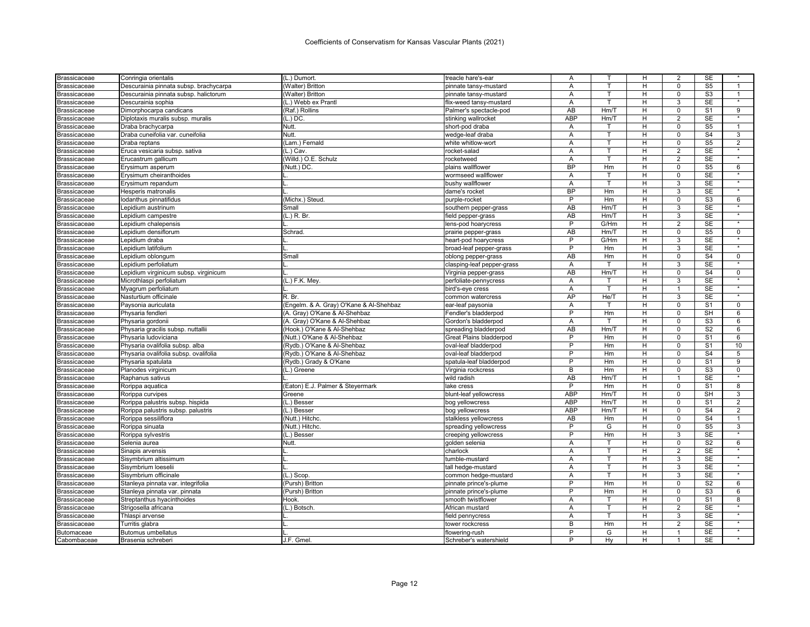| (L.) Dumort.<br>Brassicaceae<br>Conringia orientalis                                 | treacle hare's-ear<br>Α              |         | н              | 2                | SE                     |                   |
|--------------------------------------------------------------------------------------|--------------------------------------|---------|----------------|------------------|------------------------|-------------------|
| (Walter) Britton<br>Descurainia pinnata subsp. brachycarpa<br>Brassicaceae           | A<br>pinnate tansy-mustard           | T.      | H              | $\Omega$         | S <sub>5</sub>         | $\overline{1}$    |
| Descurainia pinnata subsp. halictorum<br>(Walter) Britton<br>Brassicaceae            | pinnate tansy-mustard<br>A           | т       | H              | $\mathbf 0$      | S <sub>3</sub>         | $\mathbf{1}$      |
| Brassicaceae<br>Descurainia sophia<br>(L.) Webb ex Prantl                            | flix-weed tansy-mustard<br>Α         | T       | H              | 3                | <b>SE</b>              | $\star$           |
| (Raf.) Rollins<br>Brassicaceae<br>Dimorphocarpa candicans                            | AB<br>Palmer's spectacle-pod         | Hm/T    |                | н<br>$\mathbf 0$ | S <sub>1</sub>         | 9                 |
| Brassicaceae<br>Diplotaxis muralis subsp. muralis<br>$(L.)$ DC.                      | <b>ABP</b><br>stinking wallrocket    | Hm/T    | H              | $\overline{2}$   | SE                     |                   |
| Nutt.<br>Brassicaceae<br>Draba brachycarpa                                           | short-pod draba<br>A                 |         | H              | $\Omega$         | S <sub>5</sub>         | $\overline{1}$    |
| Nutt.<br>Draba cuneifolia var. cuneifolia<br>Brassicaceae                            | wedge-leaf draba<br>Α                | т       | н              | $\mathbf 0$      | S <sub>4</sub>         | 3                 |
| (Lam.) Fernald<br>Draba reptans<br>Brassicaceae                                      | white whitlow-wort<br>A              | T       | H              | $\mathbf 0$      | S <sub>5</sub>         | $\overline{2}$    |
| Eruca vesicaria subsp. sativa<br>$(L.)$ Cav.<br>Brassicaceae                         | rocket-salad<br>A                    | т       | H              | 2                | <b>SE</b>              |                   |
| (Willd.) O.E. Schulz<br>Brassicaceae<br>Erucastrum gallicum                          | rocketweed<br>Α                      | T       | Н              | $\overline{c}$   | SE                     | $\overline{\ast}$ |
| (Nutt.) DC.<br>Brassicaceae<br>Erysimum asperum                                      | <b>BP</b><br>plains wallflower       | Hm      | н              | 0                | S <sub>5</sub>         | 6                 |
| <b>Brassicaceae</b><br>Erysimum cheiranthoides                                       | wormseed wallflower<br>A             | т       | H              | $\mathbf 0$      | <b>SE</b>              |                   |
| Erysimum repandum<br>Brassicaceae                                                    | bushy wallflower<br>Α                | T       | H              | 3                | SE                     | $\star$           |
| Hesperis matronalis<br>Brassicaceae                                                  | <b>BP</b><br>dame's rocket           | Hm      |                | H<br>3           | <b>SE</b>              |                   |
| (Michx.) Steud.<br>Brassicaceae<br>lodanthus pinnatifidus                            | P<br>purple-rocket                   | Hm      | н              | $\mathbf 0$      | S <sub>3</sub>         | 6                 |
| Brassicaceae<br>Lepidium austrinum<br>Small                                          | <b>AB</b><br>southern pepper-grass   | Hm/T    | H              | 3                | $\overline{\text{SE}}$ |                   |
| (L.) R. Br.<br>Brassicaceae<br>Lepidium campestre                                    | AB<br>field pepper-grass             | Hm/T    | H              | 3                | <b>SE</b>              | $\star$           |
| Lepidium chalepensis<br>Brassicaceae                                                 | P<br>lens-pod hoarycress             | G/Hm    | H              | $\overline{2}$   | SE                     | $\star$           |
| Brassicaceae<br>Lepidium densiflorum<br>Schrad                                       | AB<br>prairie pepper-grass           | Hm/T    | H              | $\pmb{0}$        | S <sub>5</sub>         | $\mathsf{O}$      |
| Lepidium draba<br>Brassicaceae                                                       | P<br>heart-pod hoarycress            | G/Hm    | H              | 3                | <b>SE</b>              | $\star$           |
| Brassicaceae<br>Lepidium latifolium                                                  | P<br>broad-leaf pepper-grass         | Hm      |                | 3<br>н           | <b>SE</b>              |                   |
| Lepidium oblongum<br>Small<br>Brassicaceae                                           | AB<br>oblong pepper-grass            | Hm      | H              | $\Omega$         | S <sub>4</sub>         | $\mathbf 0$       |
| Brassicaceae<br>Lepidium perfoliatum                                                 | clasping-leaf pepper-grass<br>Α      | т       | н              | 3                | <b>SE</b>              |                   |
| Lepidium virginicum subsp. virginicum<br>Brassicaceae                                | AB<br>Virginia pepper-grass          | Hm/T    | Н              | $\Omega$         | S <sub>4</sub>         | 0                 |
| (L.) F.K. Mey.<br>Microthlaspi perfoliatum                                           | A<br>perfoliate-pennycress           | т       | H              | 3                | <b>SE</b>              | $\star$           |
| Brassicaceae                                                                         | A                                    | T.      | H              | $\overline{1}$   | SE                     |                   |
| Myagrum perfoliatum<br>Brassicaceae<br>R. Br.                                        | bird's-eye cress<br>AP               | He/T    | H              | 3                | <b>SE</b>              | $\overline{\ast}$ |
| Nasturtium officinale<br>Brassicaceae                                                | common watercress                    |         |                |                  |                        |                   |
| Paysonia auriculata<br>(Engelm. & A. Gray) O'Kane & Al-Shehbaz<br>Brassicaceae       | Α<br>ear-leaf paysonia<br>P          | T.      |                | H<br>$\mathbf 0$ | S <sub>1</sub>         | 0                 |
| (A. Gray) O'Kane & Al-Shehbaz<br>Physaria fendleri<br>Brassicaceae                   | Fendler's bladderpod                 | Hm<br>т | H              | $\mathbf 0$      | SH                     | 6                 |
| (A. Gray) O'Kane & Al-Shehbaz<br>Physaria gordonii<br>Brassicaceae                   | Gordon's bladderpod<br>A             |         | H              | $\Omega$         | S3                     | 6                 |
| (Hook.) O'Kane & Al-Shehbaz<br>Physaria gracilis subsp. nuttallii<br>Brassicaceae    | AB<br>spreading bladderpod           | Hm/T    | H              | $\mathbf 0$      | S <sub>2</sub>         | 6                 |
| (Nutt.) O'Kane & Al-Shehbaz<br>Physaria ludoviciana<br>Brassicaceae                  | P<br><b>Great Plains bladderpod</b>  | Hm      | $\overline{H}$ | $\overline{0}$   | S <sub>1</sub>         | 6                 |
| (Rydb.) O'Kane & Al-Shehbaz<br>Physaria ovalifolia subsp. alba<br>Brassicaceae       | P<br>oval-leaf bladderpod            | Hm      | H              | $\mathbf 0$      | S <sub>1</sub>         | 10                |
| (Rydb.) O'Kane & Al-Shehbaz<br>Physaria ovalifolia subsp. ovalifolia<br>Brassicaceae | P<br>oval-leaf bladderpod            | Hm      | H              | $\mathbf 0$      | S <sub>4</sub>         | 5                 |
| (Rydb.) Grady & O'Kane<br>Brassicaceae<br>Physaria spatulata                         | P<br>spatula-leaf bladderpod         | Hm      | H              | $\mathbf 0$      | S <sub>1</sub>         | 9                 |
| Planodes virginicum<br>(L.) Greene<br>Brassicaceae                                   | B<br>Virginia rockcress              | Hm      | H              | $\mathbf 0$      | S <sub>3</sub>         | 0                 |
| wild radish<br>Raphanus sativus<br>Brassicaceae                                      | AB                                   | Hm/T    | H              | H                | SE                     | $\star$           |
| (Eaton) E.J. Palmer & Steyermark<br>Brassicaceae<br>Rorippa aquatica<br>lake cress   | P                                    | Hm      |                | н<br>$\mathbf 0$ | S <sub>1</sub>         | 8                 |
| Rorippa curvipes<br>Greene<br>Brassicaceae                                           | <b>ABP</b><br>blunt-leaf yellowcress | Hm/T    | H              | $\mathbf 0$      | <b>SH</b>              | 3                 |
| Rorippa palustris subsp. hispida<br>(L.) Besser<br>Brassicaceae                      | <b>ABP</b><br>bog yellowcress        | Hm/T    | H              | $\mathbf 0$      | S <sub>1</sub>         | $\overline{2}$    |
| Rorippa palustris subsp. palustris<br>(L.) Besser<br>Brassicaceae                    | <b>ABP</b><br>bog yellowcress        | Hm/T    | н              | $\Omega$         | S <sub>4</sub>         | 2                 |
| Rorippa sessiliflora<br>(Nutt.) Hitchc<br>Brassicaceae                               | AB<br>stalkless yellowcress          | Hm      | H              | $\Omega$         | S <sub>4</sub>         | $\overline{1}$    |
| Rorippa sinuata<br>(Nutt.) Hitchc<br>Brassicaceae                                    | P<br>spreading yellowcress           | G       | H              | $\mathbf 0$      | S <sub>5</sub>         | 3                 |
| Rorippa sylvestris<br>(L.) Besser<br>Brassicaceae                                    | P<br>creeping yellowcress            | Hm      | H              | 3                | SE                     | $\star$           |
| Selenia aurea<br>Brassicaceae<br>Nutt.                                               | Α<br>golden selenia                  | т       |                | $\mathbf 0$<br>н | S <sub>2</sub>         | 6                 |
| Brassicaceae<br>Sinapis arvensis<br>charlock                                         | A                                    | T       | H              | $\overline{2}$   | <b>SE</b>              |                   |
| Brassicaceae<br>Sisymbrium altissimum                                                | Α<br>tumble-mustard                  | T       |                | н<br>3           | <b>SE</b>              | $\star$           |
| Sisymbrium loeselii<br>Brassicaceae                                                  | Α<br>tall hedge-mustard              |         | н              | 3                | SE                     |                   |
| Brassicaceae<br>Sisymbrium officinale<br>(L.) Scop                                   | A<br>common hedge-mustard            | T       | H              | 3                | <b>SE</b>              | $\star$           |
| Stanleya pinnata var. integrifolia<br>(Pursh) Britton<br>Brassicaceae                | P<br>pinnate prince's-plume          | Hm      | H              | $\mathbf 0$      | S <sub>2</sub>         | 6                 |
| (Pursh) Britton<br>Brassicaceae<br>Stanleya pinnata var. pinnata                     | P<br>pinnate prince's-plume          | Hm      | H              | $\Omega$         | S <sub>3</sub>         | 6                 |
| Streptanthus hyacinthoides<br>Hook.<br>Brassicaceae                                  | smooth twistflower<br>Α              | т       | н              | 0                | S <sub>1</sub>         | 8                 |
| Brassicaceae<br>Strigosella africana<br>(L.) Botsch.                                 | African mustard<br>Α                 | T       | н              | $\overline{c}$   | SE                     |                   |
| Thlaspi arvense<br>Brassicaceae                                                      | field pennycress<br>Α                | T.      | H              | 3                | <b>SE</b>              | $\star$           |
| Turritis glabra<br>Brassicaceae                                                      | B<br>tower rockcress                 | Hm      | H              | $\overline{2}$   | <b>SE</b>              |                   |
| <b>Butomus umbellatus</b><br>Butomaceae                                              | P<br>flowering-rush                  | G       | H              | 1                | <b>SE</b>              | $\star$           |
| Cabombaceae<br>Brasenia schreberi<br>J.F. Gmel                                       | P<br>Schreber's watershield          | Hy      | H              | $\mathbf{1}$     | <b>SE</b>              |                   |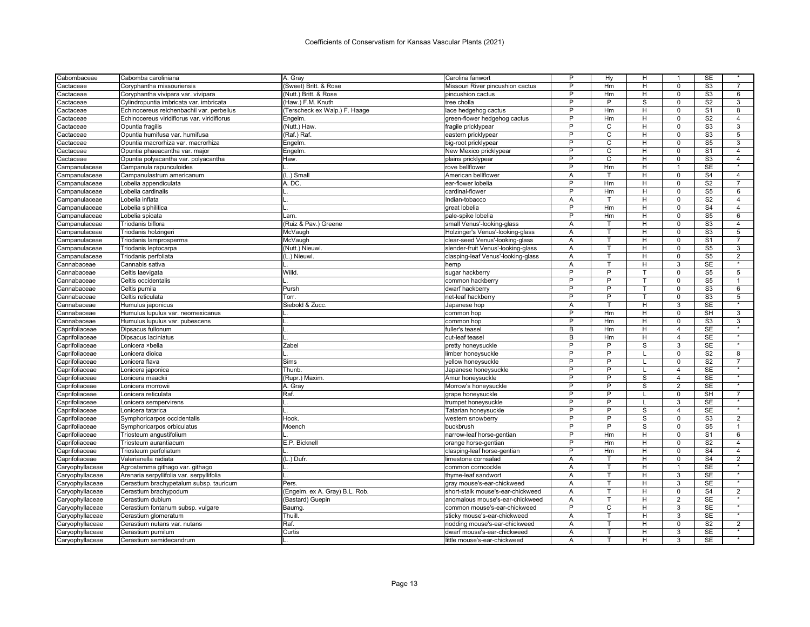| Cabombaceae     | Cabomba caroliniana                         | A. Gray                        | Carolina fanwort                   | P              | Hy             | н                       | $\mathbf{1}$            | <b>SE</b>              |                    |
|-----------------|---------------------------------------------|--------------------------------|------------------------------------|----------------|----------------|-------------------------|-------------------------|------------------------|--------------------|
| Cactaceae       | Coryphantha missouriensis                   | (Sweet) Britt. & Rose          | Missouri River pincushion cactus   | P              | Hm             | H                       | $\Omega$                | S <sub>3</sub>         | $\overline{7}$     |
| Cactaceae       | Coryphantha vivipara var. vivipara          | (Nutt.) Britt. & Rose          | pincushion cactus                  | P              | Hm             | H                       | $\mathbf 0$             | S <sub>3</sub>         | 6                  |
| Cactaceae       | Cylindropuntia imbricata var. imbricata     | (Haw.) F.M. Knuth              | tree cholla                        | P              | P              | S                       | $\Omega$                | S <sub>2</sub>         | 3                  |
| Cactaceae       | Echinocereus reichenbachii var. perbellus   | (Terscheck ex Walp.) F. Haage  | lace hedgehog cactus               | P              | Hm             | H                       | $\mathbf 0$             | S <sub>1</sub>         | 8                  |
| Cactaceae       | Echinocereus viridiflorus var. viridiflorus | Engelm                         | green-flower hedgehog cactus       | P              | Hm             | H                       | $\mathbf 0$             | S <sub>2</sub>         | $\overline{4}$     |
| Cactaceae       | Opuntia fragilis                            | (Nutt.) Haw                    | fragile pricklypear                | P              | C              | $\overline{H}$          | $\overline{0}$          | S3                     | 3                  |
| Cactaceae       | Opuntia humifusa var. humifusa              | $(Raf.)$ Raf.                  | eastern pricklypear                | $\overline{P}$ | $\overline{c}$ | H                       | $\mathbf 0$             | S3                     | 5                  |
| Cactaceae       | Opuntia macrorhiza var. macrorhiza          | Engelm.                        | big-root pricklypear               | P              | C              | H                       | $\mathbf 0$             | S <sub>5</sub>         | 3                  |
| Cactaceae       | Opuntia phaeacantha var. major              | Engelm                         | New Mexico pricklypear             | P              | C              | H                       | $\mathbf 0$             | S <sub>1</sub>         | $\overline{4}$     |
| Cactaceae       | Opuntia polyacantha var. polyacantha        | Haw.                           | plains pricklypear                 | P              | C              | H                       | $\mathbf 0$             | S <sub>3</sub>         | $\overline{4}$     |
| Campanulaceae   | Campanula rapunculoides                     |                                | rove bellflower                    | P              | Hm             | H                       | $\overline{1}$          | <b>SE</b>              | $\star$            |
| Campanulaceae   | Campanulastrum americanum                   | (L.) Small                     | American bellflower                | Α              | т              | H                       | $\mathbf 0$             | S <sub>4</sub>         | $\overline{4}$     |
| Campanulaceae   | Lobelia appendiculata                       | A. DC.                         | ear-flower lobelia                 | P              | Hm             | H                       | $\Omega$                | S <sub>2</sub>         | $\overline{7}$     |
| Campanulaceae   | Lobelia cardinalis                          |                                | cardinal-flower                    | $\overline{P}$ | Hm             | н                       | $\mathbf 0$             | S <sub>5</sub>         | 6                  |
| Campanulaceae   | Lobelia inflata                             |                                | Indian-tobacco                     | Α              |                | H                       | $\Omega$                | S <sub>2</sub>         | $\overline{4}$     |
| Campanulaceae   | Lobelia siphilitica                         |                                | great lobelia                      | $\overline{P}$ | Hm             | н                       | $\mathbf 0$             | S <sub>4</sub>         | $\overline{4}$     |
| Campanulaceae   | Lobelia spicata                             | Lam.                           | pale-spike lobelia                 | P              | Hm             | H                       | $\Omega$                | S <sub>5</sub>         | 6                  |
| Campanulaceae   | Triodanis biflora                           | (Ruiz & Pav.) Greene           | small Venus'-looking-glass         | A              | T              | H                       | $\Omega$                | S <sub>3</sub>         | $\overline{4}$     |
| Campanulaceae   | Triodanis holzingeri                        | McVaugh                        | Holzinger's Venus'-looking-glass   | A              | T.             | H                       | $\mathbf 0$             | S <sub>3</sub>         | 5                  |
| Campanulaceae   | Triodanis lamprosperma                      | McVaugh                        | clear-seed Venus'-looking-glass    | Α              | T              | H                       | $\Omega$                | S <sub>1</sub>         | $\overline{7}$     |
| Campanulaceae   | Triodanis leptocarpa                        | (Nutt.) Nieuwl.                | slender-fruit Venus'-looking-glass | Α              | т              | н                       | $\mathbf 0$             | S <sub>5</sub>         | 3                  |
| Campanulaceae   | Triodanis perfoliata                        | (L.) Nieuwl.                   | clasping-leaf Venus'-looking-glass | Α              |                | Н                       | $\Omega$                | S <sub>5</sub>         | $\overline{2}$     |
| Cannabaceae     | Cannabis sativa                             |                                |                                    | Α              | т              | H                       | 3                       | <b>SE</b>              |                    |
|                 |                                             | Willd.                         | hemp                               | P              | P              |                         | $\mathbf 0$             | S <sub>5</sub>         | 5                  |
| Cannabaceae     | Celtis laevigata                            |                                | sugar hackberry                    | P              | P              |                         |                         |                        |                    |
| Cannabaceae     | Celtis occidentalis                         |                                | common hackberry                   |                |                |                         | $\mathbf 0$             | S <sub>5</sub>         | $\mathbf{1}$       |
| Cannabaceae     | Celtis pumila                               | Pursh                          | dwarf hackberry                    | P              | P              | т                       | $\Omega$                | $\overline{\text{S3}}$ | 6                  |
| Cannabaceae     | Celtis reticulata                           | Torr.                          | net-leaf hackberry                 | P              | P              |                         | $\mathbf 0$             | S <sub>3</sub>         | 5<br>$\star$       |
| Cannabaceae     | Humulus japonicus                           | Siebold & Zucc.                | Japanese hop                       | Α              | T.             | H                       | 3                       | <b>SE</b>              |                    |
| Cannabaceae     | Humulus lupulus var. neomexicanus           |                                | common hop                         | P              | Hm             | Н                       | 0                       | <b>SH</b>              | 3                  |
| Cannabaceae     | Humulus lupulus var. pubescens              |                                | common hop                         | P              | Hm             | H                       | $\Omega$                | $\overline{S3}$        | 3                  |
| Caprifoliaceae  | Dipsacus fullonum                           |                                | fuller's teasel                    | В              | Hm             | н                       | $\overline{4}$          | <b>SE</b>              |                    |
| Caprifoliaceae  | Dipsacus laciniatus                         |                                | cut-leaf teasel                    | B              | Hm             | H                       | $\overline{\mathbf{4}}$ | <b>SE</b>              | $\overline{\ast}$  |
| Caprifoliaceae  | Lonicera ×bella                             | Zabel                          | pretty honeysuckle                 | $\overline{P}$ | P              | S                       | 3                       | <b>SE</b>              |                    |
| Caprifoliaceae  | Lonicera dioica                             |                                | limber honeysuckle                 | P              | P              |                         | $\Omega$                | S <sub>2</sub>         | 8                  |
| Caprifoliaceae  | Lonicera flava                              | Sims                           | yellow honeysuckle                 | P              | P              |                         | $\mathbf 0$             | S <sub>2</sub>         | $\overline{7}$     |
| Caprifoliaceae  | Lonicera japonica                           | Thunb.                         | Japanese honeysuckle               | P              | P              |                         | $\overline{4}$          | SE                     |                    |
| Caprifoliaceae  | Lonicera maackii                            | (Rupr.) Maxim.                 | Amur honeysuckle                   | P              | P              | $\mathbf S$             | $\overline{4}$          | <b>SE</b>              | $\star$            |
| Caprifoliaceae  | Lonicera morrowii                           | A. Gray                        | Morrow's honeysuckle               | P              | P              | $\overline{\mathbf{s}}$ | $\overline{2}$          | <b>SE</b>              |                    |
| Caprifoliaceae  | Lonicera reticulata                         | Raf.                           | grape honeysuckle                  | P              | P              |                         | $\mathbf 0$             | $\overline{\text{SH}}$ | $\overline{7}$     |
| Caprifoliaceae  | Lonicera sempervirens                       |                                | trumpet honeysuckle                | P              | P              |                         | 3                       | <b>SE</b>              | $\star$            |
| Caprifoliaceae  | Lonicera tatarica                           |                                | Tatarian honeysuckle               | P              | P              | S                       | 4                       | <b>SE</b>              |                    |
| Caprifoliaceae  | Symphoricarpos occidentalis                 | Hook.                          | western snowberry                  | P              | P              | S                       | $\mathbf 0$             | S <sub>3</sub>         | 2                  |
| Caprifoliaceae  | Symphoricarpos orbiculatus                  | Moench                         | buckbrush                          | P              | P              | S                       | $\mathsf 0$             | S <sub>5</sub>         | $\mathbf{1}$       |
| Caprifoliaceae  | Triosteum angustifolium                     |                                | narrow-leaf horse-gentian          | P              | Hm             | H                       | $\Omega$                | S <sub>1</sub>         | 6                  |
| Caprifoliaceae  | Triosteum aurantiacum                       | E.P. Bicknell                  | orange horse-gentian               | P              | Hm             | н                       | $\mathbf 0$             | S <sub>2</sub>         | $\overline{4}$     |
| Caprifoliaceae  | Triosteum perfoliatum                       |                                | clasping-leaf horse-gentian        | P              | Hm             | H                       | $\mathbf 0$             | S <sub>4</sub>         | $\overline{4}$     |
| Caprifoliaceae  | Valerianella radiata                        | (L.) Dufr.                     | limestone cornsalad                | Α              | т              | н                       | $\mathbf 0$             | S <sub>4</sub>         | $\overline{2}$     |
| Caryophyllaceae | Agrostemma githago var. githago             |                                | common corncockle                  | Α              |                | н                       |                         | SE                     |                    |
| Caryophyllaceae | Arenaria serpyllifolia var. serpyllifolia   |                                | thyme-leaf sandwort                | Α              | T              | н                       | 3                       | <b>SE</b>              | $\star$            |
| Caryophyllaceae | Cerastium brachypetalum subsp. tauricum     | Pers.                          | gray mouse's-ear-chickweed         | Α              | т              | H                       | 3                       | SE                     |                    |
| Caryophyllaceae | Cerastium brachypodum                       | (Engelm. ex A. Gray) B.L. Rob. | short-stalk mouse's-ear-chickweed  | A              | T              | H                       | $\Omega$                | S <sub>4</sub>         | $\overline{2}$     |
| Caryophyllaceae | Cerastium dubium                            | (Bastard) Guepin               | anomalous mouse's-ear-chickweed    | Α              | T              | н                       | 2                       | SE                     | $\star$            |
| Caryophyllaceae | Cerastium fontanum subsp. vulgare           | Baumg.                         | common mouse's-ear-chickweed       | P              | C              | H                       | 3                       | <b>SE</b>              | $\overline{\cdot}$ |
| Caryophyllaceae | Cerastium glomeratum                        | Thuill                         | sticky mouse's-ear-chickweed       | Α              | т              | H                       | 3                       | <b>SE</b>              | $\star$            |
| Caryophyllaceae | Cerastium nutans var. nutans                | Raf.                           | nodding mouse's-ear-chickweed      | Α              | т              | H                       | $\mathbf 0$             | S <sub>2</sub>         | $\overline{2}$     |
| Caryophyllaceae | Cerastium pumilum                           | Curtis                         | dwarf mouse's-ear-chickweed        | A              | т              | H                       | 3                       | <b>SE</b>              | $\star$            |
|                 | Cerastium semidecandrum                     |                                | little mouse's-ear-chickweed       | A              | т              | H                       | 3                       | <b>SE</b>              |                    |
| Caryophyllaceae |                                             |                                |                                    |                |                |                         |                         |                        |                    |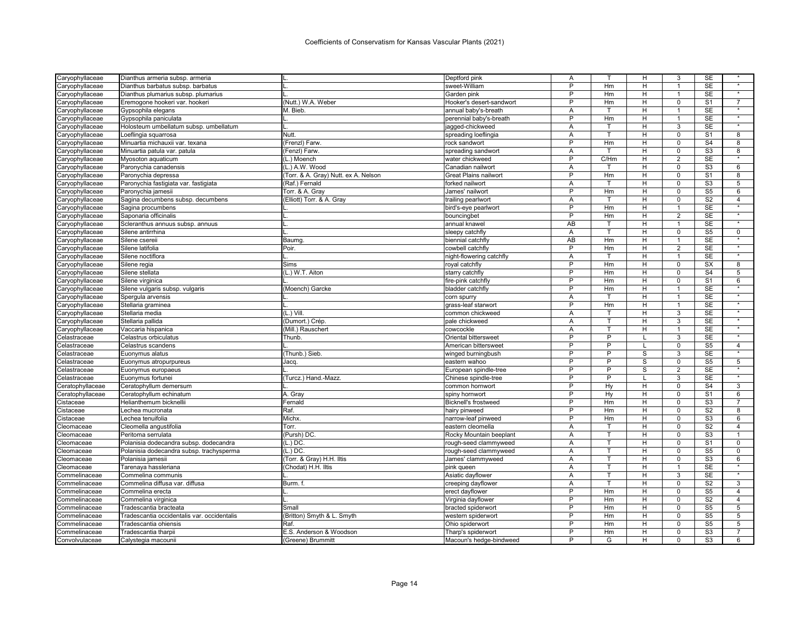| Caryophyllaceae  | Dianthus armeria subsp. armeria             | IL.                                  | Deptford pink                | Α              | T.   | H  | 3              | <b>SE</b>              |                                     |
|------------------|---------------------------------------------|--------------------------------------|------------------------------|----------------|------|----|----------------|------------------------|-------------------------------------|
| Caryophyllaceae  | Dianthus barbatus subsp. barbatus           |                                      | sweet-William                | P              | Hm   | H  | $\mathbf{1}$   | <b>SE</b>              | $\overline{\ast}$                   |
| Caryophyllaceae  | Dianthus plumarius subsp. plumarius         |                                      | Garden pink                  | P              | Hm   | H  | $\mathbf{1}$   | SE                     | $\star$                             |
| Caryophyllaceae  | Eremogone hookeri var. hookeri              | (Nutt.) W.A. Weber                   | Hooker's desert-sandwort     | P              | Hm   | н  | $\Omega$       | S <sub>1</sub>         | $\overline{7}$                      |
| Caryophyllaceae  | Gypsophila elegans                          | M. Bieb.                             | annual baby's-breath         | A              | T.   | H  | $\mathbf{1}$   | <b>SE</b>              | $\star$                             |
| Caryophyllaceae  | Gypsophila paniculata                       |                                      | perennial baby's-breath      | P              | Hm   | H  | 1              | <b>SE</b>              |                                     |
| Caryophyllaceae  | Holosteum umbellatum subsp. umbellatum      | IL.                                  | jagged-chickweed             | A              |      | H  | 3              | <b>SE</b>              | $\star$                             |
| Caryophyllaceae  | Loeflingia squarrosa                        | Nutt.                                | spreading loeflingia         | Α              | T.   | н  | $\overline{0}$ | S <sub>1</sub>         | 8                                   |
| Caryophyllaceae  | Minuartia michauxii var. texana             | (Frenzl) Farw.                       | rock sandwort                | P              | Hm   | H  | $\mathbf 0$    | S <sub>4</sub>         | 8                                   |
| Caryophyllaceae  | Minuartia patula var. patula                | (Fenzl) Farw.                        | spreading sandwort           | A              | T    | н  | $\mathbf 0$    | S3                     | 8                                   |
| Caryophyllaceae  | Myosoton aquaticum                          | (L.) Moench                          | water chickweed              | P              | C/Hm | H  | $\overline{2}$ | SE                     | $\star$                             |
| Caryophyllaceae  | Paronychia canadensis                       | (L.) A.W. Wood                       | Canadian nailwort            | A              | T    | H. | $\mathbf 0$    | S <sub>3</sub>         | 6                                   |
| Caryophyllaceae  | Paronychia depressa                         | (Torr. & A. Gray) Nutt. ex A. Nelson | <b>Great Plains nailwort</b> | P              | Hm   | H  | $\mathbf 0$    | S <sub>1</sub>         | 8                                   |
| Caryophyllaceae  | Paronychia fastigiata var. fastigiata       | (Raf.) Fernald                       | forked nailwort              | A              | T    | H  | $\overline{0}$ | S <sub>3</sub>         | $5\overline{)}$                     |
| Caryophyllaceae  | Paronychia jamesii                          | Torr. & A. Gray                      | James' nailwort              | $\overline{P}$ | Hm   | H  | $\mathbf 0$    | S <sub>5</sub>         | 6                                   |
| Caryophyllaceae  | Sagina decumbens subsp. decumbens           | (Elliott) Torr. & A. Gray            | trailing pearlwort           | Α              |      | H  | $\Omega$       | $\overline{S2}$        | $\overline{4}$                      |
| Caryophyllaceae  | Sagina procumbens                           |                                      | bird's-eye pearlwort         | $\overline{P}$ | Hm   | H  | $\mathbf{1}$   | $\overline{\text{SE}}$ | $\star$                             |
| Caryophyllaceae  | Saponaria officinalis                       |                                      | bouncingbet                  | P              | Hm   | H  | $\overline{2}$ | SE                     | $\star$                             |
| Caryophyllaceae  | Scleranthus annuus subsp. annuus            |                                      | annual knawel                | AB             | T    | H  | $\overline{1}$ | <b>SE</b>              | $\star$                             |
| Caryophyllaceae  | Silene antirrhina                           |                                      | sleepy catchfly              | Α              | T    | н  | $\mathsf 0$    | S <sub>5</sub>         | $\mathsf{O}$                        |
| Caryophyllaceae  | Silene csereii                              | Baumg.                               | biennial catchfly            | AB             | Hm   | H  | $\overline{1}$ | <b>SE</b>              | $\star$                             |
| Caryophyllaceae  | Silene latifolia                            | Poir.                                | cowbell catchfly             | $\overline{P}$ | Hm   | н  | $\overline{2}$ | <b>SE</b>              | $_{\star}$                          |
| Caryophyllaceae  | Silene noctiflora                           |                                      | night-flowering catchfly     | Α              |      | H  | 1              | <b>SE</b>              |                                     |
| Caryophyllaceae  | Silene regia                                | Sims                                 | royal catchfly               | $\overline{P}$ | Hm   | н  | $\mathbf 0$    | $\overline{\text{SX}}$ | $\overline{8}$                      |
|                  | Silene stellata                             | (L.) W.T. Aiton                      | starry catchfly              | P              | Hm   | H  | $\Omega$       | S <sub>4</sub>         | 5                                   |
| Caryophyllaceae  |                                             |                                      |                              | $\overline{P}$ | Hm   | H  | $\overline{0}$ | S <sub>1</sub>         | 6                                   |
| Caryophyllaceae  | Silene virginica                            |                                      | fire-pink catchfly           | P              |      |    |                |                        |                                     |
| Caryophyllaceae  | Silene vulgaris subsp. vulgaris             | (Moench) Garcke                      | bladder catchfly             |                | Hm   | H  | $\overline{1}$ | <b>SE</b>              | $\star$                             |
| Caryophyllaceae  | Spergula arvensis                           |                                      | corn spurry                  | A              | т    | H  | 1              | <b>SE</b>              | $\star$                             |
| Caryophyllaceae  | Stellaria graminea                          |                                      | grass-leaf starwort          | $\overline{P}$ | Hm   | н  | $\mathbf{1}$   | <b>SE</b>              | $\star$                             |
| Caryophyllaceae  | Stellaria media                             | $(L.)$ Vill.                         | common chickweed             | Α              | т    | H  | 3              | <b>SE</b>              | $\star$                             |
| Caryophyllaceae  | Stellaria pallida                           | (Dumort.) Crép.                      | pale chickweed               | Α              | T.   | H  | 3              | <b>SE</b>              |                                     |
| Caryophyllaceae  | Vaccaria hispanica                          | (Mill.) Rauschert                    | cowcockle                    | Α              |      | Н  | 1              | <b>SE</b>              | $\star$                             |
| Celastraceae     | Celastrus orbiculatus                       | Thunb.                               | <b>Oriental bittersweet</b>  | $\overline{P}$ | P    |    | 3              | <b>SE</b>              |                                     |
| Celastraceae     | Celastrus scandens                          |                                      | American bittersweet         | P              | P    |    | $\mathbf 0$    | S <sub>5</sub>         | $\overline{4}$<br>$\overline{\ast}$ |
| Celastraceae     | Euonymus alatus                             | (Thunb.) Sieb.                       | winged burningbush           | P              | P    | S  | 3              | <b>SE</b>              |                                     |
| Celastraceae     | Euonymus atropurpureus                      | Jacq.                                | eastern wahoo                | P              | P    | S  | 0              | S <sub>5</sub>         | 5                                   |
| Celastraceae     | Euonymus europaeus                          |                                      | European spindle-tree        | P              | P    | S  | $\overline{2}$ | SE                     |                                     |
| Celastraceae     | Euonymus fortunei                           | (Turcz.) Hand.-Mazz.                 | Chinese spindle-tree         | P              | P    |    | 3              | <b>SE</b>              | $\star$                             |
| Ceratophyllaceae | Ceratophyllum demersum                      |                                      | common hornwort              | $\overline{P}$ | Hy   | н  | $\mathbf 0$    | S <sub>4</sub>         | 3                                   |
| Ceratophyllaceae | Ceratophyllum echinatum                     | A. Gray                              | spiny hornwort               | P              | Hy   | H  | $\mathbf 0$    | S <sub>1</sub>         | 6                                   |
| Cistaceae        | Helianthemum bicknellii                     | Fernald                              | <b>Bicknell's frostweed</b>  | $\overline{P}$ | Hm   | н  | $\mathbf 0$    | $\overline{S3}$        | $\overline{7}$                      |
| Cistaceae        | Lechea mucronata                            | Raf.                                 | hairy pinweed                | P              | Hm   | H  | $\Omega$       | S <sub>2</sub>         | 8                                   |
| Cistaceae        | Lechea tenuifolia                           | Michx.                               | narrow-leaf pinweed          | P              | Hm   | н  | $\mathbf 0$    | S3                     | 6                                   |
| Cleomaceae       | Cleomella angustifolia                      | Torr.                                | eastern cleomella            | A              | т    | Н  | $\Omega$       | S <sub>2</sub>         | $\overline{4}$                      |
| Cleomaceae       | Peritoma serrulata                          | (Pursh) DC.                          | Rocky Mountain beeplant      | A              | T.   | H  | $\Omega$       | S <sub>3</sub>         | $\mathbf{1}$                        |
| Cleomaceae       | Polanisia dodecandra subsp. dodecandra      | $(L.)$ DC                            | rough-seed clammyweed        | Α              | T    | H  | $\Omega$       | S <sub>1</sub>         | $\Omega$                            |
| Cleomaceae       | Polanisia dodecandra subsp. trachysperma    | $(L.)$ DC.                           | rough-seed clammyweed        | Α              | T    | H  | $\overline{0}$ | S <sub>5</sub>         | $\overline{0}$                      |
| Cleomaceae       | Polanisia jamesii                           | (Torr. & Gray) H.H. Iltis            | James' clammyweed            | A              | т    | H  | $\mathbf 0$    | S3                     | 6                                   |
| Cleomaceae       | Tarenaya hassleriana                        | (Chodat) H.H. Iltis                  | pink queen                   | Α              | T    | H  | 1              | <b>SE</b>              | $\star$                             |
| Commelinaceae    | Commelina communis                          |                                      | Asiatic dayflower            | Α              | T    | H  | 3              | $\overline{\text{SE}}$ | $\star$                             |
| Commelinaceae    | Commelina diffusa var. diffusa              | Burm. f.                             | creeping dayflower           | Α              |      | н  | 0              | S <sub>2</sub>         | 3                                   |
| Commelinaceae    | Commelina erecta                            |                                      | erect dayflower              | P              | Hm   | H  | $\mathbf 0$    | S <sub>5</sub>         | $\overline{4}$                      |
| Commelinaceae    | Commelina virginica                         |                                      | Virginia dayflower           | P              | Hm   | H  | $\mathsf 0$    | S <sub>2</sub>         | $\overline{4}$                      |
| Commelinaceae    | Tradescantia bracteata                      | Small                                | bracted spiderwort           | P              | Hm   | H  | $\mathbf 0$    | S <sub>5</sub>         | 5                                   |
| Commelinaceae    | Tradescantia occidentalis var. occidentalis | (Britton) Smyth & L. Smyth           | western spiderwort           | P              | Hm   | н  | $\mathbf 0$    | S <sub>5</sub>         | 5                                   |
| Commelinaceae    | Tradescantia ohiensis                       | Raf.                                 | Ohio spiderwort              | P              | Hm   | H  | $\Omega$       | S <sub>5</sub>         | 5                                   |
| Commelinaceae    | Tradescantia tharpii                        | E.S. Anderson & Woodson              | Tharp's spiderwort           | $\overline{P}$ | Hm   | н  | $\Omega$       | S <sub>3</sub>         | $\overline{7}$                      |
| Convolvulaceae   | Calystegia macounii                         | (Greene) Brummitt                    | Macoun's hedge-bindweed      | P              | G    | H  | $\Omega$       | S <sub>3</sub>         | 6                                   |
|                  |                                             |                                      |                              |                |      |    |                |                        |                                     |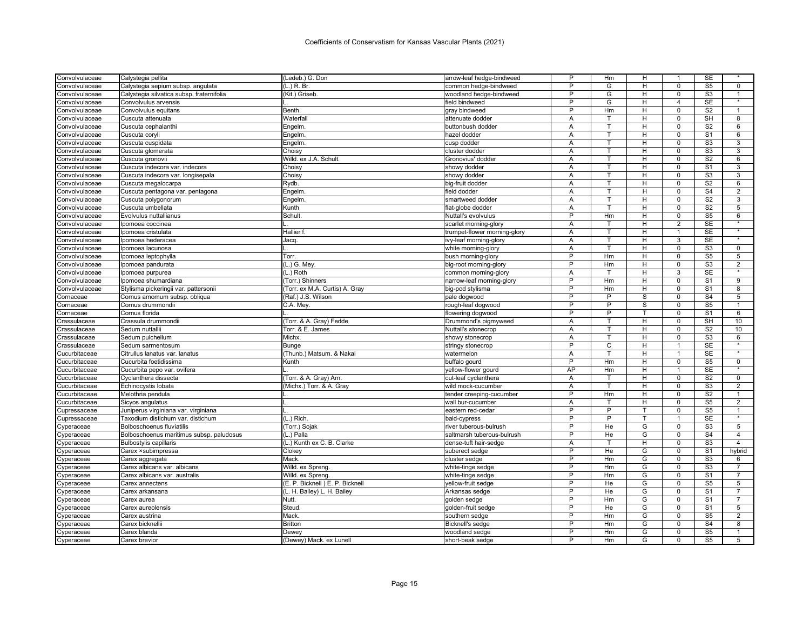| Convolvulaceae | Calystegia pellita                        | (Ledeb.) G. Don                 | arrow-leaf hedge-bindweed    | P              | Hm             | н              | 1              | SE                     |                   |
|----------------|-------------------------------------------|---------------------------------|------------------------------|----------------|----------------|----------------|----------------|------------------------|-------------------|
| Convolvulaceae | Calystegia sepium subsp. angulata         | (L.) R. Br.                     | common hedge-bindweed        | P              | G              | H              | $\Omega$       | S <sub>5</sub>         | $\mathbf 0$       |
| Convolvulaceae | Calystegia silvatica subsp. fraternifolia | (Kit.) Griseb.                  | woodland hedge-bindweed      | P              | G              | н              | $\mathbf 0$    | S <sub>3</sub>         | $\mathbf{1}$      |
| Convolvulaceae | Convolvulus arvensis                      |                                 | field bindweed               | P              | G              | H              | 4              | <b>SE</b>              | $\star$           |
| Convolvulaceae | Convolvulus equitans                      | Benth.                          | gray bindweed                | P              | Hm             | н              | $\mathbf 0$    | S <sub>2</sub>         | $\overline{1}$    |
| Convolvulaceae | Cuscuta attenuata                         | Waterfall                       | attenuate dodder             | A              |                | H              | $\Omega$       | SH                     | 8                 |
| Convolvulaceae | Cuscuta cephalanthi                       | Engelm                          | buttonbush dodder            | A              | T              | H              | $\Omega$       | S <sub>2</sub>         | 6                 |
| Convolvulaceae | Cuscuta coryli                            | <b>Engelm</b>                   | hazel dodder                 | Α              | т              | н              | $\mathbf 0$    | S <sub>1</sub>         | 6                 |
| Convolvulaceae | Cuscuta cuspidata                         | <b>Engelm</b>                   | cusp dodder                  | A              | T              | H              | $\mathbf 0$    | S3                     | 3                 |
| Convolvulaceae | Cuscuta glomerata                         | Choisy                          | cluster dodder               | A              | т              | H              | $\mathbf 0$    | S <sub>3</sub>         | 3                 |
| Convolvulaceae | Cuscuta gronovii                          | Willd. ex J.A. Schult           | Gronovius' dodder            | Α              | T              | н              | 0              | S <sub>2</sub>         | 6                 |
| Convolvulaceae | Cuscuta indecora var. indecora            | Choisy                          | showy dodder                 | Α              | T.             | н              | $\mathbf 0$    | S <sub>1</sub>         | 3                 |
| Convolvulaceae | Cuscuta indecora var. longisepala         | Choisy                          | showy dodder                 | A              | T              | H              | $\mathbf 0$    | S <sub>3</sub>         | 3                 |
| Convolvulaceae | Cuscuta megalocarpa                       | Rydb.                           | big-fruit doddei             | Α              | T              | H              | $\mathbf 0$    | S <sub>2</sub>         | 6                 |
| Convolvulaceae | Cuscuta pentagona var. pentagona          | Engelm                          | field dodder                 | Α              | T              | H              | $\mathbf 0$    | S <sub>4</sub>         | $\overline{2}$    |
| Convolvulaceae | Cuscuta polygonorum                       | Engelm.                         | smartweed dodder             | Α              | т              | н              | $\mathbf 0$    | S <sub>2</sub>         | 3                 |
| Convolvulaceae | Cuscuta umbellata                         | Kunth                           | flat-globe dodder            | A              | т              | H              | $\Omega$       | S <sub>2</sub>         | 5                 |
| Convolvulaceae | Evolvulus nuttallianus                    | Schult.                         | Nuttall's evolvulus          | P              | Hm             | H              | $\Omega$       | S <sub>5</sub>         | 6                 |
| Convolvulaceae | Ipomoea coccinea                          |                                 | scarlet morning-glory        | A              | T              | H              | $\overline{2}$ | SE                     | $\star$           |
| Convolvulaceae | Ipomoea cristulata                        | Hallier f                       | trumpet-flower morning-glory | Α              | T              | H              | $\overline{1}$ | SE                     | $\star$           |
| Convolvulaceae | Ipomoea hederacea                         | Jacq.                           | ivy-leaf morning-glory       | A              | T              | H              | 3              | <b>SE</b>              | $\star$           |
| Convolvulaceae | Ipomoea lacunosa                          |                                 | white morning-glory          | Α              | T.             | н              | $\mathbf 0$    | S <sub>3</sub>         | 0                 |
| Convolvulaceae |                                           | Torr.                           |                              | P              | Hm             | H              | $\Omega$       | S <sub>5</sub>         | 5                 |
|                | Ipomoea leptophylla                       | (L.) G. Mey.                    | bush morning-glory           | P              | Hm             | н              | $\mathbf 0$    | S <sub>3</sub>         | $\overline{c}$    |
| Convolvulaceae | Ipomoea pandurata                         |                                 | big-root morning-glory       |                |                | H              | 3              | SE                     |                   |
| Convolvulaceae | Ipomoea purpurea                          | (L.) Roth                       | common morning-glory         | Α<br>P         | Hm             | H              | $\mathbf 0$    | S <sub>1</sub>         | $\overline{9}$    |
| Convolvulaceae | Ipomoea shumardiana                       | (Torr.) Shinners                | narrow-leaf morning-glory    |                |                |                |                |                        |                   |
| Convolvulaceae | Stylisma pickeringii var. pattersonii     | Torr. ex M.A. Curtis) A. Gray   | big-pod stylisma             | P              | Hm             | H              | $\mathbf 0$    | S <sub>1</sub>         | 8                 |
| Cornaceae      | Cornus amomum subsp. obliqua              | (Raf.) J.S. Wilson              | pale dogwood                 | P              | P              | S              | $\Omega$       | S <sub>4</sub>         | 5                 |
| Cornaceae      | Cornus drummondii                         | C.A. Mey.                       | rough-leaf dogwood           | P              | P              | S              | $\mathbf 0$    | S <sub>5</sub>         | $\mathbf{1}$      |
| Cornaceae      | Cornus florida                            |                                 | flowering dogwood            | P              | P              |                | $\Omega$       | S <sub>1</sub>         | 6                 |
| Crassulaceae   | Crassula drummondii                       | (Torr. & A. Gray) Fedde         | Drummond's pigmyweed         | A              | т              | H              | $\Omega$       | <b>SH</b>              | 10                |
| Crassulaceae   | Sedum nuttallii                           | Torr. & E. James                | Nuttall's stonecrop          | Α              | т              | H              | $\mathbf 0$    | S <sub>2</sub>         | 10                |
| Crassulaceae   | Sedum pulchellum                          | <b>Michx</b>                    | showy stonecrop              | A              | т              | $\overline{H}$ | $\overline{0}$ | S <sub>3</sub>         | $6\overline{6}$   |
| Crassulaceae   | Sedum sarmentosum                         | Bunge                           | stringy stonecrop            | P              | $\overline{C}$ | H              | $\mathbf{1}$   | <b>SE</b>              |                   |
| Cucurbitaceae  | Citrullus lanatus var. lanatus            | (Thunb.) Matsum. & Nakai        | watermelon                   | Α              | T              | H              | 1              | SE                     | $\overline{\ast}$ |
| Cucurbitaceae  | Cucurbita foetidissima                    | Kunth                           | buffalo gourd                | P              | Hm             | H              | $\mathbf 0$    | S <sub>5</sub>         | $\mathbf 0$       |
| Cucurbitaceae  | Cucurbita pepo var. ovifera               |                                 | yellow-flower gourd          | AP             | Hm             | H              | 1              | SE                     |                   |
| Cucurbitaceae  | Cyclanthera dissecta                      | (Torr. & A. Gray) Arn           | cut-leaf cyclanthera         | A              | т              | H              | $\Omega$       | S <sub>2</sub>         | $\mathbf 0$       |
| Cucurbitaceae  | Echinocystis lobata                       | (Michx.) Torr. & A. Gray        | wild mock-cucumber           | Α              | T              | H              | $\mathbf 0$    | S3                     | $\overline{2}$    |
| Cucurbitaceae  | Melothria pendula                         |                                 | tender creeping-cucumber     | P              | Hm             | H              | $\mathbf 0$    | S <sub>2</sub>         | 1                 |
| Cucurbitaceae  | Sicyos angulatus                          |                                 | wall bur-cucumber            | A              | т              | H              | $\Omega$       | S <sub>5</sub>         | 2                 |
| Cupressaceae   | Juniperus virginiana var. virginiana      |                                 | eastern red-cedar            | P              | P              |                | $\Omega$       | S <sub>5</sub>         | 1                 |
| Cupressaceae   | Taxodium distichum var. distichum         | (L.) Rich                       | bald-cypress                 | P              | P              | T              | $\mathbf{1}$   | <b>SE</b>              | $\star$           |
| Cyperaceae     | <b>Bolboschoenus fluviatilis</b>          | (Torr.) Sojak                   | river tuberous-bulrush       | P              | He             | G              | $\mathbf 0$    | S <sub>3</sub>         | 5                 |
| Cyperaceae     | Bolboschoenus maritimus subsp. paludosus  | (L.) Palla                      | saltmarsh tuberous-bulrush   | P              | He             | G              | $\Omega$       | S <sub>4</sub>         | $\overline{4}$    |
| Cyperaceae     | <b>Bulbostylis capillaris</b>             | (L.) Kunth ex C. B. Clarke      | dense-tuft hair-sedge        | Α              | T              | H              | $\mathbf 0$    | S3                     | $\overline{4}$    |
| Cyperaceae     | Carex × subimpressa                       | Clokey                          | suberect sedge               | P              | He             | G              | $\Omega$       | S <sub>1</sub>         | hybrid            |
| Cyperaceae     | Carex aggregata                           | Mack.                           | cluster sedge                | $\overline{P}$ | Hm             | G              | $\mathbf 0$    | $\overline{\text{S3}}$ | 6                 |
| Cyperaceae     | Carex albicans var. albicans              | Willd. ex Spreng.               | white-tinge sedge            | P              | Hm             | G              | $\Omega$       | S <sub>3</sub>         |                   |
| Cyperaceae     | Carex albicans var. australis             | Willd. ex Spreng.               | white-tinge sedge            | $\overline{P}$ | Hm             | G              | $\mathbf 0$    | S <sub>1</sub>         | $\overline{7}$    |
| Cyperaceae     | Carex annectens                           | (E. P. Bicknell) E. P. Bicknell | yellow-fruit sedge           | P              | He             | G              | $\mathbf 0$    | S <sub>5</sub>         | 5                 |
| Cyperaceae     | Carex arkansana                           | (L. H. Bailey) L. H. Bailey     | Arkansas sedge               | P              | He             | G              | $\Omega$       | S <sub>1</sub>         | $\overline{7}$    |
| Cyperaceae     | Carex aurea                               | Nutt.                           | golden sedge                 | P              | Hm             | G              | $\mathbf 0$    | S <sub>1</sub>         | $\overline{7}$    |
| Cyperaceae     | Carex aureolensis                         | Steud                           | golden-fruit sedge           | P              | He             | G              | 0              | S <sub>1</sub>         | 5                 |
| Cyperaceae     | Carex austrina                            | Mack.                           | southern sedge               | P              | Hm             | G              | $\mathbf 0$    | S <sub>5</sub>         | 2                 |
| Cyperaceae     | Carex bicknellii                          | <b>Britton</b>                  | <b>Bicknell's sedge</b>      | P              | Hm             | G              | $\mathbf 0$    | S <sub>4</sub>         | 8                 |
| Cyperaceae     | Carex blanda                              | Dewey                           | woodland sedge               | P              | Hm             | G              | $\Omega$       | S <sub>5</sub>         |                   |
| Cyperaceae     | Carex brevior                             | (Dewey) Mack. ex Lunell         | short-beak sedge             | P              | Hm             | G              | $\Omega$       | S <sub>5</sub>         | 5                 |
|                |                                           |                                 |                              |                |                |                |                |                        |                   |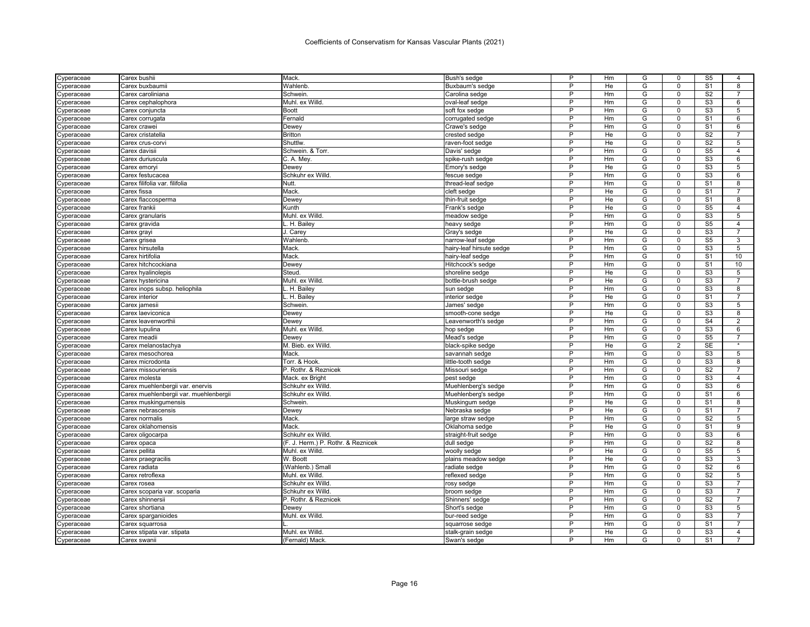| Cyperaceae  | Carex bushii                           | Mack.                              | Bush's sedge             | P      | Hm | G                   | $\Omega$             | S5                                | 4              |
|-------------|----------------------------------------|------------------------------------|--------------------------|--------|----|---------------------|----------------------|-----------------------------------|----------------|
| Cyperaceae  | Carex buxbaumii                        | Wahlenb.                           | Buxbaum's sedge          | P      | He | G                   | $\Omega$             | S <sub>1</sub>                    | 8              |
| Cyperaceae  | Carex caroliniana                      | Schwein.                           | Carolina sedge           | P      | Hm | G                   | $\mathbf 0$          | S <sub>2</sub>                    | $\overline{7}$ |
| Cyperaceae  | Carex cephalophora                     | Muhl, ex Willd.                    | oval-leaf sedge          | P      | Hm | G                   | $\Omega$             | S <sub>3</sub>                    | 6              |
| Cyperaceae  | Carex conjuncta                        | <b>Boott</b>                       | soft fox sedge           | P      | Hm | G                   | 0                    | S <sub>3</sub>                    | 5              |
| yperaceae   | Carex corrugata                        | Fernald                            | corrugated sedge         | P      | Hm | G                   | $\Omega$             | S <sub>1</sub>                    | 6              |
| Cyperaceae  | Carex crawei                           | Dewey                              | Crawe's sedge            | P      | Hm | G                   | $\Omega$             | S <sub>1</sub>                    | 6              |
| Cyperaceae  | Carex cristatella                      | <b>Britton</b>                     | crested sedge            | P      | He | G                   | $\Omega$             | S <sub>2</sub>                    | 7              |
| yperaceae   | Carex crus-corv                        | Shuttlw                            | raven-foot sedge         | P      | He | G                   | $\Omega$             | S <sub>2</sub>                    | 5              |
| :yperaceae  | Carex davisii                          | Schwein. & Torr.                   | Davis' sedge             | P      | Hm | G                   | $\mathbf 0$          | S <sub>5</sub>                    | 4              |
| :yperaceae  | Carex duriuscula                       | C. A. Mey                          | spike-rush sedge         | P      | Hm | G                   | $\Omega$             | S <sub>3</sub>                    | 6              |
| Cyperaceae  | Carex emoryi                           | Dewey                              | Emory's sedge            | P      | He | G                   | $\Omega$             | S3                                | 5              |
| yperaceae;  | Carex festucacea                       | Schkuhr ex Willd.                  | fescue sedge             | P      | Hm | G                   | $\Omega$             | S <sub>3</sub>                    | 6              |
| Cyperaceae  | Carex filifolia var. filifolia         | Nutt.                              | thread-leaf sedge        | P      | Hm | G                   | $\Omega$             | S <sub>1</sub>                    | 8              |
| Cyperaceae  | Carex fissa                            | Mack                               | cleft sedge              | P      | He | G                   | $\mathbf 0$          | S <sub>1</sub>                    | 7              |
| ://peraceae | Carex flaccosperma                     | Dewey                              | thin-fruit sedge         | P      | He | G                   | $\Omega$             | S <sub>1</sub>                    | 8              |
| :yperaceae  | Carex frankii                          | Kunth                              | Frank's sedge            | P      | He | G                   | $\overline{0}$       | S <sub>5</sub>                    | $\overline{4}$ |
|             |                                        | Muhl. ex Willd                     |                          | P      | Hm | G                   | $\Omega$             | S <sub>3</sub>                    | 5              |
| Cyperaceae  | Carex granularis                       | H. Bailey                          | meadow sedge             | P      | Hm | G                   | $\mathbf 0$          | S <sub>5</sub>                    | $\overline{4}$ |
| Cyperaceae  | Carex gravida                          |                                    | heavy sedge              | P      | He |                     | $\Omega$             | S <sub>3</sub>                    | 7              |
| Cyperaceae  | Carex grayi                            | J. Carey                           | Gray's sedge             | P      | Hm | G<br>G              | $\Omega$             | S <sub>5</sub>                    | 3              |
| Cyperaceae  | Carex grisea                           | Wahlenb                            | narrow-leaf sedge        |        |    |                     |                      |                                   |                |
| :yperaceae  | Carex hirsutella                       | Mack                               | hairy-leaf hirsute sedge | P<br>P | Hm | G<br>$\overline{G}$ | $\Omega$<br>$\Omega$ | S <sub>3</sub><br>$\overline{S1}$ | 5<br>10        |
| yperaceae   | Carex hirtifolia                       | Mack                               | hairy-leaf sedge         |        | Hm |                     |                      |                                   |                |
| Cyperaceae  | Carex hitchcockiana                    | <b>Dewey</b>                       | Hitchcock's sedge        | P      | Hm | G                   | $\Omega$             | $\overline{s_1}$                  | 10             |
| :yperaceae  | Carex hyalinolepis                     | Steud.                             | shoreline sedge          | P      | He | G                   | $\Omega$             | S <sub>3</sub>                    | 5              |
| :yperaceae  | Carex hystericina                      | Muhl. ex Willd.                    | bottle-brush sedge       | P      | He | G                   | $\Omega$             | S <sub>3</sub>                    | $\overline{7}$ |
| ≿yperaceae  | Carex inops subsp. heliophila          | H. Bailey                          | sun sedge                | P      | Hm | G                   | $\Omega$             | S <sub>3</sub>                    | 8              |
| Cyperaceae  | Carex interior                         | L. H. Bailev                       | interior sedge           | P      | He | G                   | $\Omega$             | S <sub>1</sub>                    | $\overline{7}$ |
| :yperaceae  | Carex jamesii                          | Schwein.                           | James' sedge             | P      | Hm | G                   | $\mathbf 0$          | S <sub>3</sub>                    | 5              |
| :yperaceae  | Carex laeviconica                      | Dewey                              | smooth-cone sedge        | P      | He | G                   | $\Omega$             | S <sub>3</sub>                    | 8              |
| Cyperaceae  | Carex leavenworthii                    | Dewey                              | Leavenworth's sedge      | P      | Hm | G                   | $\Omega$             | S <sub>4</sub>                    | $\overline{2}$ |
| Cyperaceae  | Carex lupulina                         | Muhl. ex Willd.                    | hop sedge                | P      | Hm | G                   | $\Omega$             | S <sub>3</sub>                    | 6              |
| Cyperaceae  | Carex meadii                           | Dewey                              | Mead's sedge             | P      | Hm | G                   | $\Omega$             | S <sub>5</sub>                    | $\overline{7}$ |
| ≿yperaceae  | Carex melanostachya                    | M. Bieb. ex Willd.                 | black-spike sedge        | P      | He | G                   | $\overline{2}$       | <b>SE</b>                         |                |
| Cyperaceae  | Carex mesochorea                       | Mack                               | savannah sedge           | P      | Hm | G                   | $\Omega$             | S <sub>3</sub>                    | 5              |
| Cyperaceae  | Carex microdonta                       | Torr. & Hook.                      | little-tooth sedge       | P      | Hm | G                   | $\Omega$             | S <sub>3</sub>                    | 8              |
| Cyperaceae  | Carex missouriensis                    | P. Rothr. & Reznicek               | Missouri sedge           | P      | Hm | G                   | $\Omega$             | S <sub>2</sub>                    | 7              |
| Cyperaceae  | Carex molesta                          | Mack. ex Bright                    | pest sedge               | P      | Hm | G                   | $\Omega$             | S <sub>3</sub>                    | 4              |
| Cyperaceae  | Carex muehlenbergii var. enervis       | Schkuhr ex Willd.                  | Muehlenberg's sedge      | P      | Hm | G                   | $\Omega$             | S <sub>3</sub>                    | 6              |
| yperaceae   | Carex muehlenbergii var. muehlenbergii | Schkuhr ex Willd.                  | Muehlenberg's sedge      | P      | Hm | G                   | $\Omega$             | S <sub>1</sub>                    | 6              |
| ≿yperaceae  | Carex muskingumensis                   | Schwein                            | Muskingum sedge          | P      | He | G                   | $\mathbf 0$          | S <sub>1</sub>                    | 8              |
| :yperaceae  | Carex nebrascensis                     | Dewey                              | Nebraska sedge           | P      | He | G                   | $\Omega$             | S <sub>1</sub>                    | 7              |
| Cyperaceae  | Carex normalis                         | Mack                               | large straw sedge        | P      | Hm | G                   | $\Omega$             | S <sub>2</sub>                    | 5              |
| Cyperaceae  | Carex oklahomensis                     | Mack                               | Oklahoma sedge           | P      | He | G                   | $\Omega$             | S <sub>1</sub>                    | 9              |
| Cyperaceae  | Carex oligocarpa                       | Schkuhr ex Willd.                  | straight-fruit sedge     | P      | Hm | G                   | $\Omega$             | S <sub>3</sub>                    | 6              |
| :yperaceae  | Carex opaca                            | (F. J. Herm.) P. Rothr. & Reznicek | dull sedge               | P      | Hm | G                   | $\mathbf 0$          | S <sub>2</sub>                    | 8              |
| Cyperaceae  | Carex pellita                          | Muhl. ex Willd.                    | woolly sedge             | P      | He | G                   | $\Omega$             | S <sub>5</sub>                    | 5              |
| Cyperaceae  | Carex praegracilis                     | W. Boott                           | plains meadow sedge      | P      | He | G                   | $\Omega$             | S3                                | 3              |
| Cyperaceae  | Carex radiata                          | (Wahlenb.) Small                   | radiate sedge            | P      | Hm | G                   | $\Omega$             | S <sub>2</sub>                    | 6              |
| Cyperaceae  | Carex retroflexa                       | Muhl. ex Willd                     | reflexed sedge           | P      | Hm | G                   | $\Omega$             | S <sub>2</sub>                    | 5              |
|             | Carex rosea                            | Schkuhr ex Willd.                  | rosy sedge               | P      | Hm | G                   | $\Omega$             | S <sub>3</sub>                    | 7              |
| Cyperaceae  |                                        |                                    |                          | P      |    | G                   | $\Omega$             |                                   | $\overline{7}$ |
| ≿yperaceae  | Carex scoparia var. scoparia           | Schkuhr ex Willd.                  | broom sedge              | P      | Hm |                     |                      | S <sub>3</sub>                    |                |
| Cyperaceae  | Carex shinnersii                       | P. Rothr. & Reznicek               | Shinners' sedge          | P      | Hm | G                   | $\Omega$             | S <sub>2</sub>                    | $\overline{7}$ |
| :yperaceae  | Carex shortiana                        | Dewey                              | Short's sedge            |        | Hm | G                   | $\Omega$             | S <sub>3</sub>                    | 5              |
| Cyperaceae  | Carex sparganioides                    | Muhl. ex Willd                     | bur-reed sedge           | P      | Hm | G                   | $\Omega$             | S <sub>3</sub>                    | $\overline{7}$ |
| Cyperaceae  | Carex squarrosa                        |                                    | squarrose sedge          | P      | Hm | G                   | $\mathbf 0$          | S <sub>1</sub>                    | 7              |
| Cyperaceae  | Carex stipata var. stipata             | Muhl. ex Willd.                    | stalk-grain sedge        | P      | He | G                   | $\Omega$             | S <sub>3</sub>                    | 4              |
| Cyperaceae  | Carex swanii                           | (Fernald) Mack.                    | Swan's sedge             | P      | Hm | G                   | $\Omega$             | $\overline{S1}$                   | $\overline{7}$ |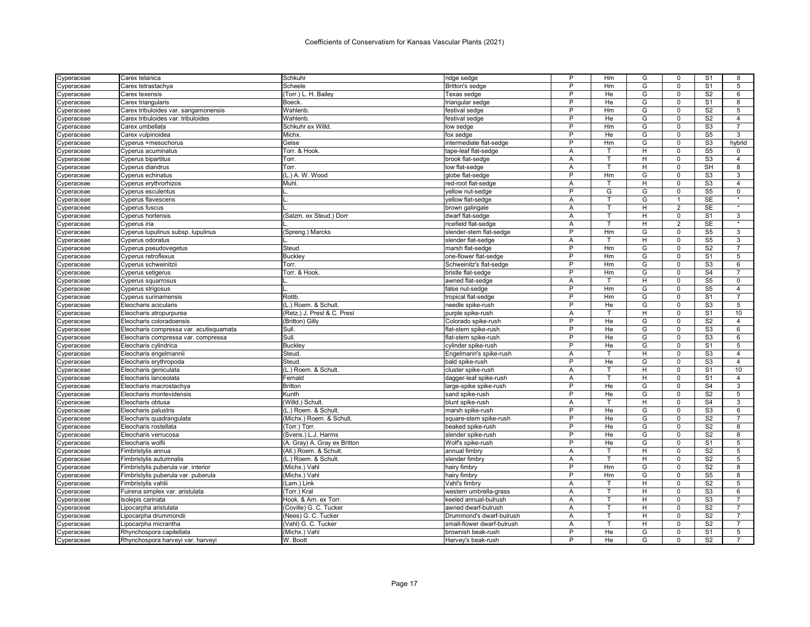| Cyperaceae | Carex tetanica                          | Schkuhr                      | ridge sedge                | P              | Hm | G              | 0                       | S <sub>1</sub>  | 8                   |
|------------|-----------------------------------------|------------------------------|----------------------------|----------------|----|----------------|-------------------------|-----------------|---------------------|
| Cyperaceae | Carex tetrastachya                      | Scheele                      | <b>Britton's sedge</b>     | P              | Hm | G              | $\mathbf 0$             | S <sub>1</sub>  | 5                   |
| Cyperaceae | Carex texensis                          | Torr.) L. H. Bailey          | Texas sedge                | P              | He | G              | $\mathbf 0$             | S <sub>2</sub>  | 6                   |
| Cyperaceae | Carex triangularis                      | Boeck                        | triangular sedge           | P              | He | G              | $\Omega$                | S <sub>1</sub>  | 8                   |
| Cyperaceae | Carex tribuloides var. sangamonensis    | Wahlenb.                     | festival sedge             | P              | Hm | G              | $\mathbf 0$             | S <sub>2</sub>  | 5                   |
| Cyperaceae | Carex tribuloides var. tribuloides      | Wahlenb.                     | festival sedge             | P              | He | G              | $\Omega$                | S <sub>2</sub>  | $\overline{4}$      |
| Cyperaceae | Carex umbellata                         | Schkuhr ex Willd.            | low sedge                  | P              | Hm | G              | $\mathbf 0$             | S <sub>3</sub>  | $\overline{7}$      |
| Cyperaceae | Carex vulpinoidea                       | Michx.                       | fox sedge                  | P              | He | G              | 0                       | S <sub>5</sub>  | 3                   |
| Cyperaceae | Cyperus ×mesochorus                     | Geise                        | intermediate flat-sedge    | P              | Hm | G              | $\mathbf 0$             | S <sub>3</sub>  | hybrid              |
| Cyperaceae | Cyperus acuminatus                      | Torr. & Hook.                | tape-leaf flat-sedge       | A              | т  | H              | $\mathbf 0$             | S <sub>5</sub>  | 0                   |
| Cyperaceae | Cyperus bipartitus                      | Torr.                        | brook flat-sedge           | Α              | T  | H              | $\Omega$                | S <sub>3</sub>  | $\overline{4}$      |
| Cyperaceae | Cyperus diandrus                        | Torr.                        | low flat-sedge             | Α              | т  | н              | $\mathbf 0$             | SH              | 8                   |
| Cyperaceae | Cyperus echinatus                       | (L.) A. W. Wood              | globe flat-sedge           | P              | Hm | G              | $\mathbf 0$             | S <sub>3</sub>  | 3                   |
| Cyperaceae | Cyperus erythrorhizos                   | Muhl                         | red-root flat-sedge        | A              | т  | H              | $\mathbf 0$             | S <sub>3</sub>  | $\overline{4}$      |
| Cyperaceae | Cyperus esculentus                      |                              | vellow nut-sedge           | P              | G  | G              | $\Omega$                | S <sub>5</sub>  | $\Omega$            |
| Cyperaceae | Cyperus flavescens                      |                              | vellow flat-sedge          | A              | Ŧ  | G              | 1                       | <b>SE</b>       | $\star$             |
| Cyperaceae | Cyperus fuscus                          |                              | brown galingale            | A              | т  | H              | 2                       | <b>SE</b>       |                     |
| Cyperaceae | Cyperus hortensis                       | (Salzm. ex Steud.) Dorr      | dwarf flat-sedge           | Α              | T  | H              | $\Omega$                | S <sub>1</sub>  | 3                   |
| Cyperaceae | Cyperus iria                            |                              | ricefield flat-sedge       | Α              | T. | H              | 2                       | <b>SE</b>       | $\star$             |
| Cyperaceae | Cyperus lupulinus subsp. lupulinus      | (Spreng.) Marcks             | slender-stem flat-sedge    | P              | Hm | G              | 0                       | S <sub>5</sub>  | 3                   |
| Cyperaceae | Cyperus odoratus                        |                              | slender flat-sedge         | A              | T  | H              | $\Omega$                | S <sub>5</sub>  | 3                   |
| Cyperaceae | Cyperus pseudovegetus                   | Steud.                       | marsh flat-sedge           | $\mathsf{P}$   | Hm | G              | $\mathbf 0$             | S <sub>2</sub>  | $\overline{7}$      |
| :yperaceae | Cyperus retroflexus                     | Buckley                      | one-flower flat-sedge      | $\overline{P}$ | Hm | $\overline{G}$ | $\mathbf 0$             | S <sub>1</sub>  | 5                   |
| Cyperaceae | Cyperus schweinitzi                     | Torr.                        | Schweinitz's flat-sedge    | P              | Hm | G              | $\mathbf 0$             | S <sub>3</sub>  | 6                   |
|            | Cyperus setigerus                       | Torr. & Hook.                | bristle flat-sedge         | P              | Hm | G              | $\Omega$                | S <sub>4</sub>  | 7                   |
| Cyperaceae | <b>Cyperus squarrosus</b>               |                              | awned flat-sedge           | Α              | т  | H              | $\Omega$                | S <sub>5</sub>  | $\Omega$            |
| Cyperaceae |                                         |                              |                            | P              |    |                |                         |                 |                     |
| Cyperaceae | Cyperus strigosus                       |                              | false nut-sedge            | P              | Hm | G              | $\mathbf 0$<br>$\Omega$ | S <sub>5</sub>  | 4<br>$\overline{7}$ |
| Cyperaceae | <b>Cyperus surinamensis</b>             | Rottb.                       | tropical flat-sedge        |                | Hm | G              |                         | S <sub>1</sub>  |                     |
| Cyperaceae | Eleocharis acicularis                   | (L.) Roem. & Schult.         | needle spike-rush          | P              | He | G              | $\mathbf 0$             | S <sub>3</sub>  | 5                   |
| Cyperaceae | Eleocharis atropurpurea                 | (Retz.) J. Presl & C. Presl  | purple spike-rush          | A              |    | H              | $\Omega$                | S <sub>1</sub>  | 10                  |
| Cyperaceae | Eleocharis coloradoensis                | (Britton) Gilly              | Colorado spike-rush        | P              | He | G              | $\mathbf 0$             | S <sub>2</sub>  | $\overline{4}$      |
| Cyperaceae | Eleocharis compressa var. acutisquamata | Sull.                        | flat-stem spike-rush       | P              | He | G              | $\Omega$                | S <sub>3</sub>  | 6                   |
| Cyperaceae | Eleocharis compressa var. compressa     | Sull.                        | flat-stem spike-rush       | P              | He | G              | $\mathbf 0$             | S <sub>3</sub>  | 6                   |
| Cyperaceae | Eleocharis cylindrica                   | Buckley                      | cylinder spike-rush        | P              | He | G              | $\mathbf 0$             | S <sub>1</sub>  | 5                   |
| Cyperaceae | Eleocharis engelmannii                  | Steud                        | Engelmann's spike-rush     | A              |    | H              | $\Omega$                | S <sub>3</sub>  | $\overline{4}$      |
| Cyperaceae | Eleocharis erythropoda                  | Steud                        | bald spike-rush            | P              | He | G              | $\mathbf 0$             | S <sub>3</sub>  | $\overline{4}$      |
| Cyperaceae | Eleocharis geniculata                   | (L.) Roem. & Schult.         | cluster spike-rush         | Α              |    | н              | 0                       | S <sub>1</sub>  | 10                  |
| Cyperaceae | Eleocharis lanceolata                   | Fernald                      | dagger-leaf spike-rush     | Α              | T. | H              | $\mathbf 0$             | S <sub>1</sub>  | $\overline{4}$      |
| Cyperaceae | Eleocharis macrostachya                 | Britton                      | large-spike spike-rush     | P              | He | G              | $\mathbf 0$             | S <sub>4</sub>  | 3                   |
| Cyperaceae | Eleocharis montevidensis                | Kunth                        | sand spike-rush            | P              | He | G              | $\mathbf 0$             | S <sub>2</sub>  | 5                   |
| Cyperaceae | Eleocharis obtusa                       | (Willd.) Schult.             | blunt spike-rush           | A              | т  | H              | $\mathbf 0$             | S <sub>4</sub>  | 3                   |
| Cyperaceae | Eleocharis palustris                    | (L.) Roem. & Schult.         | marsh spike-rush           | P              | He | G              | $\Omega$                | S <sub>3</sub>  | 6                   |
| Cyperaceae | Eleocharis quadrangulata                | (Michx.) Roem. & Schult      | square-stem spike-rush     | P              | He | G              | $\Omega$                | S <sub>2</sub>  | $\overline{7}$      |
| Cyperaceae | Eleocharis rostellata                   | (Torr.) Torr.                | beaked spike-rush          | P              | He | G              | $\mathbf 0$             | S <sub>2</sub>  | 8                   |
| Cyperaceae | Eleocharis verrucosa                    | (Svens.) L.J. Harms          | slender spike-rush         | P              | He | G              | $\Omega$                | S <sub>2</sub>  | 8                   |
| Cyperaceae | Eleocharis wolfii                       | (A. Gray) A. Gray ex Britton | Wolf's spike-rush          | P              | He | G              | $\mathbf 0$             | S <sub>1</sub>  | 5                   |
| yperaceae; | Fimbristylis annua                      | (All.) Roem. & Schult        | annual fimbry              | A              | т  | H              | $\Omega$                | S <sub>2</sub>  | 5                   |
| Cyperaceae | Fimbristylis autumnalis                 | (L.) Roem. & Schult          | slender fimbry             | A              | T  | H              | $\mathbf 0$             | $\overline{S2}$ | $\overline{5}$      |
| Cyperaceae | Fimbristylis puberula var. interior     | (Michx.) Vahl                | hairy fimbry               | P              | Hm | G              | $\Omega$                | S <sub>2</sub>  | 8                   |
| Cyperaceae | Fimbristylis puberula var. puberula     | (Michx.) Vahl                | hairy fimbry               | P              | Hm | G              | $\mathbf 0$             | S <sub>5</sub>  | 8                   |
| Cyperaceae | Fimbristylis vahlii                     | (Lam.) Link                  | Vahl's fimbry              | Α              |    | Н              | 0                       | S <sub>2</sub>  | 5                   |
| Cyperaceae | Fuirena simplex var. aristulata         | (Torr.) Kral                 | western umbrella-grass     | A              | T  | H              | $\Omega$                | S <sub>3</sub>  | 6                   |
| Cyperaceae | Isolepis carinata                       | Hook. & Arn. ex Torr.        | keeled annual-bulrush      | A              | T. | H              | $\mathbf 0$             | S <sub>3</sub>  | $\overline{7}$      |
| Cyperaceae | Lipocarpha aristulata                   | (Coville) G. C. Tucker       | awned dwarf-bulrush        | A              | T  | H              | $\Omega$                | S <sub>2</sub>  | $\overline{7}$      |
| Cyperaceae | Lipocarpha drummondii                   | (Nees) G. C. Tucker          | Drummond's dwarf-bulrush   | A              | т  | H              | $\Omega$                | S <sub>2</sub>  | $\overline{7}$      |
| Cyperaceae | Lipocarpha micrantha                    | (Vahl) G. C. Tucker          | small-flower dwarf-bulrush | A              |    | Н              | $\Omega$                | S <sub>2</sub>  | 7                   |
| Cyperaceae | Rhynchospora capitellata                | (Michx.) Vahl                | brownish beak-rush         | P              | He | G              | $\Omega$                | S <sub>1</sub>  | 5                   |
| Cyperaceae | Rhynchospora harveyi var. harveyi       | W. Boott                     | Harvey's beak-rush         | P              | He | G              | $\Omega$                | S <sub>2</sub>  |                     |
|            |                                         |                              |                            |                |    |                |                         |                 |                     |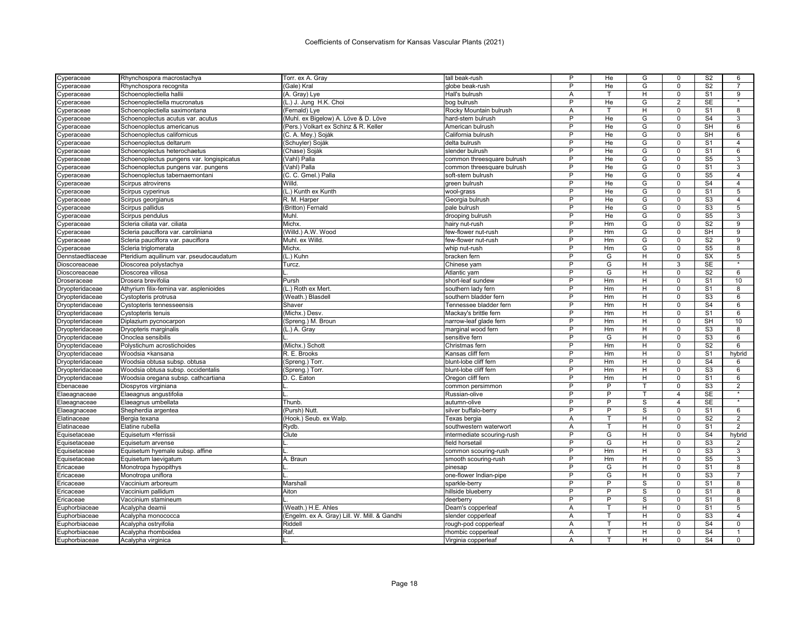| Cyperaceae       | Rhynchospora macrostachya                 | Torr. ex A. Gray                             | tall beak-rush             | P              | He             | G | 0                       | S <sub>2</sub>  | 6                 |
|------------------|-------------------------------------------|----------------------------------------------|----------------------------|----------------|----------------|---|-------------------------|-----------------|-------------------|
| Cyperaceae       | Rhynchospora recognita                    | (Gale) Kral                                  | globe beak-rush            | P              | He             | G | $\Omega$                | S <sub>2</sub>  | $\overline{7}$    |
| Cyperaceae       | Schoenoplectiella hallii                  | (A. Gray) Lye                                | Hall's bulrush             | А              | т              | H | $\mathbf 0$             | S <sub>1</sub>  | 9                 |
| Cyperaceae       | Schoenoplectiella mucronatus              | (L.) J. Jung H.K. Choi                       | bog bulrush                | P              | He             | G | $\overline{2}$          | <b>SE</b>       | $\overline{\ast}$ |
| Cyperaceae       | Schoenoplectiella saximontana             | (Fernald) Lye                                | Rocky Mountain bulrush     | Α              | т              | H | $\mathbf 0$             | S <sub>1</sub>  | 8                 |
| Cyperaceae       | Schoenoplectus acutus var. acutus         | (Muhl. ex Bigelow) A. Löve & D. Löve         | hard-stem bulrush          | P              | He             | G | $\Omega$                | S <sub>4</sub>  | 3                 |
| Cyperaceae       | Schoenoplectus americanus                 | (Pers.) Volkart ex Schinz & R. Keller        | American bulrush           | P              | He             | G | $\mathbf 0$             | <b>SH</b>       | 6                 |
| Cyperaceae       | Schoenoplectus californicus               | (C. A. Mey.) Soják                           | California bulrush         | P              | He             | G | $\mathbf 0$             | <b>SH</b>       | 6                 |
| Cyperaceae       | Schoenoplectus deltarum                   | (Schuyler) Soják                             | delta bulrush              | P              | He             | G | $\mathbf 0$             | S <sub>1</sub>  | $\overline{4}$    |
| Cyperaceae       | Schoenoplectus heterochaetus              | (Chase) Soják                                | slender bulrush            | P              | He             | G | $\Omega$                | S <sub>1</sub>  | 6                 |
| Cyperaceae       | Schoenoplectus pungens var. longispicatus | (Vahl) Palla                                 | common threesquare bulrush | P              | He             | G | $\Omega$                | S <sub>5</sub>  | 3                 |
| Cyperaceae       | Schoenoplectus pungens var. pungens       | (Vahl) Palla                                 | common threesquare bulrush | P              | He             | G | $\mathbf 0$             | S <sub>1</sub>  | 3                 |
| Cyperaceae       | Schoenoplectus tabernaemontani            | (C. C. Gmel.) Palla                          | soft-stem bulrush          | P              | He             | G | 0                       | S <sub>5</sub>  | $\overline{4}$    |
| Cyperaceae       | Scirpus atrovirens                        | Willd.                                       | green bulrush              | P              | He             | G | $\Omega$                | S <sub>4</sub>  | $\overline{4}$    |
| Cyperaceae       | Scirpus cyperinus                         | (L.) Kunth ex Kunth                          | wool-grass                 | P              | He             | G | $\mathsf 0$             | S <sub>1</sub>  | 5                 |
| Cyperaceae       | Scirpus georgianus                        | R. M. Harper                                 | Georgia bulrush            | P              | He             | G | $\Omega$                | S <sub>3</sub>  | $\overline{4}$    |
| Cyperaceae       | Scirpus pallidus                          | (Britton) Fernald                            | pale bulrush               | P              | He             | G | $\mathbf 0$             | $\overline{S3}$ | 5                 |
| Cyperaceae       | Scirpus pendulus                          | Muhl                                         | drooping bulrush           | P              | He             | G | $\Omega$                | S <sub>5</sub>  | 3                 |
| Cyperaceae       | Scleria ciliata var. ciliata              | Michx.                                       | hairy nut-rush             | P              | Hm             | G | $\mathbf 0$             | S <sub>2</sub>  | 9                 |
| Cyperaceae       | Scleria pauciflora var. caroliniana       | (Willd.) A.W. Wood                           | few-flower nut-rush        | P              | Hm             | G | $\mathbf 0$             | SH              | 9                 |
| Cyperaceae       | Scleria pauciflora var. pauciflora        | Muhl. ex Willd.                              | few-flower nut-rush        | P              | Hm             | G | $\Omega$                | S <sub>2</sub>  | 9                 |
| Cyperaceae       | Scleria triglomerata                      | Michx.                                       | whip nut-rush              | P              | Hm             | G | $\mathbf 0$             | S <sub>5</sub>  | 8                 |
| Dennstaedtiaceae | Pteridium aquilinum var. pseudocaudatum   | (L.) Kuhn                                    | bracken fern               | P              | G              | H | $\mathbf 0$             | <b>SX</b>       | 5                 |
| Dioscoreaceae    |                                           | <b>Turcz</b>                                 |                            | P              | G              | H | 3                       | <b>SE</b>       | $\star$           |
|                  | Dioscorea polystachya                     |                                              | Chinese yam                | P              |                |   | $\Omega$                |                 |                   |
| Dioscoreaceae    | Dioscorea villosa                         |                                              | Atlantic yam               | P              | G<br>Hm        | н | $\Omega$                | S <sub>2</sub>  | 6<br>10           |
| Droseraceae      | Drosera brevifolia                        | Pursh                                        | short-leaf sundew          |                |                | H |                         | S <sub>1</sub>  |                   |
| Dryopteridaceae  | Athyrium filix-femina var. asplenioides   | (L.) Roth ex Mert                            | southern lady fern         | P              | Hm             | H | 0                       | S <sub>1</sub>  | 8                 |
| Dryopteridaceae  | Cystopteris protrusa                      | (Weath.) Blasdell                            | southern bladder fern      | P              | Hm             | H | $\Omega$                | S <sub>3</sub>  | 6                 |
| Dryopteridaceae  | Cystopteris tennesseensis                 | Shaver                                       | Tennessee bladder fern     | $\overline{P}$ | Hm             | H | $\mathbf 0$             | S <sub>4</sub>  | 6                 |
| Dryopteridaceae  | Cystopteris tenuis                        | (Michx.) Desv.                               | Mackay's brittle fern      | P              | Hm             | H | $\Omega$                | S <sub>1</sub>  | 6                 |
| Dryopteridaceae  | Diplazium pycnocarpon                     | (Spreng.) M. Broun                           | narrow-leaf glade ferr     | P              | Hm             | н | $\mathbf 0$             | SH              | 10                |
| Dryopteridaceae  | Dryopteris marginalis                     | (L.) A. Gray                                 | marginal wood fern         | P              | Hm             | н | $\Omega$                | S <sub>3</sub>  | 8                 |
| Dryopteridaceae  | Onoclea sensibilis                        |                                              | sensitive fern             | P              | G              | H | $\mathbf 0$             | S <sub>3</sub>  | 6                 |
| Dryopteridaceae  | Polystichum acrostichoides                | (Michx.) Schott                              | Christmas fern             | P              | Hm             | H | $\mathbf 0$             | S <sub>2</sub>  | 6                 |
| Dryopteridaceae  | Woodsia ×kansana                          | R. E. Brooks                                 | Kansas cliff fern          | P              | Hm             | H | $\Omega$                | S <sub>1</sub>  | hybrid            |
| Dryopteridaceae  | Woodsia obtusa subsp. obtusa              | (Spreng.) Torr.                              | blunt-lobe cliff fern      | P              | Hm             | H | $\mathbf 0$             | S <sub>4</sub>  | 6                 |
| Dryopteridaceae  | Woodsia obtusa subsp. occidentalis        | (Spreng.) Torr.                              | blunt-lobe cliff fern      | P              | Hm             | H | $\mathbf 0$             | S <sub>3</sub>  | 6                 |
| Dryopteridaceae  | Woodsia oregana subsp. cathcartiana       | D. C. Eaton                                  | Oregon cliff fern          | P              | Hm             | H | $\mathbf 0$             | S <sub>1</sub>  | 6                 |
| Ebenaceae        | Diospyros virginiana                      |                                              | common persimmon           | P              | P              |   | 0                       | S <sub>3</sub>  | 2                 |
| Elaeagnaceae     | Elaeagnus angustifolia                    |                                              | Russian-olive              | P              | P              | т | $\overline{\mathbf{4}}$ | <b>SE</b>       | $\star$           |
| Elaeagnaceae     | Elaeagnus umbellata                       | Thunb.                                       | autumn-olive               | P              | $\overline{P}$ | s | $\overline{4}$          | <b>SE</b>       |                   |
| Elaeagnaceae     | Shepherdia argentea                       | (Pursh) Nutt                                 | silver buffalo-berry       | P              | P              | s | $\Omega$                | S <sub>1</sub>  | 6                 |
| Elatinaceae      | Bergia texana                             | (Hook.) Seub. ex Walp                        | Texas bergia               | Α              | т              | н | $\mathbf 0$             | S <sub>2</sub>  | 2                 |
| Elatinaceae      | Elatine rubella                           | Rydb.                                        | southwestern waterwort     | A              |                | H | $\mathbf 0$             | S <sub>1</sub>  | $\overline{2}$    |
| Equisetaceae     | Equisetum ×ferrissii                      | Clute                                        | intermediate scouring-rush | P              | G              | H | $\mathbf 0$             | S <sub>4</sub>  | hybrid            |
| Equisetaceae     | Equisetum arvense                         |                                              | field horsetail            | P              | G              | H | $\mathbf 0$             | S <sub>3</sub>  | 2                 |
| Equisetaceae     | Equisetum hyemale subsp. affine           |                                              | common scouring-rush       | P              | Hm             | H | $\mathbf 0$             | S <sub>3</sub>  | $\overline{3}$    |
| Equisetaceae     | Equisetum laevigatum                      | A. Braun                                     | smooth scouring-rush       | P              | Hm             | H | $\mathbf 0$             | S <sub>5</sub>  | 3                 |
| Ericaceae        | Monotropa hypopithys                      |                                              | pinesap                    | P              | G              | н | $\Omega$                | S <sub>1</sub>  | 8                 |
| Ericaceae        | Monotropa uniflora                        |                                              | one-flower Indian-pipe     | P              | G              | H | $\mathbf 0$             | S3              | $\overline{7}$    |
| Ericaceae        | Vaccinium arboreum                        | Marshall                                     | sparkle-berry              | P              | P              | S | 0                       | S <sub>1</sub>  | 8                 |
| Ericaceae        | Vaccinium pallidum                        | Aiton                                        | hillside blueberry         | P              | Þ              | S | $\mathbf 0$             | S <sub>1</sub>  | 8                 |
| Ericaceae        | Vaccinium stamineum                       |                                              | deerberry                  | P              | P              | S | $\mathsf 0$             | S <sub>1</sub>  | 8                 |
| Euphorbiaceae    | Acalypha deamii                           | (Weath.) H.E. Ahles                          | Deam's copperleaf          | A              | T              | H | $\mathbf 0$             | S <sub>1</sub>  | 5                 |
| Euphorbiaceae    | Acalypha monococca                        | (Engelm. ex A. Gray) Lill. W. Mill. & Gandhi | slender copperleat         | A              | т              | H | $\mathbf 0$             | S3              | 4                 |
| Euphorbiaceae    | Acalypha ostryifolia                      | Riddell                                      | ough-pod copperleat        | Α              | т              | H | $\Omega$                | S <sub>4</sub>  | $\Omega$          |
| Euphorbiaceae    | Acalypha rhomboidea                       | Raf.                                         | rhombic copperleat         | Α              | T              | н | $\Omega$                | S <sub>4</sub>  | $\mathbf 1$       |
| Euphorbiaceae    | Acalypha virginica                        |                                              | Virginia copperleaf        | A              |                | H | $\Omega$                | S <sub>4</sub>  | $\Omega$          |
|                  |                                           |                                              |                            |                |                |   |                         |                 |                   |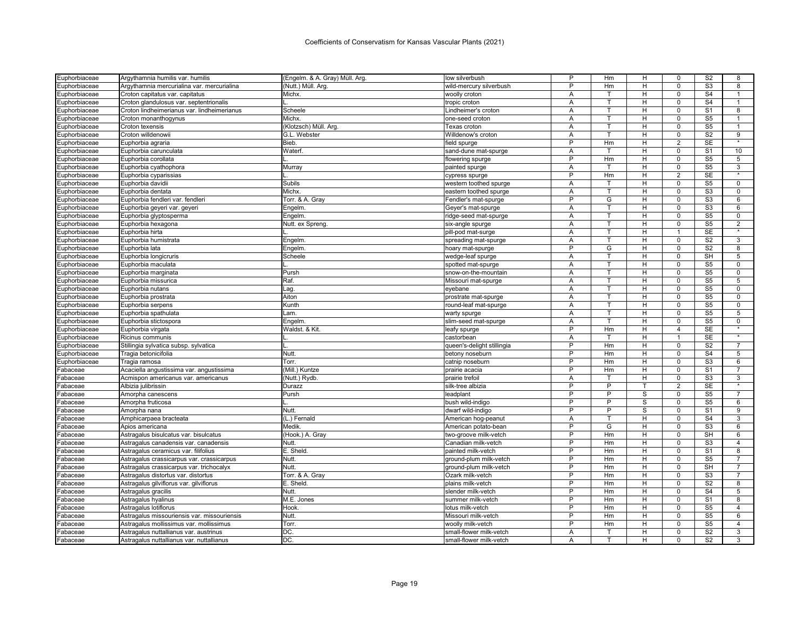| Euphorbiaceae        | Argythamnia humilis var. humilis            | (Engelm. & A. Gray) Müll. Arg. | low silverbush             | P              | Hm             | н  | 0                 | S <sub>2</sub> | 8              |
|----------------------|---------------------------------------------|--------------------------------|----------------------------|----------------|----------------|----|-------------------|----------------|----------------|
| Euphorbiaceae        | Argythamnia mercurialina var. mercurialina  | (Nutt.) Müll. Arg.             | wild-mercury silverbush    | P              | Hm             | н  | $\Omega$          | S <sub>3</sub> | 8              |
| Euphorbiaceae        | Croton capitatus var. capitatus             | Michx.                         | woolly croton              | Α              | т              | H  | $\Omega$          | S <sub>4</sub> | $\mathbf{1}$   |
| Euphorbiaceae        | Croton glandulosus var. septentrionalis     |                                | tropic croton              | Α              | т              | н  | $\Omega$          | S <sub>4</sub> | 1              |
| Euphorbiaceae        | Croton lindheimerianus var. lindheimerianus | Scheele                        | Lindheimer's croton        | A              | T.             | H  | $\Omega$          | S <sub>1</sub> | 8              |
| Euphorbiaceae        | Croton monanthogynus                        | Michx.                         | one-seed croton            | A              | т              | H  | $\Omega$          | S <sub>5</sub> | -1             |
| Euphorbiaceae        | Croton texensis                             | (Klotzsch) Müll. Arg.          | Texas croton               | A              | т              | H  | $\Omega$          | S <sub>5</sub> | $\mathbf{1}$   |
| uphorbiaceae         | Croton willdenowii                          | G.L. Webster                   | Willdenow's croton         | Α              | т              | н  | $\mathbf 0$       | S <sub>2</sub> | 9              |
| uphorbiaceae         | Euphorbia agraria                           | Bieb.                          | field spurge               | P              | Hm             | н  | $\overline{2}$    | <b>SE</b>      |                |
| Euphorbiaceae        | Euphorbia carunculata                       | Waterf.                        | sand-dune mat-spurge       | A              | T              | н  | $\mathbf 0$       | S <sub>1</sub> | 10             |
| uphorbiaceae         | Euphorbia corollata                         |                                | flowering spurge           | P              | Hm             | н  | $\Omega$          | S <sub>5</sub> | 5              |
| Euphorbiaceae        | Euphorbia cyathophora                       | Murray                         | painted spurge             | A              | T.             | H. | $\mathbf 0$       | S <sub>5</sub> | 3              |
| Euphorbiaceae        | Euphorbia cyparissias                       |                                | cypress spurge             | P              | Hm             | H  | 2                 | <b>SE</b>      |                |
| uphorbiaceae         | Euphorbia davidii                           | Subils                         | western toothed spurge     | A              | T              | H  | $\Omega$          | S <sub>5</sub> | $\overline{0}$ |
| :uphorbiaceae        | Euphorbia dentata                           | Michx.                         | eastern toothed spurge     | Α              | т              | H  | $\mathbf 0$       | S3             | 0              |
| Euphorbiaceae        | Euphorbia fendleri var. fendleri            | Torr. & A. Gray                | Fendler's mat-spurge       | P              | G              | H  | $\Omega$          | S <sub>3</sub> | 6              |
| Euphorbiaceae        | Euphorbia geyeri var. geyeri                | Engelm.                        | Geyer's mat-spurge         | Α              | т              | H  | $\Omega$          | S <sub>3</sub> | 6              |
| Euphorbiaceae        | Euphorbia glyptosperma                      | Engelm.                        | ridge-seed mat-spurge      | Α              | T              | H  | $\Omega$          | S <sub>5</sub> | 0              |
| Euphorbiaceae        | Euphorbia hexagona                          | Nutt. ex Spreng.               | six-angle spurge           | A              | T.             | н  | $\Omega$          | S <sub>5</sub> | $\overline{2}$ |
| :uphorbiaceae        | Euphorbia hirta                             |                                | pill-pod mat-surge         | Α              | т              | н  | 1                 | SE             |                |
| Euphorbiaceae        | Euphorbia humistrata                        | Engelm                         | spreading mat-spurge       | Α              | T              | н  | $\mathbf 0$       | S <sub>2</sub> | $\overline{3}$ |
| uphorbiaceae         | Euphorbia lata                              | Engelm.                        | hoary mat-spurge           | $\overline{P}$ | G              | н  | $\mathbf 0$       | S <sub>2</sub> | $\bf{8}$       |
| uphorbiaceae         | Euphorbia longicruris                       | Scheele                        | wedge-leaf spurge          | A              | T              | н  | $\Omega$          | <b>SH</b>      | $\overline{5}$ |
| Euphorbiaceae        | Euphorbia maculata                          |                                | spotted mat-spurge         | A              | T              | н  | $\mathbf 0$       | S <sub>5</sub> | 0              |
| Euphorbiaceae        | Euphorbia marginata                         | Pursh                          | snow-on-the-mountain       | Α              |                | н  | $\Omega$          | S <sub>5</sub> | $\mathbf 0$    |
| Euphorbiaceae        | Euphorbia missurica                         | Raf.                           | Missouri mat-spurge        | A              | T.             | н  | $\mathbf 0$       | S <sub>5</sub> | 5              |
|                      |                                             |                                |                            | $\overline{A}$ | т              | H  | $\mathbf 0$       | S <sub>5</sub> | $\mathbf 0$    |
| uphorbiaceae:        | Euphorbia nutans                            | Laq.<br>Aiton                  | eyebane                    | A              | T              | H  | $\Omega$          | S <sub>5</sub> | $\Omega$       |
| Euphorbiaceae        | Euphorbia prostrata                         |                                | prostrate mat-spurge       |                | т              |    | $\Omega$          | S <sub>5</sub> |                |
| Euphorbiaceae        | Euphorbia serpens                           | Kunth                          | round-leaf mat-spurge      | Α              |                | н  |                   |                | 0              |
| uphorbiaceae         | Euphorbia spathulata                        | Lam.                           | warty spurge               | Α              | т<br>T.        | H  | $\Omega$          | S <sub>5</sub> | 5              |
| Euphorbiaceae        | Euphorbia stictospora                       | Engelm                         | slim-seed mat-spurge       | A              |                | H  | $\Omega$          | S <sub>5</sub> | $\mathbf 0$    |
| Euphorbiaceae        | Euphorbia virgata                           | Waldst. & Kit                  | leafy spurge               | P              | Hm<br>T        | н  | 4<br>$\mathbf{1}$ | <b>SE</b>      | $\star$        |
| Euphorbiaceae        | Ricinus communis                            |                                | castorbean                 | A              |                | н  |                   | <b>SE</b>      |                |
| Euphorbiaceae        | Stillingia sylvatica subsp. sylvatica       |                                | queen's-delight stillingia | P              | Hm             | н  | $\mathbf 0$       | S <sub>2</sub> | $\overline{7}$ |
| Euphorbiaceae        | Tragia betonicifolia                        | Nutt.                          | betony noseburn            | P              | Hm             | н  | $\Omega$          | S <sub>4</sub> | 5              |
| Euphorbiaceae        | Tragia ramosa                               | Torr.                          | catnip noseburn            | P              | Hm             | н  | $\mathbf 0$       | S <sub>3</sub> | 6              |
| abaceae              | Acaciella angustissima var. angustissima    | (Mill.) Kuntze                 | prairie acacia             | P              | Hm             | н  | $\mathbf 0$       | S <sub>1</sub> | 7              |
| abaceae              | Acmispon americanus var. americanus         | (Nutt.) Rydb                   | prairie trefoil            | A              | т              | H  | $\mathbf 0$       | S <sub>3</sub> | 3              |
| abaceae              | Albizia julibrissin                         | Durazz                         | silk-tree albizia          | P              | P              |    | $\overline{2}$    | <b>SE</b>      | $\star$        |
| abaceae              | Amorpha canescens                           | Pursh                          | leadplant                  | P              | P              | S  | $\mathbf 0$       | S <sub>5</sub> | $\overline{7}$ |
| abaceae              | Amorpha fruticosa                           |                                | bush wild-indigo           | P              | $\overline{P}$ | S  | $\mathbf 0$       | S <sub>5</sub> | 6              |
| abaceae              | Amorpha nana                                | Nutt.                          | dwarf wild-indigo          | P              | P              | S  | $\Omega$          | S <sub>1</sub> | 9              |
| abaceae              | Amphicarpaea bracteata                      | (L.) Fernald                   | American hog-peanut        | Α              | T.             | н  | $\mathbf 0$       | S <sub>4</sub> | 3              |
| abaceae              | Apios americana                             | Medik.                         | American potato-bean       | P              | G              | Н  | $\Omega$          | S <sub>3</sub> | 6              |
| abaceae              | Astragalus bisulcatus var. bisulcatus       | (Hook.) A. Gray                | two-groove milk-vetch      | P              | Hm             | H. | $\Omega$          | SH             | 6              |
| abaceae              | Astragalus canadensis var. canadensis       | Nutt.                          | Canadian milk-vetch        | P              | Hm             | н  | $\Omega$          | S <sub>3</sub> | $\overline{4}$ |
| abaceae              | Astragalus ceramicus var. filifolius        | E. Sheld.                      | painted milk-vetch         | P              | Hm             | н  | $\overline{0}$    | S <sub>1</sub> | $\bf 8$        |
| abaceae <sup>:</sup> | Astragalus crassicarpus var. crassicarpus   | Nutt.                          | ground-plum milk-vetch     | P              | Hm             | H  | $\mathbf 0$       | S <sub>5</sub> | $\overline{7}$ |
| abaceae              | Astragalus crassicarpus var. trichocalyx    | Nutt.                          | ground-plum milk-vetch     | P              | Hm             | н  | $\mathbf 0$       | <b>SH</b>      | $\overline{7}$ |
| abaceae              | Astragalus distortus var. distortus         | Torr. & A. Gray                | Ozark milk-vetch           | P              | Hm             | H  | $\mathbf 0$       | S3             | $\overline{7}$ |
| abaceae              | Astragalus gilviflorus var. gilviflorus     | E. Sheld.                      | plains milk-vetch          | P              | Hm             | Н  | 0                 | S <sub>2</sub> | 8              |
| abaceae              | Astragalus gracilis                         | Nutt.                          | slender milk-vetch         | P              | Hm             | н  | $\Omega$          | S <sub>4</sub> | 5              |
| abaceae              | Astragalus hyalinus                         | M.E. Jones                     | summer milk-vetch          | P              | Hm             | Н  | $\mathsf 0$       | S <sub>1</sub> | 8              |
| abaceae              | Astragalus lotiflorus                       | Hook                           | lotus milk-vetch           | P              | Hm             | H  | $\mathbf 0$       | S <sub>5</sub> | $\overline{4}$ |
| abaceae              | Astragalus missouriensis var. missouriensis | Nutt.                          | Missouri milk-vetch        | P              | Hm             | H  | $\mathbf 0$       | S <sub>5</sub> | 6              |
| abaceae              | Astragalus mollissimus var. mollissimus     | Torr.                          | woolly milk-vetch          | P              | Hm             | н  | $\Omega$          | S <sub>5</sub> | $\overline{4}$ |
| Fabaceae             | Astragalus nuttallianus var. austrinus      | DC.                            | small-flower milk-vetch    | A              | т              | н  | $\Omega$          | S <sub>2</sub> | 3              |
| Fabaceae             | Astragalus nuttallianus var. nuttallianus   | DC.                            | small-flower milk-vetch    | A              |                | н  | $\Omega$          | S <sub>2</sub> | 3              |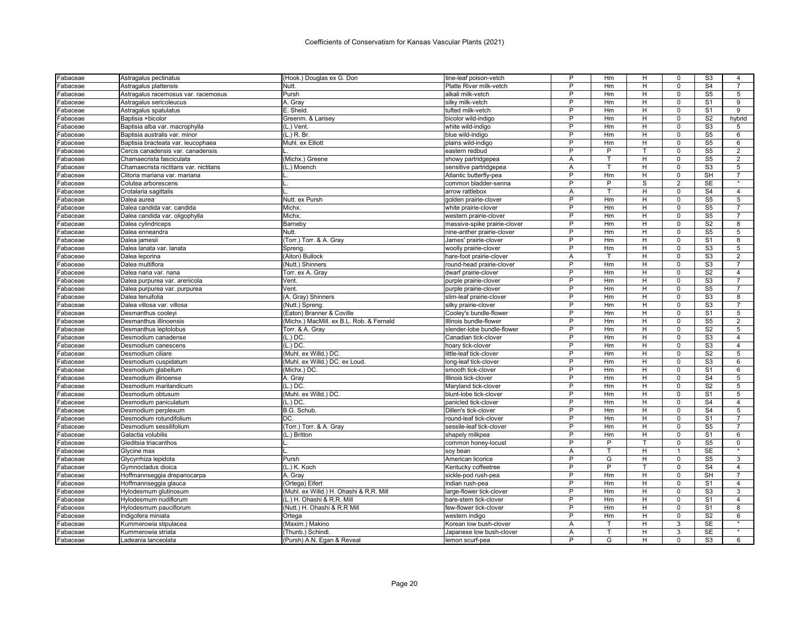| Fabaceae             | Astragalus pectinatus                            | (Hook.) Douglas ex G. Don                    | tine-leaf poison-vetch                         | P              | Hm       | H                       | 0              | S <sub>3</sub>                   | 4              |
|----------------------|--------------------------------------------------|----------------------------------------------|------------------------------------------------|----------------|----------|-------------------------|----------------|----------------------------------|----------------|
| Fabaceae             | Astragalus plattensis                            | Nutt.                                        | Platte River milk-vetch                        | P              | Hm       | H                       | 0              | S <sub>4</sub>                   | $\overline{7}$ |
| Fabaceae             | Astragalus racemosus var. racemosus              | Pursh                                        | alkali milk-vetch                              | P              | Hm       | H                       | 0              | S <sub>5</sub>                   | 5              |
| Fabaceae             | Astragalus sericoleucus                          | A. Gray                                      | silky milk-vetch                               | P              | Hm       | н                       | $\Omega$       | S <sub>1</sub>                   | 9              |
| Fabaceae             | Astragalus spatulatus                            | E. Sheld.                                    | tufted milk-vetch                              | P              | Hm       | н                       | 0              | S <sub>1</sub>                   | 9              |
| Fabaceae             | Baptisia ×bicolor                                | Greenm. & Larisey                            | bicolor wild-indigo                            | P              | Hm       | H                       | 0              | S <sub>2</sub>                   | hybrid         |
| Fabaceae             | Baptisia alba var. macrophylla                   | (L.) Vent.                                   | white wild-indigo                              | P              | Hm       | H                       | 0              | S <sub>3</sub>                   | 5              |
| Fabaceae             | Baptisia australis var. minor                    | $(L)$ R. Br.                                 | blue wild-indigo                               | P              | Hm       | H.                      | 0              | S <sub>5</sub>                   | 6              |
| Fabaceae             | Baptisia bracteata var. leucophaea               | Muhl. ex Elliott                             | plains wild-indigo                             | P              | Hm       | н                       | 0              | $\overline{\text{S5}}$           | 6              |
| Fabaceae             | Cercis canadensis var. canadensis                |                                              | eastern redbud                                 | P              | P        |                         | $\Omega$       | S <sub>5</sub>                   | $\overline{2}$ |
| Fabaceae             | Chamaecrista fasciculata                         | (Michx.) Greene                              | showy partridgepea                             | Α              | т        | н                       | 0              | S <sub>5</sub>                   | $\overline{2}$ |
| Fabaceae             | Chamaecrista nictitans var. nictitans            | (L.) Moench                                  | sensitive partridgepea                         | A              | т        | H                       | $\Omega$       | S <sub>3</sub>                   | 5              |
| Fabaceae             | Clitoria mariana var. mariana                    |                                              | Atlantic butterfly-pea                         | P              | Hm       | н                       | 0              | <b>SH</b>                        | 7              |
| Fabaceae             | Colutea arborescens                              |                                              | common bladder-senna                           | Þ              | P        | $\overline{\mathbf{s}}$ | $\overline{2}$ | <b>SE</b>                        |                |
| Fabaceae             | Crotalaria sagittalis                            |                                              | arrow rattlebox                                | Α              | т        | H.                      | 0              | S <sub>4</sub>                   | $\overline{4}$ |
| Fabaceae             | Dalea aurea                                      | Nutt. ex Pursh                               | aolden prairie-clover                          | Þ              | Hm       | н                       | $\Omega$       | S <sub>5</sub>                   | 5              |
| Fabaceae             | Dalea candida var. candida                       | Michx.                                       | white prairie-clover                           | P              | Hm       | H                       | 0              | S <sub>5</sub>                   | $\overline{7}$ |
| Fabaceae             | Dalea candida var. oligophylla                   | Michx.                                       | western prairie-clover                         | P              | Hm       | H                       | $\mathbf 0$    | S <sub>5</sub>                   | $\overline{7}$ |
| Fabaceae             | Dalea cylindriceps                               | Barneby                                      | massive-spike prairie-clover                   | P              | Hm       | H                       | $\mathbf 0$    | S <sub>2</sub>                   | 8              |
| Fabaceae             | Dalea enneandra                                  | Nutt.                                        | nine-anther prairie-clover                     | P              | Hm       | H                       | $\Omega$       | S <sub>5</sub>                   | 5              |
| Fabaceae             | Dalea jamesii                                    | (Torr.) Torr. & A. Gray                      | James' prairie-clover                          | P              | Hm       | н                       | O              | S <sub>1</sub>                   | 8              |
| Fabaceae             | Dalea lanata var. lanata                         | Spreng                                       | woolly prairie-clover                          | P              | Hm       | н                       | $\Omega$       | $\overline{\text{S3}}$           | 5              |
| Fabaceae             | Dalea leporina                                   | (Aiton) Bullock                              | hare-foot prairie-clover                       | A              |          | н                       | U              | S <sub>3</sub>                   | $\overline{2}$ |
| Fabaceae             | Dalea multiflora                                 | (Nutt.) Shinners                             | round-head prairie-clover                      | P              | Hm       | H                       | $\Omega$       | S3                               | $\overline{7}$ |
| Fabaceae             | Dalea nana var. nana                             | Torr. ex A. Gray                             | dwarf prairie-clover                           | P              | Hm       | н                       | 0              | S <sub>2</sub>                   | $\overline{4}$ |
| Fabaceae             | Dalea purpurea var. arenicola                    | Vent                                         | purple prairie-clover                          | Þ              | Hm       | H                       | $\Omega$       | S <sub>3</sub>                   | $\overline{7}$ |
| Fabaceae             |                                                  | Vent                                         | purple prairie-clover                          | P              | Hm       | H                       | 0              | S <sub>5</sub>                   | $\overline{7}$ |
| Fabaceae             | Dalea purpurea var. purpurea<br>Dalea tenuifolia | (A. Gray) Shinners                           | slim-leaf prairie-clover                       | P              | Hm       | н                       | O              | S <sub>3</sub>                   | 8              |
|                      | Dalea villosa var. villosa                       |                                              |                                                | P              | Hm       | H                       | 0              | S <sub>3</sub>                   | $\overline{7}$ |
| Fabaceae<br>Fabaceae | Desmanthus cooleyi                               | (Nutt.) Spreng.<br>(Eaton) Branner & Coville | silky prairie-clover<br>Cooley's bundle-flower | P              | Hm       | н                       | 0              | S <sub>1</sub>                   | 5              |
|                      | Desmanthus illinoensis                           | (Michx.) MacMill. ex B.L. Rob. & Fernald     | Illinois bundle-flower                         | P              | Hm       | н                       | 0              | S <sub>5</sub>                   | $\overline{2}$ |
| Fabaceae             | Desmanthus leptolobus                            | Torr. & A. Gray                              | slender-lobe bundle-flower                     | P              | Hm       | H                       | $\mathbf 0$    | $\overline{\mathsf{S2}}$         | 5              |
| Fabaceae             |                                                  | (L.) DC.                                     | Canadian tick-clover                           | P              | Hm       | H                       | 0              | S <sub>3</sub>                   | $\overline{4}$ |
| Fabaceae<br>Fabaceae | Desmodium canadense<br>Desmodium canescens       | $(L.)$ DC.                                   | hoary tick-clover                              | P              | Hm       | H                       | 0              | S3                               | $\overline{4}$ |
|                      |                                                  |                                              |                                                | P              |          |                         | 0              | S <sub>2</sub>                   |                |
| Fabaceae             | Desmodium ciliare                                | (Muhl. ex Willd.) DC.                        | little-leaf tick-clover                        | P              | Hm<br>Hm | н<br>H                  | $\Omega$       | S <sub>3</sub>                   | 5<br>6         |
| Fabaceae             | Desmodium cuspidatum                             | (Muhl. ex Willd.) DC. ex Loud.               | long-leaf tick-clover                          | P              |          |                         |                |                                  |                |
| Fabaceae             | Desmodium glabellum                              | (Michx.) DC.                                 | smooth tick-clover<br>Illinois tick-clover     | Þ              | Hm<br>Hm | н<br>H                  | 0<br>$\Omega$  | S <sub>1</sub><br>S <sub>4</sub> | 6<br>5         |
| Fabaceae             | Desmodium illinoense                             | A. Gray                                      |                                                | P              |          |                         |                |                                  |                |
| Fabaceae             | Desmodium marilandicum                           | $(L.)$ DC.                                   | Maryland tick-clover                           | D              | Hm       | н                       | 0<br>O         | S <sub>2</sub><br>S <sub>1</sub> | 5              |
| Fabaceae             | Desmodium obtusum                                | (Muhl. ex Willd.) DC                         | blunt-lobe tick-clover                         | P              | Hm       | н                       |                | $\overline{S4}$                  | 5              |
| Fabaceae             | Desmodium paniculatum                            | $(L.)$ DC.                                   | panicled tick-clover                           | P              | Hm       | н                       | 0              | S <sub>4</sub>                   | $\overline{4}$ |
| Fabaceae             | Desmodium perplexum                              | B.G. Schub.                                  | Dillen's tick-clover                           |                | Hm       | н                       | 0              |                                  | 5              |
| Fabaceae             | Desmodium rotundifolium                          | IDC.                                         | round-leaf tick-clover                         | P<br>P         | Hm       | н                       | 0              | S <sub>1</sub>                   | $\overline{7}$ |
| Fabaceae             | Desmodium sessilifolium                          | (Torr.) Torr. & A. Gray                      | sessile-leaf tick-clover                       |                | Hm       | H                       | $\mathbf 0$    | S <sub>5</sub>                   | $\overline{7}$ |
| Fabaceae             | Galactia volubilis                               | (L.) Britton                                 | shapely milkpea                                | P              | Hm       | H                       | 0              | S <sub>1</sub>                   | 6              |
| Fabaceae             | Gleditsia triacanthos                            |                                              | common honey-locust                            | P              | P        |                         | $\mathbf 0$    | S <sub>5</sub>                   | $\mathbf 0$    |
| Fabaceae             | Glycine max                                      |                                              | soy bean                                       | А              | т        | H                       | 1              | <b>SE</b>                        |                |
| Fabaceae             | Glycyrrhiza lepidota                             | Pursh                                        | American licorice                              | $\overline{P}$ | G        | н                       | $\Omega$       | $\overline{\text{S5}}$           | 3              |
| Fabaceae             | Gymnocladus dioica                               | (L.) K. Koch                                 | Kentucky coffeetree                            | P              | P        |                         | 0              | S <sub>4</sub>                   | $\overline{4}$ |
| Fabaceae             | Hoffmannseggia drepanocarpa                      | A. Gray                                      | sickle-pod rush-pea                            | P              | Hm       | H                       | $\Omega$       | <b>SH</b>                        | $\overline{7}$ |
| Fabaceae             | Hoffmannseggia glauca                            | (Ortega) Eifert                              | Indian rush-pea                                | P              | Hm       | н                       | 0              | S <sub>1</sub>                   | $\overline{4}$ |
| Fabaceae             | Hylodesmum glutinosum                            | (Muhl. ex Willd.) H. Ohashi & R.R. Mill      | large-flower tick-clover                       | Þ              | Hm       | H                       | O              | S <sub>3</sub>                   | 3              |
| Fabaceae             | Hylodesmum nudiflorum                            | (L.) H. Ohashi & R.R. Mil                    | bare-stem tick-clover                          | P              | Hm       | H.                      | 0              | S <sub>1</sub>                   | $\overline{4}$ |
| Fabaceae             | Hylodesmum pauciflorum                           | (Nutt.) H. Ohashi & R.R Mill                 | few-flower tick-clover                         | P              | Hm       | н                       | O              | S <sub>1</sub>                   | 8              |
| Fabaceae             | Indigofera miniata                               | Ortega                                       | western indigo                                 | P              | Hm       | н                       | 0              | S <sub>2</sub>                   | 6              |
| Fabaceae             | Kummerowia stipulacea                            | (Maxim.) Makino                              | Korean low bush-clover                         | Α              |          | н                       | 3              | <b>SE</b>                        |                |
| Fabaceae             | Kummerowia striata                               | (Thunb.) Schindl.                            | Japanese low bush-clover                       | Α              | т        | н                       | $\overline{3}$ | <b>SE</b>                        |                |
| Fabaceae             | Ladeania lanceolata                              | (Pursh) A.N. Egan & Reveal                   | lemon scurf-pea                                | P              | G        | H                       | 0              | S <sub>3</sub>                   | 6              |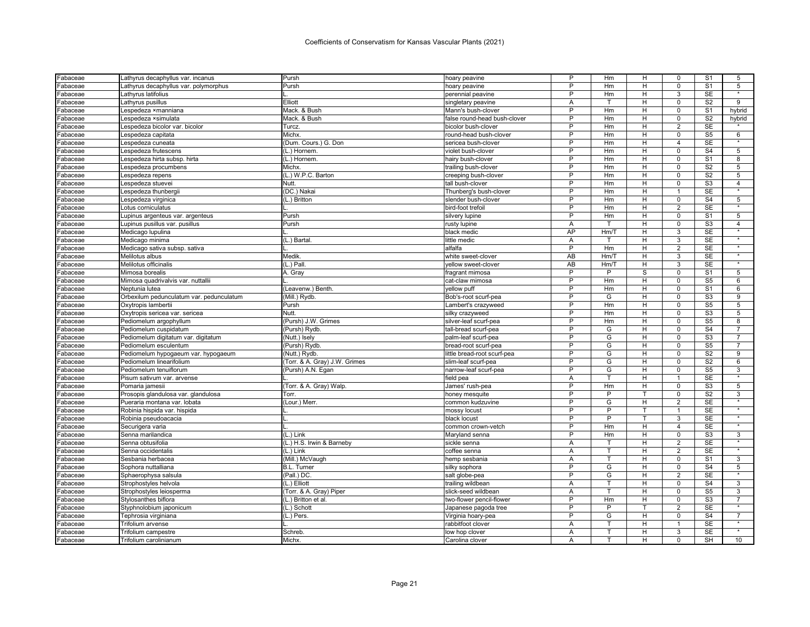| Fabaceae | Lathyrus decaphyllus var. incanus                    | Pursh                         | hoary peavine                      | P               | Hm             | н  | $\Omega$                | S <sub>1</sub>         | 5                  |
|----------|------------------------------------------------------|-------------------------------|------------------------------------|-----------------|----------------|----|-------------------------|------------------------|--------------------|
| Fabaceae | Lathyrus decaphyllus var. polymorphus                | Pursh                         | hoary peavine                      | P               | Hm             | H  | $\mathbf 0$             | S <sub>1</sub>         | 5                  |
| Fabaceae | Lathyrus latifolius                                  |                               | perennial peavine                  | P               | Hm             | H  | 3                       | SE                     |                    |
| Fabaceae | Lathyrus pusillus                                    | Elliott                       | singletary peavine                 | A               | $\mathsf{T}$   | H  | $\Omega$                | S <sub>2</sub>         | 9                  |
| Fabaceae | Lespedeza ×manniana                                  | Mack. & Bush                  | Mann's bush-clover                 | P               | Hm             | н  | $\overline{\mathbf{0}}$ | S <sub>1</sub>         | hybrid             |
| Fabaceae | Lespedeza ×simulata                                  | Mack. & Bush                  | false round-head bush-clover       | P               | Hm             | н  | $\Omega$                | S <sub>2</sub>         | hybrid             |
| Fabaceae | Lespedeza bicolor var. bicolor                       | Turcz.                        | bicolor bush-clover                | P               | Hm             | H  | 2                       | <b>SE</b>              |                    |
| Fabaceae | Lespedeza capitata                                   | Michx.                        | round-head bush-clover             | P               | Hm             | H  | $\Omega$                | S <sub>5</sub>         | 6                  |
| Fabaceae | Lespedeza cuneata                                    | (Dum. Cours.) G. Don          | sericea bush-clover                | P               | Hm             | H  | $\overline{4}$          | SE                     | $\star$            |
| Fabaceae | Lespedeza frutescens                                 | (L.) Hornem.                  | violet bush-clover                 | P               | Hm             | H  | $\mathsf 0$             | S <sub>4</sub>         | 5                  |
| Fabaceae | Lespedeza hirta subsp. hirta                         | (L.) Hornem.                  | hairy bush-clover                  | P               | Hm             | H  | $\Omega$                | S <sub>1</sub>         | 8                  |
| Fabaceae | Lespedeza procumbens                                 | Michx.                        | trailing bush-clover               | P               | Hm             | H  | $\mathbf 0$             | S <sub>2</sub>         | 5                  |
| Fabaceae | Lespedeza repens                                     | (L.) W.P.C. Barton            | creeping bush-clover               | P               | Hm             | H  | $\mathbf 0$             | S <sub>2</sub>         | 5                  |
| Fabaceae | Lespedeza stuevei                                    | Nutt.                         | tall bush-clover                   | P               | Hm             | H  | $\mathbf 0$             | S <sub>3</sub>         | $\overline{4}$     |
| Fabaceae | Lespedeza thunbergi                                  | (DC.) Nakai                   | Thunberg's bush-clover             | P               | Hm             | Н  | 1                       | <b>SE</b>              |                    |
| Fabaceae | Lespedeza virginica                                  | (L.) Britton                  | slender bush-clover                | P               | Hm             | H  | $\Omega$                | S <sub>4</sub>         | 5                  |
| Fabaceae | Lotus corniculatus                                   |                               | bird-foot trefoil                  | P               | Hm             | н  | $\overline{2}$          | SE                     |                    |
| Fabaceae | Lupinus argenteus var. argenteus                     | Pursh                         | silvery lupine                     | P               | Hm             | н  | $\Omega$                | S <sub>1</sub>         | 5                  |
| Fabaceae | Lupinus pusillus var. pusillus                       | Pursh                         | rusty lupine                       | Α               | T.             | н  | $\mathbf 0$             | $\overline{\text{S3}}$ | $\overline{4}$     |
| Fabaceae | Medicago lupulina                                    |                               | black medic                        | AP              | Hm/T           | H  | 3                       | SE                     |                    |
| Fabaceae | Medicago minima                                      | (L.) Bartal                   | little medic                       | A               | $\mathsf{T}$   | H  | 3                       | <b>SE</b>              | $\star$            |
| Fabaceae | Medicago sativa subsp. sativa                        |                               | alfalfa                            | P               | Hm             | н  | 2                       | SE                     | $\star$            |
| Fabaceae | Melilotus albus                                      | Medik                         | white sweet-clover                 | AB              | Hm/T           | H  | 3                       | <b>SE</b>              | $\overline{\ast}$  |
| Fabaceae | Melilotus officinalis                                | $(L.)$ Pall                   | vellow sweet-clover                | $\overline{AB}$ | Hm/T           | H  | 3                       | <b>SE</b>              |                    |
| Fabaceae | Mimosa borealis                                      | A. Gray                       | fragrant mimosa                    | P               | P              | S  | $\Omega$                | S <sub>1</sub>         | 5                  |
| Fabaceae | Mimosa quadrivalvis var. nuttallii                   |                               | cat-claw mimosa                    | P               | Hm             | H  | $\mathbf 0$             | S <sub>5</sub>         | 6                  |
| Fabaceae | Neptunia lutea                                       | (Leavenw.) Benth.             | yellow puff                        | P               | Hm             | H  | $\mathbf 0$             | S <sub>1</sub>         | 6                  |
| Fabaceae | Orbexilum pedunculatum var. pedunculatum             | (Mill.) Rydb.                 | Bob's-root scurf-pea               | P               | G              | H  | $\Omega$                | S <sub>3</sub>         | 9                  |
| Fabaceae | Oxytropis lambertii                                  | Pursh                         | Lambert's crazyweed                | P               | Hm             | H  | $\mathbf 0$             | S <sub>5</sub>         | 5                  |
| Fabaceae | Oxytropis sericea var. sericea                       | Nutt.                         | silky crazyweed                    | P               | Hm             | H  | $\Omega$                | S <sub>3</sub>         | 5 <sup>5</sup>     |
| Fabaceae | Pediomelum argophyllum                               | (Pursh) J.W. Grimes           | silver-leaf scurf-pea              | $\overline{P}$  | Hm             | н  | $\mathbf 0$             | $\overline{\text{S5}}$ | 8                  |
| Fabaceae | Pediomelum cuspidatum                                | (Pursh) Rydb.                 | tall-bread scurf-pea               | P               | G              | н  | $\Omega$                | S <sub>4</sub>         | 7                  |
| Fabaceae | Pediomelum digitatum var. digitatum                  | (Nutt.) Isely                 | palm-leaf scurf-pea                | $\overline{P}$  | G              | H  | $\Omega$                | S <sub>3</sub>         | $\overline{7}$     |
| Fabaceae | Pediomelum esculentum                                | (Pursh) Rydb.                 | bread-root scurf-pea               | P               | G              | H  | $\mathbf 0$             | S <sub>5</sub>         | 7                  |
|          |                                                      |                               |                                    | P               | G              | н  | $\Omega$                | S <sub>2</sub>         | 9                  |
| Fabaceae | Pediomelum hypogaeum var. hypogaeum                  | (Nutt.) Rydb.                 | little bread-root scurf-pea        | P               | G              | H  | $\mathbf 0$             | S <sub>2</sub>         |                    |
| Fabaceae | Pediomelum linearifolium                             | (Torr. & A. Gray) J.W. Grimes | slim-leaf scurf-pea                | P               | G              | H  | $\mathbf 0$             | S <sub>5</sub>         | 6                  |
| Fabaceae | Pediomelum tenuiflorum<br>Pisum sativum var. arvense | (Pursh) A.N. Egan             | narrow-leaf scurf-pea<br>field pea | A               | T              | H  | $\mathbf{1}$            | <b>SE</b>              | 3<br>$\star$       |
| Fabaceae |                                                      |                               |                                    | P               | Hm             | H  | $\mathbf 0$             | S3                     | 5                  |
| Fabaceae | Pomaria jamesii                                      | (Torr. & A. Gray) Walp.       | James' rush-pea                    | P               | $\overline{P}$ |    | $\overline{0}$          | S <sub>2</sub>         | 3                  |
| Fabaceae | Prosopis glandulosa var. glandulosa                  | Torr.                         | honey mesquite                     | P               | G              |    |                         | <b>SE</b>              |                    |
| Fabaceae | Pueraria montana var. lobata                         | (Lour.) Merr.                 | common kudzuvine                   | P               | P              | H  | 2<br>1                  | <b>SE</b>              | $\overline{\ast}$  |
| Fabaceae | Robinia hispida var. hispida                         |                               | mossy locust                       |                 |                |    |                         |                        | $\star$            |
| Fabaceae | Robinia pseudoacacia                                 |                               | black locust                       | P               | P              | T. | 3                       | SE                     | $\star$            |
| Fabaceae | Securigera varia                                     |                               | common crown-vetch                 | P               | Hm             | H  | $\overline{4}$          | <b>SE</b>              |                    |
| Fabaceae | Senna marilandica                                    | (L.) Link                     | Maryland senna                     | P               | Hm             | H  | $\Omega$                | S <sub>3</sub>         | 3<br>$\star$       |
| Fabaceae | Senna obtusifolia                                    | (L.) H.S. Irwin & Barneby     | sickle senna                       | Α               | T              | H  | 2                       | SE                     | $\overline{\cdot}$ |
| Fabaceae | Senna occidentalis                                   | $(L.)$ Link                   | coffee senna                       | A               | T              | H  | $\overline{2}$          | <b>SE</b>              |                    |
| Fabaceae | Sesbania herbacea                                    | (Mill.) McVaugh               | hemp sesbania                      | Α               | T              | H  | $\mathbf 0$             | S <sub>1</sub>         | 3                  |
| Fabaceae | Sophora nuttalliana                                  | <b>B.L. Turner</b>            | silky sophora                      | P               | G              | н  | $\Omega$                | S <sub>4</sub>         | 5                  |
| Fabaceae | Sphaerophysa salsula                                 | (Pall.) DC                    | salt globe-pea                     | P               | G              | H  | 2                       | SE                     | $\star$            |
| Fabaceae | Strophostyles helvola                                | (L.) Elliott                  | trailing wildbean                  | Α               | т              | H  | $\mathbf 0$             | S <sub>4</sub>         | 3                  |
| Fabaceae | Strophostyles leiosperma                             | (Torr. & A. Gray) Piper       | slick-seed wildbean                | A               | Ŧ              | H  | $\Omega$                | S <sub>5</sub>         | 3                  |
| Fabaceae | Stylosanthes biflora                                 | (L.) Britton et al.           | two-flower pencil-flower           | P               | Hm             | H  | $\mathbf 0$             | S <sub>3</sub>         | $\overline{7}$     |
| Fabaceae | Styphnolobium japonicum                              | (L.) Schott                   | Japanese pagoda tree               | P               | P              |    | $\overline{2}$          | <b>SE</b>              |                    |
| Fabaceae | Tephrosia virginiana                                 | (L.) Pers.                    | Virginia hoary-pea                 | P               | G              | H  | $\mathbf 0$             | S <sub>4</sub>         | $\overline{7}$     |
| Fabaceae | Trifolium arvense                                    |                               | rabbitfoot clover                  | Α               | т              | H  | 1                       | <b>SE</b>              |                    |
| Fabaceae | Trifolium campestre                                  | Schreb                        | low hop clover                     | A               | т              | H  | 3                       | <b>SE</b>              | $\star$            |
| Fabaceae | Trifolium carolinianum                               | Michx.                        | Carolina clover                    | A               | т              | H  | $\Omega$                | SH                     | 10                 |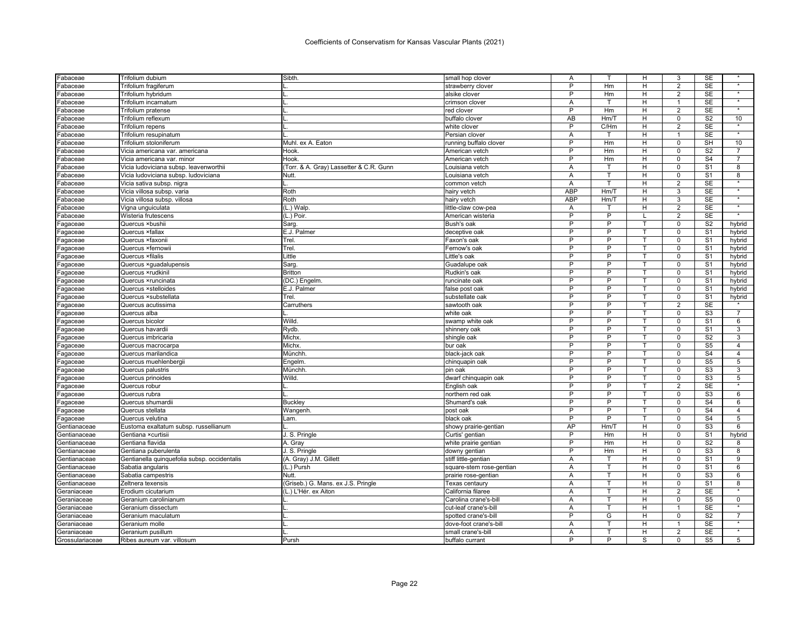| -abaceae             | Trifolium dubium                             | Sibth.                                  | small hop clover         | Α          |      | н            | 3              | SE             |                   |
|----------------------|----------------------------------------------|-----------------------------------------|--------------------------|------------|------|--------------|----------------|----------------|-------------------|
| <sup>=</sup> abaceae | Trifolium fragiferum                         |                                         | strawberry clover        | P          | Hm   | H            | 2              | <b>SE</b>      | $\star$           |
| <sup>=</sup> abaceae | Trifolium hybridum                           |                                         | alsike clover            | P          | Hm   | н            | $\overline{2}$ | SE             | $\star$           |
| <sup>=</sup> abaceae | Trifolium incarnatum                         |                                         | crimson clover           | A          | т    | H            | 1              | <b>SE</b>      | $\star$           |
| <sup>=</sup> abaceae | Trifolium pratense                           |                                         | red clover               | P          | Hm   | н            | $\overline{2}$ | <b>SE</b>      | $\star$           |
| <sup>=</sup> abaceae | Trifolium reflexum                           |                                         | buffalo clover           | AB         | Hm/T | H            | $\mathbf 0$    | S <sub>2</sub> | 10                |
| Fabaceae             | <b>Trifolium repens</b>                      |                                         | white clover             | P          | C/Hm | H            | $\overline{2}$ | <b>SE</b>      |                   |
| <sup>=</sup> abaceae | Trifolium resupinatum                        |                                         | Persian clover           | Α          |      | Н            | 1              | <b>SE</b>      |                   |
| <sup>=</sup> abaceae | Trifolium stoloniferum                       | Muhl. ex A. Eaton                       | running buffalo clover   | P          | Hm   | H            | $\mathbf 0$    | <b>SH</b>      | 10                |
| Fabaceae             | Vicia americana var. americana               | Hook.                                   | American vetch           | P          | Hm   | H            | $\mathbf 0$    | S <sub>2</sub> | $\overline{7}$    |
| <sup>=</sup> abaceae | Vicia americana var. minor                   | Hook.                                   | American vetch           | P          | Hm   | H            | $\mathbf 0$    | S <sub>4</sub> | $\overline{7}$    |
| Fabaceae             | Vicia ludoviciana subsp. leavenworthii       | (Torr. & A. Gray) Lassetter & C.R. Gunn | Louisiana vetch          | Α          | T    | н            | $\mathbf 0$    | S <sub>1</sub> | 8                 |
| <sup>=</sup> abaceae | Vicia ludoviciana subsp. ludoviciana         | Nutt.                                   | Louisiana vetch          | Α          | т    | Н            | 0              | S <sub>1</sub> | 8                 |
| Fabaceae             | Vicia sativa subsp. nigra                    |                                         | common vetch             | A          | T    | H            | 2              | <b>SE</b>      | $\star$           |
| <sup>=</sup> abaceae | Vicia villosa subsp. varia                   | Roth                                    | hairy vetch              | <b>ABP</b> | Hm/T | н            | 3              | <b>SE</b>      |                   |
| Fabaceae             | Vicia villosa subsp. villosa                 | Roth                                    | hairy vetch              | <b>ABP</b> | Hm/T | H            | 3              | <b>SE</b>      | $\overline{\ast}$ |
| Fabaceae             | Vigna unguiculata                            | (L.) Walp                               | little-claw cow-pea      | Α          | т    | H            | $\overline{2}$ | <b>SE</b>      | $\star$           |
| <sup>=</sup> abaceae | Wisteria frutescens                          | (L.) Poir.                              | American wisteria        | P          | P    |              | $\overline{2}$ | SE             | $\star$           |
| Fagaceae             | Quercus ×bushii                              | Sarg                                    | Bush's oak               | P          | P    | $\mathsf{T}$ | $\mathbf 0$    | S <sub>2</sub> | hybrid            |
| Fagaceae             | Quercus ×fallax                              | E.J. Palmer                             | deceptive oak            | P          | P    | т            | $\mathbf 0$    | S <sub>1</sub> | hybrid            |
| Fagaceae             | Quercus ×faxonii                             | Trel                                    | Faxon's oak              | P          | Þ    | $\mathsf{T}$ | $\Omega$       | S <sub>1</sub> | hybrid            |
| Fagaceae             | Quercus ×fernowii                            | Trel.                                   | Fernow's oak             | P          | P    | Т            | $\mathbf 0$    | S <sub>1</sub> | hybrid            |
| -agaceae             | Quercus ×filalis                             | Little                                  | Little's oak             | P          | P    |              | $\Omega$       | S <sub>1</sub> | hybrid            |
| Fagaceae             | Quercus xguadalupensis                       | Sarg                                    | Guadalupe oak            | P          | P    | т            | $\mathbf 0$    | S <sub>1</sub> | hybrid            |
| Fagaceae             | Quercus xrudkinil                            | <b>Britton</b>                          | Rudkin's oak             | P          | P    |              | $\mathbf 0$    | S <sub>1</sub> | hybrid            |
| Fagaceae             | Quercus xruncinata                           | (DC.) Engelm.                           | runcinate oak            | P          | P    | T            | $\mathsf 0$    | S <sub>1</sub> | hybrid            |
| Fagaceae             | Quercus ×stelloides                          | E.J. Palmer                             | false post oak           | P          | P    | т            | $\mathbf 0$    | S <sub>1</sub> | hybrid            |
| <sup>=</sup> agaceae | Quercus ×substellata                         | Trel.                                   | substellate oak          | P          | P    | T            | $\Omega$       | S <sub>1</sub> | hybrid            |
| <sup>=</sup> agaceae | Quercus acutissima                           | Carruthers                              | sawtooth oak             | P          | P    | $\mathsf{T}$ | 2              | <b>SE</b>      | $\star$           |
| -agaceae             | Quercus alba                                 |                                         | white oak                | P          | P    |              | $\mathbf 0$    | S <sub>3</sub> | $\overline{7}$    |
| Fagaceae             | Quercus bicolor                              | Willd                                   | swamp white oak          | P          | P    | T            | $\mathbf 0$    | S <sub>1</sub> | 6                 |
| <sup>=</sup> agaceae | Quercus havardii                             | Rydb.                                   | shinnery oak             | P          | P    | т            | $\mathbf 0$    | S <sub>1</sub> | 3                 |
| <sup>=</sup> agaceae | Quercus imbricaria                           | <b>Michx</b>                            | shingle oak              | P          | P    | T            | $\mathbf 0$    | S <sub>2</sub> | 3                 |
| Fagaceae             | Quercus macrocarpa                           | Michx.                                  | bur oak                  | P          | P    | т            | $\mathbf 0$    | S <sub>5</sub> | $\overline{4}$    |
| -agaceae             | Quercus marilandica                          | Münchh                                  | black-jack oak           | P          | P    |              | $\Omega$       | S <sub>4</sub> | 4                 |
| Fagaceae             | Quercus muehlenbergii                        | Engelm                                  | chinquapin oak           | P          | P    | T            | $\mathbf 0$    | S <sub>5</sub> | 5                 |
| Fagaceae             | Quercus palustris                            | Münchh                                  | pin oak                  | P          | P    | т            | $\mathbf 0$    | S <sub>3</sub> | 3                 |
| Fagaceae             | Quercus prinoides                            | Willd                                   | dwarf chinguapin oak     | P          | P    | T            | $\overline{0}$ | S <sub>3</sub> | 5                 |
| Fagaceae             | Quercus robur                                |                                         | English oak              | P          | P    | т            | $\overline{2}$ | <b>SE</b>      |                   |
| -agaceae             | Quercus rubra                                |                                         | northern red oak         | P          | P    |              | $\mathbf 0$    | S <sub>3</sub> | 6                 |
| <sup>=</sup> agaceae | Quercus shumardii                            | Buckley                                 | Shumard's oak            | P          | P    | т            | $\Omega$       | S <sub>4</sub> | 6                 |
| -agaceae             | Quercus stellata                             | Wangenh.                                | post oak                 | P          | P    |              | $\Omega$       | S <sub>4</sub> | $\overline{4}$    |
| -agaceae             | Quercus velutina                             | Lam.                                    | black oak                | P          | P    | T            | $\Omega$       | S <sub>4</sub> | 5                 |
| Gentianaceae         | Eustoma exaltatum subsp. russellianum        |                                         | showy prairie-gentian    | AP         | Hm/T | H            | $\mathbf 0$    | S <sub>3</sub> | 6                 |
| Gentianaceae         | Gentiana × curtisi                           | J. S. Pringle                           | Curtis' gentian          | P          | Hm   | H            | $\Omega$       | S <sub>1</sub> | hybrid            |
| Gentianaceae         | Gentiana flavida                             | A. Gray                                 | white prairie gentian    | P          | Hm   | H            | $\mathbf 0$    | S <sub>2</sub> | 8                 |
| Gentianaceae         | Gentiana puberulenta                         | J. S. Pringle                           | downy gentian            | P          | Hm   | Н            | $\mathbf 0$    | S <sub>3</sub> | 8                 |
| Gentianaceae         | Gentianella quinquefolia subsp. occidentalis | (A. Gray) J.M. Gillett                  | stiff little-gentian     | A          | т    | H            | $\Omega$       | S <sub>1</sub> | 9                 |
| Gentianaceae         | Sabatia angularis                            | (L.) Pursh                              | square-stem rose-gentian | Α          | т    | H            | $\mathsf 0$    | S <sub>1</sub> | 6                 |
| Gentianaceae         | Sabatia campestris                           | Nutt                                    | prairie rose-gentian     | Α          | T    | H            | $\mathbf 0$    | S <sub>3</sub> | 6                 |
| Gentianaceae         | Zeltnera texensis                            | (Griseb.) G. Mans. ex J.S. Pringle      | Texas centaurv           | A          | т    | H            | $\mathbf 0$    | S <sub>1</sub> | 8                 |
| Geraniaceae          | Erodium cicutarium                           | (L.) L'Hér. ex Aiton                    | California filaree       | Α          | т    | H            | $\overline{2}$ | SE             | $\star$           |
| Geraniaceae          | Geranium carolinianum                        |                                         | Carolina crane's-bill    | Α          | T.   | H            | $\mathbf 0$    | S <sub>5</sub> | $\mathbf 0$       |
| Geraniaceae          | Geranium dissectum                           |                                         | cut-leaf crane's-bill    | Α          | T    | H            | 1              | <b>SE</b>      |                   |
| Geraniaceae          | Geranium maculatum                           |                                         | spotted crane's-bil      | P          | G    | H            | $\Omega$       | S <sub>2</sub> | $\overline{7}$    |
| Geraniaceae          | Geranium molle                               |                                         | dove-foot crane's-bill   | Α          | T.   | н            | $\mathbf{1}$   | <b>SE</b>      |                   |
| Geraniaceae          | Geranium pusillum                            |                                         | small crane's-bil        | A          | т    | H            | $\overline{2}$ | <b>SE</b>      |                   |
| Grossulariaceae      | Ribes aureum var. villosum                   | Pursh                                   | buffalo currant          | P          | P    | S            | $\Omega$       | S <sub>5</sub> | 5                 |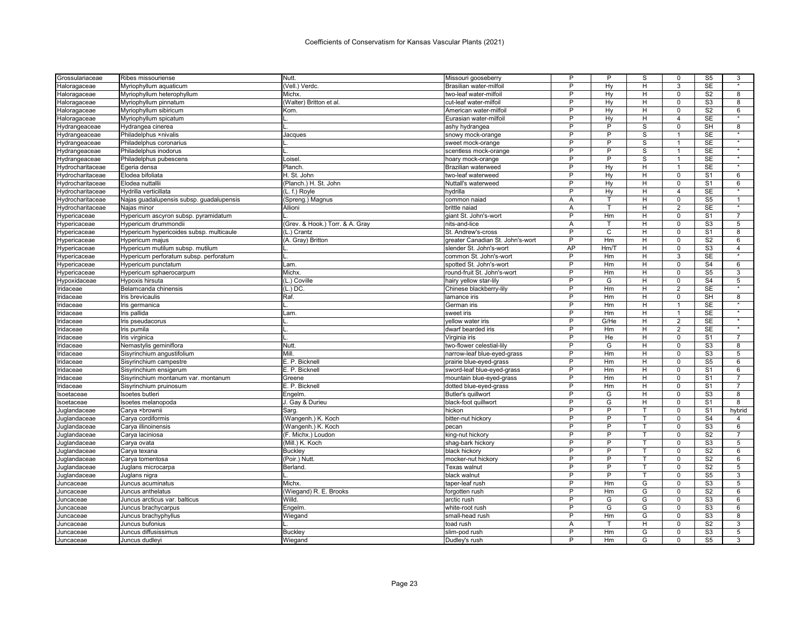| Grossulariaceae  | Ribes missouriense                       | Nutt.                           | Missouri gooseberry              | P              | P              | S            | 0              | S <sub>5</sub>         | 3                 |
|------------------|------------------------------------------|---------------------------------|----------------------------------|----------------|----------------|--------------|----------------|------------------------|-------------------|
| Haloragaceae     | Myriophyllum aquaticum                   | (Vell.) Verdc.                  | Brasilian water-milfoil          | P              | Hv             | H.           | 3              | <b>SE</b>              | $\star$           |
| Haloragaceae     | Myriophyllum heterophyllum               | Michx.                          | two-leaf water-milfoil           | P              | Hy             | H.           | $\mathbf 0$    | S <sub>2</sub>         | 8                 |
| Haloragaceae     | Myriophyllum pinnatum                    | (Walter) Britton et al          | cut-leaf water-milfoil           | P              | Hy             | H.           | $\Omega$       | S <sub>3</sub>         | 8                 |
| Haloragaceae     | Myriophyllum sibiricum                   | Kom.                            | American water-milfoi            | P              | Hy             | H            | $\mathbf 0$    | $\overline{\text{S2}}$ | 6                 |
| Haloragaceae     | Myriophyllum spicatum                    |                                 | Eurasian water-milfoil           | P              | Hy             | H.           | $\overline{4}$ | <b>SE</b>              |                   |
| Hydrangeaceae    | Hydrangea cinerea                        |                                 | ashy hydrangea                   | P              | $\overline{P}$ | S            | $\Omega$       | <b>SH</b>              | 8                 |
| Hydrangeaceae    | Philadelphus ×nivalis                    | Jacques                         | snowy mock-orange                | P              | P              | S            | $\overline{1}$ | <b>SE</b>              |                   |
| Hydrangeaceae    | Philadelphus coronarius                  |                                 | sweet mock-orange                | ъ              | $\overline{P}$ | S            | $\mathbf{1}$   | <b>SE</b>              |                   |
| Hydrangeaceae    | Philadelphus inodorus                    |                                 | scentless mock-orange            | P              | P              | S            | $\overline{1}$ | <b>SE</b>              | $\star$           |
| Hydrangeaceae    | Philadelphus pubescens                   | Loisel.                         | hoary mock-orange                | P              | P              | S            | $\overline{1}$ | <b>SE</b>              | $\overline{\ast}$ |
| Hydrocharitaceae | Egeria densa                             | Planch.                         | <b>Brazilian waterweed</b>       | P              | Hy             | H            | $\overline{1}$ | <b>SE</b>              | $\star$           |
| Hydrocharitaceae | Elodea bifoliata                         | H. St. John                     | two-leaf waterweed               | P              | Hy             | H            | $\mathsf 0$    | S <sub>1</sub>         | 6                 |
| Hydrocharitaceae | Elodea nuttalli                          | (Planch.) H. St. John           | Nuttall's waterweed              | Þ              | Hy             | H.           | $\Omega$       | S <sub>1</sub>         | 6                 |
| Hydrocharitaceae | Hydrilla verticillata                    |                                 |                                  | $\overline{P}$ | Hv             | Ξ            | $\overline{4}$ | <b>SE</b>              |                   |
|                  |                                          | (L. f.) Royle                   | hydrilla                         |                | т              | H.           | $\Omega$       | S <sub>5</sub>         | $\mathbf{1}$      |
| Hydrocharitaceae | Najas guadalupensis subsp. guadalupensis | (Spreng.) Magnus                | common naiad                     | A              |                |              |                | <b>SE</b>              |                   |
| Hydrocharitaceae | Najas minor                              | Allioni                         | brittle naiad                    | Α              | $\mathsf{T}$   | H.           | $\overline{2}$ |                        |                   |
| Hypericaceae     | Hypericum ascyron subsp. pyramidatum     |                                 | giant St. John's-wort            | P              | Hm             | H            | $\mathbf 0$    | S <sub>1</sub>         | $\overline{7}$    |
| Hypericaceae     | Hypericum drummondii                     | (Grev. & Hook.) Torr. & A. Gray | nits-and-lice                    | A              | T              | H            | $\Omega$       | S <sub>3</sub>         | 5                 |
| Hypericaceae     | Hypericum hypericoides subsp. multicaule | (L.) Crantz                     | St. Andrew's-cross               | P              | C              | H.           | $\Omega$       | S <sub>1</sub>         | 8                 |
| Hypericaceae     | Hypericum majus                          | (A. Gray) Britton               | greater Canadian St. John's-wort | P              | Hm             | H            | $\Omega$       | S <sub>2</sub>         | 6                 |
| Hypericaceae     | Hypericum mutilum subsp. mutilum         |                                 | slender St. John's-wort          | AP             | Hm/T           | H.           | $\mathbf 0$    | S3                     | $\overline{4}$    |
| Hypericaceae     | Hypericum perforatum subsp. perforatum   |                                 | common St. John's-wort           | P              | Hm             | H            | 3              | <b>SE</b>              |                   |
| Hypericaceae     | Hypericum punctatum                      | Lam.                            | spotted St. John's-wort          | P              | Hm             | H            | $\mathbf 0$    | S <sub>4</sub>         | 6                 |
| Hypericaceae     | Hypericum sphaerocarpum                  | Michx.                          | round-fruit St. John's-wort      | P              | Hm             | H.           | $\Omega$       | S <sub>5</sub>         | 3                 |
| łypoxidaceae     | Hypoxis hirsuta                          | (L.) Coville                    | hairy yellow star-lily           | P              | G              | H            | $\Omega$       | S <sub>4</sub>         | 5                 |
| ridaceae         | Belamcanda chinensis                     | $(L.)$ DC.                      | Chinese blackberry-lily          | P              | Hm             | H            | 2              | <b>SE</b>              |                   |
| ridaceae         | Iris brevicaulis                         | Raf.                            | lamance iris                     | P              | Hm             | H.           | $\Omega$       | SH                     | 8                 |
| Iridaceae        | Iris germanica                           |                                 | German iris                      | P              | Hm             | H.           | $\overline{1}$ | <b>SE</b>              | $\star$           |
| idaceae          | Iris pallida                             | Lam.                            | sweet iris                       | P              | Hm             | H            | $\mathbf{1}$   | <b>SE</b>              | $\star$           |
| ridaceae         | Iris pseudacorus                         |                                 | yellow water iris                | P              | G/He           | H            | 2              | <b>SE</b>              | $\star$           |
| ridaceae         | Iris pumila                              |                                 | dwarf bearded iris               | P              | Hm             | H            | 2              | <b>SE</b>              |                   |
| idaceae          | Iris virginica                           |                                 | Virginia iris                    | Þ              | He             | H.           | $\Omega$       | S <sub>1</sub>         | $\overline{7}$    |
| idaceae          | Nemastylis geminiflora                   | Nutt.                           | two-flower celestial-lily        | $\overline{P}$ | G              | Η            | $\mathbf 0$    | S3                     | 8                 |
| ridaceae         |                                          | Mill                            | narrow-leaf blue-eyed-grass      | P              | Hm             | H.           | $\Omega$       | S <sub>3</sub>         | 5                 |
|                  | Sisyrinchium angustifolium               |                                 |                                  | P              |                | H            |                | S <sub>5</sub>         |                   |
| Iridaceae        | Sisyrinchium campestre                   | E. P. Bicknell                  | prairie blue-eyed-grass          | P              | Hm             |              | $\mathbf 0$    |                        | 6                 |
| idaceae          | Sisyrinchium ensigerum                   | E. P. Bicknell                  | sword-leaf blue-eyed-grass       | P              | Hm             | H.           | $\Omega$       | S <sub>1</sub>         | 6                 |
| idaceae          | Sisyrinchium montanum var. montanum      | Greene                          | mountain blue-eyed-grass         |                | Hm             | H            | $\Omega$       | S <sub>1</sub>         | $\overline{7}$    |
| ridaceae         | Sisyrinchium pruinosum                   | E. P. Bicknell                  | dotted blue-eyed-grass           | P              | Hm             | H            | $\mathbf 0$    | S <sub>1</sub>         | $\overline{7}$    |
| Isoetaceae       | Isoetes butleri                          | Engelm.                         | Butler's quillwort               | P              | G              | Ή            | $\Omega$       | S3                     | 8                 |
| Isoetaceae       | Isoetes melanopoda                       | J. Gay & Durieu                 | black-foot quillwort             | P              | G              | H            | $\mathbf 0$    | S <sub>1</sub>         | 8                 |
| Juglandaceae     | Carya ×brownii                           | Sarg.                           | hickon                           | P              | $\overline{P}$ |              | $\Omega$       | S <sub>1</sub>         | hybrid            |
| Juglandaceae     | Carya cordiformis                        | (Wangenh.) K. Koch              | bitter-nut hickory               | P              | P              | $\mathsf{T}$ | $\mathbf 0$    | S <sub>4</sub>         | $\overline{4}$    |
| Juglandaceae     | Carya illinoinensis                      | (Wangenh.) K. Koch              | pecan                            | P              | P              |              | $\mathbf 0$    | S <sub>3</sub>         | 6                 |
| Juglandaceae     | Carya laciniosa                          | (F. Michx.) Loudon              | king-nut hickory                 | P              | P              | т            | $\Omega$       | S <sub>2</sub>         | $\overline{7}$    |
| Juglandaceae     | Carya ovata                              | (Mill.) K. Koch                 | shag-bark hickory                | P              | P              | т            | $\mathbf 0$    | S <sub>3</sub>         | 5                 |
| Juglandaceae     | Carya texana                             | Buckley                         | black hickory                    | P              | P              | т            | $\Omega$       | S <sub>2</sub>         | 6                 |
| Juglandaceae     | Carya tomentosa                          | (Poir.) Nutt.                   | mocker-nut hickory               | $\overline{P}$ | $\overline{P}$ | т            | $\mathbf 0$    | $\overline{S2}$        | 6                 |
| Juglandaceae     | Juglans microcarpa                       | Berland.                        | Texas walnut                     | P              | P              |              | $\Omega$       | S <sub>2</sub>         | 5                 |
| Juglandaceae     | Juglans nigra                            |                                 | black walnut                     | P              | P              | т            | $\mathbf 0$    | S <sub>5</sub>         | 3                 |
| Juncaceae        | Juncus acuminatus                        | Michx.                          | taper-leaf rush                  | P              | Hm             | G            | $\mathbf 0$    | S <sub>3</sub>         | 5                 |
| Juncaceae        | Juncus anthelatus                        | (Wiegand) R. E. Brooks          | forgotten rush                   | Þ              | Hm             | G            | $\Omega$       | S <sub>2</sub>         | 6                 |
| Juncaceae        | Juncus arcticus var. balticus            | Willd.                          | arctic rush                      | P              | G              | G            | $\mathbf 0$    | S <sub>3</sub>         | 6                 |
| Juncaceae        | Juncus brachycarpus                      | Engelm.                         | white-root rush                  | P              | G              | G            | $\Omega$       | S <sub>3</sub>         | 6                 |
| Juncaceae        | Juncus brachyphyllus                     | Wiegand                         | small-head rush                  | P              | Hm             | G            | $\Omega$       | S <sub>3</sub>         | 8                 |
| Juncaceae        | Juncus bufonius                          |                                 | toad rush                        | Α              |                | H            | $\Omega$       | S <sub>2</sub>         | 3                 |
| Juncaceae        | Juncus diffusissimus                     | <b>Buckley</b>                  | slim-pod rush                    | P              | Hm             | G            | $\Omega$       | S <sub>3</sub>         | 5                 |
|                  |                                          |                                 | Dudley's rush                    | P              | Hm             | G            | $\Omega$       | S <sub>5</sub>         | 3                 |
| Juncaceae        | Juncus dudleyi                           | Wiegand                         |                                  |                |                |              |                |                        |                   |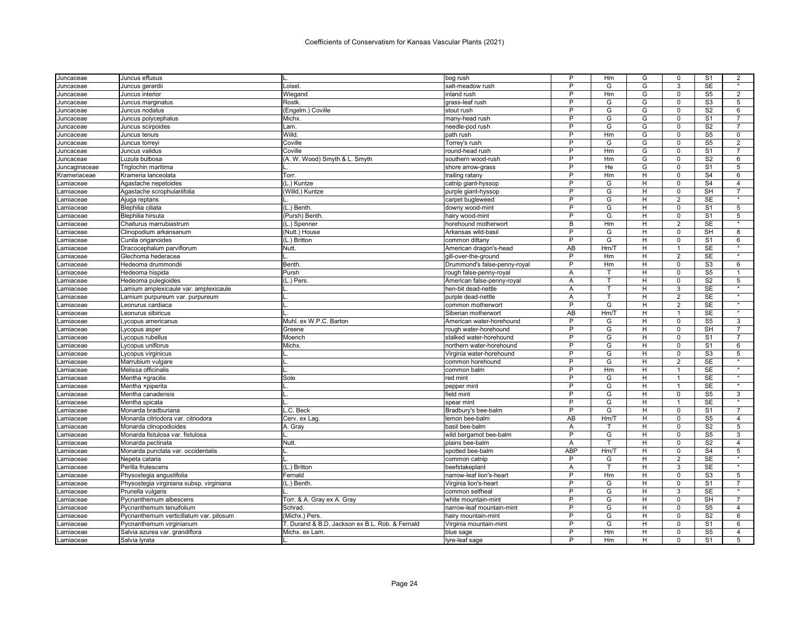| Juncaceae     | Juncus effusus                           |                                                 | bog rush                     | P              | Hm      | G              | 0              | S <sub>1</sub>         | 2                    |
|---------------|------------------------------------------|-------------------------------------------------|------------------------------|----------------|---------|----------------|----------------|------------------------|----------------------|
| Juncaceae     | Juncus gerardii                          | Loisel                                          | salt-meadow rush             | P              | G       | G              | 3              | <b>SE</b>              | $\star$              |
| Juncaceae     | Juncus interior                          | Wiegand                                         | inland rush                  | P              | Hm      | G              | $\mathbf 0$    | S <sub>5</sub>         | $\overline{2}$       |
| Juncaceae     | Juncus marginatus                        | <b>Rostk</b>                                    | grass-leaf rush              | P              | G       | G              | $\Omega$       | S <sub>3</sub>         | 5                    |
| Juncaceae     | Juncus nodatus                           | (Engelm.) Coville                               | stout rush                   | P              | G       | G              | $\mathbf 0$    | S <sub>2</sub>         | 6                    |
| Juncaceae     | Juncus polycephalus                      | Michx.                                          | many-head rush               | P              | G       | G              | $\Omega$       | S <sub>1</sub>         | 7                    |
| Juncaceae     | Juncus scirpoides                        | Lam.                                            | needle-pod rush              | $\overline{P}$ | G       | G              | $\mathbf 0$    | S <sub>2</sub>         | $\overline{7}$       |
| Juncaceae     | Juncus tenuis                            | Willd.                                          | path rush                    | P              | Hm      | G              | $\mathbf 0$    | S <sub>5</sub>         | 0                    |
| Juncaceae     | Juncus torreyi                           | Coville                                         | Torrey's rush                | $\overline{P}$ | G       | G              | $\mathbf 0$    | S <sub>5</sub>         | $\overline{2}$       |
| Juncaceae     | Juncus validus                           | Coville                                         | round-head rush              | P              | Hm      | G              | $\mathbf 0$    | S <sub>1</sub>         | $\overline{7}$       |
| Juncaceae     | Luzula bulbosa                           | (A. W. Wood) Smyth & L. Smyth                   | southern wood-rush           | P              | Hm      | G              | $\mathbf 0$    | S <sub>2</sub>         | 6                    |
| Juncaginaceae | Triglochin maritima                      |                                                 | shore arrow-grass            | P              | He      | G              | $\mathbf 0$    | S <sub>1</sub>         | 5                    |
| Krameriaceae  | Krameria lanceolata                      | Torr.                                           | trailing ratany              | P              | Hm      | H              | $\mathbf 0$    | S <sub>4</sub>         | 6                    |
| Lamiaceae     | Agastache nepetoides                     | (L.) Kuntze                                     | catnip giant-hyssop          | P              | G       | H              | $\mathbf 0$    | S <sub>4</sub>         | $\overline{4}$       |
| Lamiaceae     | Agastache scrophulariifolia              | (Willd.) Kuntze                                 | purple giant-hyssop          | P              | G       | H              | $\mathbf 0$    | SH                     | $\overline{7}$       |
| Lamiaceae     | Ajuga reptans                            |                                                 | carpet bugleweed             | P              | G       | н              | $\overline{2}$ | <b>SE</b>              |                      |
| Lamiaceae     | Blephilia ciliata                        | (L.) Benth                                      | downy wood-mint              | P              | G       | H              | $\Omega$       | S <sub>1</sub>         | 5                    |
| Lamiaceae     | Blephilia hirsuta                        | (Pursh) Benth                                   | hairy wood-mint              | P              | G       | H              | $\Omega$       | S <sub>1</sub>         | 5                    |
| Lamiaceae     | Chaiturus marrubiastrum                  | (L.) Spenner                                    | horehound motherwort         | B              | Hm      | H              | $\overline{2}$ | <b>SE</b>              | $\star$              |
| Lamiaceae     | Clinopodium arkansanum                   | (Nutt.) House                                   | Arkansas wild-basil          | P              | G       | H              | $\mathbf 0$    | SH                     | 8                    |
| Lamiaceae     | Cunila origanoides                       | (L.) Britton                                    | common dittany               | P              | G       | н              | $\Omega$       | S <sub>1</sub>         | 6                    |
| Lamiaceae     | Dracocephalum parviflorum                | Nutt.                                           | American dragon's-head       | AB             | Hm/T    | н              | $\mathbf{1}$   | <b>SE</b>              | $\star$              |
|               | Glechoma hederacea                       |                                                 | gill-over-the-ground         | P              | Hm      | H              | 2              | <b>SE</b>              |                      |
| Lamiaceae     |                                          | Benth                                           |                              | P              | Hm      | н              | $\mathbf 0$    | S <sub>3</sub>         | 6                    |
| Lamiaceae     | Hedeoma drummondii                       |                                                 | Drummond's false-penny-royal |                | т       | н              | $\mathbf 0$    | S <sub>5</sub>         | 1                    |
| Lamiaceae     | Hedeoma hispida                          | Pursh                                           | rough false-penny-royal      | Α<br>A         | T       | H              | $\mathbf 0$    | S <sub>2</sub>         | 5                    |
| Lamiaceae     | Hedeoma pulegioides                      | (L.) Pers.                                      | American false-penny-royal   |                |         |                |                |                        |                      |
| Lamiaceae     | amium amplexicaule var. amplexicaule     |                                                 | hen-bit dead-nettle          | A              | T.<br>T | H              | 3              | SE                     | $\overline{\ast}$    |
| Lamiaceae     | Lamium purpureum var. purpureum          |                                                 | purple dead-nettle           | A              |         | H              | $\overline{2}$ | <b>SE</b>              | $\star$              |
| Lamiaceae     | Leonurus cardiaca                        |                                                 | common motherwort            | P              | G       | H              | 2              | <b>SE</b>              | $\star$              |
| Lamiaceae     | Leonurus sibiricus                       |                                                 | Siberian motherwort          | AB             | Hm/T    | H              | 1              | <b>SE</b>              |                      |
| Lamiaceae     | Lycopus americanus                       | Muhl. ex W.P.C. Barton                          | American water-horehound     | $\overline{P}$ | G       | H              | $\Omega$       | S <sub>5</sub>         | 3                    |
| Lamiaceae     | Lycopus asper                            | Greene                                          | rough water-horehound        | P              | G       | H              | $\mathbf 0$    | <b>SH</b>              | $\overline{7}$       |
| _amiaceae     | Lycopus rubellus                         | Moench                                          | stalked water-horehound      | P              | G       | $\overline{H}$ | $\overline{0}$ | S <sub>1</sub>         | 7                    |
| Lamiaceae     | Lycopus uniflorus                        | Michx.                                          | northern water-horehound     | P              | G       | H              | $\mathbf 0$    | S <sub>1</sub>         | 6                    |
| Lamiaceae     | Lycopus virginicus                       |                                                 | Virginia water-horehound     | P              | G       | H              | $\mathbf 0$    | S <sub>3</sub>         | 5                    |
| Lamiaceae     | Marrubium vulgare                        |                                                 | common horehound             | P              | G       | H              | 2              | SE                     | $\star$              |
| Lamiaceae     | Melissa officinalis                      |                                                 | common balm                  | P              | Hm      | H              | 1              | <b>SE</b>              | $\ddot{\phantom{a}}$ |
| Lamiaceae     | Mentha xgracilis                         | Sole                                            | red mint                     | P              | G       | H              | 1              | <b>SE</b>              | $\star$              |
| _amiaceae     | Mentha ×piperita                         |                                                 | pepper mint                  | $\overline{P}$ | G       | H              | $\mathbf{1}$   | <b>SE</b>              | $\star$              |
| Lamiaceae     | Mentha canadensis                        |                                                 | field mint                   | P              | G       | H              | $\mathbf 0$    | S <sub>5</sub>         | 3                    |
| Lamiaceae     | Mentha spicata                           |                                                 | spear mint                   | P              | G       | H              | $\overline{1}$ | <b>SE</b>              |                      |
| Lamiaceae     | Monarda bradburiana                      | L.C. Beck                                       | Bradbury's bee-balm          | P              | G       | H              | $\Omega$       | S <sub>1</sub>         | 7                    |
| Lamiaceae     | Monarda citriodora var. citriodora       | Cerv. ex Lag.                                   | lemon bee-balm               | AB             | Hm/T    | H              | $\Omega$       | S <sub>5</sub>         | $\overline{4}$       |
| Lamiaceae     | Monarda clinopodioides                   | A. Gray                                         | basil bee-balm               | Α              | т       | H              | $\mathbf 0$    | S <sub>2</sub>         | 5                    |
| Lamiaceae     | Monarda fistulosa var. fistulosa         |                                                 | wild bergamot bee-balm       | P              | G       | H              | $\Omega$       | S <sub>5</sub>         | 3                    |
| Lamiaceae     | Monarda pectinata                        | Nutt.                                           | plains bee-balm              | Α              | T       | н              | $\mathbf 0$    | $\overline{\text{S2}}$ | $\overline{4}$       |
| Lamiaceae     | Monarda punctata var. occidentalis       |                                                 | spotted bee-balm             | <b>ABP</b>     | Hm/T    | H              | $\Omega$       | S <sub>4</sub>         | $5\overline{)}$      |
| Lamiaceae     | Nepeta cataria                           | lı.                                             | common catnip                | $\overline{P}$ | G       | н              | 2              | <b>SE</b>              | $\star$              |
| Lamiaceae     | Perilla frutescens                       | (L.) Britton                                    | beefstakeplant               | Α              | т       | Н              | 3              | SE                     |                      |
| Lamiaceae     | Physostegia angustifolia                 | Fernald                                         | narrow-leaf lion's-heart     | P              | Hm      | н              | $\mathbf 0$    | S <sub>3</sub>         | 5                    |
| Lamiaceae     | Physostegia virginiana subsp. virginiana | (L.) Benth.                                     | Virginia lion's-heart        | P              | G       | H              | $\mathbf 0$    | S <sub>1</sub>         | $\overline{7}$       |
| Lamiaceae     | Prunella vulgaris                        |                                                 | common selfheal              | P              | G       | H              | 3              | SE                     | $\overline{\ast}$    |
| Lamiaceae     | Pycnanthemum albescens                   | Torr. & A. Gray ex A. Gray                      | white mountain-mint          | P              | G       | н              | $\mathbf 0$    | SH                     | $\overline{7}$       |
| Lamiaceae     | Pycnanthemum tenuifolium                 | Schrad.                                         | narrow-leaf mountain-mint    | P              | G       | н              | 0              | S <sub>5</sub>         | $\overline{4}$       |
| Lamiaceae     | Pycnanthemum verticillatum var. pilosum  | (Michx.) Pers.                                  | hairy mountain-mint          | P              | G       | H              | $\mathbf 0$    | S <sub>2</sub>         | 6                    |
| Lamiaceae     | Pycnanthemum virginianum                 | T. Durand & B.D. Jackson ex B.L. Rob. & Fernald | Virginia mountain-mint       | P              | G       | H              | $\mathbf 0$    | S <sub>1</sub>         | 6                    |
| Lamiaceae     | Salvia azurea var. grandiflora           | Michx. ex Lam.                                  | blue sage                    | P              | Hm      | H              | $\Omega$       | S <sub>5</sub>         | $\overline{4}$       |
| Lamiaceae     | Salvia lyrata                            |                                                 | lyre-leaf sage               | P              | Hm      | H              | $\Omega$       | S <sub>1</sub>         | 5                    |
|               |                                          |                                                 |                              |                |         |                |                |                        |                      |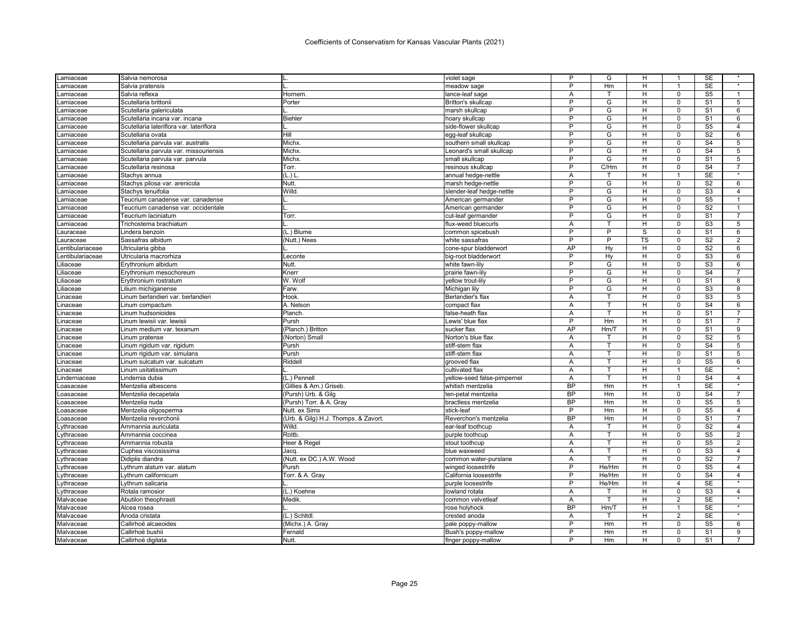| .amiaceae        | Salvia nemorosa                          |                                     | violet sage                 | P         | G            | H         |                | SE                       |                |
|------------------|------------------------------------------|-------------------------------------|-----------------------------|-----------|--------------|-----------|----------------|--------------------------|----------------|
| .amiaceae        | Salvia pratensis                         |                                     | meadow sage                 | P         | Hm           | H         | $\overline{1}$ | <b>SE</b>                | $\star$        |
| .amiaceae        | Salvia reflexa                           | Hornem.                             | lance-leaf sage             | Α         | т            | н         | $\mathsf 0$    | S <sub>5</sub>           | $\mathbf{1}$   |
| .amiaceae        | Scutellaria brittoni                     | Porter                              | Britton's skullcap          | P         | G            | H         | $\Omega$       | S <sub>1</sub>           | 5              |
| .amiaceae        | Scutellaria galericulata                 |                                     | marsh skullcap              | P         | G            | н         | $\mathbf 0$    | S <sub>1</sub>           | 6              |
| .amiaceae        | Scutellaria incana var. incana           | <b>Biehler</b>                      | hoary skullcap              | P         | G            | Н         | $\Omega$       | S <sub>1</sub>           | 6              |
| .amiaceae        | Scutellaria lateriflora var. lateriflora |                                     | side-flower skullcap        | P         | G            | Н         | $\Omega$       | S <sub>5</sub>           | $\overline{4}$ |
| .amiaceae        | Scutellaria ovata                        | Hill                                | egg-leaf skullcap           | P         | G            | н         | 0              | S <sub>2</sub>           | 6              |
| .amiaceae        | Scutellaria parvula var. australis       | Michx.                              | southern small skullcap     | P         | G            | H         | $\mathbf 0$    | S <sub>4</sub>           | 5              |
| .amiaceae        | Scutellaria parvula var. missouriensis   | Michx                               | Leonard's small skullcap    | P         | G            | H         | $\mathbf 0$    | $\overline{\mathsf{S}4}$ | 5              |
| .amiaceae        | Scutellaria parvula var. parvula         | Michx                               | small skullcap              | P         | G            | Н         | $\Omega$       | S <sub>1</sub>           | 5              |
| .amiaceae        | Scutellaria resinosa                     | Torr.                               | resinous skullcap           | P         | C/Hm         | H         | $\mathbf 0$    | S <sub>4</sub>           | $\overline{7}$ |
| .amiaceae        | Stachys annua                            | (L.) L                              | annual hedge-nettle         | Α         |              | н         | 1              | <b>SE</b>                |                |
| amiaceae.        | Stachys pilosa var. arenicola            | Nutt.                               | marsh hedge-nettle          | P         | G            | H         | $\mathbf 0$    | S <sub>2</sub>           | 6              |
| .amiaceae        | Stachys tenuifolia                       | Willd.                              | slender-leaf hedge-nettle   | P         | G            | H         | $\mathbf 0$    | S <sub>3</sub>           | $\overline{4}$ |
| .amiaceae        | Teucrium canadense var. canadense        |                                     | American germander          | P         | G            | H         | $\Omega$       | S <sub>5</sub>           | 1              |
| .amiaceae        | Teucrium canadense var. occidentale      |                                     | American germander          | P         | G            | H         | $\mathbf 0$    | $\overline{S2}$          | $\mathbf{1}$   |
| .amiaceae        | Teucrium laciniatum                      | Torr.                               | cut-leaf germander          | P         | G            | Н         | $\mathbf 0$    | S <sub>1</sub>           | $\overline{7}$ |
| .amiaceae        | Trichostema brachiatum                   |                                     | flux-weed bluecurls         | Α         | T.           | H         | $\mathbf 0$    | S <sub>3</sub>           | 5              |
| auraceae.        | Lindera benzoin                          | (L.) Blume                          | common spicebush            | P         | P            | S         | $\mathbf 0$    | S <sub>1</sub>           | 6              |
| auraceae.        | Sassafras albidum                        | (Nutt.) Nees                        | white sassafras             | P         | P            | <b>TS</b> | $\Omega$       | S <sub>2</sub>           | $\overline{2}$ |
| entibulariaceae. | Utricularia gibba                        |                                     | cone-spur bladderwort       | AP        | Hy           | H         | $\mathbf 0$    | S <sub>2</sub>           | 6              |
| .entibulariaceae | Utricularia macrorhiza                   | Leconte                             | big-root bladderwort        | P         | Hy           | Н         | $\Omega$       | S3                       | 6              |
| _iliaceae        | Erythronium albidum                      | Nutt.                               | white fawn-lily             | P         | G            | н         | $\mathbf 0$    | S <sub>3</sub>           | 6              |
| .iliaceae        | Erythronium mesochoreum                  | Knerr                               | prairie fawn-lily           | P         | G            | Н         | $\Omega$       | S <sub>4</sub>           | 7              |
| iliaceae         | Erythronium rostratum                    | W. Wolf                             | yellow trout-lily           | P         | G            | H         | $\mathbf 0$    | S <sub>1</sub>           | 8              |
| .iliaceae        | Lilium michiganense                      | Farw.                               | Michigan lily               | P         | G            | H         | $\mathbf 0$    | S <sub>3</sub>           | 8              |
| .inaceae         | Linum berlandieri var. berlandieri       | Hook.                               | Berlandier's flax           | A         | T            | н         | $\Omega$       | S <sub>3</sub>           | 5              |
| .inaceae         | Linum compactum                          | A. Nelson                           | compact flax                | Α         | T            | H         | $\mathbf 0$    | S <sub>4</sub>           | 6              |
| .inaceae         | Linum hudsonioides                       | Planch.                             | false-heath flax            | A         |              | Н         | $\mathbf 0$    | S <sub>1</sub>           | 7              |
| .inaceae         | Linum lewisii var. lewisii               | Pursh                               | Lewis' blue flax            | P         | Hm           | H         | $\mathbf 0$    | S <sub>1</sub>           | $\overline{7}$ |
| .inaceae         | Linum medium var. texanum                | (Planch.) Britton                   | sucker flax                 | AP        | Hm/T         | Н         | $\mathbf 0$    | S <sub>1</sub>           | 9              |
| .inaceae         | Linum pratense                           | (Norton) Small                      | Norton's blue flax          | A         |              | Η         | $\Omega$       | S <sub>2</sub>           | $\overline{5}$ |
| .inaceae         | Linum rigidum var. rigidum               | Pursh                               | stiff-stem flax             | A         | т            | н         | $\mathbf 0$    | $\overline{\mathsf{S}4}$ | 5              |
| .inaceae         | Linum rigidum var. simulans              | Pursh                               | stiff-stem flax             | A         | $\mathsf{T}$ | H         | $\mathbf 0$    | S <sub>1</sub>           | 5              |
| .inaceae         | Linum sulcatum var. sulcatum             | Riddell                             | grooved flax                | Α         | T.           | н         | $\mathbf 0$    | S <sub>5</sub>           | 6              |
| .inaceae         | Linum usitatissimum                      |                                     | cultivated flax             | A         | т            | H         | 1              | <b>SE</b>                |                |
| .inderniaceae    | Lindernia dubia                          | (L.) Pennell                        | yellow-seed false-pimpernel | Α         | $\mathsf{T}$ | H         | $\mathbf 0$    | S <sub>4</sub>           | $\overline{4}$ |
| oasaceae         | Mentzelia albescens                      | (Gillies & Arn.) Griseb.            | whitish mentzelia           | <b>BP</b> | Hm           | H         | $\overline{1}$ | <b>SE</b>                |                |
| oasaceae         | Mentzelia decapetala                     | (Pursh) Urb. & Gilg                 | ten-petal mentzelia         | <b>BP</b> | Hm           | Н         | $\mathbf 0$    | S <sub>4</sub>           | $\overline{7}$ |
| oasaceae.        | Mentzelia nuda                           | (Pursh) Torr. & A. Gray             | bractless mentzelia         | <b>BP</b> | Hm           | H         | $\mathbf 0$    | S <sub>5</sub>           | 5              |
| oasaceae         | Mentzelia oligosperma                    | Nutt. ex Sims                       | stick-leaf                  | P         | Hm           | Н         | $\Omega$       | S <sub>5</sub>           | $\overline{4}$ |
| oasaceae.        | Mentzelia reverchonii                    | (Urb. & Gilg) H.J. Thomps. & Zavort | Reverchon's mentzelia       | <b>BP</b> | Hm           | H         | $\Omega$       | S <sub>1</sub>           | $\overline{7}$ |
| .ythraceae       | Ammannia auriculata                      | Willd.                              | ear-leaf toothcup           | A         | т            | H         | $\mathbf 0$    | S <sub>2</sub>           | $\overline{4}$ |
| ythraceae.       | Ammannia coccinea                        | Rottb.                              | purple toothcup             | A         | T            | Н         | $\mathbf 0$    | S <sub>5</sub>           | $\overline{2}$ |
| ythraceae.       | Ammannia robusta                         | Heer & Regel                        | stout toothcup              | A         | T            | H         | $\mathbf 0$    | S <sub>5</sub>           | 2              |
| ythraceae        | Cuphea viscosissima                      | Jacq.                               | blue waxweed                | Α         |              | н         | $\mathbf 0$    | S <sub>3</sub>           | $\overline{4}$ |
| ythraceae        | Didiplis diandra                         | (Nutt. ex DC.) A.W. Wood            | common water-purslane       | Α         | т            | Н         | $\mathbf 0$    | S <sub>2</sub>           | $\overline{7}$ |
| ythraceae        | Lythrum alatum var. alatum               | Pursh                               | winged loosestrife          | P         | He/Hm        | H         | $\mathbf 0$    | S <sub>5</sub>           | 4              |
| .ythraceae       | Lythrum californicum                     | Torr. & A. Gray                     | California loosestrife      | P         | He/Hm        | H         | $\mathbf 0$    | S <sub>4</sub>           | $\overline{4}$ |
| .ythraceae       | vthrum salicaria                         |                                     | purple loosestrife          | P         | He/Hm        | H         | 4              | <b>SE</b>                |                |
| ythraceae.       | Rotala ramosior                          | (L.) Koehne                         | lowland rotala              | A         |              | Н         | $\Omega$       | S <sub>3</sub>           | $\overline{4}$ |
| Malvaceae        | Abutilon theophrasti                     | Medik                               | common velvetleaf           | A         | T.           | н         | 2              | SE                       | $\star$        |
| Malvaceae        | Alcea rosea                              |                                     | rose holyhock               | <b>BP</b> | Hm/T         | H         | 1              | <b>SE</b>                | $\star$        |
| Malvaceae        | Anoda cristata                           | (L.) Schitdl                        | crested anoda               | А         |              | H         | $\overline{2}$ | <b>SE</b>                | $\star$        |
| Malvaceae        | Callirhoë alcaeoides                     | (Michx.) A. Gray                    | pale poppy-mallow           | P         | Hm           | н         | $\mathsf 0$    | S <sub>5</sub>           | 6              |
| Malvaceae        | Callirhoë bushii                         | Fernald                             | Bush's poppy-mallow         | P         | Hm           | Н         | $\mathbf 0$    | S <sub>1</sub>           | 9              |
| Malvaceae        | Callirhoë digitata                       | Nutt.                               | finger poppy-mallow         | P         | Hm           | H         | $\Omega$       | S <sub>1</sub>           | $\overline{7}$ |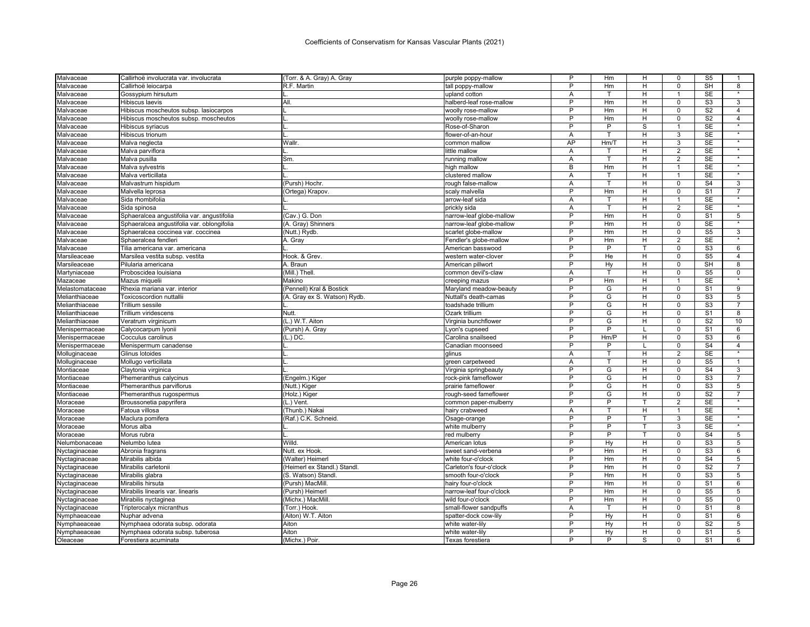| Malvaceae       | Callirhoë involucrata var. involucrata     | (Torr. & A. Gray) A. Gray    | purple poppy-mallow      | P              | Hm             | н | 0              | S <sub>5</sub>            |                   |
|-----------------|--------------------------------------------|------------------------------|--------------------------|----------------|----------------|---|----------------|---------------------------|-------------------|
| Malvaceae       | Callirhoë leiocarpa                        | R.F. Martin                  | tall poppy-mallow        | P              | Hm             | H | $\Omega$       | <b>SH</b>                 | 8                 |
| Malvaceae       | Gossypium hirsutum                         |                              | upland cotton            | A              | т              | н | $\mathbf{1}$   | SE                        | $\star$           |
| Malvaceae       | Hibiscus laevis                            | All.                         | halberd-leaf rose-mallow | P              | Hm             | H | $\Omega$       | S <sub>3</sub>            | 3                 |
| Malvaceae       | Hibiscus moscheutos subsp. lasiocarpos     |                              | woolly rose-mallow       | P              | Hm             | н | $\mathbf 0$    | S <sub>2</sub>            | $\overline{4}$    |
| Malvaceae       | Hibiscus moscheutos subsp. moscheutos      |                              | woolly rose-mallow       | P              | Hm             | H | $\Omega$       | S <sub>2</sub>            | $\overline{4}$    |
| Malvaceae       | Hibiscus syriacus                          |                              | Rose-of-Sharon           | P              | P              | S | 1              | <b>SE</b>                 | $\star$           |
| Malvaceae       | Hibiscus trionum                           |                              | flower-of-an-hour        | Α              | т              | H | 3              | <b>SE</b>                 |                   |
| Malvaceae       | Malva neglecta                             | Wallr.                       | common mallow            | AP             | Hm/T           | H | 3              | <b>SE</b>                 | $\star$           |
| Malvaceae       | Malva parviflora                           |                              | little mallow            | A              | т              | H | $\overline{2}$ | <b>SE</b>                 | $\star$           |
| Malvaceae       | Malva pusilla                              | Sm.                          | running mallow           | Α              | T              | н | 2              | SE                        | $\star$           |
| Malvaceae       | Malva sylvestris                           |                              | high mallow              | B              | Hm             | H | $\mathbf{1}$   | SE                        | $\star$           |
| Malvaceae       | Malva verticillata                         |                              | clustered mallow         | Α              |                | н | 1              | SE                        | $\star$           |
| Malvaceae       | Malvastrum hispidum                        | (Pursh) Hochr.               | rough false-mallow       | A              | T              | H | $\mathbf 0$    | S <sub>4</sub>            | 3                 |
| Malvaceae       | Malvella leprosa                           | (Ortega) Krapov.             | scaly malvella           | P              | Hm             | н | $\mathsf 0$    | S <sub>1</sub>            | $\overline{7}$    |
| Malvaceae       | Sida rhombifolia                           |                              | arrow-leaf sida          | A              | т              | H | 1              | <b>SE</b>                 |                   |
| Malvaceae       | Sida spinosa                               |                              | prickly sida             | Α              | т              | H | $\overline{2}$ | <b>SE</b>                 |                   |
| Malvaceae       | Sphaeralcea angustifolia var. angustifolia | (Cav.) G. Don                | narrow-leaf globe-mallow | P              | Hm             | H | $\Omega$       | S <sub>1</sub>            | 5                 |
| Malvaceae       | Sphaeralcea angustifolia var. oblongifolia | (A. Gray) Shinners           | narrow-leaf globe-mallow | P              | Hm             | H | $\mathbf 0$    | SE                        | $\star$           |
| Malvaceae       | Sphaeralcea coccinea var. coccinea         | (Nutt.) Rydb.                | scarlet globe-mallow     | P              | Hm             | H | $\mathbf 0$    | S <sub>5</sub>            | 3                 |
| Malvaceae       | Sphaeralcea fendleri                       | A. Gray                      | Fendler's globe-mallow   | P              | Hm             | H | 2              | <b>SE</b>                 | $\star$           |
| Malvaceae       | Tilia americana var. americana             |                              | American basswood        | P              | P              | т | $\mathbf 0$    | S <sub>3</sub>            | 6                 |
| Marsileaceae    | Marsilea vestita subsp. vestita            | Hook. & Grev.                | western water-clover     | P              | He             | H | $\mathbf 0$    | $\overline{\text{S5}}$    | $\overline{4}$    |
| Marsileaceae    | Pilularia americana                        | A. Braun                     | American pillwort        | P              | Hy             | H | $\mathbf 0$    | <b>SH</b>                 | 8                 |
| Martyniaceae    | Proboscidea louisiana                      | (Mill.) Thell.               | common devil's-claw      | Α              |                | н | $\Omega$       | S <sub>5</sub>            | 0                 |
| Mazaceae        | Mazus miquelii                             | Makino                       | creeping mazus           | P              | Hm             | H | $\mathbf{1}$   | <b>SE</b>                 | $\star$           |
| Melastomataceae | Rhexia mariana var. interior               | (Pennell) Kral & Bostick     | Maryland meadow-beauty   | P              | G              | H | $\mathbf 0$    | S <sub>1</sub>            | 9                 |
| Melianthiaceae  | <b>Toxicoscordion nuttallii</b>            | (A. Gray ex S. Watson) Rydb. | Nuttall's death-camas    | P              | G              | H | $\Omega$       | S <sub>3</sub>            | 5                 |
| Melianthiaceae  | Trillium sessile                           |                              | toadshade trillium       | P              | G              | н | $\mathbf 0$    | $\overline{\text{S3}}$    | $\overline{7}$    |
| Melianthiaceae  | Trillium viridescens                       | Nutt.                        | Ozark trillium           | P              | G              | H | $\Omega$       | S <sub>1</sub>            | 8                 |
| Melianthiaceae  | Veratrum virginicum                        | (L.) W.T. Aiton              | Virginia bunchflower     | P              | G              | H | $\mathbf 0$    | $\overline{S2}$           | 10                |
| Menispermaceae  | Calycocarpum Iyonii                        | (Pursh) A. Gray              | Lyon's cupseed           | P              | P              |   | $\Omega$       | S <sub>1</sub>            | 6                 |
| Menispermaceae  | Cocculus carolinus                         | $(L.)$ DC.                   | Carolina snailseed       | $\overline{P}$ | Hm/P           | H | $\overline{0}$ | S <sub>3</sub>            | 6                 |
| Menispermaceae  | Menispermum canadense                      |                              | Canadian moonseed        | P              | P              |   | $\mathbf 0$    | S <sub>4</sub>            | $\overline{4}$    |
| Molluginaceae   | Glinus lotoides                            |                              | alinus                   | A              | T              | H | $\overline{2}$ | <b>SE</b>                 | $\overline{\ast}$ |
| Molluginaceae   | Mollugo verticillata                       |                              | green carpetweed         | Α              | T.             | H | $\mathbf 0$    | S <sub>5</sub>            | $\mathbf{1}$      |
| Montiaceae      | Claytonia virginica                        |                              | Virginia springbeauty    | P              | G              | н | 0              | S <sub>4</sub>            | 3                 |
| Montiaceae      | Phemeranthus calycinus                     | (Engelm.) Kiger              | rock-pink fameflower     | P              | G              | H | $\mathbf 0$    | S <sub>3</sub>            | $\overline{7}$    |
| Montiaceae      | Phemeranthus parviflorus                   | (Nutt.) Kiger                | prairie fameflower       | $\overline{P}$ | G              | Н | 0              | S <sub>3</sub>            | $\overline{5}$    |
| Montiaceae      | Phemeranthus rugospermus                   | (Holz.) Kiger                | rough-seed fameflower    | P              | G              | H | $\mathbf 0$    | S <sub>2</sub>            | $\overline{7}$    |
| Moraceae        | Broussonetia papyrifera                    | (L.) Vent.                   | common paper-mulberry    | $\overline{P}$ | P              |   | $\overline{2}$ | SE                        |                   |
| Moraceae        | Fatoua villosa                             | (Thunb.) Nakai               | hairy crabweed           | A              | T              | H | 1              | <b>SE</b>                 | $\overline{\ast}$ |
| Moraceae        | Maclura pomifera                           | (Raf.) C.K. Schneid          | Osage-orange             | $\overline{P}$ | $\overline{P}$ | т | 3              | <b>SE</b>                 | $\star$           |
| Moraceae        | Morus alba                                 |                              | white mulberry           | P              | P              |   | 3              | <b>SE</b>                 | $\overline{\ast}$ |
| Moraceae        | Morus rubra                                |                              | red mulberry             | P              | P              | T | $\mathbf 0$    | S <sub>4</sub>            | 5                 |
| Nelumbonaceae   | Nelumbo lutea                              | Willd.                       | American lotus           | P              | Hy             | H | $\Omega$       | S <sub>3</sub>            | 5                 |
| Nyctaginaceae   | Abronia fragrans                           | Nutt. ex Hook.               | sweet sand-verbena       | P              | Hm             | H | $\overline{0}$ | S <sub>3</sub>            | $6\overline{6}$   |
| Nyctaginaceae   | Mirabilis albida                           | (Walter) Heimerl             | white four-o'clock       | P              | Hm             | H | $\mathbf 0$    | S <sub>4</sub>            | 5                 |
| Nyctaginaceae   | Mirabilis carletonii                       | (Heimerl ex Standl.) Standl. | Carleton's four-o'clock  | P              | Hm             | н | $\mathbf 0$    | $\overline{\mathsf{S2}}$  | $\overline{7}$    |
| Nyctaginaceae   | Mirabilis glabra                           | (S. Watson) Standl.          | smooth four-o'clock      | P              | Hm             | H | $\Omega$       | S3                        | 5                 |
| Nyctaginaceae   | Mirabilis hirsuta                          | (Pursh) MacMill              | hairy four-o'clock       | P              | Hm             | H | 0              | S <sub>1</sub>            | 6                 |
| Nyctaginaceae   | Mirabilis linearis var. linearis           | (Pursh) Heimerl              | narrow-leaf four-o'clock | P              | Hm             | H | $\mathbf 0$    | S <sub>5</sub>            | 5                 |
| Nyctaginaceae   | Mirabilis nyctaginea                       | (Michx.) MacMill             | wild four-o'clock        | P              | Hm             | H | $\mathsf 0$    | S <sub>5</sub>            | 0                 |
| Nyctaginaceae   | Tripterocalyx micranthus                   | (Torr.) Hook.                | small-flower sandpuffs   | A              | T              | H | $\mathbf 0$    | S <sub>1</sub>            | 8                 |
| Nymphaeaceae    | Nuphar advena                              | (Aiton) W.T. Aiton           | spatter-dock cow-lily    | P              | Hy             | H | $\mathbf 0$    | $\overline{\mathsf{s}}$ 1 | 6                 |
| Nymphaeaceae    | Nymphaea odorata subsp. odorata            | Aiton                        | white water-lily         | P              | Hy             | H | $\Omega$       | S <sub>2</sub>            | 5                 |
| Nymphaeaceae    | Nymphaea odorata subsp. tuberosa           | Aiton                        | white water-lily         | P              | Hy             | н | $\mathbf 0$    | S <sub>1</sub>            | 5                 |
| Oleaceae        | Forestiera acuminata                       | (Michx.) Poir.               | Texas forestiera         | P              | P              | S | $\Omega$       | S <sub>1</sub>            | 6                 |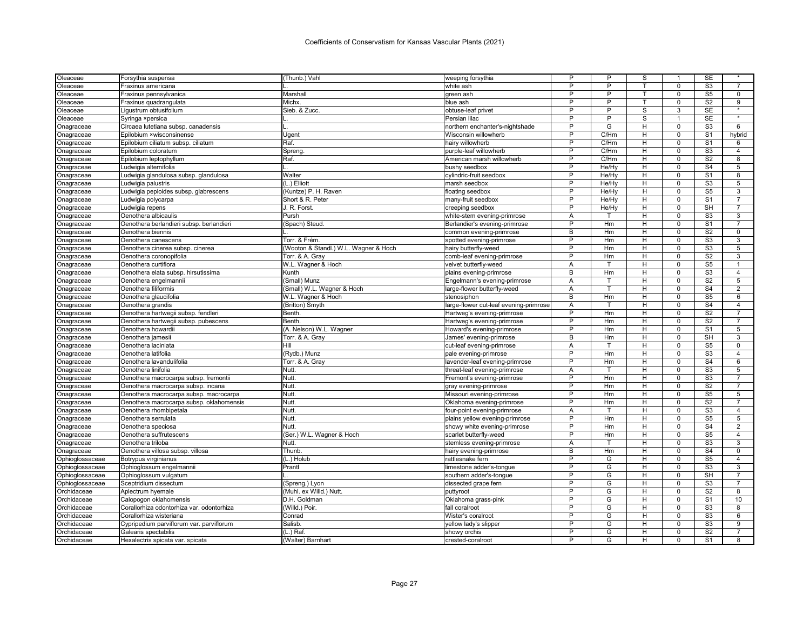| T<br>$\mathbf 0$<br>Oleaceae<br>Fraxinus americana<br>white ash<br>P<br>P<br>S <sub>5</sub><br>$\mathbf 0$<br>Oleaceae<br>Fraxinus pennsylvanica<br>Marshall<br>green ash<br>P<br>P<br>S <sub>2</sub><br>$\Omega$<br>Fraxinus quadrangulata<br>Michx.<br>blue ash<br>т<br>Oleaceae<br><b>SE</b><br>P<br>P<br>S<br>3<br>Oleaceae<br>Ligustrum obtusifolium<br>Sieb. & Zucc.<br>obtuse-leaf privet<br>P<br><b>SE</b><br>Þ<br>S<br>Oleaceae<br>Syringa ×persica<br>Persian lilac<br>S <sub>3</sub><br>P<br>G<br>н<br>0<br>Onagraceae<br>Circaea lutetiana subsp. canadensis<br>northern enchanter's-nightshade<br>P<br>S <sub>1</sub><br>Epilobium ×wisconsinense<br>Wisconsin willowherb<br>C/Hm<br>н<br>0<br>Onagraceae<br>Ugent<br>P<br>Raf.<br>C/Hm<br>H<br>$\mathbf 0$<br>S <sub>1</sub><br>Onagraceae<br>Epilobium ciliatum subsp. ciliatum<br>hairy willowherb<br>P<br>S <sub>3</sub><br>C/Hm<br>H<br>$\mathbf 0$<br>Onagraceae<br>Epilobium coloratum<br>Spreng.<br>purple-leaf willowherb<br>P<br>S <sub>2</sub><br>Raf.<br>$\Omega$<br>Onagraceae<br>Epilobium leptophyllum<br>American marsh willowherb<br>C/Hm<br>Н<br>P<br>He/Hy<br>H<br>$\mathbf 0$<br>S <sub>4</sub><br>Onagraceae<br>Ludwigia alternifolia<br>bushy seedbox<br>P<br>H<br>S <sub>1</sub><br>Onagraceae<br>Ludwigia glandulosa subsp. glandulosa<br>Walter<br>cylindric-fruit seedbox<br>He/Hy<br>$\Omega$<br>P<br>S <sub>3</sub><br>(L.) Elliott<br>He/Hy<br>H<br>$\Omega$<br>Onagraceae<br>Ludwigia palustris<br>marsh seedbox<br>S <sub>5</sub><br>P<br>H<br>$\mathbf 0$<br>Ludwigia peploides subsp. glabrescens<br>(Kuntze) P. H. Raven<br>floating seedbox<br>He/Hy<br>Onagraceae<br>Б<br>Η<br>S <sub>1</sub><br>Short & R. Peter<br>He/Hy<br>$\Omega$<br>Onagraceae<br>many-fruit seedbox<br>Ludwigia polycarpa<br>SH<br>P<br>H<br>J. R. Forst.<br>He/Hy<br>$\mathbf 0$<br>Onagraceae<br>Ludwigia repens<br>creeping seedbox<br>H<br>$\Omega$<br>S <sub>3</sub><br>Onagraceae<br>Oenothera albicaulis<br>Pursh<br>white-stem evening-primrose<br>Α<br>P<br>S <sub>1</sub><br>Onagraceae<br>(Spach) Steud.<br>Hm<br>н<br>0<br>Oenothera berlandieri subsp. berlandieri<br>Berlandier's evening-primrose<br>S <sub>2</sub><br>B<br>H<br>$\mathbf 0$<br>Onagraceae<br>Oenothera biennis<br>Hm<br>common evening-primrose<br>P<br>H<br>$\overline{0}$<br>S <sub>3</sub><br>Onagraceae<br>Torr. & Frém<br>Hm<br>Oenothera canescens<br>spotted evening-primrose<br>P<br>S3<br>(Wooton & Standl.) W.L. Wagner & Hoch<br>H<br>$\mathbf 0$<br>hairy butterfly-weed<br>Hm<br>Onagraceae<br>Oenothera cinerea subsp. cinerea<br>P<br>S <sub>2</sub><br>H<br>$\Omega$<br>Onagraceae<br>Oenothera coronopifolia<br>Torr. & A. Gray<br>comb-leaf evening-primrose<br>Hm<br>S <sub>5</sub><br>Onagraceae<br>Oenothera curtiflora<br>W.L. Wagner & Hoch<br>velvet butterfly-weed<br>A<br>H<br>0<br>т<br>B<br>H<br>S <sub>3</sub><br>Onagraceae<br>Oenothera elata subsp. hirsutissima<br>Kunth<br>plains evening-primrose<br>Hm<br>0<br>S <sub>2</sub><br>Onagraceae<br>(Small) Munz<br>Α<br>т<br>н<br>$\Omega$<br>Oenothera engelmannii<br>Engelmann's evening-primrose<br>$\overline{H}$<br>S <sub>4</sub><br>(Small) W.L. Wagner & Hoch<br>0<br>Onagraceae<br>Oenothera filiformis<br>large-flower butterfly-weed<br>Α<br>т<br>B<br>$\Omega$<br>S <sub>5</sub><br>H<br>Oenothera glaucifolia<br>W.L. Wagner & Hoch<br>Hm<br>Onagraceae<br>stenosiphon<br>S <sub>4</sub><br>H<br>Onagraceae<br>Oenothera grandis<br>(Britton) Smyth<br>large-flower cut-leaf evening-primrose<br>Α<br>T<br>0<br>P<br>Hm<br>Н<br>$\Omega$<br>S <sub>2</sub><br>Onagraceae<br>Oenothera hartwegii subsp. fendleri<br>Benth.<br>Hartweg's evening-primrose<br>P<br>н<br>S <sub>2</sub><br>Onagraceae<br>Oenothera hartwegii subsp. pubescens<br>Benth.<br>Hartweg's evening-primrose<br>Hm<br>$\Omega$<br>P<br>(A. Nelson) W.L. Wagner<br>Hm<br>H<br>0<br>S <sub>1</sub><br>Onagraceae<br>Oenothera howardii<br>Howard's evening-primrose<br>B<br>H<br>$\mathbf 0$<br>SH<br>Onagraceae<br>Oenothera jamesii<br>Torr. & A. Gray<br>Hm<br>James' evening-primrose<br>S <sub>5</sub><br>Oenothera laciniata<br>Hill<br>H<br>$\mathbf 0$<br>Onagraceae<br>cut-leaf evening-primrose<br>Α<br>т<br>P<br>S <sub>3</sub><br>H<br>$\Omega$<br>Onagraceae<br>Oenothera latifolia<br>(Rydb.) Munz<br>Hm<br>pale evening-primrose<br>P<br>Torr. & A. Gray<br>н<br>$\mathbf 0$<br>S <sub>4</sub><br>Onagraceae<br>Oenothera lavandulifolia<br>lavender-leaf evening-primrose<br>Hm<br>S <sub>3</sub><br>Oenothera linifolia<br>Nutt.<br>Α<br>н<br>0<br>Onagraceae<br>threat-leaf evening-primrose | Oleaceae | Forsythia suspensa | (Thunb.) Vahl | weeping forsythia | P | P | S | SE             |                |
|----------------------------------------------------------------------------------------------------------------------------------------------------------------------------------------------------------------------------------------------------------------------------------------------------------------------------------------------------------------------------------------------------------------------------------------------------------------------------------------------------------------------------------------------------------------------------------------------------------------------------------------------------------------------------------------------------------------------------------------------------------------------------------------------------------------------------------------------------------------------------------------------------------------------------------------------------------------------------------------------------------------------------------------------------------------------------------------------------------------------------------------------------------------------------------------------------------------------------------------------------------------------------------------------------------------------------------------------------------------------------------------------------------------------------------------------------------------------------------------------------------------------------------------------------------------------------------------------------------------------------------------------------------------------------------------------------------------------------------------------------------------------------------------------------------------------------------------------------------------------------------------------------------------------------------------------------------------------------------------------------------------------------------------------------------------------------------------------------------------------------------------------------------------------------------------------------------------------------------------------------------------------------------------------------------------------------------------------------------------------------------------------------------------------------------------------------------------------------------------------------------------------------------------------------------------------------------------------------------------------------------------------------------------------------------------------------------------------------------------------------------------------------------------------------------------------------------------------------------------------------------------------------------------------------------------------------------------------------------------------------------------------------------------------------------------------------------------------------------------------------------------------------------------------------------------------------------------------------------------------------------------------------------------------------------------------------------------------------------------------------------------------------------------------------------------------------------------------------------------------------------------------------------------------------------------------------------------------------------------------------------------------------------------------------------------------------------------------------------------------------------------------------------------------------------------------------------------------------------------------------------------------------------------------------------------------------------------------------------------------------------------------------------------------------------------------------------------------------------------------------------------------------------------------------------------------------------------------------------------------------------------------------------------------------------------------------------------------------------------------------------------------------------------------------------------------------------------------------------------------------------------------------------------------------------------------------------------------------------------------------------------|----------|--------------------|---------------|-------------------|---|---|---|----------------|----------------|
|                                                                                                                                                                                                                                                                                                                                                                                                                                                                                                                                                                                                                                                                                                                                                                                                                                                                                                                                                                                                                                                                                                                                                                                                                                                                                                                                                                                                                                                                                                                                                                                                                                                                                                                                                                                                                                                                                                                                                                                                                                                                                                                                                                                                                                                                                                                                                                                                                                                                                                                                                                                                                                                                                                                                                                                                                                                                                                                                                                                                                                                                                                                                                                                                                                                                                                                                                                                                                                                                                                                                                                                                                                                                                                                                                                                                                                                                                                                                                                                                                                                                                                                                                                                                                                                                                                                                                                                                                                                                                                                                                                                                                                        |          |                    |               |                   | P | P |   | S <sub>3</sub> | $\overline{7}$ |
|                                                                                                                                                                                                                                                                                                                                                                                                                                                                                                                                                                                                                                                                                                                                                                                                                                                                                                                                                                                                                                                                                                                                                                                                                                                                                                                                                                                                                                                                                                                                                                                                                                                                                                                                                                                                                                                                                                                                                                                                                                                                                                                                                                                                                                                                                                                                                                                                                                                                                                                                                                                                                                                                                                                                                                                                                                                                                                                                                                                                                                                                                                                                                                                                                                                                                                                                                                                                                                                                                                                                                                                                                                                                                                                                                                                                                                                                                                                                                                                                                                                                                                                                                                                                                                                                                                                                                                                                                                                                                                                                                                                                                                        |          |                    |               |                   |   |   |   |                | 0              |
|                                                                                                                                                                                                                                                                                                                                                                                                                                                                                                                                                                                                                                                                                                                                                                                                                                                                                                                                                                                                                                                                                                                                                                                                                                                                                                                                                                                                                                                                                                                                                                                                                                                                                                                                                                                                                                                                                                                                                                                                                                                                                                                                                                                                                                                                                                                                                                                                                                                                                                                                                                                                                                                                                                                                                                                                                                                                                                                                                                                                                                                                                                                                                                                                                                                                                                                                                                                                                                                                                                                                                                                                                                                                                                                                                                                                                                                                                                                                                                                                                                                                                                                                                                                                                                                                                                                                                                                                                                                                                                                                                                                                                                        |          |                    |               |                   |   |   |   |                | 9              |
|                                                                                                                                                                                                                                                                                                                                                                                                                                                                                                                                                                                                                                                                                                                                                                                                                                                                                                                                                                                                                                                                                                                                                                                                                                                                                                                                                                                                                                                                                                                                                                                                                                                                                                                                                                                                                                                                                                                                                                                                                                                                                                                                                                                                                                                                                                                                                                                                                                                                                                                                                                                                                                                                                                                                                                                                                                                                                                                                                                                                                                                                                                                                                                                                                                                                                                                                                                                                                                                                                                                                                                                                                                                                                                                                                                                                                                                                                                                                                                                                                                                                                                                                                                                                                                                                                                                                                                                                                                                                                                                                                                                                                                        |          |                    |               |                   |   |   |   |                |                |
|                                                                                                                                                                                                                                                                                                                                                                                                                                                                                                                                                                                                                                                                                                                                                                                                                                                                                                                                                                                                                                                                                                                                                                                                                                                                                                                                                                                                                                                                                                                                                                                                                                                                                                                                                                                                                                                                                                                                                                                                                                                                                                                                                                                                                                                                                                                                                                                                                                                                                                                                                                                                                                                                                                                                                                                                                                                                                                                                                                                                                                                                                                                                                                                                                                                                                                                                                                                                                                                                                                                                                                                                                                                                                                                                                                                                                                                                                                                                                                                                                                                                                                                                                                                                                                                                                                                                                                                                                                                                                                                                                                                                                                        |          |                    |               |                   |   |   |   |                |                |
|                                                                                                                                                                                                                                                                                                                                                                                                                                                                                                                                                                                                                                                                                                                                                                                                                                                                                                                                                                                                                                                                                                                                                                                                                                                                                                                                                                                                                                                                                                                                                                                                                                                                                                                                                                                                                                                                                                                                                                                                                                                                                                                                                                                                                                                                                                                                                                                                                                                                                                                                                                                                                                                                                                                                                                                                                                                                                                                                                                                                                                                                                                                                                                                                                                                                                                                                                                                                                                                                                                                                                                                                                                                                                                                                                                                                                                                                                                                                                                                                                                                                                                                                                                                                                                                                                                                                                                                                                                                                                                                                                                                                                                        |          |                    |               |                   |   |   |   |                | 6              |
|                                                                                                                                                                                                                                                                                                                                                                                                                                                                                                                                                                                                                                                                                                                                                                                                                                                                                                                                                                                                                                                                                                                                                                                                                                                                                                                                                                                                                                                                                                                                                                                                                                                                                                                                                                                                                                                                                                                                                                                                                                                                                                                                                                                                                                                                                                                                                                                                                                                                                                                                                                                                                                                                                                                                                                                                                                                                                                                                                                                                                                                                                                                                                                                                                                                                                                                                                                                                                                                                                                                                                                                                                                                                                                                                                                                                                                                                                                                                                                                                                                                                                                                                                                                                                                                                                                                                                                                                                                                                                                                                                                                                                                        |          |                    |               |                   |   |   |   |                | hybrid         |
|                                                                                                                                                                                                                                                                                                                                                                                                                                                                                                                                                                                                                                                                                                                                                                                                                                                                                                                                                                                                                                                                                                                                                                                                                                                                                                                                                                                                                                                                                                                                                                                                                                                                                                                                                                                                                                                                                                                                                                                                                                                                                                                                                                                                                                                                                                                                                                                                                                                                                                                                                                                                                                                                                                                                                                                                                                                                                                                                                                                                                                                                                                                                                                                                                                                                                                                                                                                                                                                                                                                                                                                                                                                                                                                                                                                                                                                                                                                                                                                                                                                                                                                                                                                                                                                                                                                                                                                                                                                                                                                                                                                                                                        |          |                    |               |                   |   |   |   |                | 6              |
|                                                                                                                                                                                                                                                                                                                                                                                                                                                                                                                                                                                                                                                                                                                                                                                                                                                                                                                                                                                                                                                                                                                                                                                                                                                                                                                                                                                                                                                                                                                                                                                                                                                                                                                                                                                                                                                                                                                                                                                                                                                                                                                                                                                                                                                                                                                                                                                                                                                                                                                                                                                                                                                                                                                                                                                                                                                                                                                                                                                                                                                                                                                                                                                                                                                                                                                                                                                                                                                                                                                                                                                                                                                                                                                                                                                                                                                                                                                                                                                                                                                                                                                                                                                                                                                                                                                                                                                                                                                                                                                                                                                                                                        |          |                    |               |                   |   |   |   |                | $\overline{4}$ |
|                                                                                                                                                                                                                                                                                                                                                                                                                                                                                                                                                                                                                                                                                                                                                                                                                                                                                                                                                                                                                                                                                                                                                                                                                                                                                                                                                                                                                                                                                                                                                                                                                                                                                                                                                                                                                                                                                                                                                                                                                                                                                                                                                                                                                                                                                                                                                                                                                                                                                                                                                                                                                                                                                                                                                                                                                                                                                                                                                                                                                                                                                                                                                                                                                                                                                                                                                                                                                                                                                                                                                                                                                                                                                                                                                                                                                                                                                                                                                                                                                                                                                                                                                                                                                                                                                                                                                                                                                                                                                                                                                                                                                                        |          |                    |               |                   |   |   |   |                | 8              |
|                                                                                                                                                                                                                                                                                                                                                                                                                                                                                                                                                                                                                                                                                                                                                                                                                                                                                                                                                                                                                                                                                                                                                                                                                                                                                                                                                                                                                                                                                                                                                                                                                                                                                                                                                                                                                                                                                                                                                                                                                                                                                                                                                                                                                                                                                                                                                                                                                                                                                                                                                                                                                                                                                                                                                                                                                                                                                                                                                                                                                                                                                                                                                                                                                                                                                                                                                                                                                                                                                                                                                                                                                                                                                                                                                                                                                                                                                                                                                                                                                                                                                                                                                                                                                                                                                                                                                                                                                                                                                                                                                                                                                                        |          |                    |               |                   |   |   |   |                | 5              |
|                                                                                                                                                                                                                                                                                                                                                                                                                                                                                                                                                                                                                                                                                                                                                                                                                                                                                                                                                                                                                                                                                                                                                                                                                                                                                                                                                                                                                                                                                                                                                                                                                                                                                                                                                                                                                                                                                                                                                                                                                                                                                                                                                                                                                                                                                                                                                                                                                                                                                                                                                                                                                                                                                                                                                                                                                                                                                                                                                                                                                                                                                                                                                                                                                                                                                                                                                                                                                                                                                                                                                                                                                                                                                                                                                                                                                                                                                                                                                                                                                                                                                                                                                                                                                                                                                                                                                                                                                                                                                                                                                                                                                                        |          |                    |               |                   |   |   |   |                | 8              |
|                                                                                                                                                                                                                                                                                                                                                                                                                                                                                                                                                                                                                                                                                                                                                                                                                                                                                                                                                                                                                                                                                                                                                                                                                                                                                                                                                                                                                                                                                                                                                                                                                                                                                                                                                                                                                                                                                                                                                                                                                                                                                                                                                                                                                                                                                                                                                                                                                                                                                                                                                                                                                                                                                                                                                                                                                                                                                                                                                                                                                                                                                                                                                                                                                                                                                                                                                                                                                                                                                                                                                                                                                                                                                                                                                                                                                                                                                                                                                                                                                                                                                                                                                                                                                                                                                                                                                                                                                                                                                                                                                                                                                                        |          |                    |               |                   |   |   |   |                | 5              |
|                                                                                                                                                                                                                                                                                                                                                                                                                                                                                                                                                                                                                                                                                                                                                                                                                                                                                                                                                                                                                                                                                                                                                                                                                                                                                                                                                                                                                                                                                                                                                                                                                                                                                                                                                                                                                                                                                                                                                                                                                                                                                                                                                                                                                                                                                                                                                                                                                                                                                                                                                                                                                                                                                                                                                                                                                                                                                                                                                                                                                                                                                                                                                                                                                                                                                                                                                                                                                                                                                                                                                                                                                                                                                                                                                                                                                                                                                                                                                                                                                                                                                                                                                                                                                                                                                                                                                                                                                                                                                                                                                                                                                                        |          |                    |               |                   |   |   |   |                | 3              |
|                                                                                                                                                                                                                                                                                                                                                                                                                                                                                                                                                                                                                                                                                                                                                                                                                                                                                                                                                                                                                                                                                                                                                                                                                                                                                                                                                                                                                                                                                                                                                                                                                                                                                                                                                                                                                                                                                                                                                                                                                                                                                                                                                                                                                                                                                                                                                                                                                                                                                                                                                                                                                                                                                                                                                                                                                                                                                                                                                                                                                                                                                                                                                                                                                                                                                                                                                                                                                                                                                                                                                                                                                                                                                                                                                                                                                                                                                                                                                                                                                                                                                                                                                                                                                                                                                                                                                                                                                                                                                                                                                                                                                                        |          |                    |               |                   |   |   |   |                |                |
|                                                                                                                                                                                                                                                                                                                                                                                                                                                                                                                                                                                                                                                                                                                                                                                                                                                                                                                                                                                                                                                                                                                                                                                                                                                                                                                                                                                                                                                                                                                                                                                                                                                                                                                                                                                                                                                                                                                                                                                                                                                                                                                                                                                                                                                                                                                                                                                                                                                                                                                                                                                                                                                                                                                                                                                                                                                                                                                                                                                                                                                                                                                                                                                                                                                                                                                                                                                                                                                                                                                                                                                                                                                                                                                                                                                                                                                                                                                                                                                                                                                                                                                                                                                                                                                                                                                                                                                                                                                                                                                                                                                                                                        |          |                    |               |                   |   |   |   |                | $\overline{7}$ |
|                                                                                                                                                                                                                                                                                                                                                                                                                                                                                                                                                                                                                                                                                                                                                                                                                                                                                                                                                                                                                                                                                                                                                                                                                                                                                                                                                                                                                                                                                                                                                                                                                                                                                                                                                                                                                                                                                                                                                                                                                                                                                                                                                                                                                                                                                                                                                                                                                                                                                                                                                                                                                                                                                                                                                                                                                                                                                                                                                                                                                                                                                                                                                                                                                                                                                                                                                                                                                                                                                                                                                                                                                                                                                                                                                                                                                                                                                                                                                                                                                                                                                                                                                                                                                                                                                                                                                                                                                                                                                                                                                                                                                                        |          |                    |               |                   |   |   |   |                | 3              |
|                                                                                                                                                                                                                                                                                                                                                                                                                                                                                                                                                                                                                                                                                                                                                                                                                                                                                                                                                                                                                                                                                                                                                                                                                                                                                                                                                                                                                                                                                                                                                                                                                                                                                                                                                                                                                                                                                                                                                                                                                                                                                                                                                                                                                                                                                                                                                                                                                                                                                                                                                                                                                                                                                                                                                                                                                                                                                                                                                                                                                                                                                                                                                                                                                                                                                                                                                                                                                                                                                                                                                                                                                                                                                                                                                                                                                                                                                                                                                                                                                                                                                                                                                                                                                                                                                                                                                                                                                                                                                                                                                                                                                                        |          |                    |               |                   |   |   |   |                | $\overline{7}$ |
|                                                                                                                                                                                                                                                                                                                                                                                                                                                                                                                                                                                                                                                                                                                                                                                                                                                                                                                                                                                                                                                                                                                                                                                                                                                                                                                                                                                                                                                                                                                                                                                                                                                                                                                                                                                                                                                                                                                                                                                                                                                                                                                                                                                                                                                                                                                                                                                                                                                                                                                                                                                                                                                                                                                                                                                                                                                                                                                                                                                                                                                                                                                                                                                                                                                                                                                                                                                                                                                                                                                                                                                                                                                                                                                                                                                                                                                                                                                                                                                                                                                                                                                                                                                                                                                                                                                                                                                                                                                                                                                                                                                                                                        |          |                    |               |                   |   |   |   |                | $\mathbf 0$    |
|                                                                                                                                                                                                                                                                                                                                                                                                                                                                                                                                                                                                                                                                                                                                                                                                                                                                                                                                                                                                                                                                                                                                                                                                                                                                                                                                                                                                                                                                                                                                                                                                                                                                                                                                                                                                                                                                                                                                                                                                                                                                                                                                                                                                                                                                                                                                                                                                                                                                                                                                                                                                                                                                                                                                                                                                                                                                                                                                                                                                                                                                                                                                                                                                                                                                                                                                                                                                                                                                                                                                                                                                                                                                                                                                                                                                                                                                                                                                                                                                                                                                                                                                                                                                                                                                                                                                                                                                                                                                                                                                                                                                                                        |          |                    |               |                   |   |   |   |                | $\mathbf{3}$   |
|                                                                                                                                                                                                                                                                                                                                                                                                                                                                                                                                                                                                                                                                                                                                                                                                                                                                                                                                                                                                                                                                                                                                                                                                                                                                                                                                                                                                                                                                                                                                                                                                                                                                                                                                                                                                                                                                                                                                                                                                                                                                                                                                                                                                                                                                                                                                                                                                                                                                                                                                                                                                                                                                                                                                                                                                                                                                                                                                                                                                                                                                                                                                                                                                                                                                                                                                                                                                                                                                                                                                                                                                                                                                                                                                                                                                                                                                                                                                                                                                                                                                                                                                                                                                                                                                                                                                                                                                                                                                                                                                                                                                                                        |          |                    |               |                   |   |   |   |                | 5              |
|                                                                                                                                                                                                                                                                                                                                                                                                                                                                                                                                                                                                                                                                                                                                                                                                                                                                                                                                                                                                                                                                                                                                                                                                                                                                                                                                                                                                                                                                                                                                                                                                                                                                                                                                                                                                                                                                                                                                                                                                                                                                                                                                                                                                                                                                                                                                                                                                                                                                                                                                                                                                                                                                                                                                                                                                                                                                                                                                                                                                                                                                                                                                                                                                                                                                                                                                                                                                                                                                                                                                                                                                                                                                                                                                                                                                                                                                                                                                                                                                                                                                                                                                                                                                                                                                                                                                                                                                                                                                                                                                                                                                                                        |          |                    |               |                   |   |   |   |                | 3              |
|                                                                                                                                                                                                                                                                                                                                                                                                                                                                                                                                                                                                                                                                                                                                                                                                                                                                                                                                                                                                                                                                                                                                                                                                                                                                                                                                                                                                                                                                                                                                                                                                                                                                                                                                                                                                                                                                                                                                                                                                                                                                                                                                                                                                                                                                                                                                                                                                                                                                                                                                                                                                                                                                                                                                                                                                                                                                                                                                                                                                                                                                                                                                                                                                                                                                                                                                                                                                                                                                                                                                                                                                                                                                                                                                                                                                                                                                                                                                                                                                                                                                                                                                                                                                                                                                                                                                                                                                                                                                                                                                                                                                                                        |          |                    |               |                   |   |   |   |                | $\overline{1}$ |
|                                                                                                                                                                                                                                                                                                                                                                                                                                                                                                                                                                                                                                                                                                                                                                                                                                                                                                                                                                                                                                                                                                                                                                                                                                                                                                                                                                                                                                                                                                                                                                                                                                                                                                                                                                                                                                                                                                                                                                                                                                                                                                                                                                                                                                                                                                                                                                                                                                                                                                                                                                                                                                                                                                                                                                                                                                                                                                                                                                                                                                                                                                                                                                                                                                                                                                                                                                                                                                                                                                                                                                                                                                                                                                                                                                                                                                                                                                                                                                                                                                                                                                                                                                                                                                                                                                                                                                                                                                                                                                                                                                                                                                        |          |                    |               |                   |   |   |   |                | $\overline{4}$ |
|                                                                                                                                                                                                                                                                                                                                                                                                                                                                                                                                                                                                                                                                                                                                                                                                                                                                                                                                                                                                                                                                                                                                                                                                                                                                                                                                                                                                                                                                                                                                                                                                                                                                                                                                                                                                                                                                                                                                                                                                                                                                                                                                                                                                                                                                                                                                                                                                                                                                                                                                                                                                                                                                                                                                                                                                                                                                                                                                                                                                                                                                                                                                                                                                                                                                                                                                                                                                                                                                                                                                                                                                                                                                                                                                                                                                                                                                                                                                                                                                                                                                                                                                                                                                                                                                                                                                                                                                                                                                                                                                                                                                                                        |          |                    |               |                   |   |   |   |                | 5              |
|                                                                                                                                                                                                                                                                                                                                                                                                                                                                                                                                                                                                                                                                                                                                                                                                                                                                                                                                                                                                                                                                                                                                                                                                                                                                                                                                                                                                                                                                                                                                                                                                                                                                                                                                                                                                                                                                                                                                                                                                                                                                                                                                                                                                                                                                                                                                                                                                                                                                                                                                                                                                                                                                                                                                                                                                                                                                                                                                                                                                                                                                                                                                                                                                                                                                                                                                                                                                                                                                                                                                                                                                                                                                                                                                                                                                                                                                                                                                                                                                                                                                                                                                                                                                                                                                                                                                                                                                                                                                                                                                                                                                                                        |          |                    |               |                   |   |   |   |                | 2              |
|                                                                                                                                                                                                                                                                                                                                                                                                                                                                                                                                                                                                                                                                                                                                                                                                                                                                                                                                                                                                                                                                                                                                                                                                                                                                                                                                                                                                                                                                                                                                                                                                                                                                                                                                                                                                                                                                                                                                                                                                                                                                                                                                                                                                                                                                                                                                                                                                                                                                                                                                                                                                                                                                                                                                                                                                                                                                                                                                                                                                                                                                                                                                                                                                                                                                                                                                                                                                                                                                                                                                                                                                                                                                                                                                                                                                                                                                                                                                                                                                                                                                                                                                                                                                                                                                                                                                                                                                                                                                                                                                                                                                                                        |          |                    |               |                   |   |   |   |                | 6              |
|                                                                                                                                                                                                                                                                                                                                                                                                                                                                                                                                                                                                                                                                                                                                                                                                                                                                                                                                                                                                                                                                                                                                                                                                                                                                                                                                                                                                                                                                                                                                                                                                                                                                                                                                                                                                                                                                                                                                                                                                                                                                                                                                                                                                                                                                                                                                                                                                                                                                                                                                                                                                                                                                                                                                                                                                                                                                                                                                                                                                                                                                                                                                                                                                                                                                                                                                                                                                                                                                                                                                                                                                                                                                                                                                                                                                                                                                                                                                                                                                                                                                                                                                                                                                                                                                                                                                                                                                                                                                                                                                                                                                                                        |          |                    |               |                   |   |   |   |                | 4              |
|                                                                                                                                                                                                                                                                                                                                                                                                                                                                                                                                                                                                                                                                                                                                                                                                                                                                                                                                                                                                                                                                                                                                                                                                                                                                                                                                                                                                                                                                                                                                                                                                                                                                                                                                                                                                                                                                                                                                                                                                                                                                                                                                                                                                                                                                                                                                                                                                                                                                                                                                                                                                                                                                                                                                                                                                                                                                                                                                                                                                                                                                                                                                                                                                                                                                                                                                                                                                                                                                                                                                                                                                                                                                                                                                                                                                                                                                                                                                                                                                                                                                                                                                                                                                                                                                                                                                                                                                                                                                                                                                                                                                                                        |          |                    |               |                   |   |   |   |                |                |
|                                                                                                                                                                                                                                                                                                                                                                                                                                                                                                                                                                                                                                                                                                                                                                                                                                                                                                                                                                                                                                                                                                                                                                                                                                                                                                                                                                                                                                                                                                                                                                                                                                                                                                                                                                                                                                                                                                                                                                                                                                                                                                                                                                                                                                                                                                                                                                                                                                                                                                                                                                                                                                                                                                                                                                                                                                                                                                                                                                                                                                                                                                                                                                                                                                                                                                                                                                                                                                                                                                                                                                                                                                                                                                                                                                                                                                                                                                                                                                                                                                                                                                                                                                                                                                                                                                                                                                                                                                                                                                                                                                                                                                        |          |                    |               |                   |   |   |   |                |                |
|                                                                                                                                                                                                                                                                                                                                                                                                                                                                                                                                                                                                                                                                                                                                                                                                                                                                                                                                                                                                                                                                                                                                                                                                                                                                                                                                                                                                                                                                                                                                                                                                                                                                                                                                                                                                                                                                                                                                                                                                                                                                                                                                                                                                                                                                                                                                                                                                                                                                                                                                                                                                                                                                                                                                                                                                                                                                                                                                                                                                                                                                                                                                                                                                                                                                                                                                                                                                                                                                                                                                                                                                                                                                                                                                                                                                                                                                                                                                                                                                                                                                                                                                                                                                                                                                                                                                                                                                                                                                                                                                                                                                                                        |          |                    |               |                   |   |   |   |                | $\overline{7}$ |
|                                                                                                                                                                                                                                                                                                                                                                                                                                                                                                                                                                                                                                                                                                                                                                                                                                                                                                                                                                                                                                                                                                                                                                                                                                                                                                                                                                                                                                                                                                                                                                                                                                                                                                                                                                                                                                                                                                                                                                                                                                                                                                                                                                                                                                                                                                                                                                                                                                                                                                                                                                                                                                                                                                                                                                                                                                                                                                                                                                                                                                                                                                                                                                                                                                                                                                                                                                                                                                                                                                                                                                                                                                                                                                                                                                                                                                                                                                                                                                                                                                                                                                                                                                                                                                                                                                                                                                                                                                                                                                                                                                                                                                        |          |                    |               |                   |   |   |   |                | 5              |
|                                                                                                                                                                                                                                                                                                                                                                                                                                                                                                                                                                                                                                                                                                                                                                                                                                                                                                                                                                                                                                                                                                                                                                                                                                                                                                                                                                                                                                                                                                                                                                                                                                                                                                                                                                                                                                                                                                                                                                                                                                                                                                                                                                                                                                                                                                                                                                                                                                                                                                                                                                                                                                                                                                                                                                                                                                                                                                                                                                                                                                                                                                                                                                                                                                                                                                                                                                                                                                                                                                                                                                                                                                                                                                                                                                                                                                                                                                                                                                                                                                                                                                                                                                                                                                                                                                                                                                                                                                                                                                                                                                                                                                        |          |                    |               |                   |   |   |   |                | 3              |
|                                                                                                                                                                                                                                                                                                                                                                                                                                                                                                                                                                                                                                                                                                                                                                                                                                                                                                                                                                                                                                                                                                                                                                                                                                                                                                                                                                                                                                                                                                                                                                                                                                                                                                                                                                                                                                                                                                                                                                                                                                                                                                                                                                                                                                                                                                                                                                                                                                                                                                                                                                                                                                                                                                                                                                                                                                                                                                                                                                                                                                                                                                                                                                                                                                                                                                                                                                                                                                                                                                                                                                                                                                                                                                                                                                                                                                                                                                                                                                                                                                                                                                                                                                                                                                                                                                                                                                                                                                                                                                                                                                                                                                        |          |                    |               |                   |   |   |   |                | 0              |
|                                                                                                                                                                                                                                                                                                                                                                                                                                                                                                                                                                                                                                                                                                                                                                                                                                                                                                                                                                                                                                                                                                                                                                                                                                                                                                                                                                                                                                                                                                                                                                                                                                                                                                                                                                                                                                                                                                                                                                                                                                                                                                                                                                                                                                                                                                                                                                                                                                                                                                                                                                                                                                                                                                                                                                                                                                                                                                                                                                                                                                                                                                                                                                                                                                                                                                                                                                                                                                                                                                                                                                                                                                                                                                                                                                                                                                                                                                                                                                                                                                                                                                                                                                                                                                                                                                                                                                                                                                                                                                                                                                                                                                        |          |                    |               |                   |   |   |   |                | 4              |
|                                                                                                                                                                                                                                                                                                                                                                                                                                                                                                                                                                                                                                                                                                                                                                                                                                                                                                                                                                                                                                                                                                                                                                                                                                                                                                                                                                                                                                                                                                                                                                                                                                                                                                                                                                                                                                                                                                                                                                                                                                                                                                                                                                                                                                                                                                                                                                                                                                                                                                                                                                                                                                                                                                                                                                                                                                                                                                                                                                                                                                                                                                                                                                                                                                                                                                                                                                                                                                                                                                                                                                                                                                                                                                                                                                                                                                                                                                                                                                                                                                                                                                                                                                                                                                                                                                                                                                                                                                                                                                                                                                                                                                        |          |                    |               |                   |   |   |   |                | 6              |
|                                                                                                                                                                                                                                                                                                                                                                                                                                                                                                                                                                                                                                                                                                                                                                                                                                                                                                                                                                                                                                                                                                                                                                                                                                                                                                                                                                                                                                                                                                                                                                                                                                                                                                                                                                                                                                                                                                                                                                                                                                                                                                                                                                                                                                                                                                                                                                                                                                                                                                                                                                                                                                                                                                                                                                                                                                                                                                                                                                                                                                                                                                                                                                                                                                                                                                                                                                                                                                                                                                                                                                                                                                                                                                                                                                                                                                                                                                                                                                                                                                                                                                                                                                                                                                                                                                                                                                                                                                                                                                                                                                                                                                        |          |                    |               |                   |   |   |   |                | 5              |
| <b>Nutt</b><br>P<br>Hm<br>H<br>$\Omega$<br>S <sub>3</sub><br>Onagraceae<br>Oenothera macrocarpa subsp. fremontii<br>Fremont's evening-primrose                                                                                                                                                                                                                                                                                                                                                                                                                                                                                                                                                                                                                                                                                                                                                                                                                                                                                                                                                                                                                                                                                                                                                                                                                                                                                                                                                                                                                                                                                                                                                                                                                                                                                                                                                                                                                                                                                                                                                                                                                                                                                                                                                                                                                                                                                                                                                                                                                                                                                                                                                                                                                                                                                                                                                                                                                                                                                                                                                                                                                                                                                                                                                                                                                                                                                                                                                                                                                                                                                                                                                                                                                                                                                                                                                                                                                                                                                                                                                                                                                                                                                                                                                                                                                                                                                                                                                                                                                                                                                         |          |                    |               |                   |   |   |   |                | $\overline{7}$ |
| P<br>H<br>S <sub>2</sub><br><b>Nutt</b><br>Hm<br>$\mathbf 0$<br>Onagraceae<br>Oenothera macrocarpa subsp. incana<br>gray evening-primrose                                                                                                                                                                                                                                                                                                                                                                                                                                                                                                                                                                                                                                                                                                                                                                                                                                                                                                                                                                                                                                                                                                                                                                                                                                                                                                                                                                                                                                                                                                                                                                                                                                                                                                                                                                                                                                                                                                                                                                                                                                                                                                                                                                                                                                                                                                                                                                                                                                                                                                                                                                                                                                                                                                                                                                                                                                                                                                                                                                                                                                                                                                                                                                                                                                                                                                                                                                                                                                                                                                                                                                                                                                                                                                                                                                                                                                                                                                                                                                                                                                                                                                                                                                                                                                                                                                                                                                                                                                                                                              |          |                    |               |                   |   |   |   |                | $\overline{7}$ |
| P<br>S <sub>5</sub><br>Nutt<br>H<br>$\Omega$<br>Onagraceae<br>Hm<br>Oenothera macrocarpa subsp. macrocarpa<br>Missouri evening-primrose                                                                                                                                                                                                                                                                                                                                                                                                                                                                                                                                                                                                                                                                                                                                                                                                                                                                                                                                                                                                                                                                                                                                                                                                                                                                                                                                                                                                                                                                                                                                                                                                                                                                                                                                                                                                                                                                                                                                                                                                                                                                                                                                                                                                                                                                                                                                                                                                                                                                                                                                                                                                                                                                                                                                                                                                                                                                                                                                                                                                                                                                                                                                                                                                                                                                                                                                                                                                                                                                                                                                                                                                                                                                                                                                                                                                                                                                                                                                                                                                                                                                                                                                                                                                                                                                                                                                                                                                                                                                                                |          |                    |               |                   |   |   |   |                | 5              |
| $\overline{S2}$<br>$\overline{P}$<br>Hm<br>Н<br>$\mathbf 0$<br>Onagraceae<br>Oenothera macrocarpa subsp. oklahomensis<br><b>Nutt</b><br>Oklahoma evening-primrose                                                                                                                                                                                                                                                                                                                                                                                                                                                                                                                                                                                                                                                                                                                                                                                                                                                                                                                                                                                                                                                                                                                                                                                                                                                                                                                                                                                                                                                                                                                                                                                                                                                                                                                                                                                                                                                                                                                                                                                                                                                                                                                                                                                                                                                                                                                                                                                                                                                                                                                                                                                                                                                                                                                                                                                                                                                                                                                                                                                                                                                                                                                                                                                                                                                                                                                                                                                                                                                                                                                                                                                                                                                                                                                                                                                                                                                                                                                                                                                                                                                                                                                                                                                                                                                                                                                                                                                                                                                                      |          |                    |               |                   |   |   |   |                | $\overline{7}$ |
| S <sub>3</sub><br>Onagraceae<br>Oenothera rhombipetala<br>Nutt.<br>Α<br>Н<br>$\Omega$<br>four-point evening-primrose                                                                                                                                                                                                                                                                                                                                                                                                                                                                                                                                                                                                                                                                                                                                                                                                                                                                                                                                                                                                                                                                                                                                                                                                                                                                                                                                                                                                                                                                                                                                                                                                                                                                                                                                                                                                                                                                                                                                                                                                                                                                                                                                                                                                                                                                                                                                                                                                                                                                                                                                                                                                                                                                                                                                                                                                                                                                                                                                                                                                                                                                                                                                                                                                                                                                                                                                                                                                                                                                                                                                                                                                                                                                                                                                                                                                                                                                                                                                                                                                                                                                                                                                                                                                                                                                                                                                                                                                                                                                                                                   |          |                    |               |                   |   |   |   |                | 4              |
| P<br>S <sub>5</sub><br>Onagraceae<br>Oenothera serrulata<br>Nutt<br>Hm<br>н<br>$\mathbf 0$<br>plains yellow evening-primrose                                                                                                                                                                                                                                                                                                                                                                                                                                                                                                                                                                                                                                                                                                                                                                                                                                                                                                                                                                                                                                                                                                                                                                                                                                                                                                                                                                                                                                                                                                                                                                                                                                                                                                                                                                                                                                                                                                                                                                                                                                                                                                                                                                                                                                                                                                                                                                                                                                                                                                                                                                                                                                                                                                                                                                                                                                                                                                                                                                                                                                                                                                                                                                                                                                                                                                                                                                                                                                                                                                                                                                                                                                                                                                                                                                                                                                                                                                                                                                                                                                                                                                                                                                                                                                                                                                                                                                                                                                                                                                           |          |                    |               |                   |   |   |   |                | 5              |
| P<br>H<br>S <sub>4</sub><br>Hm<br>0<br>Onagraceae<br>Oenothera speciosa<br>Nutt.<br>showy white evening-primrose                                                                                                                                                                                                                                                                                                                                                                                                                                                                                                                                                                                                                                                                                                                                                                                                                                                                                                                                                                                                                                                                                                                                                                                                                                                                                                                                                                                                                                                                                                                                                                                                                                                                                                                                                                                                                                                                                                                                                                                                                                                                                                                                                                                                                                                                                                                                                                                                                                                                                                                                                                                                                                                                                                                                                                                                                                                                                                                                                                                                                                                                                                                                                                                                                                                                                                                                                                                                                                                                                                                                                                                                                                                                                                                                                                                                                                                                                                                                                                                                                                                                                                                                                                                                                                                                                                                                                                                                                                                                                                                       |          |                    |               |                   |   |   |   |                | 2              |
| P<br>S <sub>5</sub><br>(Ser.) W.L. Wagner & Hoch<br>H<br>$\Omega$<br>Onagraceae<br>Oenothera suffrutescens<br>scarlet butterfly-weed<br>Hm                                                                                                                                                                                                                                                                                                                                                                                                                                                                                                                                                                                                                                                                                                                                                                                                                                                                                                                                                                                                                                                                                                                                                                                                                                                                                                                                                                                                                                                                                                                                                                                                                                                                                                                                                                                                                                                                                                                                                                                                                                                                                                                                                                                                                                                                                                                                                                                                                                                                                                                                                                                                                                                                                                                                                                                                                                                                                                                                                                                                                                                                                                                                                                                                                                                                                                                                                                                                                                                                                                                                                                                                                                                                                                                                                                                                                                                                                                                                                                                                                                                                                                                                                                                                                                                                                                                                                                                                                                                                                             |          |                    |               |                   |   |   |   |                | 4              |
| S <sub>3</sub><br>H<br>Nutt<br>Α<br>0<br>Onagraceae<br>Oenothera triloba<br>stemless evening-primrose<br>Τ                                                                                                                                                                                                                                                                                                                                                                                                                                                                                                                                                                                                                                                                                                                                                                                                                                                                                                                                                                                                                                                                                                                                                                                                                                                                                                                                                                                                                                                                                                                                                                                                                                                                                                                                                                                                                                                                                                                                                                                                                                                                                                                                                                                                                                                                                                                                                                                                                                                                                                                                                                                                                                                                                                                                                                                                                                                                                                                                                                                                                                                                                                                                                                                                                                                                                                                                                                                                                                                                                                                                                                                                                                                                                                                                                                                                                                                                                                                                                                                                                                                                                                                                                                                                                                                                                                                                                                                                                                                                                                                             |          |                    |               |                   |   |   |   |                | 3              |
| $\overline{B}$<br>S <sub>4</sub><br>Hm<br>$\Omega$<br>Onagraceae<br>Oenothera villosa subsp. villosa<br>Thunb.<br>hairy evening-primrose<br>н                                                                                                                                                                                                                                                                                                                                                                                                                                                                                                                                                                                                                                                                                                                                                                                                                                                                                                                                                                                                                                                                                                                                                                                                                                                                                                                                                                                                                                                                                                                                                                                                                                                                                                                                                                                                                                                                                                                                                                                                                                                                                                                                                                                                                                                                                                                                                                                                                                                                                                                                                                                                                                                                                                                                                                                                                                                                                                                                                                                                                                                                                                                                                                                                                                                                                                                                                                                                                                                                                                                                                                                                                                                                                                                                                                                                                                                                                                                                                                                                                                                                                                                                                                                                                                                                                                                                                                                                                                                                                          |          |                    |               |                   |   |   |   |                | $\Omega$       |
| P<br>S <sub>5</sub><br>G<br>(L.) Holub<br>H<br>0<br>Ophioglossaceae<br>Botrypus virginianus<br>rattlesnake fern                                                                                                                                                                                                                                                                                                                                                                                                                                                                                                                                                                                                                                                                                                                                                                                                                                                                                                                                                                                                                                                                                                                                                                                                                                                                                                                                                                                                                                                                                                                                                                                                                                                                                                                                                                                                                                                                                                                                                                                                                                                                                                                                                                                                                                                                                                                                                                                                                                                                                                                                                                                                                                                                                                                                                                                                                                                                                                                                                                                                                                                                                                                                                                                                                                                                                                                                                                                                                                                                                                                                                                                                                                                                                                                                                                                                                                                                                                                                                                                                                                                                                                                                                                                                                                                                                                                                                                                                                                                                                                                        |          |                    |               |                   |   |   |   |                | $\overline{4}$ |
| P<br>G<br>S <sub>3</sub><br>Ophioglossaceae<br>Ophioglossum engelmannii<br>Prantl<br>limestone adder's-tonque<br>Н<br>$\Omega$                                                                                                                                                                                                                                                                                                                                                                                                                                                                                                                                                                                                                                                                                                                                                                                                                                                                                                                                                                                                                                                                                                                                                                                                                                                                                                                                                                                                                                                                                                                                                                                                                                                                                                                                                                                                                                                                                                                                                                                                                                                                                                                                                                                                                                                                                                                                                                                                                                                                                                                                                                                                                                                                                                                                                                                                                                                                                                                                                                                                                                                                                                                                                                                                                                                                                                                                                                                                                                                                                                                                                                                                                                                                                                                                                                                                                                                                                                                                                                                                                                                                                                                                                                                                                                                                                                                                                                                                                                                                                                         |          |                    |               |                   |   |   |   |                | 3              |
| Þ<br>G<br><b>SH</b><br>H<br>$\mathbf 0$<br>Ophioglossaceae<br>Ophioglossum vulgatum<br>southern adder's-tongue                                                                                                                                                                                                                                                                                                                                                                                                                                                                                                                                                                                                                                                                                                                                                                                                                                                                                                                                                                                                                                                                                                                                                                                                                                                                                                                                                                                                                                                                                                                                                                                                                                                                                                                                                                                                                                                                                                                                                                                                                                                                                                                                                                                                                                                                                                                                                                                                                                                                                                                                                                                                                                                                                                                                                                                                                                                                                                                                                                                                                                                                                                                                                                                                                                                                                                                                                                                                                                                                                                                                                                                                                                                                                                                                                                                                                                                                                                                                                                                                                                                                                                                                                                                                                                                                                                                                                                                                                                                                                                                         |          |                    |               |                   |   |   |   |                | $\overline{7}$ |
| P<br>G<br>H<br>S <sub>3</sub><br>Ophioglossaceae<br>Sceptridium dissectum<br>(Spreng.) Lyon<br>$\mathbf 0$<br>dissected grape fern                                                                                                                                                                                                                                                                                                                                                                                                                                                                                                                                                                                                                                                                                                                                                                                                                                                                                                                                                                                                                                                                                                                                                                                                                                                                                                                                                                                                                                                                                                                                                                                                                                                                                                                                                                                                                                                                                                                                                                                                                                                                                                                                                                                                                                                                                                                                                                                                                                                                                                                                                                                                                                                                                                                                                                                                                                                                                                                                                                                                                                                                                                                                                                                                                                                                                                                                                                                                                                                                                                                                                                                                                                                                                                                                                                                                                                                                                                                                                                                                                                                                                                                                                                                                                                                                                                                                                                                                                                                                                                     |          |                    |               |                   |   |   |   |                | $\overline{7}$ |
| P<br>G<br>S <sub>2</sub><br>H<br>$\Omega$<br>(Muhl. ex Willd.) Nutt<br>Orchidaceae<br>Aplectrum hyemale<br>puttyroot                                                                                                                                                                                                                                                                                                                                                                                                                                                                                                                                                                                                                                                                                                                                                                                                                                                                                                                                                                                                                                                                                                                                                                                                                                                                                                                                                                                                                                                                                                                                                                                                                                                                                                                                                                                                                                                                                                                                                                                                                                                                                                                                                                                                                                                                                                                                                                                                                                                                                                                                                                                                                                                                                                                                                                                                                                                                                                                                                                                                                                                                                                                                                                                                                                                                                                                                                                                                                                                                                                                                                                                                                                                                                                                                                                                                                                                                                                                                                                                                                                                                                                                                                                                                                                                                                                                                                                                                                                                                                                                   |          |                    |               |                   |   |   |   |                | 8              |
| P<br>G<br>S <sub>1</sub><br>Orchidaceae<br>Calopogon oklahomensis<br>D.H. Goldman<br>Oklahoma grass-pink<br>н<br>0                                                                                                                                                                                                                                                                                                                                                                                                                                                                                                                                                                                                                                                                                                                                                                                                                                                                                                                                                                                                                                                                                                                                                                                                                                                                                                                                                                                                                                                                                                                                                                                                                                                                                                                                                                                                                                                                                                                                                                                                                                                                                                                                                                                                                                                                                                                                                                                                                                                                                                                                                                                                                                                                                                                                                                                                                                                                                                                                                                                                                                                                                                                                                                                                                                                                                                                                                                                                                                                                                                                                                                                                                                                                                                                                                                                                                                                                                                                                                                                                                                                                                                                                                                                                                                                                                                                                                                                                                                                                                                                     |          |                    |               |                   |   |   |   |                | 10             |
| (Willd.) Poir.<br>P<br>G<br>Н<br>$\mathbf 0$<br>S <sub>3</sub><br>Orchidaceae<br>Corallorhiza odontorhiza var. odontorhiza<br>fall coralroot                                                                                                                                                                                                                                                                                                                                                                                                                                                                                                                                                                                                                                                                                                                                                                                                                                                                                                                                                                                                                                                                                                                                                                                                                                                                                                                                                                                                                                                                                                                                                                                                                                                                                                                                                                                                                                                                                                                                                                                                                                                                                                                                                                                                                                                                                                                                                                                                                                                                                                                                                                                                                                                                                                                                                                                                                                                                                                                                                                                                                                                                                                                                                                                                                                                                                                                                                                                                                                                                                                                                                                                                                                                                                                                                                                                                                                                                                                                                                                                                                                                                                                                                                                                                                                                                                                                                                                                                                                                                                           |          |                    |               |                   |   |   |   |                | 8              |
| P<br>G<br>S <sub>3</sub><br>Orchidaceae<br>Corallorhiza wisteriana<br>Conrad<br>Wister's coralroot<br>Н<br>$\Omega$                                                                                                                                                                                                                                                                                                                                                                                                                                                                                                                                                                                                                                                                                                                                                                                                                                                                                                                                                                                                                                                                                                                                                                                                                                                                                                                                                                                                                                                                                                                                                                                                                                                                                                                                                                                                                                                                                                                                                                                                                                                                                                                                                                                                                                                                                                                                                                                                                                                                                                                                                                                                                                                                                                                                                                                                                                                                                                                                                                                                                                                                                                                                                                                                                                                                                                                                                                                                                                                                                                                                                                                                                                                                                                                                                                                                                                                                                                                                                                                                                                                                                                                                                                                                                                                                                                                                                                                                                                                                                                                    |          |                    |               |                   |   |   |   |                | 6              |
| P<br>S3<br>Salisb.<br>G<br>H<br>$\Omega$<br>Cypripedium parviflorum var. parviflorum<br>yellow lady's slipper<br>Orchidaceae                                                                                                                                                                                                                                                                                                                                                                                                                                                                                                                                                                                                                                                                                                                                                                                                                                                                                                                                                                                                                                                                                                                                                                                                                                                                                                                                                                                                                                                                                                                                                                                                                                                                                                                                                                                                                                                                                                                                                                                                                                                                                                                                                                                                                                                                                                                                                                                                                                                                                                                                                                                                                                                                                                                                                                                                                                                                                                                                                                                                                                                                                                                                                                                                                                                                                                                                                                                                                                                                                                                                                                                                                                                                                                                                                                                                                                                                                                                                                                                                                                                                                                                                                                                                                                                                                                                                                                                                                                                                                                           |          |                    |               |                   |   |   |   |                | 9              |
| $(L.)$ Raf.<br>P<br>G<br>H<br>$\mathbf 0$<br>S <sub>2</sub><br>Orchidaceae<br>Galearis spectabilis<br>showy orchis                                                                                                                                                                                                                                                                                                                                                                                                                                                                                                                                                                                                                                                                                                                                                                                                                                                                                                                                                                                                                                                                                                                                                                                                                                                                                                                                                                                                                                                                                                                                                                                                                                                                                                                                                                                                                                                                                                                                                                                                                                                                                                                                                                                                                                                                                                                                                                                                                                                                                                                                                                                                                                                                                                                                                                                                                                                                                                                                                                                                                                                                                                                                                                                                                                                                                                                                                                                                                                                                                                                                                                                                                                                                                                                                                                                                                                                                                                                                                                                                                                                                                                                                                                                                                                                                                                                                                                                                                                                                                                                     |          |                    |               |                   |   |   |   |                |                |
| (Walter) Barnhart<br>P<br>G<br>H<br>S <sub>1</sub><br>Orchidaceae<br>Hexalectris spicata var. spicata<br>crested-coralroot<br>$\Omega$                                                                                                                                                                                                                                                                                                                                                                                                                                                                                                                                                                                                                                                                                                                                                                                                                                                                                                                                                                                                                                                                                                                                                                                                                                                                                                                                                                                                                                                                                                                                                                                                                                                                                                                                                                                                                                                                                                                                                                                                                                                                                                                                                                                                                                                                                                                                                                                                                                                                                                                                                                                                                                                                                                                                                                                                                                                                                                                                                                                                                                                                                                                                                                                                                                                                                                                                                                                                                                                                                                                                                                                                                                                                                                                                                                                                                                                                                                                                                                                                                                                                                                                                                                                                                                                                                                                                                                                                                                                                                                 |          |                    |               |                   |   |   |   |                | 8              |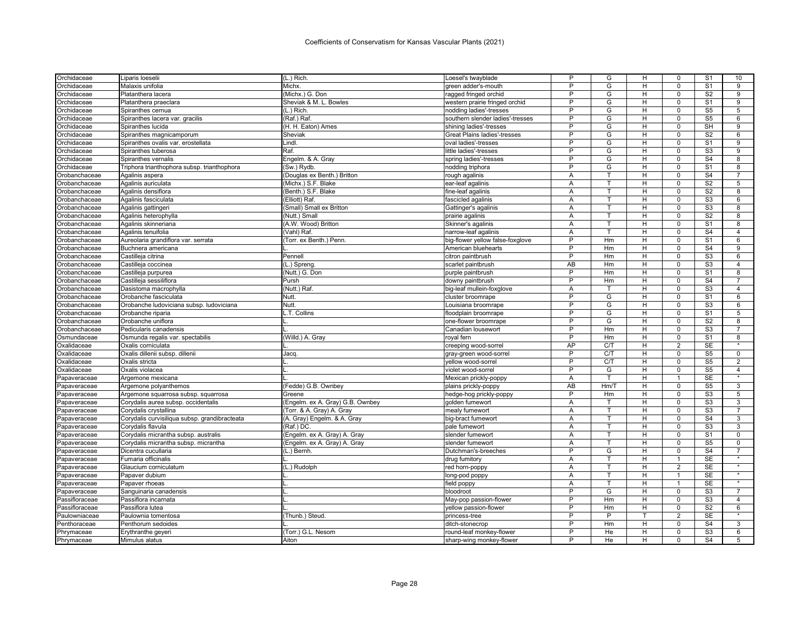| Orchidaceae                    | Liparis loeselii                                       | (L.) Rich.                       | Loesel's twayblade                         | P              | G      | н              | 0                | S <sub>1</sub>         | 10                        |
|--------------------------------|--------------------------------------------------------|----------------------------------|--------------------------------------------|----------------|--------|----------------|------------------|------------------------|---------------------------|
| Orchidaceae                    | Malaxis unifolia                                       | Michx.                           | green adder's-mouth                        | P              | G      | H              | $\Omega$         | S <sub>1</sub>         | 9                         |
| Orchidaceae                    | Platanthera lacera                                     | (Michx.) G. Don                  | ragged fringed orchid                      | P              | G      | н              | $\mathbf 0$      | S <sub>2</sub>         | 9                         |
| Orchidaceae                    | Platanthera praeclara                                  | Sheviak & M. L. Bowles           | western prairie fringed orchid             | P              | G      | H              | $\Omega$         | S <sub>1</sub>         | 9                         |
| Orchidaceae                    | Spiranthes cernua                                      | (L.) Rich.                       | nodding ladies'-tresses                    | P              | G      | н              | $\mathbf 0$      | $\overline{\text{S5}}$ | 5                         |
| Orchidaceae                    | Spiranthes lacera var. gracilis                        | (Raf.) Raf.                      | southern slender ladies'-tresses           | P              | G      | н              | $\Omega$         | S <sub>5</sub>         | 6                         |
| Orchidaceae                    | Spiranthes lucida                                      | (H. H. Eaton) Ames               | shining ladies'-tresses                    | $\overline{P}$ | G      | H              | $\Omega$         | <b>SH</b>              | $\overline{9}$            |
| Orchidaceae                    | Spiranthes magnicamporum                               | Sheviak                          | Great Plains ladies'-tresses               | P              | G      | н              | $\mathbf 0$      | S <sub>2</sub>         | 6                         |
| Orchidaceae                    | Spiranthes ovalis var. erostellata                     | Lindl.                           | oval ladies'-tresses                       | $\overline{P}$ | G      | H              | $\mathbf 0$      | S <sub>1</sub>         | $\overline{9}$            |
| Orchidaceae                    | Spiranthes tuberosa                                    | Raf.                             | little ladies'-tresses                     | P              | G      | H              | $\mathbf 0$      | S <sub>3</sub>         | 9                         |
| Orchidaceae                    | Spiranthes vernalis                                    | Engelm. & A. Gray                | spring ladies'-tresses                     | P              | G      | н              | 0                | S <sub>4</sub>         | 8                         |
| Orchidaceae                    | Triphora trianthophora subsp. trianthophora            | (Sw.) Rydb.                      | nodding triphora                           | P              | G      | H              | $\mathbf 0$      | S <sub>1</sub>         | 8                         |
| Orobanchaceae                  | Agalinis aspera                                        | (Douglas ex Benth.) Britton      | rough agalinis                             | A              | т      | H              | $\mathbf 0$      | S <sub>4</sub>         | $\overline{7}$            |
| Orobanchaceae                  | Agalinis auriculata                                    | (Michx.) S.F. Blake              | ear-leaf agalinis                          | A              | T      | H              | $\mathbf 0$      | S <sub>2</sub>         | 5                         |
| Orobanchaceae                  | Agalinis densiflora                                    | (Benth.) S.F. Blake              | fine-leaf agalinis                         | Α              | T      | H              | $\overline{0}$   | S <sub>2</sub>         | 8                         |
| Orobanchaceae                  | Agalinis fasciculata                                   | (Elliott) Raf.                   | fascicled agalinis                         | Α              | т      | H              | $\mathbf 0$      | S <sub>3</sub>         | 6                         |
| Orobanchaceae                  | Agalinis gattingeri                                    | (Small) Small ex Britton         | Gattinger's agalinis                       | A              | т      | H              | $\Omega$         | S3                     | 8                         |
| Orobanchaceae                  | Agalinis heterophylla                                  | (Nutt.) Small                    | prairie agalinis                           | Α              | T      | H              | $\Omega$         | S <sub>2</sub>         | 8                         |
| Orobanchaceae                  | Agalinis skinneriana                                   | (A.W. Wood) Britton              | Skinner's agalinis                         | A              | T      | H              | $\Omega$         | S <sub>1</sub>         | 8                         |
| Orobanchaceae                  | Agalinis tenuifolia                                    | (Vahl) Raf.                      | narrow-leaf agalinis                       | A              | T      | H              | $\mathbf 0$      | S <sub>4</sub>         | $\overline{4}$            |
| Orobanchaceae                  | Aureolaria grandiflora var. serrata                    | (Torr. ex Benth.) Penn.          | big-flower yellow false-foxglove           | P              | Hm     | н              | $\Omega$         | S <sub>1</sub>         | 6                         |
| Orobanchaceae                  | Buchnera americana                                     |                                  | American bluehearts                        | P              | Hm     | н              | $\mathbf 0$      | $\overline{S4}$        | 9                         |
| Orobanchaceae                  | Castilleja citrina                                     | Pennell                          | citron paintbrush                          | P              | Hm     | H              | $\Omega$         | S <sub>3</sub>         | 6                         |
| Orobanchaceae                  | Castilleja coccinea                                    | (L.) Spreng.                     | scarlet paintbrush                         | <b>AB</b>      | Hm     | н              | $\Omega$         | S <sub>3</sub>         | $\overline{4}$            |
| Orobanchaceae                  | Castilleja purpurea                                    | (Nutt.) G. Don                   | purple paintbrush                          | P              | Hm     | Н              | $\Omega$         | S <sub>1</sub>         | 8                         |
| Orobanchaceae                  | Castilleja sessiliflora                                | Pursh                            | downy paintbrush                           | P              | Hm     | H              | $\mathbf 0$      | S <sub>4</sub>         | $\overline{7}$            |
| Orobanchaceae                  | Dasistoma macrophylla                                  | (Nutt.) Raf.                     | big-leaf mullein-foxglove                  | Α              | T      | H              | $\mathbf 0$      | S <sub>3</sub>         | $\overline{4}$            |
| Orobanchaceae                  | Orobanche fasciculata                                  | Nutt.                            | cluster broomrape                          | P              | G      | H              | $\Omega$         | S <sub>1</sub>         | 6                         |
|                                |                                                        | Nutt.                            |                                            | P              | G      | н              | $\mathbf 0$      | S <sub>3</sub>         | 6                         |
| Orobanchaceae                  | Orobanche ludoviciana subsp. ludoviciana               | L.T. Collins                     | Louisiana broomrape                        | P              | G      | н              | $\Omega$         | S <sub>1</sub>         | 5                         |
| Orobanchaceae                  | Orobanche riparia                                      |                                  | floodplain broomrape                       | $\overline{P}$ | G      | H              | $\Omega$         | S <sub>2</sub>         | 8                         |
| Orobanchaceae<br>Orobanchaceae | Orobanche uniflora<br>Pedicularis canadensis           |                                  | one-flower broomrape<br>Canadian lousewort | P              | Hm     | H              | $\Omega$         | S <sub>3</sub>         | $\overline{7}$            |
| Osmundaceae                    |                                                        | (Willd.) A. Gray                 | royal fern                                 | P              | Hm     | $\overline{H}$ | $\overline{0}$   | S <sub>1</sub>         | $\overline{8}$            |
| Oxalidaceae                    | Osmunda regalis var. spectabilis<br>Oxalis corniculata |                                  |                                            | AP             | C/T    | H              | 2                | <b>SE</b>              |                           |
|                                |                                                        |                                  | creeping wood-sorrel                       | P              | C/T    | H              | $\Omega$         | S <sub>5</sub>         | $\mathbf 0$               |
| Oxalidaceae                    | Oxalis dillenii subsp. dillenii                        | Jacq.                            | gray-green wood-sorrel                     | P              | C/T    | H              | $\mathbf 0$      |                        | $\overline{2}$            |
| Oxalidaceae                    | Oxalis stricta                                         |                                  | vellow wood-sorrel                         | P              |        |                |                  | S <sub>5</sub>         |                           |
| Oxalidaceae                    | Oxalis violacea                                        |                                  | violet wood-sorrel                         |                | G<br>T | H<br>H         | $\mathbf 0$<br>1 | S <sub>5</sub>         | $\overline{4}$<br>$\star$ |
| Papaveraceae                   | Argemone mexicana                                      |                                  | Mexican prickly-poppy                      | A              |        |                |                  | <b>SE</b>              |                           |
| Papaveraceae                   | Argemone polyanthemos                                  | (Fedde) G.B. Ownbey              | plains prickly-poppy                       | AB<br>P        | Hm/T   | H              | $\overline{0}$   | S <sub>5</sub>         | 3                         |
| Papaveraceae                   | Argemone squarrosa subsp. squarrosa                    | Greene                           | hedge-hog prickly-poppy                    |                | Hm     | H              | $\mathbf 0$      | S <sub>3</sub>         | $\overline{5}$            |
| Papaveraceae                   | Corydalis aurea subsp. occidentalis                    | (Engelm. ex A. Gray) G.B. Ownbey | golden fumewort                            | A              | т      | H              | $\Omega$         | S3                     | 3                         |
| Papaveraceae                   | Corydalis crystallina                                  | (Torr. & A. Gray) A. Gray        | mealy fumewort                             | Α              |        | H              | $\Omega$         | S <sub>3</sub>         | 7                         |
| Papaveraceae                   | Corydalis curvisiliqua subsp. grandibracteata          | (A. Gray) Engelm. & A. Gray      | big-bract fumewort                         | A              | T.     | H              | $\Omega$         | S <sub>4</sub>         | 3                         |
| Papaveraceae                   | Corydalis flavula                                      | (Raf.) DC.                       | pale fumewort                              | Α              | т      | H              | $\mathbf 0$      | S <sub>3</sub>         | 3                         |
| Papaveraceae                   | Corydalis micrantha subsp. australis                   | (Engelm. ex A. Gray) A. Gray     | slender fumewort                           | A              | T      | H              | $\Omega$         | S <sub>1</sub>         | $\mathbf 0$               |
| Papaveraceae                   | Corydalis micrantha subsp. micrantha                   | (Engelm. ex A. Gray) A. Gray     | slender fumewort                           | Α              | T      | H              | $\mathbf 0$      | S <sub>5</sub>         | $\mathsf{O}\xspace$       |
| Papaveraceae                   | Dicentra cucullaria                                    | (L.) Bernh.                      | Dutchman's-breeches                        | P              | G      | H              | $\mathbf 0$      | S <sub>4</sub>         | $\overline{7}$<br>$\star$ |
| Papaveraceae                   | Fumaria officinalis                                    |                                  | drug fumitory                              | Α              | T      | н              | $\overline{1}$   | <b>SE</b>              |                           |
| Papaveraceae                   | Glaucium corniculatum                                  | (L.) Rudolph                     | red horn-poppy                             | Α              |        | н              | 2                | SE                     | $\ast$                    |
| Papaveraceae                   | Papaver dubium                                         |                                  | long-pod poppy                             | A              | T      | н              | $\overline{1}$   | <b>SE</b>              |                           |
| Papaveraceae                   | Papaver rhoeas                                         | L                                | field poppy                                | Α              | т      | H              | $\mathbf{1}$     | SE                     |                           |
| Papaveraceae                   | Sanguinaria canadensis                                 |                                  | bloodroot                                  | P              | G      | H              | $\Omega$         | S <sub>3</sub>         | $\overline{7}$            |
| Passifloraceae                 | Passiflora incarnata                                   |                                  | May-pop passion-flower                     | P              | Hm     | н              | $\mathbf 0$      | S <sub>3</sub>         | $\overline{4}$            |
| Passifloraceae                 | Passiflora lutea                                       |                                  | yellow passion-flower                      | P              | Hm     | H              | 0                | S <sub>2</sub>         | 6                         |
| Paulowniaceae                  | Paulownia tomentosa                                    | (Thunb.) Steud.                  | princess-tree                              | P              | P      | т              | 2                | <b>SE</b>              | $\star$                   |
| Penthoraceae                   | Penthorum sedoides                                     |                                  | ditch-stonecrop                            | P              | Hm     | H              | $\mathbf 0$      | S <sub>4</sub>         | 3                         |
| Phrymaceae                     | Erythranthe geyeri                                     | (Torr.) G.L. Nesom               | round-leaf monkey-flower                   | P              | He     | H              | $\Omega$         | S <sub>3</sub>         | 6                         |
| Phrymaceae                     | Mimulus alatus                                         | Aiton                            | sharp-wing monkey-flower                   | P              | He     | H              | $\Omega$         | S <sub>4</sub>         | 5                         |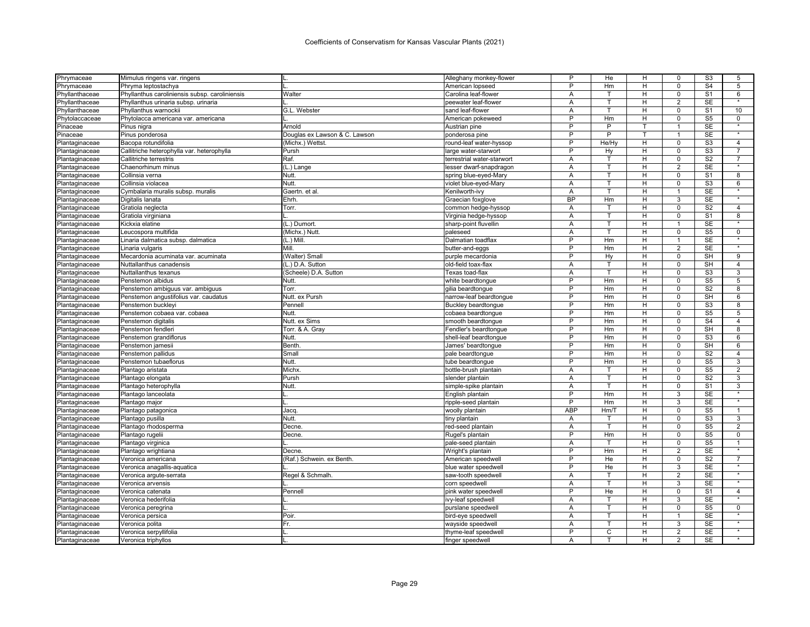| Phrymaceae     | Mimulus ringens var. ringens                   | L.                            | Alleghany monkey-flower    | P              | He             | н | 0              | S3                     | 5                 |
|----------------|------------------------------------------------|-------------------------------|----------------------------|----------------|----------------|---|----------------|------------------------|-------------------|
| Phrymaceae     | Phryma leptostachya                            |                               | American lopseed           | P              | Hm             | н | $\Omega$       | S <sub>4</sub>         | 5                 |
| Phyllanthaceae | Phyllanthus caroliniensis subsp. caroliniensis | Walter                        | Carolina leaf-flower       | Α              | т              | H | $\Omega$       | S <sub>1</sub>         | 6                 |
| Phyllanthaceae | Phyllanthus urinaria subsp. urinaria           |                               | peewater leaf-flower       | Α              | т              | н | $\overline{2}$ | <b>SE</b>              | $\star$           |
| Phyllanthaceae | Phyllanthus warnockii                          | G.L. Webster                  | sand leaf-flower           | A              | T.             | H | $\Omega$       | S <sub>1</sub>         | 10                |
| Phytolaccaceae | Phytolacca americana var. americana            |                               | American pokeweed          | P              | Hm             | H | $\Omega$       | S <sub>5</sub>         | 0                 |
| Pinaceae       | Pinus nigra                                    | Arnold                        | Austrian pine              | P              | P              |   | 1              | <b>SE</b>              | $\star$           |
| Pinaceae       | Pinus ponderosa                                | Douglas ex Lawson & C. Lawson | ponderosa pine             | P              | P              | т | 1              | <b>SE</b>              |                   |
| Plantaginaceae | Bacopa rotundifolia                            | (Michx.) Wettst.              | round-leaf water-hyssop    | P              | He/Hy          | H | $\mathbf 0$    | S <sub>3</sub>         | $\overline{4}$    |
| Plantaginaceae | Callitriche heterophylla var. heterophylla     | Pursh                         | large water-starwort       | P              | Hy             | H | $\mathbf 0$    | S <sub>3</sub>         | $\overline{7}$    |
| Plantaginaceae | Callitriche terrestris                         | Raf.                          | terrestrial water-starwort | Α              | т              | н | 0              | S <sub>2</sub>         | $\overline{7}$    |
| Plantaginaceae | Chaenorhinum minus                             | (L.) Lange                    | lesser dwarf-snapdragon    | A              | T.             | н | $\overline{2}$ | <b>SE</b>              | $\star$           |
| Plantaginaceae | Collinsia verna                                | Nutt.                         | spring blue-eyed-Mary      | Α              | т              | H | $\mathbf 0$    | S <sub>1</sub>         | 8                 |
| Plantaginaceae | Collinsia violacea                             | Nutt.                         | violet blue-eyed-Mary      | A              | $\overline{1}$ | н | $\overline{0}$ | S3                     | 6                 |
| Plantaginaceae | Cymbalaria muralis subsp. muralis              | Gaertn. et al                 | Kenilworth-ivy             | Α              | т              | н | $\mathbf{1}$   | <b>SE</b>              |                   |
| Plantaginaceae | Digitalis lanata                               | Ehrh.                         | Graecian foxglove          | <b>BP</b>      | Hm             | H | 3              | $\overline{\text{SE}}$ |                   |
| Plantaginaceae | Gratiola neglecta                              | Torr.                         | common hedge-hyssop        | Α              | т              | H | $\Omega$       | S <sub>2</sub>         | $\overline{4}$    |
| Plantaginaceae | Gratiola virginiana                            |                               | Virginia hedge-hyssop      | Α              | T              | н | $\Omega$       | S <sub>1</sub>         | 8                 |
| Plantaginaceae | Kickxia elatine                                | (L.) Dumort.                  | sharp-point fluvellin      | A              | T              | н | $\mathbf{1}$   | <b>SE</b>              | $\star$           |
| Plantaginaceae | Leucospora multifida                           | (Michx.) Nutt.                | paleseed                   | A              | т              | H | $\mathbf 0$    | S <sub>5</sub>         | $\mathbf 0$       |
| Plantaginaceae | inaria dalmatica subsp. dalmatica              | (L.) Mill                     | Dalmatian toadflax         | P              | Hm             | н | 1              | <b>SE</b>              | $\star$           |
| Plantaginaceae | Linaria vulgaris                               | Mill.                         | butter-and-eggs            | P              | Hm             | H | 2              | <b>SE</b>              |                   |
| Plantaginaceae | Mecardonia acuminata var. acuminata            | (Walter) Small                | purple mecardonia          | P              | Hy             | H | $\Omega$       | SH                     | 9                 |
| Plantaginaceae | Nuttallanthus canadensis                       | (L.) D.A. Sutton              | old-field toax-flax        | A              | т              | H | $\mathbf 0$    | <b>SH</b>              | $\overline{4}$    |
| Plantaginaceae | Nuttallanthus texanus                          | (Scheele) D.A. Sutton         | Texas toad-flax            | Α              | т              | Н | 0              | S <sub>3</sub>         | 3                 |
| Plantaginaceae | Penstemon albidus                              | Nutt.                         | white beardtongue          | P              | Hm             | н | $\mathbf 0$    | S <sub>5</sub>         | 5                 |
| Plantaginaceae | Penstemon ambiguus var. ambiguus               | Torr.                         | gilia beardtongue          | P              | Hm             | H | $\mathbf 0$    | S <sub>2</sub>         | 8                 |
| Plantaginaceae | Penstemon angustifolius var. caudatus          | Nutt. ex Pursh                | narrow-leaf beardtongue    | P              | Hm             | H | $\Omega$       | SH                     | 6                 |
| Plantaginaceae | Penstemon buckleyi                             | Pennell                       | <b>Buckley beardtongue</b> | P              | Hm             | н | $\Omega$       | S <sub>3</sub>         | 8                 |
| Plantaginaceae | Penstemon cobaea var. cobaea                   | Nutt.                         | cobaea beardtonque         | P              | Hm             | н | $\Omega$       | S <sub>5</sub>         | 5                 |
| Plantaginaceae | Penstemon digitalis                            | Nutt. ex Sims                 | smooth beardtonque         | P              | Hm             | H | $\Omega$       | S <sub>4</sub>         | 4                 |
| Plantaginaceae | Penstemon fendleri                             | Torr. & A. Gray               | Fendler's beardtonque      | P              | Hm             | H | $\Omega$       | <b>SH</b>              | 8                 |
| Plantaginaceae | Penstemon grandiflorus                         | Nutt.                         | shell-leaf beardtongue     | P              | Hm             | H | $\Omega$       | S <sub>3</sub>         | 6                 |
| Plantaginaceae | Penstemon jamesii                              | Benth                         | James' beardtonque         | P              | Hm             | H | $\mathbf 0$    | <b>SH</b>              | 6                 |
| Plantaginaceae | Penstemon pallidus                             | Small                         | pale beardtongue           | P              | Hm             | н | $\Omega$       | S <sub>2</sub>         | 4                 |
| Plantaginaceae | Penstemon tubaeflorus                          | Nutt.                         | tube beardtonque           | P              | Hm             | H | $\mathbf 0$    | S <sub>5</sub>         | 3                 |
| Plantaginaceae | Plantago aristata                              | Michx.                        | bottle-brush plantain      | A              | т              | Н | 0              | S <sub>5</sub>         | $\overline{2}$    |
| Plantaginaceae | Plantago elongata                              | Pursh                         | slender plantain           | A              | T              | н | $\Omega$       | S <sub>2</sub>         | 3                 |
| Plantaginaceae | Plantago heterophylla                          | Nutt.                         | simple-spike plantain      | Α              | т              | н | $\mathbf 0$    | S <sub>1</sub>         | 3                 |
| Plantaginaceae | Plantago lanceolata                            |                               | English plantain           | P              | Hm             | H | 3              | <b>SE</b>              |                   |
| Plantaginaceae | Plantago major                                 |                               | ripple-seed plantain       | P              | Hm             | H | 3              | <b>SE</b>              |                   |
| Plantaginaceae | Plantago patagonica                            | Jacq.                         | woolly plantain            | <b>ABP</b>     | Hm/T           | н | $\Omega$       | S <sub>5</sub>         | $\mathbf{1}$      |
| Plantaginaceae | Plantago pusilla                               | Nutt.                         | tiny plantain              | A              | т              | н | $\mathbf 0$    | S <sub>3</sub>         | 3                 |
| Plantaginaceae | Plantago rhodosperma                           | Decne                         | red-seed plantain          | A              | T              | H | $\Omega$       | S <sub>5</sub>         | $\overline{2}$    |
| Plantaginaceae | Plantago rugelii                               | Decne                         | Rugel's plantain           | P              | Hm             | н | $\Omega$       | S <sub>5</sub>         | $\mathbf 0$       |
| Plantaginaceae | Plantago virginica                             |                               | pale-seed plantain         | Α              | т              | H | $\mathbf 0$    | S <sub>5</sub>         | $\mathbf{1}$      |
| Plantaginaceae | Plantago wrightiana                            | Decne.                        | Wright's plantain          | P              | Hm             | н | $\overline{2}$ | <b>SE</b>              |                   |
| Plantaginaceae | Veronica americana                             | (Raf.) Schwein, ex Benth      | American speedwell         | $\overline{P}$ | He             | H | $\mathbf 0$    | $\overline{S2}$        | $\overline{7}$    |
| Plantaginaceae | Veronica anagallis-aquatica                    |                               | blue water speedwell       | P              | He             | н | 3              | $\overline{\text{SE}}$ |                   |
| Plantaginaceae | Veronica argute-serrata                        | Regel & Schmalh               | saw-tooth speedwell        | A              | T.             | H | 2              | <b>SE</b>              | $\star$           |
| Plantaginaceae | Veronica arvensis                              |                               | corn speedwell             | Α              | т              | Н | 3              | <b>SE</b>              |                   |
| Plantaginaceae | Veronica catenata                              | Pennell                       | pink water speedwell       | P              | He             | H | $\Omega$       | S <sub>1</sub>         | $\overline{4}$    |
| Plantaginaceae | Veronica hederifolia                           |                               | ivy-leaf speedwell         | Α              | т              | H | 3              | <b>SE</b>              |                   |
| Plantaginaceae | Veronica peregrina                             |                               | purslane speedwell         | Α              | T              | H | $\mathbf 0$    | S <sub>5</sub>         | $\mathbf 0$       |
| Plantaginaceae | Veronica persica                               | Poir                          | bird-eye speedwell         | Α              | т              | н | 1              | <b>SE</b>              | $\star$           |
| Plantaginaceae | Veronica polita                                | Fr.                           | wayside speedwell          | Α              |                | н | 3              | <b>SE</b>              | $\overline{\ast}$ |
| Plantaginaceae | Veronica serpyllifolia                         |                               | thyme-leaf speedwell       | P              | C              | н | $\overline{2}$ | <b>SE</b>              | $\star$           |
| Plantaginaceae | Veronica triphyllos                            |                               | finger speedwell           | A              |                | H | $\overline{2}$ | <b>SE</b>              |                   |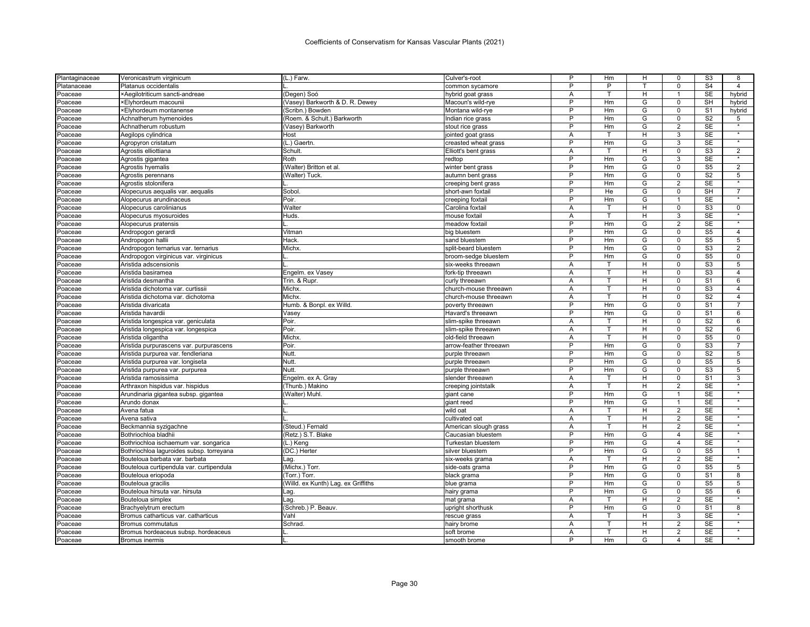| P<br>P<br>T<br>Platanaceae<br>Platanus occidentalis<br>common sycamore<br>H<br>×Aegilotriticum sancti-andreae<br>(Degen) Soó<br>hybrid goat grass<br>A<br>т<br>Poaceae<br>P<br>G<br><b>×Elyhordeum macounii</b><br>(Vasey) Barkworth & D. R. Dewey<br>Macoun's wild-rye<br>Hm<br>Poaceae<br>P<br>(Scribn.) Bowden<br>Montana wild-rye<br>Hm<br>G<br>Poaceae<br><b>×Elyhordeum montanense</b><br>(Roem. & Schult.) Barkworth<br>P<br>G<br>Achnatherum hymenoides<br>Indian rice grass<br>Hm<br>Poaceae<br>P<br>G<br>(Vasey) Barkworth<br>Hm<br>Poaceae<br>Achnatherum robustum<br>stout rice grass<br>H<br>Host<br>Α<br>Aegilops cylindrica<br>jointed goat grass<br>Poaceae<br>т<br>P<br>G<br>Hm<br>Agropyron cristatum<br>(L.) Gaertn.<br>creasted wheat grass<br>Poaceae<br>Schult.<br>Agrostis elliottiana<br>Elliott's bent grass<br>A<br>т<br>H<br>Poaceae<br>Roth<br>P<br>Hm<br>G<br>Agrostis gigantea<br>redtop<br>Poaceae<br>P<br>G<br>Agrostis hyemalis<br>(Walter) Britton et al.<br>winter bent grass<br>Hm<br>Poaceae<br>P<br>(Walter) Tuck.<br>Hm<br>G<br>Agrostis perennans<br>autumn bent grass<br>Poaceae<br>P<br>Hm<br>G<br>Poaceae<br>Agrostis stolonifera<br>creeping bent grass<br>P<br>G<br>Sobol<br>He<br>Alopecurus aequalis var. aequalis<br>short-awn foxtail<br>Poaceae<br>P<br>G<br>Poir.<br>Hm<br>Poaceae<br>Alopecurus arundinaceus<br>creeping foxtail<br>Walter<br>Alopecurus carolinianus<br>Carolina foxtail<br>A<br>т<br>н<br>Poaceae<br>Alopecurus myosuroides<br>Huds.<br>mouse foxtail<br>A<br>т<br>H<br>Poaceae<br>P<br>Hm<br>G<br>Alopecurus pratensis<br>meadow foxtai<br>Poaceae<br>P<br>G<br>Andropogon gerardi<br>Vitman<br>Hm<br>big bluestem<br>Poaceae<br>P<br>G<br>Hack.<br>Hm<br>Poaceae<br>Andropogon hallii<br>sand bluestem<br>P<br>G<br>Michx.<br>Andropogon ternarius var. ternarius<br>split-beard bluestem<br>Hm<br>Poaceae<br>P<br>G<br>Hm | $\Omega$<br>$\mathbf{1}$<br>$\Omega$<br>$\mathbf 0$<br>$\Omega$<br>$\overline{2}$<br>3<br>3<br>$\mathbf 0$<br>3<br>$\mathbf 0$<br>0<br>$\overline{2}$<br>$\mathsf 0$<br>1 | S <sub>4</sub><br><b>SE</b><br><b>SH</b><br>S <sub>1</sub><br>S <sub>2</sub><br><b>SE</b><br><b>SE</b><br>SE<br>S <sub>3</sub><br>SE<br>S <sub>5</sub> | $\overline{4}$<br>hybrid<br>hybrid<br>hybrid<br>5<br>$\star$<br>$\star$<br>$\star$ |
|----------------------------------------------------------------------------------------------------------------------------------------------------------------------------------------------------------------------------------------------------------------------------------------------------------------------------------------------------------------------------------------------------------------------------------------------------------------------------------------------------------------------------------------------------------------------------------------------------------------------------------------------------------------------------------------------------------------------------------------------------------------------------------------------------------------------------------------------------------------------------------------------------------------------------------------------------------------------------------------------------------------------------------------------------------------------------------------------------------------------------------------------------------------------------------------------------------------------------------------------------------------------------------------------------------------------------------------------------------------------------------------------------------------------------------------------------------------------------------------------------------------------------------------------------------------------------------------------------------------------------------------------------------------------------------------------------------------------------------------------------------------------------------------------------------------------------------------------------------------------------------------------------|---------------------------------------------------------------------------------------------------------------------------------------------------------------------------|--------------------------------------------------------------------------------------------------------------------------------------------------------|------------------------------------------------------------------------------------|
|                                                                                                                                                                                                                                                                                                                                                                                                                                                                                                                                                                                                                                                                                                                                                                                                                                                                                                                                                                                                                                                                                                                                                                                                                                                                                                                                                                                                                                                                                                                                                                                                                                                                                                                                                                                                                                                                                                    |                                                                                                                                                                           |                                                                                                                                                        |                                                                                    |
|                                                                                                                                                                                                                                                                                                                                                                                                                                                                                                                                                                                                                                                                                                                                                                                                                                                                                                                                                                                                                                                                                                                                                                                                                                                                                                                                                                                                                                                                                                                                                                                                                                                                                                                                                                                                                                                                                                    |                                                                                                                                                                           |                                                                                                                                                        |                                                                                    |
|                                                                                                                                                                                                                                                                                                                                                                                                                                                                                                                                                                                                                                                                                                                                                                                                                                                                                                                                                                                                                                                                                                                                                                                                                                                                                                                                                                                                                                                                                                                                                                                                                                                                                                                                                                                                                                                                                                    |                                                                                                                                                                           |                                                                                                                                                        |                                                                                    |
|                                                                                                                                                                                                                                                                                                                                                                                                                                                                                                                                                                                                                                                                                                                                                                                                                                                                                                                                                                                                                                                                                                                                                                                                                                                                                                                                                                                                                                                                                                                                                                                                                                                                                                                                                                                                                                                                                                    |                                                                                                                                                                           |                                                                                                                                                        |                                                                                    |
|                                                                                                                                                                                                                                                                                                                                                                                                                                                                                                                                                                                                                                                                                                                                                                                                                                                                                                                                                                                                                                                                                                                                                                                                                                                                                                                                                                                                                                                                                                                                                                                                                                                                                                                                                                                                                                                                                                    |                                                                                                                                                                           |                                                                                                                                                        |                                                                                    |
|                                                                                                                                                                                                                                                                                                                                                                                                                                                                                                                                                                                                                                                                                                                                                                                                                                                                                                                                                                                                                                                                                                                                                                                                                                                                                                                                                                                                                                                                                                                                                                                                                                                                                                                                                                                                                                                                                                    |                                                                                                                                                                           |                                                                                                                                                        |                                                                                    |
|                                                                                                                                                                                                                                                                                                                                                                                                                                                                                                                                                                                                                                                                                                                                                                                                                                                                                                                                                                                                                                                                                                                                                                                                                                                                                                                                                                                                                                                                                                                                                                                                                                                                                                                                                                                                                                                                                                    |                                                                                                                                                                           |                                                                                                                                                        |                                                                                    |
|                                                                                                                                                                                                                                                                                                                                                                                                                                                                                                                                                                                                                                                                                                                                                                                                                                                                                                                                                                                                                                                                                                                                                                                                                                                                                                                                                                                                                                                                                                                                                                                                                                                                                                                                                                                                                                                                                                    |                                                                                                                                                                           |                                                                                                                                                        |                                                                                    |
|                                                                                                                                                                                                                                                                                                                                                                                                                                                                                                                                                                                                                                                                                                                                                                                                                                                                                                                                                                                                                                                                                                                                                                                                                                                                                                                                                                                                                                                                                                                                                                                                                                                                                                                                                                                                                                                                                                    |                                                                                                                                                                           |                                                                                                                                                        | $\overline{2}$                                                                     |
|                                                                                                                                                                                                                                                                                                                                                                                                                                                                                                                                                                                                                                                                                                                                                                                                                                                                                                                                                                                                                                                                                                                                                                                                                                                                                                                                                                                                                                                                                                                                                                                                                                                                                                                                                                                                                                                                                                    |                                                                                                                                                                           |                                                                                                                                                        | $\star$                                                                            |
|                                                                                                                                                                                                                                                                                                                                                                                                                                                                                                                                                                                                                                                                                                                                                                                                                                                                                                                                                                                                                                                                                                                                                                                                                                                                                                                                                                                                                                                                                                                                                                                                                                                                                                                                                                                                                                                                                                    |                                                                                                                                                                           |                                                                                                                                                        | $\overline{2}$                                                                     |
|                                                                                                                                                                                                                                                                                                                                                                                                                                                                                                                                                                                                                                                                                                                                                                                                                                                                                                                                                                                                                                                                                                                                                                                                                                                                                                                                                                                                                                                                                                                                                                                                                                                                                                                                                                                                                                                                                                    |                                                                                                                                                                           | S <sub>2</sub>                                                                                                                                         | 5                                                                                  |
|                                                                                                                                                                                                                                                                                                                                                                                                                                                                                                                                                                                                                                                                                                                                                                                                                                                                                                                                                                                                                                                                                                                                                                                                                                                                                                                                                                                                                                                                                                                                                                                                                                                                                                                                                                                                                                                                                                    |                                                                                                                                                                           | <b>SE</b>                                                                                                                                              | $\star$                                                                            |
|                                                                                                                                                                                                                                                                                                                                                                                                                                                                                                                                                                                                                                                                                                                                                                                                                                                                                                                                                                                                                                                                                                                                                                                                                                                                                                                                                                                                                                                                                                                                                                                                                                                                                                                                                                                                                                                                                                    |                                                                                                                                                                           | <b>SH</b>                                                                                                                                              | 7                                                                                  |
|                                                                                                                                                                                                                                                                                                                                                                                                                                                                                                                                                                                                                                                                                                                                                                                                                                                                                                                                                                                                                                                                                                                                                                                                                                                                                                                                                                                                                                                                                                                                                                                                                                                                                                                                                                                                                                                                                                    |                                                                                                                                                                           | <b>SE</b>                                                                                                                                              |                                                                                    |
|                                                                                                                                                                                                                                                                                                                                                                                                                                                                                                                                                                                                                                                                                                                                                                                                                                                                                                                                                                                                                                                                                                                                                                                                                                                                                                                                                                                                                                                                                                                                                                                                                                                                                                                                                                                                                                                                                                    |                                                                                                                                                                           |                                                                                                                                                        |                                                                                    |
|                                                                                                                                                                                                                                                                                                                                                                                                                                                                                                                                                                                                                                                                                                                                                                                                                                                                                                                                                                                                                                                                                                                                                                                                                                                                                                                                                                                                                                                                                                                                                                                                                                                                                                                                                                                                                                                                                                    | $\mathbf 0$                                                                                                                                                               | S <sub>3</sub>                                                                                                                                         | 0<br>$\star$                                                                       |
|                                                                                                                                                                                                                                                                                                                                                                                                                                                                                                                                                                                                                                                                                                                                                                                                                                                                                                                                                                                                                                                                                                                                                                                                                                                                                                                                                                                                                                                                                                                                                                                                                                                                                                                                                                                                                                                                                                    | 3                                                                                                                                                                         | <b>SE</b>                                                                                                                                              | $\star$                                                                            |
|                                                                                                                                                                                                                                                                                                                                                                                                                                                                                                                                                                                                                                                                                                                                                                                                                                                                                                                                                                                                                                                                                                                                                                                                                                                                                                                                                                                                                                                                                                                                                                                                                                                                                                                                                                                                                                                                                                    | $\overline{2}$                                                                                                                                                            | SE                                                                                                                                                     |                                                                                    |
|                                                                                                                                                                                                                                                                                                                                                                                                                                                                                                                                                                                                                                                                                                                                                                                                                                                                                                                                                                                                                                                                                                                                                                                                                                                                                                                                                                                                                                                                                                                                                                                                                                                                                                                                                                                                                                                                                                    | $\mathbf 0$                                                                                                                                                               | S <sub>5</sub>                                                                                                                                         | $\overline{4}$                                                                     |
|                                                                                                                                                                                                                                                                                                                                                                                                                                                                                                                                                                                                                                                                                                                                                                                                                                                                                                                                                                                                                                                                                                                                                                                                                                                                                                                                                                                                                                                                                                                                                                                                                                                                                                                                                                                                                                                                                                    | $\Omega$                                                                                                                                                                  | S <sub>5</sub>                                                                                                                                         | 5                                                                                  |
|                                                                                                                                                                                                                                                                                                                                                                                                                                                                                                                                                                                                                                                                                                                                                                                                                                                                                                                                                                                                                                                                                                                                                                                                                                                                                                                                                                                                                                                                                                                                                                                                                                                                                                                                                                                                                                                                                                    | $\mathbf 0$                                                                                                                                                               | S3                                                                                                                                                     | $\overline{2}$                                                                     |
| Andropogon virginicus var. virginicus<br>broom-sedge bluestem<br>Poaceae                                                                                                                                                                                                                                                                                                                                                                                                                                                                                                                                                                                                                                                                                                                                                                                                                                                                                                                                                                                                                                                                                                                                                                                                                                                                                                                                                                                                                                                                                                                                                                                                                                                                                                                                                                                                                           | $\mathbf 0$                                                                                                                                                               | S <sub>5</sub>                                                                                                                                         | $\mathbf 0$                                                                        |
| Aristida adscensionis<br>six-weeks threeawn<br>A<br>т<br>H<br>Poaceae                                                                                                                                                                                                                                                                                                                                                                                                                                                                                                                                                                                                                                                                                                                                                                                                                                                                                                                                                                                                                                                                                                                                                                                                                                                                                                                                                                                                                                                                                                                                                                                                                                                                                                                                                                                                                              | $\mathbf 0$                                                                                                                                                               | S3                                                                                                                                                     | 5                                                                                  |
| Poaceae<br>Aristida basiramea<br>Engelm. ex Vasey<br>fork-tip threeawn<br>Α<br>н                                                                                                                                                                                                                                                                                                                                                                                                                                                                                                                                                                                                                                                                                                                                                                                                                                                                                                                                                                                                                                                                                                                                                                                                                                                                                                                                                                                                                                                                                                                                                                                                                                                                                                                                                                                                                   | 0                                                                                                                                                                         | S <sub>3</sub>                                                                                                                                         | 4                                                                                  |
| T.<br>Aristida desmantha<br>Trin. & Rupr.<br>curly threeawn<br>A<br>H<br>Poaceae                                                                                                                                                                                                                                                                                                                                                                                                                                                                                                                                                                                                                                                                                                                                                                                                                                                                                                                                                                                                                                                                                                                                                                                                                                                                                                                                                                                                                                                                                                                                                                                                                                                                                                                                                                                                                   | $\Omega$                                                                                                                                                                  | S <sub>1</sub>                                                                                                                                         | 6                                                                                  |
| H<br>Aristida dichotoma var. curtissii<br>Michx.<br>church-mouse threeawn<br>Α<br>т<br>Poaceae                                                                                                                                                                                                                                                                                                                                                                                                                                                                                                                                                                                                                                                                                                                                                                                                                                                                                                                                                                                                                                                                                                                                                                                                                                                                                                                                                                                                                                                                                                                                                                                                                                                                                                                                                                                                     | 0                                                                                                                                                                         | S <sub>3</sub>                                                                                                                                         | 4                                                                                  |
| T<br>H<br>Michx.<br>A<br>Poaceae<br>Aristida dichotoma var. dichotoma<br>church-mouse threeawn                                                                                                                                                                                                                                                                                                                                                                                                                                                                                                                                                                                                                                                                                                                                                                                                                                                                                                                                                                                                                                                                                                                                                                                                                                                                                                                                                                                                                                                                                                                                                                                                                                                                                                                                                                                                     | $\Omega$                                                                                                                                                                  | S <sub>2</sub>                                                                                                                                         | $\overline{4}$                                                                     |
| $\overline{P}$<br>Hm<br>G<br>Aristida divaricata<br>Humb. & Bonpl. ex Willd<br>poverty threeawn<br>Poaceae                                                                                                                                                                                                                                                                                                                                                                                                                                                                                                                                                                                                                                                                                                                                                                                                                                                                                                                                                                                                                                                                                                                                                                                                                                                                                                                                                                                                                                                                                                                                                                                                                                                                                                                                                                                         | $\mathbf 0$                                                                                                                                                               | S <sub>1</sub>                                                                                                                                         | $\overline{7}$                                                                     |
| P<br>G<br>Aristida havardii<br>Havard's threeawn<br>Hm<br>Poaceae<br>Vasey                                                                                                                                                                                                                                                                                                                                                                                                                                                                                                                                                                                                                                                                                                                                                                                                                                                                                                                                                                                                                                                                                                                                                                                                                                                                                                                                                                                                                                                                                                                                                                                                                                                                                                                                                                                                                         | $\Omega$                                                                                                                                                                  | S <sub>1</sub>                                                                                                                                         | 6                                                                                  |
| н<br>Poaceae<br>Aristida longespica var. geniculata<br>Poir.<br>slim-spike threeawn<br>Α<br>т                                                                                                                                                                                                                                                                                                                                                                                                                                                                                                                                                                                                                                                                                                                                                                                                                                                                                                                                                                                                                                                                                                                                                                                                                                                                                                                                                                                                                                                                                                                                                                                                                                                                                                                                                                                                      | $\mathbf 0$                                                                                                                                                               | S <sub>2</sub>                                                                                                                                         | 6                                                                                  |
| Aristida longespica var. longespica<br>Poir.<br>slim-spike threeawn<br>A<br>н<br>Poaceae                                                                                                                                                                                                                                                                                                                                                                                                                                                                                                                                                                                                                                                                                                                                                                                                                                                                                                                                                                                                                                                                                                                                                                                                                                                                                                                                                                                                                                                                                                                                                                                                                                                                                                                                                                                                           | $\Omega$                                                                                                                                                                  | S <sub>2</sub>                                                                                                                                         | 6                                                                                  |
| Michx<br>old-field threeawn<br>A<br>т<br>H<br>Aristida oligantha<br>Poaceae                                                                                                                                                                                                                                                                                                                                                                                                                                                                                                                                                                                                                                                                                                                                                                                                                                                                                                                                                                                                                                                                                                                                                                                                                                                                                                                                                                                                                                                                                                                                                                                                                                                                                                                                                                                                                        | $\mathbf 0$                                                                                                                                                               | S <sub>5</sub>                                                                                                                                         | $\mathbf 0$                                                                        |
| P<br>Hm<br>G<br>Aristida purpurascens var. purpurascens<br>Poir.<br>arrow-feather threeawn<br>Poaceae                                                                                                                                                                                                                                                                                                                                                                                                                                                                                                                                                                                                                                                                                                                                                                                                                                                                                                                                                                                                                                                                                                                                                                                                                                                                                                                                                                                                                                                                                                                                                                                                                                                                                                                                                                                              | $\mathbf 0$                                                                                                                                                               | S <sub>3</sub>                                                                                                                                         | $\overline{7}$                                                                     |
| P<br>G<br>Hm<br>Nutt<br>Aristida purpurea var. fendleriana<br>purple threeawn<br>Poaceae                                                                                                                                                                                                                                                                                                                                                                                                                                                                                                                                                                                                                                                                                                                                                                                                                                                                                                                                                                                                                                                                                                                                                                                                                                                                                                                                                                                                                                                                                                                                                                                                                                                                                                                                                                                                           | $\Omega$                                                                                                                                                                  | S <sub>2</sub>                                                                                                                                         | 5                                                                                  |
| P<br>G<br>Aristida purpurea var. longiseta<br>Nutt<br>Hm<br>Poaceae<br>purple threeawn                                                                                                                                                                                                                                                                                                                                                                                                                                                                                                                                                                                                                                                                                                                                                                                                                                                                                                                                                                                                                                                                                                                                                                                                                                                                                                                                                                                                                                                                                                                                                                                                                                                                                                                                                                                                             | $\mathbf 0$                                                                                                                                                               | S <sub>5</sub>                                                                                                                                         | 5                                                                                  |
| P<br>Nutt.<br>G<br>Aristida purpurea var. purpurea<br>purple threeawn<br>Hm<br>Poaceae                                                                                                                                                                                                                                                                                                                                                                                                                                                                                                                                                                                                                                                                                                                                                                                                                                                                                                                                                                                                                                                                                                                                                                                                                                                                                                                                                                                                                                                                                                                                                                                                                                                                                                                                                                                                             | $\mathbf 0$                                                                                                                                                               | S <sub>3</sub>                                                                                                                                         | 5                                                                                  |
| Poaceae<br>Aristida ramosissima<br>Engelm. ex A. Gray<br>slender threeawn<br>A<br>т<br>H                                                                                                                                                                                                                                                                                                                                                                                                                                                                                                                                                                                                                                                                                                                                                                                                                                                                                                                                                                                                                                                                                                                                                                                                                                                                                                                                                                                                                                                                                                                                                                                                                                                                                                                                                                                                           | $\mathbf 0$                                                                                                                                                               | S <sub>1</sub>                                                                                                                                         | 3                                                                                  |
| т<br>Н<br>Arthraxon hispidus var. hispidus<br>(Thunb.) Makino<br>creeping jointstalk<br>Α<br>Poaceae                                                                                                                                                                                                                                                                                                                                                                                                                                                                                                                                                                                                                                                                                                                                                                                                                                                                                                                                                                                                                                                                                                                                                                                                                                                                                                                                                                                                                                                                                                                                                                                                                                                                                                                                                                                               | $\overline{2}$                                                                                                                                                            | SE                                                                                                                                                     |                                                                                    |
| P<br>Hm<br>G<br>(Walter) Muhl.<br>Poaceae<br>Arundinaria gigantea subsp. gigantea<br>giant cane                                                                                                                                                                                                                                                                                                                                                                                                                                                                                                                                                                                                                                                                                                                                                                                                                                                                                                                                                                                                                                                                                                                                                                                                                                                                                                                                                                                                                                                                                                                                                                                                                                                                                                                                                                                                    | $\overline{1}$                                                                                                                                                            | <b>SE</b>                                                                                                                                              | $\star$                                                                            |
| P<br>G<br>Hm<br>Arundo donax<br>giant reed<br>Poaceae                                                                                                                                                                                                                                                                                                                                                                                                                                                                                                                                                                                                                                                                                                                                                                                                                                                                                                                                                                                                                                                                                                                                                                                                                                                                                                                                                                                                                                                                                                                                                                                                                                                                                                                                                                                                                                              | -1                                                                                                                                                                        | <b>SE</b>                                                                                                                                              |                                                                                    |
| H<br>Avena fatua<br>wild oat<br>A<br>т<br>Poaceae                                                                                                                                                                                                                                                                                                                                                                                                                                                                                                                                                                                                                                                                                                                                                                                                                                                                                                                                                                                                                                                                                                                                                                                                                                                                                                                                                                                                                                                                                                                                                                                                                                                                                                                                                                                                                                                  | $\overline{2}$                                                                                                                                                            | <b>SE</b>                                                                                                                                              | $\star$                                                                            |
| Α<br>T<br>н<br>Avena sativa<br>cultivated oat<br>Poaceae                                                                                                                                                                                                                                                                                                                                                                                                                                                                                                                                                                                                                                                                                                                                                                                                                                                                                                                                                                                                                                                                                                                                                                                                                                                                                                                                                                                                                                                                                                                                                                                                                                                                                                                                                                                                                                           | 2                                                                                                                                                                         | <b>SE</b>                                                                                                                                              | $\star$                                                                            |
| Beckmannia syzigachne<br>(Steud.) Fernald<br>A<br>H<br>Poaceae<br>American slough grass                                                                                                                                                                                                                                                                                                                                                                                                                                                                                                                                                                                                                                                                                                                                                                                                                                                                                                                                                                                                                                                                                                                                                                                                                                                                                                                                                                                                                                                                                                                                                                                                                                                                                                                                                                                                            | $\overline{2}$                                                                                                                                                            | <b>SE</b>                                                                                                                                              | $\star$                                                                            |
| P<br>(Retz.) S.T. Blake<br>Hm<br>G<br>Poaceae<br>Bothriochloa bladhii<br>Caucasian bluestem                                                                                                                                                                                                                                                                                                                                                                                                                                                                                                                                                                                                                                                                                                                                                                                                                                                                                                                                                                                                                                                                                                                                                                                                                                                                                                                                                                                                                                                                                                                                                                                                                                                                                                                                                                                                        | 4                                                                                                                                                                         | SE                                                                                                                                                     | $\star$                                                                            |
| P<br>G<br>(L.) Keng<br>Hm<br>Bothriochloa ischaemum var. songarica<br>Turkestan bluestem                                                                                                                                                                                                                                                                                                                                                                                                                                                                                                                                                                                                                                                                                                                                                                                                                                                                                                                                                                                                                                                                                                                                                                                                                                                                                                                                                                                                                                                                                                                                                                                                                                                                                                                                                                                                           | $\overline{4}$                                                                                                                                                            | <b>SE</b>                                                                                                                                              | $\star$                                                                            |
| Poaceae<br>P<br>G<br>Hm                                                                                                                                                                                                                                                                                                                                                                                                                                                                                                                                                                                                                                                                                                                                                                                                                                                                                                                                                                                                                                                                                                                                                                                                                                                                                                                                                                                                                                                                                                                                                                                                                                                                                                                                                                                                                                                                            | $\mathbf 0$                                                                                                                                                               | S <sub>5</sub>                                                                                                                                         | $\overline{1}$                                                                     |
| (DC.) Herter<br>Bothriochloa laguroides subsp. torreyana<br>silver bluestem<br>Poaceae                                                                                                                                                                                                                                                                                                                                                                                                                                                                                                                                                                                                                                                                                                                                                                                                                                                                                                                                                                                                                                                                                                                                                                                                                                                                                                                                                                                                                                                                                                                                                                                                                                                                                                                                                                                                             |                                                                                                                                                                           |                                                                                                                                                        |                                                                                    |
| H<br>Bouteloua barbata var. barbata<br>Laq.<br>six-weeks grama<br>A<br>т<br>Poaceae                                                                                                                                                                                                                                                                                                                                                                                                                                                                                                                                                                                                                                                                                                                                                                                                                                                                                                                                                                                                                                                                                                                                                                                                                                                                                                                                                                                                                                                                                                                                                                                                                                                                                                                                                                                                                | 2                                                                                                                                                                         | <b>SE</b>                                                                                                                                              |                                                                                    |
| (Michx.) Torr.<br>$\overline{P}$<br>G<br>Hm<br>Poaceae<br>Bouteloua curtipendula var. curtipendula<br>side-oats grama                                                                                                                                                                                                                                                                                                                                                                                                                                                                                                                                                                                                                                                                                                                                                                                                                                                                                                                                                                                                                                                                                                                                                                                                                                                                                                                                                                                                                                                                                                                                                                                                                                                                                                                                                                              | 0                                                                                                                                                                         | S <sub>5</sub>                                                                                                                                         | 5                                                                                  |
| P<br>G<br>Bouteloua eriopoda<br>(Torr.) Torr.<br>Hm<br>Poaceae<br>black grama                                                                                                                                                                                                                                                                                                                                                                                                                                                                                                                                                                                                                                                                                                                                                                                                                                                                                                                                                                                                                                                                                                                                                                                                                                                                                                                                                                                                                                                                                                                                                                                                                                                                                                                                                                                                                      | $\mathbf 0$                                                                                                                                                               | S <sub>1</sub>                                                                                                                                         | 8                                                                                  |
| (Willd. ex Kunth) Lag. ex Griffiths<br>P<br>G<br>Poaceae<br>Bouteloua gracilis<br>blue grama<br>Hm                                                                                                                                                                                                                                                                                                                                                                                                                                                                                                                                                                                                                                                                                                                                                                                                                                                                                                                                                                                                                                                                                                                                                                                                                                                                                                                                                                                                                                                                                                                                                                                                                                                                                                                                                                                                 | 0                                                                                                                                                                         | S <sub>5</sub>                                                                                                                                         | 5                                                                                  |
| P<br>Hm<br>G<br>Bouteloua hirsuta var. hirsuta<br>Lag.<br>Poaceae<br>hairy grama                                                                                                                                                                                                                                                                                                                                                                                                                                                                                                                                                                                                                                                                                                                                                                                                                                                                                                                                                                                                                                                                                                                                                                                                                                                                                                                                                                                                                                                                                                                                                                                                                                                                                                                                                                                                                   | $\mathbf 0$                                                                                                                                                               | S <sub>5</sub>                                                                                                                                         | 6                                                                                  |
| H<br>Bouteloua simplex<br>Lag.<br>Α<br>т<br>Poaceae<br>mat grama                                                                                                                                                                                                                                                                                                                                                                                                                                                                                                                                                                                                                                                                                                                                                                                                                                                                                                                                                                                                                                                                                                                                                                                                                                                                                                                                                                                                                                                                                                                                                                                                                                                                                                                                                                                                                                   | $\overline{2}$                                                                                                                                                            | SE                                                                                                                                                     |                                                                                    |
| P<br>(Schreb.) P. Beauv.<br>Hm<br>G<br>Brachyelytrum erectum<br>Poaceae<br>upright shorthusk                                                                                                                                                                                                                                                                                                                                                                                                                                                                                                                                                                                                                                                                                                                                                                                                                                                                                                                                                                                                                                                                                                                                                                                                                                                                                                                                                                                                                                                                                                                                                                                                                                                                                                                                                                                                       |                                                                                                                                                                           | S <sub>1</sub>                                                                                                                                         | 8                                                                                  |
| Bromus catharticus var. catharticus<br>Vahl<br>A<br>т<br>н<br>Poaceae<br>rescue grass                                                                                                                                                                                                                                                                                                                                                                                                                                                                                                                                                                                                                                                                                                                                                                                                                                                                                                                                                                                                                                                                                                                                                                                                                                                                                                                                                                                                                                                                                                                                                                                                                                                                                                                                                                                                              | $\mathbf 0$                                                                                                                                                               |                                                                                                                                                        |                                                                                    |
| <b>Bromus commutatus</b><br>Schrad<br>Α<br>т<br>H<br>Poaceae<br>hairy brome                                                                                                                                                                                                                                                                                                                                                                                                                                                                                                                                                                                                                                                                                                                                                                                                                                                                                                                                                                                                                                                                                                                                                                                                                                                                                                                                                                                                                                                                                                                                                                                                                                                                                                                                                                                                                        | 3                                                                                                                                                                         | <b>SE</b>                                                                                                                                              |                                                                                    |
| soft brome<br>Α<br>T<br>н<br>Poaceae<br>Bromus hordeaceus subsp. hordeaceus                                                                                                                                                                                                                                                                                                                                                                                                                                                                                                                                                                                                                                                                                                                                                                                                                                                                                                                                                                                                                                                                                                                                                                                                                                                                                                                                                                                                                                                                                                                                                                                                                                                                                                                                                                                                                        | $\overline{2}$                                                                                                                                                            | <b>SE</b>                                                                                                                                              |                                                                                    |
| P<br><b>Bromus inermis</b><br>smooth brome<br>Hm<br>G<br>Poaceae                                                                                                                                                                                                                                                                                                                                                                                                                                                                                                                                                                                                                                                                                                                                                                                                                                                                                                                                                                                                                                                                                                                                                                                                                                                                                                                                                                                                                                                                                                                                                                                                                                                                                                                                                                                                                                   | $\overline{2}$                                                                                                                                                            | <b>SE</b>                                                                                                                                              |                                                                                    |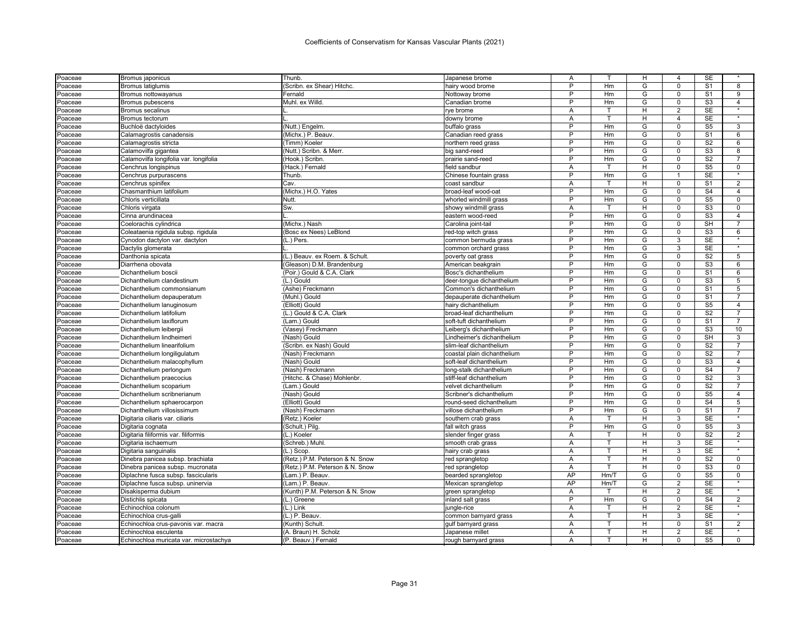| Poaceae | Bromus japonicus                       | Thunb.                          | Japanese brome              | Α  |      | H              | 4              | SE                     |                      |
|---------|----------------------------------------|---------------------------------|-----------------------------|----|------|----------------|----------------|------------------------|----------------------|
| Poaceae | <b>Bromus latiglumis</b>               | (Scribn. ex Shear) Hitchc.      | hairy wood brome            | P  | Hm   | G              | $\mathbf 0$    | S <sub>1</sub>         | 8                    |
| Poaceae | Bromus nottowayanus                    | Fernald                         | Nottoway brome              | P  | Hm   | G              | 0              | S <sub>1</sub>         | 9                    |
| Poaceae | <b>Bromus pubescens</b>                | Muhl. ex Willd.                 | Canadian brome              | P  | Hm   | G              | $\Omega$       | S <sub>3</sub>         | $\overline{4}$       |
| Poaceae | <b>Bromus secalinus</b>                |                                 | rye brome                   | Α  | т    | н              | $\overline{2}$ | <b>SE</b>              |                      |
| Poaceae | <b>Bromus tectorum</b>                 |                                 | downy brome                 | A  |      | н              | $\overline{4}$ | <b>SE</b>              |                      |
| Poaceae | Buchloë dactyloides                    | (Nutt.) Engelm.                 | buffalo grass               | P  | Hm   | G              | 0              | $\overline{\text{S5}}$ | 3                    |
| Poaceae | Calamagrostis canadensis               | (Michx.) P. Beauv.              | Canadian reed grass         | P  | Hm   | G              | 0              | S <sub>1</sub>         | 6                    |
| Poaceae | Calamagrostis stricta                  | (Timm) Koeler                   | northern reed grass         | P  | Hm   | G              | $\Omega$       | S <sub>2</sub>         | 6                    |
| Poaceae | Calamovilfa gigantea                   | (Nutt.) Scribn, & Merr.         | big sand-reed               | P  | Hm   | G              | 0              | S <sub>3</sub>         | 8                    |
| Poaceae | Calamovilfa longifolia var. longifolia | (Hook.) Scribn.                 | prairie sand-reed           | P  | Hm   | G              | 0              | S <sub>2</sub>         | $\overline{7}$       |
| Poaceae | Cenchrus longispinus                   | (Hack.) Fernald                 | field sandbur               | Α  | T    | н              | 0              | S <sub>5</sub>         | 0                    |
| Poaceae | Cenchrus purpurascens                  | Thunb.                          | Chinese fountain grass      | P  | Hm   | G              | 1              | <b>SE</b>              |                      |
| Poaceae | Cenchrus spinifex                      | Cav                             | coast sandbur               | Α  | т    | н              | 0              | S <sub>1</sub>         | $\overline{2}$       |
| Poaceae | Chasmanthium latifolium                | (Michx.) H.O. Yates             | broad-leaf wood-oat         | P  | Hm   | G              | 0              | S <sub>4</sub>         | $\overline{4}$       |
| Poaceae | Chloris verticillata                   | Nutt                            | whorled windmill grass      | P  | Hm   | G              | $\mathbf 0$    | S <sub>5</sub>         | $\mathbf 0$          |
| Poaceae | Chloris virgata                        | Sw.                             | showy windmill grass        | Α  | т    | н              | 0              | S3                     | 0                    |
| Poaceae | Cinna arundinacea                      |                                 | eastern wood-reed           | P  | Hm   | G              | $\Omega$       | S <sub>3</sub>         | $\overline{4}$       |
| Poaceae | Coelorachis cylindrica                 | (Michx.) Nash                   | Carolina joint-tail         | P  | Hm   | G              | $\mathbf 0$    | <b>SH</b>              | $\overline{7}$       |
| Poaceae | Coleataenia rigidula subsp. rigidula   | (Bosc ex Nees) LeBlond          | red-top witch grass         | P  | Hm   | G              | 0              | S <sub>3</sub>         | 6                    |
| Poaceae | Cynodon dactylon var. dactylon         | (L.) Pers.                      | common bermuda grass        | P  | Hm   | G              | 3              | <b>SE</b>              | $\star$              |
| Poaceae | Dactylis glomerata                     |                                 | common orchard grass        | P  | Hm   | G              | 3              | <b>SE</b>              |                      |
| Poaceae | Danthonia spicata                      | (L.) Beauv. ex Roem. & Schult   | poverty oat grass           | Þ  | Hm   | $\overline{G}$ | $\Omega$       | $\overline{S2}$        | 5                    |
| Poaceae | Diarrhena obovata                      | (Gleason) D.M. Brandenburg      | American beakgrain          | P  | Hm   | G              | 0              | S <sub>3</sub>         | 6                    |
| Poaceae | Dichanthelium boscii                   | (Poir.) Gould & C.A. Clark      | Bosc's dichanthelium        | P  | Hm   | G              | O              | S <sub>1</sub>         | 6                    |
| Poaceae | Dichanthelium clandestinum             | (L.) Gould                      | deer-tongue dichanthelium   | P  | Hm   | G              | $\Omega$       | S <sub>3</sub>         | 5                    |
| Poaceae | Dichanthelium commonsianum             | (Ashe) Freckmann                | Common's dichanthelium      | Þ  | Hm   | G              | 0              | S <sub>1</sub>         | 5                    |
| Poaceae | Dichanthelium depauperatum             | (Muhl.) Gould                   | depauperate dichanthelium   | Þ  | Hm   | G              | 0              | S <sub>1</sub>         | $\overline{7}$       |
| Poaceae | Dichanthelium lanuginosum              | (Elliott) Gould                 | hairy dichanthelium         | P  | Hm   | G              | 0              | S <sub>5</sub>         | $\overline{4}$       |
| Poaceae | Dichanthelium latifolium               | (L.) Gould & C.A. Clark         | broad-leaf dichanthelium    | P  | Hm   | G              | 0              | S <sub>2</sub>         | $\overline{7}$       |
| Poaceae | Dichanthelium laxiflorum               | (Lam.) Gould                    | soft-tuft dichanthelium     | P  | Hm   | G              | $\Omega$       | S <sub>1</sub>         | $\overline{7}$       |
| Poaceae | Dichanthelium leibergii                | (Vasey) Freckmann               | Leiberg's dichanthelium     | P  | Hm   | G              | 0              | S <sub>3</sub>         | 10                   |
| Poaceae | Dichanthelium lindheimeri              | (Nash) Gould                    | Lindheimer's dichanthelium  | P  | Hm   | G              | 0              | <b>SH</b>              | 3                    |
| Poaceae | Dichanthelium linearifolium            | (Scribn. ex Nash) Gould         | slim-leaf dichanthelium     | P  | Hm   | G              | 0              | S <sub>2</sub>         | $\overline{7}$       |
| Poaceae | Dichanthelium longiligulatum           | (Nash) Freckmann                | coastal plain dichanthelium | P  | Hm   | G              | O              | S <sub>2</sub>         | $\overline{7}$       |
| Poaceae | Dichanthelium malacophyllum            | (Nash) Gould                    | soft-leaf dichanthelium     | P  | Hm   | G              | 0              | S <sub>3</sub>         | $\overline{4}$       |
| Poaceae | Dichanthelium perlongum                | (Nash) Freckmann                | long-stalk dichanthelium    | P  | Hm   | G              | U              | S <sub>4</sub>         | $\overline{7}$       |
| Poaceae | Dichanthelium praecocius               | (Hitchc. & Chase) Mohlenbr      | stiff-leaf dichanthelium    | P  | Hm   | G              | 0              | S <sub>2</sub>         | 3                    |
| Poaceae | Dichanthelium scoparium                | (Lam.) Gould                    | velvet dichanthelium        | P  | Hm   | G              | 0              | S <sub>2</sub>         | $\overline{7}$       |
| Poaceae | Dichanthelium scribnerianum            | (Nash) Gould                    | Scribner's dichanthelium    | Þ  | Hm   | G              | 0              | S <sub>5</sub>         | $\overline{4}$       |
| Poaceae | Dichanthelium sphaerocarpon            | (Elliott) Gould                 | round-seed dichanthelium    | P  | Hm   | G              | 0              | S <sub>4</sub>         | 5                    |
| Poaceae | Dichanthelium villosissimum            | (Nash) Freckmann                | villose dichanthelium       | Þ  | Hm   | G              | 0              | S <sub>1</sub>         | $\overline{7}$       |
| Poaceae | Digitaria ciliaris var. ciliaris       | (Retz.) Koeler                  | southern crab grass         | A  | T    | H.             | 3              | <b>SE</b>              | $\star$              |
| Poaceae | Digitaria cognata                      | (Schult.) Pilg.                 | fall witch grass            | P  | Hm   | G              | 0              | S <sub>5</sub>         | 3                    |
| Poaceae | Digitaria filiformis var. filiformis   | (L.) Koeler                     | slender finger grass        | Α  | т    | н              | 0              | S <sub>2</sub>         | 2                    |
| Poaceae | Digitaria ischaemum                    | (Schreb.) Muhl.                 | smooth crab grass           | Α  | т    | н              | 3              | <b>SE</b>              |                      |
| Poaceae | Digitaria sanguinalis                  | (L.) Scop                       | hairy crab grass            | A  | T.   | H              | 3              | <b>SE</b>              | $\star$              |
| Poaceae | Dinebra panicea subsp. brachiata       | (Retz.) P.M. Peterson & N. Snow | red sprangletop             | Α  | T    | н              | $\Omega$       | S <sub>2</sub>         | 0                    |
| Poaceae | Dinebra panicea subsp. mucronata       | (Retz.) P.M. Peterson & N. Snow | red sprangletop             | A  | т    | н              | 0              | S <sub>3</sub>         | 0                    |
| Poaceae | Diplachne fusca subsp. fascicularis    | (Lam.) P. Beauv.                | bearded sprangletop         | AP | Hm/T | G              | $\Omega$       | $\overline{\text{S5}}$ | $\mathbf 0$          |
| Poaceae | Diplachne fusca subsp. uninervia       | (Lam.) P. Beauv.                | Mexican sprangletop         | AP | Hm/T | G              | 2              | <b>SE</b>              |                      |
| Poaceae | Disakisperma dubium                    | (Kunth) P.M. Peterson & N. Snow | green sprangletop           | A  | T    | H              | $\overline{2}$ | <b>SE</b>              | $\ddot{\phantom{1}}$ |
| Poaceae | Distichlis spicata                     | (L.) Greene                     | inland salt grass           | P  | Hm   | G              | 0              | S <sub>4</sub>         | $\overline{2}$       |
| Poaceae | Echinochloa colonum                    | (L.) Link                       | ungle-rice                  | A  | т    | H              | $\overline{2}$ | <b>SE</b>              | $\star$              |
| Poaceae | Echinochloa crus-galli                 | (L.) P. Beauv.                  | common barnyard grass       | A  | т    | н              | 3              | <b>SE</b>              |                      |
| Poaceae | Echinochloa crus-pavonis var. macra    | (Kunth) Schult.                 | qulf barnyard grass         | A  | т    | н              | $\Omega$       | S <sub>1</sub>         | 2                    |
| Poaceae | Echinochloa esculenta                  | (A. Braun) H. Scholz            | Japanese millet             | A  | т    | H              | 2              | $\overline{\text{SE}}$ | $\star$              |
| Poaceae | Echinochloa muricata var. microstachya | (P. Beauv.) Fernald             | rough barnyard grass        | A  |      | н              | $\Omega$       | S <sub>5</sub>         | $\mathbf 0$          |
|         |                                        |                                 |                             |    |      |                |                |                        |                      |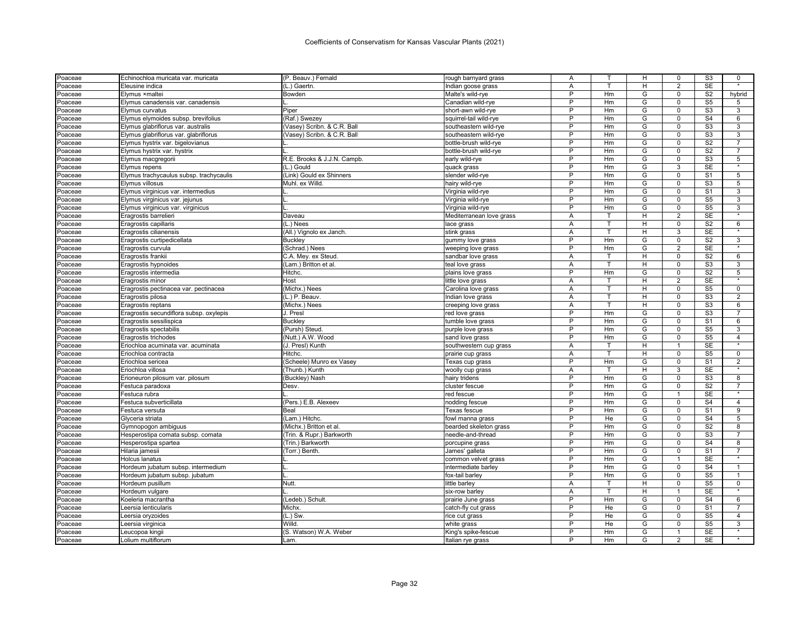| Poaceae | Echinochloa muricata var. muricata      | (P. Beauv.) Fernald         | rough barnyard grass     | Α      |                | н | 0              | S <sub>3</sub>           | 0                 |
|---------|-----------------------------------------|-----------------------------|--------------------------|--------|----------------|---|----------------|--------------------------|-------------------|
| Poaceae | Eleusine indica                         | (L.) Gaertn.                | Indian goose grass       | A      | T              | H | $\overline{2}$ | <b>SE</b>                | $\star$           |
| Poaceae | Elymus ×maltei                          | Bowden                      | Malte's wild-rye         | P      | Hm             | G | 0              | S <sub>2</sub>           | hybrid            |
| Poaceae | Elymus canadensis var. canadensis       |                             | Canadian wild-rye        | P      | Hm             | G | $\Omega$       | S <sub>5</sub>           | 5                 |
| Poaceae | Elymus curvatus                         | Piper                       | short-awn wild-rye       | P      | Hm             | G | $\mathbf 0$    | $\overline{\text{S3}}$   | 3                 |
| Poaceae | Elymus elymoides subsp. brevifolius     | (Raf.) Swezey               | squirrel-tail wild-rye   | P      | Hm             | G | $\Omega$       | S <sub>4</sub>           | 6                 |
| Poaceae | Elymus glabriflorus var. australis      | (Vasey) Scribn. & C.R. Ball | southeastern wild-rye    | P      | Hm             | G | $\Omega$       | S <sub>3</sub>           | 3                 |
| Poaceae | Elymus glabriflorus var. glabriflorus   | (Vasey) Scribn. & C.R. Ball | southeastern wild-rye    | P      | Hm             | G | $\mathbf 0$    | S <sub>3</sub>           | 3                 |
| Poaceae | Elymus hystrix var. bigelovianus        |                             | bottle-brush wild-rye    | Þ      | Hm             | G | 0              | S <sub>2</sub>           | $\overline{7}$    |
| Poaceae | Elymus hystrix var. hystrix             |                             | bottle-brush wild-rye    | P      | Hm             | G | 0              | S <sub>2</sub>           | $\overline{7}$    |
| Poaceae | Elymus macgregorii                      | R.E. Brooks & J.J.N. Campb  | early wild-rye           | P      | Hm             | G | 0              | S <sub>3</sub>           | 5                 |
| Poaceae | Elymus repens                           | (L.) Gould                  | quack grass              | P      | Hm             | G | 3              | <b>SE</b>                | $\star$           |
| Poaceae | Elymus trachycaulus subsp. trachycaulis | (Link) Gould ex Shinners    | slender wild-rye         | P      | Hm             | G | 0              | S <sub>1</sub>           | 5                 |
| Poaceae | Elymus villosus                         | Muhl. ex Willd.             | hairy wild-rye           | P      | Hm             | G | $\Omega$       | S <sub>3</sub>           | 5                 |
| Poaceae | Elymus virginicus var. intermedius      |                             | Virginia wild-rye        | P      | Hm             | G | $\mathbf 0$    | S <sub>1</sub>           | 3                 |
| Poaceae | Elymus virginicus var. jejunus          |                             | Virginia wild-rye        | P      | Hm             | G | 0              | S <sub>5</sub>           | 3                 |
| Poaceae | Elymus virginicus var. virginicus       |                             | Virginia wild-rye        | P      | Hm             | G | 0              | S <sub>5</sub>           | 3                 |
| Poaceae | Eragrostis barrelieri                   | Daveau                      | Mediterranean love grass | Α      | т              | H | $\overline{2}$ | <b>SE</b>                | $\star$           |
| Poaceae | Eragrostis capillaris                   | (L.) Nees                   | lace grass               | A      | T.             | H | $\mathbf 0$    | S <sub>2</sub>           | 6                 |
| Poaceae | Eragrostis cilianensis                  | (All.) Vignolo ex Janch.    | stink grass              | Α      | т              | H | 3              | <b>SE</b>                |                   |
| Poaceae | Eragrostis curtipedicellata             | <b>Buckley</b>              | gummy love grass         | P      | Hm             | G | $\Omega$       | S <sub>2</sub>           | $\overline{3}$    |
| Poaceae | Eragrostis curvula                      | (Schrad.) Nees              | weeping love grass       | P      | Hm             | G | $\overline{2}$ | <b>SE</b>                | $\star$           |
| Poaceae | Eragrostis frankii                      | C.A. Mey. ex Steud.         | sandbar love grass       | A      |                | Н | 0              | S <sub>2</sub>           | 6                 |
| Poaceae | Eragrostis hypnoides                    | (Lam.) Britton et al        | teal love grass          | Α      | $\mathsf{T}$   | н | $\mathbf 0$    | S <sub>3</sub>           | 3                 |
|         | Eragrostis intermedia                   | Hitchc.                     | plains love grass        | P      | Hm             | G | 0              | S <sub>2</sub>           | 5                 |
| Poaceae | Eragrostis minor                        | Host                        | little love grass        | A      | $\mathbf \tau$ | H | 2              | <b>SE</b>                | $\star$           |
| Poaceae |                                         | (Michx.) Nees               |                          | A      | T              | H | 0              | S <sub>5</sub>           | $\mathbf 0$       |
| Poaceae | Eragrostis pectinacea var. pectinacea   |                             | Carolina love grass      | A      | T              | н | $\Omega$       | S <sub>3</sub>           | $\overline{2}$    |
| Poaceae | Eragrostis pilosa                       | (L.) P. Beauv.              | Indian love grass        |        | т              |   |                |                          |                   |
| Poaceae | Eragrostis reptans                      | (Michx.) Nees               | creeping love grass      | Α<br>P |                | H | 0              | S <sub>3</sub>           | 6                 |
| Poaceae | Eragrostis secundiflora subsp. oxylepis | J. Presl                    | red love grass           | P      | Hm             | G | 0              | S <sub>3</sub>           |                   |
| Poaceae | Eragrostis sessilispica                 | <b>Buckley</b>              | tumble love grass        | P      | Hm             | G | 0              | S <sub>1</sub>           | 6                 |
| Poaceae | Eragrostis spectabilis                  | (Pursh) Steud.              | purple love grass        | Þ      | Hm             | G | $\mathbf 0$    | S <sub>5</sub>           | 3                 |
| Poaceae | Eragrostis trichodes                    | (Nutt.) A.W. Wood           | sand love grass          |        | Hm             | G | $\mathbf 0$    | S <sub>5</sub>           | $\overline{4}$    |
| Poaceae | Eriochloa acuminata var. acuminata      | (J. Presl) Kunth            | southwestern cup grass   | A      | т              | н | $\mathbf{1}$   | <b>SE</b>                |                   |
| Poaceae | Eriochloa contracta                     | Hitchc.                     | prairie cup grass        | Α      |                | н | 0              | S <sub>5</sub>           | $\mathbf 0$       |
| Poaceae | Eriochloa sericea                       | (Scheele) Munro ex Vasey    | Texas cup grass          | P      | Hm             | G | 0              | S <sub>1</sub>           | 2                 |
| Poaceae | Eriochloa villosa                       | (Thunb.) Kunth              | woolly cup grass         | Α      |                | H | 3              | <b>SE</b>                |                   |
| Poaceae | Erioneuron pilosum var. pilosum         | (Buckley) Nash              | hairy tridens            | P      | Hm             | G | $\Omega$       | S <sub>3</sub>           | 8                 |
| Poaceae | Festuca paradoxa                        | Desv.                       | cluster fescue           | P      | Hm             | G | 0              | S <sub>2</sub>           | $\overline{7}$    |
| Poaceae | Festuca rubra                           |                             | red fescue               | Þ      | Hm             | G | 1              | <b>SE</b>                |                   |
| Poaceae | Festuca subverticillata                 | (Pers.) E.B. Alexeev        | nodding fescue           | P      | Hm             | G | 0              | $\overline{\mathsf{S}4}$ | $\overline{4}$    |
| Poaceae | Festuca versuta                         | Beal                        | Texas fescue             | P      | Hm             | G | $\Omega$       | S <sub>1</sub>           | 9                 |
| Poaceae | Glyceria striata                        | (Lam.) Hitchc               | fowl manna grass         | P      | He             | G | $\mathbf 0$    | S <sub>4</sub>           | 5                 |
| Poaceae | Gymnopogon ambiguus                     | (Michx.) Britton et al.     | bearded skeleton grass   | P      | Hm             | G | 0              | S <sub>2</sub>           | 8                 |
| Poaceae | Hesperostipa comata subsp. comata       | Trin. & Rupr.) Barkworth    | needle-and-thread        | P      | Hm             | G | $\Omega$       | S <sub>3</sub>           | $\overline{7}$    |
| Poaceae | Hesperostipa spartea                    | (Trin.) Barkworth           | porcupine grass          | P      | Hm             | G | $\mathbf 0$    | S <sub>4</sub>           | 8                 |
| Poaceae | Hilaria jamesii                         | (Torr.) Benth.              | James' galleta           | P      | Hm             | G | 0              | S <sub>1</sub>           | $\overline{7}$    |
| Poaceae | <b>Holcus lanatus</b>                   |                             | common velvet grass      | P      | Hm             | G | $\mathbf{1}$   | <b>SE</b>                | $\star$           |
| Poaceae | Hordeum jubatum subsp. intermedium      |                             | intermediate barley      | P      | Hm             | G | 0              | S <sub>4</sub>           |                   |
| Poaceae | Hordeum jubatum subsp. jubatum          |                             | fox-tail barley          | Þ      | Hm             | G | $\mathbf 0$    | S <sub>5</sub>           | $\overline{1}$    |
| Poaceae | Hordeum pusillum                        | <b>Nutt</b>                 | little barley            | A      | т              | H | 0              | S <sub>5</sub>           | $\mathbf 0$       |
| Poaceae | Hordeum vulgare                         |                             | six-row barley           | Α      | T              | Н |                | SE                       | $\overline{\ast}$ |
| Poaceae | Koeleria macrantha                      | (Ledeb.) Schult.            | prairie June grass       | P      | Hm             | G | 0              | S <sub>4</sub>           | 6                 |
| Poaceae | Leersia lenticularis                    | Michx.                      | catch-fly cut grass      | P      | He             | G | 0              | S <sub>1</sub>           |                   |
| Poaceae | Leersia oryzoides                       | (L.) Sw.                    | rice cut grass           | P      | He             | G | 0              | S <sub>5</sub>           | $\overline{4}$    |
| Poaceae | Leersia virginica                       | Willd.                      | white grass              | P      | He             | G | $\mathbf 0$    | S <sub>5</sub>           | 3                 |
| Poaceae | Leucopoa kingii                         | (S. Watson) W.A. Weber      | King's spike-fescue      | P      | Hm             | G | 1              | <b>SE</b>                | $\star$           |
| Poaceae | Lolium multiflorum                      | Lam.                        | Italian rye grass        | P      | Hm             | G | $\overline{2}$ | <b>SE</b>                |                   |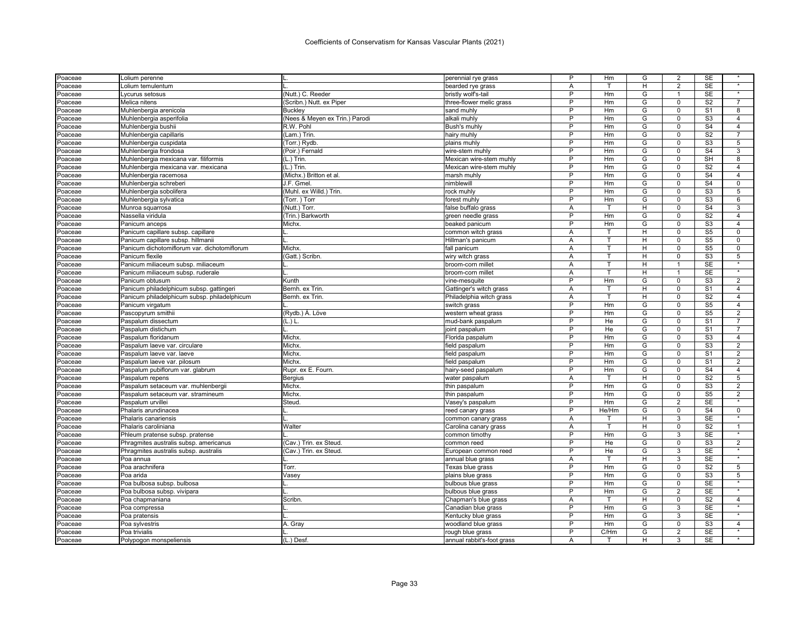| Poaceae             | Lolium perenne                               |                                | perennial rye grass        | P              | Hm      | G              | 2              | SE                     |                   |
|---------------------|----------------------------------------------|--------------------------------|----------------------------|----------------|---------|----------------|----------------|------------------------|-------------------|
| Poaceae             | Lolium temulentum                            |                                | bearded rye grass          | A              | T       | H              | $\overline{2}$ | <b>SE</b>              | $\overline{\ast}$ |
| Poaceae             | Lycurus setosus                              | (Nutt.) C. Reeder              | bristly wolf's-tail        | $\overline{P}$ | Hm      | G              | $\mathbf{1}$   | <b>SE</b>              | $\star$           |
| Poaceae             | Melica nitens                                | (Scribn.) Nutt. ex Piper       | three-flower melic grass   | P              | Hm      | G              | $\Omega$       | S <sub>2</sub>         | $\overline{7}$    |
| Poaceae             | Muhlenbergia arenicola                       | Buckley                        | sand muhly                 | P              | Hm      | G              | $\mathbf 0$    | S <sub>1</sub>         | 8                 |
| Poaceae             | Muhlenbergia asperifolia                     | (Nees & Meyen ex Trin.) Parodi | alkali muhly               | P              | Hm      | G              | $\mathbf 0$    | S <sub>3</sub>         | $\overline{4}$    |
| Poaceae             | Muhlenbergia bushii                          | R.W. Pohl                      | Bush's muhly               | P              | Hm      | G              | $\mathbf 0$    | $\overline{S4}$        | $\overline{4}$    |
| Poaceae             | Muhlenbergia capillaris                      | (Lam.) Trin.                   | hairy muhly                | P              | Hm      | G              | $\mathbf 0$    | S <sub>2</sub>         | $\overline{7}$    |
| Poaceae             | Muhlenbergia cuspidata                       | (Torr.) Rydb.                  | plains muhly               | P              | Hm      | G              | $\Omega$       | S <sub>3</sub>         | $\overline{5}$    |
| Poaceae             | Muhlenbergia frondosa                        | (Poir.) Fernald                | wire-stem muhly            | P              | Hm      | G              | $\mathbf 0$    | S <sub>4</sub>         | 3                 |
| Poaceae             | Muhlenbergia mexicana var. filiformis        | $(L.)$ Trin.                   | Mexican wire-stem muhly    | P              | Hm      | G              | $\mathbf 0$    | <b>SH</b>              | 8                 |
| Poaceae             | Muhlenbergia mexicana var. mexicana          | $(L.)$ Trin.                   | Mexican wire-stem muhly    | P              | Hm      | G              | $\mathbf 0$    | S <sub>2</sub>         | $\overline{4}$    |
| Poaceae             | Muhlenbergia racemosa                        | (Michx.) Britton et al         | marsh muhly                | P              | Hm      | G              | $\mathbf 0$    | S <sub>4</sub>         | $\overline{4}$    |
| Poaceae             | Muhlenbergia schreberi                       | J.F. Gmel.                     | nimblewill                 | P              | Hm      | G              | $\Omega$       | S <sub>4</sub>         | $\Omega$          |
| Poaceae             | Muhlenbergia sobolifera                      | (Muhl. ex Willd.) Trin         | rock muhly                 | P              | Hm      | G              | $\mathbf 0$    | S <sub>3</sub>         | 5                 |
| Poaceae             | Muhlenbergia sylvatica                       | (Torr.) Torr                   | forest muhly               | P              | Hm      | G              | $\Omega$       | S <sub>3</sub>         | 6                 |
| Poaceae             | Munroa squarrosa                             | (Nutt.) Torr.                  | false buffalo grass        | A              | т       | H              | $\Omega$       | S <sub>4</sub>         | 3                 |
|                     | Nassella viridula                            | (Trin.) Barkworth              | green needle grass         | $\sf P$        | Hm      | G              | $\mathsf 0$    | S <sub>2</sub>         | $\overline{4}$    |
| Poaceae             |                                              | Michx.                         |                            | P              | Hm      | G              | $\Omega$       | S <sub>3</sub>         | $\overline{4}$    |
| Poaceae             | Panicum anceps                               |                                | beaked panicum             |                | т       | H              |                | S <sub>5</sub>         | $\mathbf 0$       |
| Poaceae             | Panicum capillare subsp. capillare           |                                | common witch grass         | A              | т       |                | $\mathbf 0$    |                        |                   |
| Poaceae             | Panicum capillare subsp. hillmanii           |                                | Hillman's panicum          | Α              |         | H              | $\Omega$       | S <sub>5</sub>         | $\Omega$          |
| Poaceae             | Panicum dichotomiflorum var. dichotomiflorum | Michx.                         | fall panicum               | Α              | T.      | H              | $\mathbf 0$    | S <sub>5</sub>         | 0                 |
| Poaceae             | Panicum flexile                              | (Gatt.) Scribn                 | wiry witch grass           | Α              | T       | H              | $\mathbf 0$    | S3                     | 5<br>$\star$      |
| Poaceae             | Panicum miliaceum subsp. miliaceum           |                                | broom-corn millet          | A              | T       | H              | 1              | <b>SE</b>              |                   |
| Poaceae             | Panicum miliaceum subsp. ruderale            |                                | broom-corn millet          | Α              | T       | н              | $\mathbf{1}$   | <b>SE</b>              |                   |
| Poaceae             | Panicum obtusum                              | Kunth                          | vine-mesquite              | P              | Hm      | G              | $\mathbf 0$    | S3                     | $\overline{2}$    |
| Poaceae             | Panicum philadelphicum subsp. gattingeri     | Bernh. ex Trin.                | Gattinger's witch grass    | Α              | T       | н              | $\mathbf 0$    | S <sub>1</sub>         | 4                 |
| Poaceae             | Panicum philadelphicum subsp. philadelphicum | Bernh. ex Trin.                | Philadelphia witch grass   | Α              | T       | H              | $\mathbf 0$    | S <sub>2</sub>         | $\overline{4}$    |
| Poaceae             | Panicum virgatum                             |                                | switch grass               | P              | Hm      | G              | $\Omega$       | S <sub>5</sub>         | $\overline{4}$    |
| Poaceae             | Pascopyrum smithii                           | (Rydb.) Á. Löve                | western wheat grass        | P              | Hm      | G              | $\mathbf 0$    | S <sub>5</sub>         | 2                 |
| Poaceae             | Paspalum dissectum                           | (L.) L.                        | mud-bank paspalum          | P              | He      | $\overline{G}$ | $\Omega$       | $\overline{S1}$        | $\overline{7}$    |
| Poaceae             | Paspalum distichum                           |                                | oint paspalum              | $\overline{P}$ | He      | G              | $\mathbf 0$    | $\overline{s_1}$       | $\overline{7}$    |
| Poaceae             | Paspalum floridanum                          | Michx.                         | Florida paspalum           | P              | Hm      | G              | $\Omega$       | S <sub>3</sub>         | $\overline{4}$    |
| Poaceae             | Paspalum laeve var. circulare                | Michx.                         | field paspalum             | P              | Hm      | G              | $\mathbf 0$    | S <sub>3</sub>         | $\overline{2}$    |
| Poaceae             | Paspalum laeve var. laeve                    | Michx.                         | field paspalum             | P              | Hm      | G              | $\mathbf 0$    | S <sub>1</sub>         | $\overline{2}$    |
| Poaceae             | Paspalum laeve var. pilosum                  | Michx.                         | field paspalum             | P              | Hm      | G              | $\mathbf 0$    | S <sub>1</sub>         | $\overline{2}$    |
| Poaceae             | Paspalum pubiflorum var. glabrum             | Rupr. ex E. Fourn.             | hairy-seed paspalum        | P              | Hm      | G              | $\mathbf 0$    | S <sub>4</sub>         | $\overline{4}$    |
| Poaceae             | Paspalum repens                              | Bergius                        | water paspalum             | Α              | т       | H              | $\Omega$       | S <sub>2</sub>         | 5                 |
| Poaceae             | Paspalum setaceum var. muhlenbergi           | Michx.                         | thin paspalum              | P              | Hm      | G              | $\mathbf 0$    | S <sub>3</sub>         | 2                 |
| Poaceae             | Paspalum setaceum var. stramineum            | Michx.                         | thin paspalum              | P              | Hm      | G              | $\Omega$       | S <sub>5</sub>         | $\overline{2}$    |
| Poaceae             | Paspalum urvillei                            | Steud                          | Vasey's paspalum           | P              | Hm      | G              | $\overline{2}$ | <b>SE</b>              | $\star$           |
| Poaceae             | Phalaris arundinacea                         |                                | reed canary grass          | P              | He/Hm   | G              | $\mathbf 0$    | S <sub>4</sub>         | $\mathbf 0$       |
| Poaceae             | Phalaris canariensis                         |                                | common canary grass        | A              | т       | H              | 3              | <b>SE</b>              | $\star$           |
| Poaceae             | Phalaris caroliniana                         | Walter                         | Carolina canary grass      | A              | T       | H              | $\mathbf 0$    | S <sub>2</sub>         | $\mathbf{1}$      |
| Poaceae             | Phleum pratense subsp. pratense              |                                | common timothy             | P              | Hm      | G              | 3              | <b>SE</b>              | $\star$           |
| Poaceae             | Phragmites australis subsp. americanus       | (Cav.) Trin. ex Steud          | common reed                | P              | He      | G              | $\mathbf 0$    | S <sub>3</sub>         | $\overline{2}$    |
| Poaceae             | Phragmites australis subsp. australis        | (Cav.) Trin. ex Steud          | European common reed       | P              | He      | G              | 3              | <b>SE</b>              |                   |
| Poaceae             | Poa annua                                    |                                | annual blue grass          | A              | T       | H              | 3              | <b>SE</b>              | $\star$           |
| Poaceae             | Poa arachnifera                              | Torr.                          | Texas blue grass           | P              | Hm      | G              | $\mathbf 0$    | S <sub>2</sub>         | 5                 |
| Poaceae             | Poa arida                                    | Vasey                          | plains blue grass          | P              | Hm      | G              | $\mathbf 0$    | S <sub>3</sub>         | 5                 |
| Poaceae             | Poa bulbosa subsp. bulbosa                   |                                | bulbous blue grass         | P              | Hm      | G              | $\mathbf 0$    | <b>SE</b>              |                   |
|                     |                                              |                                |                            | P              |         |                | $\overline{2}$ | SE                     | $\star$           |
| Poaceae             | Poa bulbosa subsp. vivipara                  |                                | bulbous blue grass         |                | Hm<br>T | G              |                |                        |                   |
| Poaceae             | Poa chapmaniana                              | Scribn                         | Chapman's blue grass       | A<br>P         |         | H              | $\mathbf 0$    | S <sub>2</sub>         | $\overline{4}$    |
| Poaceae             | Poa compressa                                |                                | Canadian blue grass        | P              | Hm      | G              | 3              | SE                     | $\star$           |
| <sup>2</sup> oaceae | Poa pratensis                                |                                | Kentucky blue grass        |                | Hm      | G              | 3              | <b>SE</b>              |                   |
| Poaceae             | Poa sylvestris                               | A. Gray                        | woodland blue grass        | P              | Hm      | G              | $\mathbf 0$    | $\overline{\text{S3}}$ | $\overline{4}$    |
| Poaceae             | Poa trivialis                                |                                | rough blue grass           | P              | C/Hm    | G              | $\overline{2}$ | <b>SE</b>              |                   |
| Poaceae             | Polypogon monspeliensis                      | (L.) Desf.                     | annual rabbit's-foot grass | A              |         | H              | 3              | <b>SE</b>              |                   |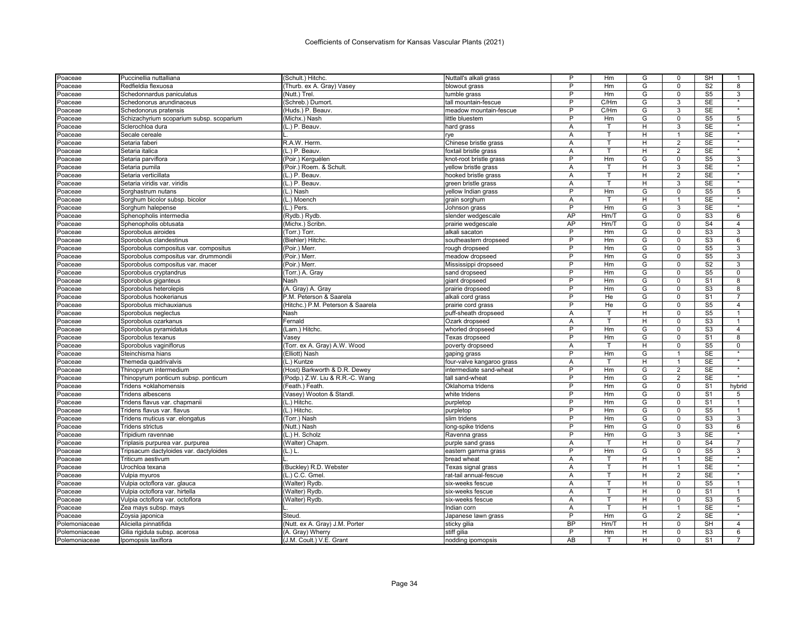| Poaceae             | Puccinellia nuttalliana                  | (Schult.) Hitchc.                 | Nuttall's alkali grass               | P              | Hm           | G | 0              | SH                     |                   |
|---------------------|------------------------------------------|-----------------------------------|--------------------------------------|----------------|--------------|---|----------------|------------------------|-------------------|
| Poaceae             | Redfieldia flexuosa                      | (Thurb. ex A. Gray) Vasey         | blowout grass                        | P              | Hm           | G | $\mathbf 0$    | S <sub>2</sub>         | 8                 |
| Poaceae             | Schedonnardus paniculatus                | (Nutt.) Trel.                     | tumble grass                         | P              | Hm           | G | $\mathsf 0$    | S <sub>5</sub>         | 3                 |
| Poaceae             | Schedonorus arundinaceus                 | (Schreb.) Dumort                  | tall mountain-fescue                 | P              | C/Hm         | G | 3              | <b>SE</b>              | $\star$           |
| Poaceae             | Schedonorus pratensis                    | (Huds.) P. Beauv.                 | meadow mountain-fescue               | P              | C/Hm         | G | 3              | <b>SE</b>              |                   |
| Poaceae             | Schizachyrium scoparium subsp. scoparium | (Michx.) Nash                     | little bluestem                      | P              | Hm           | G | $\mathbf 0$    | S <sub>5</sub>         | 5                 |
| Poaceae             | Sclerochloa dura                         | (L.) P. Beauv.                    | hard grass                           | A              | т            | H | 3              | <b>SE</b>              | $\star$           |
| Poaceae             | Secale cereale                           |                                   | rye                                  | Α              | т            | H |                | <b>SE</b>              |                   |
| Poaceae             | Setaria faberi                           | R.A.W. Herm                       | Chinese bristle grass                | Α              | T.           | н | 2              | <b>SE</b>              | $\star$           |
| Poaceae             | Setaria italica                          | (L.) P. Beauv.                    | foxtail bristle grass                | Α              | т            | H | $\overline{2}$ | <b>SE</b>              |                   |
| Poaceae             | Setaria parviflora                       | (Poir.) Kerguélen                 | knot-root bristle grass              | P              | Hm           | G | $\Omega$       | S <sub>5</sub>         | 3                 |
| Poaceae             | Setaria pumila                           | (Poir.) Roem. & Schult.           | yellow bristle grass                 | A              | T.           | H | 3              | <b>SE</b>              | $\star$           |
| Poaceae             | Setaria verticillata                     | (L.) P. Beauv.                    | hooked bristle grass                 | A              | T            | H | $\overline{2}$ | <b>SE</b>              | $\overline{\ast}$ |
| Poaceae             | Setaria viridis var. viridis             | (L.) P. Beauv.                    | green bristle grass                  | Α              | т            | н | 3              | <b>SE</b>              | $\star$           |
| Poaceae             | Sorghastrum nutans                       | (L.) Nash                         | yellow Indian grass                  | P              | Hm           | G | $\Omega$       | S <sub>5</sub>         | 5                 |
| Poaceae             | Sorghum bicolor subsp. bicolor           | (L.) Moench                       | grain sorghum                        | A              | $\mathsf{T}$ | H | $\overline{1}$ | <b>SE</b>              | $\star$           |
| Poaceae             | Sorghum halepense                        | (L.) Pers.                        | Johnson grass                        | P              | Hm           | G | 3              | <b>SE</b>              |                   |
| <sup>2</sup> oaceae | Sphenopholis intermedia                  | (Rydb.) Rydb                      | slender wedgescale                   | AP             | Hm/T         | G | $\Omega$       | S3                     | 6                 |
|                     | Sphenopholis obtusata                    | (Michx.) Scribn                   |                                      | AP             | Hm/T         | G | $\mathbf 0$    | S <sub>4</sub>         | $\overline{4}$    |
| Poaceae             |                                          |                                   | prairie wedgescale<br>alkali sacaton | P              | Hm           | G | $\Omega$       | S <sub>3</sub>         | 3                 |
| Poaceae             | Sporobolus airoides                      | (Torr.) Torr.                     |                                      | P              | Hm           |   | $\Omega$       | S <sub>3</sub>         |                   |
| Poaceae             | Sporobolus clandestinus                  | (Biehler) Hitchc.                 | southeastern dropseed                | P              |              | G |                |                        | 6<br>3            |
| Poaceae             | Sporobolus compositus var. compositus    | (Poir.) Merr                      | ough dropseed                        | P              | Hm           | G | $\mathbf 0$    | S <sub>5</sub>         |                   |
| Poaceae             | Sporobolus compositus var. drummondii    | (Poir.) Merr                      | meadow dropseed                      |                | Hm           | G | $\Omega$       | S <sub>5</sub>         | 3                 |
| Poaceae             | Sporobolus compositus var. macer         | (Poir.) Merr                      | Mississippi dropseed                 | $\overline{P}$ | Hm           | G | $\mathbf 0$    | S <sub>2</sub>         | 3                 |
| Poaceae             | Sporobolus cryptandrus                   | (Torr.) A. Gray                   | sand dropseed                        | P              | Hm           | G | $\Omega$       | S <sub>5</sub>         | $\Omega$          |
| Poaceae             | Sporobolus giganteus                     | Nash                              | giant dropseed                       | P              | Hm           | G | $\mathbf 0$    | S <sub>1</sub>         | 8                 |
| Poaceae             | Sporobolus heterolepis                   | (A. Gray) A. Gray                 | prairie dropseed                     | P              | Hm           | G | $\mathbf 0$    | S <sub>3</sub>         | 8                 |
| Poaceae             | Sporobolus hookerianus                   | P.M. Peterson & Saarela           | alkali cord grass                    | P              | He           | G | $\Omega$       | S <sub>1</sub>         | $\overline{7}$    |
| Poaceae             | Sporobolus michauxianus                  | (Hitchc.) P.M. Peterson & Saarela | prairie cord grass                   | P              | He           | G | $\mathbf 0$    | S <sub>5</sub>         | 4                 |
| Poaceae             | Sporobolus neglectus                     | Nash                              | puff-sheath dropseed                 | A              | T            | H | $\Omega$       | S <sub>5</sub>         | 1                 |
| Poaceae             | Sporobolus ozarkanus                     | Fernald                           | Ozark dropseed                       | A              | T            | H | $\mathbf 0$    | $\overline{\text{S3}}$ | $\mathbf{1}$      |
| Poaceae             | Sporobolus pyramidatus                   | (Lam.) Hitchc.                    | whorled dropseed                     | P              | Hm           | G | $\Omega$       | S3                     | $\overline{4}$    |
| Poaceae             | Sporobolus texanus                       | Vasey                             | Texas dropseed                       | P              | Hm           | G | $\mathbf 0$    | S <sub>1</sub>         | 8                 |
| Poaceae             | Sporobolus vaginiflorus                  | (Torr. ex A. Gray) A.W. Wood      | poverty dropseed                     | A              |              | Н | 0              | S <sub>5</sub>         | 0                 |
| Poaceae             | Steinchisma hians                        | (Elliott) Nash                    | gaping grass                         | P              | Hm           | G | $\overline{1}$ | SE                     | $\star$           |
| Poaceae             | Themeda quadrivalvis                     | (L.) Kuntze                       | four-valve kangaroo grass            | Α              | т            | H | $\mathbf{1}$   | SE                     |                   |
| Poaceae             | Thinopyrum intermedium                   | (Host) Barkworth & D.R. Dewey     | intermediate sand-wheat              | P              | Hm           | G | $\overline{2}$ | SE                     | $\overline{\ast}$ |
| Poaceae             | Thinopyrum ponticum subsp. ponticum      | (Podp.) Z.W. Liu & R.R.-C. Wang   | tall sand-wheat                      | P              | Hm           | G | 2              | <b>SE</b>              | $\star$           |
| Poaceae             | Tridens ×oklahomensis                    | (Feath.) Feath.                   | Oklahoma tridens                     | P              | Hm           | G | $\Omega$       | S <sub>1</sub>         | hybrid            |
| Poaceae             | Tridens albescens                        | (Vasey) Wooton & Standl.          | white tridens                        | P              | Hm           | G | $\mathbf 0$    | S <sub>1</sub>         | 5                 |
| Poaceae             | Tridens flavus var. chapmanii            | (L.) Hitchc.                      | purpletop                            | P              | Hm           | G | $\mathbf 0$    | S <sub>1</sub>         | -1                |
| Poaceae             | Tridens flavus var. flavus               | (L.) Hitchc.                      | purpletop                            | P              | Hm           | G | $\Omega$       | S <sub>5</sub>         | $\mathbf{1}$      |
| Poaceae             | Tridens muticus var. elongatus           | (Torr.) Nash                      | slim tridens                         | P              | Hm           | G | $\mathbf 0$    | S <sub>3</sub>         | 3                 |
| Poaceae             | <b>Tridens strictus</b>                  | (Nutt.) Nash                      | long-spike tridens                   | P              | Hm           | G | 0              | S <sub>3</sub>         | 6                 |
| Poaceae             | Tripidium ravennae                       | (L.) H. Scholz                    | Ravenna grass                        | P              | Hm           | G | 3              | <b>SE</b>              | $\star$           |
| Poaceae             | Triplasis purpurea var. purpurea         | (Walter) Chapm.                   | purple sand grass                    | A              |              | н | 0              | S <sub>4</sub>         | $\overline{7}$    |
| Poaceae             | Tripsacum dactyloides var. dactyloides   | (L.) L                            | eastern gamma grass                  | P              | Hm           | G | $\mathbf 0$    | S <sub>5</sub>         | 3                 |
| Poaceae             | Triticum aestivum                        |                                   | bread wheat                          | Α              | т            | н | $\mathbf{1}$   | <b>SE</b>              |                   |
| Poaceae             | Urochloa texana                          | (Buckley) R.D. Webster            | Texas signal grass                   | A              | T            | H | 1              | <b>SE</b>              |                   |
| Poaceae             | Vulpia myuros                            | (L.) C.C. Gmel                    | rat-tail annual-fescue               | Α              | T            | H | 2              | <b>SE</b>              |                   |
| Poaceae             | Vulpia octoflora var. glauca             | (Walter) Rydb.                    | six-weeks fescue                     | A              |              | H | 0              | S <sub>5</sub>         | 1                 |
|                     | Vulpia octoflora var. hirtella           | (Walter) Rydb.                    | six-weeks fescue                     | A              | T            | H | $\mathbf 0$    | S <sub>1</sub>         | $\mathbf{1}$      |
| Poaceae             | Vulpia octoflora var. octoflora          |                                   | six-weeks fescue                     | Α              | T            | H | $\mathbf 0$    | S <sub>3</sub>         | 5                 |
| Poaceae             |                                          | (Walter) Rydb.                    |                                      | A              | T            | H | $\overline{1}$ | <b>SE</b>              | $\star$           |
| Poaceae             | Zea mays subsp. mays                     |                                   | Indian corn                          | P              | Hm           | G | 2              |                        |                   |
| Poaceae             | Zoysia japonica                          | Steud.                            | Japanese lawn grass                  | <b>BP</b>      |              |   | $\Omega$       | <b>SE</b>              |                   |
| Polemoniaceae       | Aliciella pinnatifida                    | (Nutt. ex A. Gray) J.M. Porter    | sticky gilia                         |                | Hm/T         | H |                | <b>SH</b>              | $\overline{4}$    |
| Polemoniaceae       | Gilia rigidula subsp. acerosa            | (A. Gray) Wherry                  | stiff gilia                          | P              | Hm           | н | $\Omega$       | S <sub>3</sub>         | 6                 |
| Polemoniaceae       | Ipomopsis laxiflora                      | (J.M. Coult.) V.E. Grant          | nodding ipomopsis                    | AB             |              | H | $\Omega$       | S <sub>1</sub>         |                   |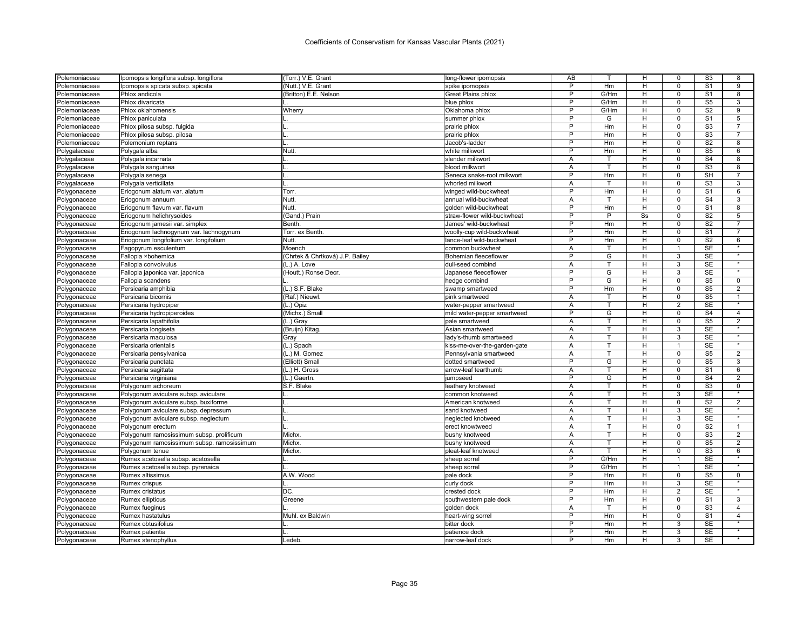| Polemoniaceae | Ipomopsis longiflora subsp. longiflora     | (Torr.) V.E. Grant              | long-flower ipomopsis        | AB             |                         | н  | 0              | S <sub>3</sub>           | 8               |
|---------------|--------------------------------------------|---------------------------------|------------------------------|----------------|-------------------------|----|----------------|--------------------------|-----------------|
| Polemoniaceae | Ipomopsis spicata subsp. spicata           | (Nutt.) V.E. Grant              | spike ipomopsis              | P              | Hm                      | н  | $\Omega$       | S <sub>1</sub>           | 9               |
| Polemoniaceae | Phlox andicola                             | (Britton) E.E. Nelson           | <b>Great Plains phlox</b>    | P              | G/Hm                    | н  | $\mathbf 0$    | S <sub>1</sub>           | 8               |
| Polemoniaceae | Phlox divaricata                           |                                 | blue phlox                   | P              | G/Hm                    | н  | $\Omega$       | S <sub>5</sub>           | 3               |
| Polemoniaceae | Phlox oklahomensis                         | Wherry                          | Oklahoma phlox               | P              | G/Hm                    | н  | $\mathsf 0$    | S <sub>2</sub>           | 9               |
| Polemoniaceae | Phlox paniculata                           |                                 | summer phlox                 | P              | G                       | н  | $\Omega$       | S <sub>1</sub>           | $5\overline{)}$ |
| Polemoniaceae | Phlox pilosa subsp. fulgida                |                                 | prairie phlox                | P              | Hm                      | н  | $\Omega$       | S <sub>3</sub>           | $\overline{7}$  |
| Polemoniaceae | Phlox pilosa subsp. pilosa                 |                                 | prairie phlox                | P              | Hm                      | Н  | $\Omega$       | S <sub>3</sub>           |                 |
| Polemoniaceae | Polemonium reptans                         |                                 | Jacob's-ladder               | $\overline{P}$ | Hm                      | H  | $\mathbf 0$    | S <sub>2</sub>           | 8               |
| Polygalaceae  | Polygala alba                              | Nutt.                           | white milkwort               | P              | Hm                      | H  | $\mathbf 0$    | S <sub>5</sub>           | 6               |
| Polygalaceae  | Polygala incarnata                         |                                 | slender milkwort             | Α              | т                       | н  | $\Omega$       | S <sub>4</sub>           | 8               |
| Polygalaceae  | Polygala sanguinea                         |                                 | blood milkwort               | Α              | T.                      | н  | $\mathbf 0$    | S <sub>3</sub>           | 8               |
| Polygalaceae  | Polygala senega                            |                                 | Seneca snake-root milkwort   | P              | Hm                      | н  | $\mathbf 0$    | SH                       | 7               |
| Polygalaceae  | Polygala verticillata                      |                                 | whorled milkwort             | A              | T                       | H  | $\overline{0}$ | S <sub>3</sub>           | 3               |
| Polygonaceae  | Eriogonum alatum var. alatum               | Torr.                           | winged wild-buckwheat        | P              | Hm                      | H  | $\Omega$       | S <sub>1</sub>           | 6               |
| Polygonaceae  | Eriogonum annuum                           | Nutt.                           | annual wild-buckwheat        | A              | т                       | H  | $\Omega$       | S <sub>4</sub>           | 3               |
| Polygonaceae  | Eriogonum flavum var. flavum               | Nutt.                           | golden wild-buckwheat        | P              | Hm                      | H  | $\mathbf 0$    | S <sub>1</sub>           | 8               |
| Polygonaceae  | Eriogonum helichrysoides                   | (Gand.) Prain                   | straw-flower wild-buckwheat  | P              | P                       | Ss | $\Omega$       | S <sub>2</sub>           | 5               |
| Polygonaceae  | Eriogonum jamesii var. simplex             | Benth.                          | James' wild-buckwheat        | P              | Hm                      | н  | $\mathbf 0$    | S <sub>2</sub>           | $\overline{7}$  |
| Polygonaceae  | Eriogonum lachnogynum var. lachnogynum     | Torr. ex Benth.                 | woolly-cup wild-buckwheat    | P              | Hm                      | H  | $\mathbf 0$    | S <sub>1</sub>           | $\overline{7}$  |
| Polygonaceae  | Eriogonum longifolium var. longifolium     | Nutt.                           | lance-leaf wild-buckwheat    | P              | Hm                      | H  | $\overline{0}$ | $\overline{\mathsf{S2}}$ | 6               |
| Polygonaceae  | Fagopyrum esculentum                       | Moench                          | common buckwheat             | Α              | т                       | H  | $\mathbf{1}$   | <b>SE</b>                | $\star$         |
| Polygonaceae  | Fallopia ×bohemica                         | (Chrtek & Chrtková) J.P. Bailey | Bohemian fleeceflower        | P              | $\overline{\mathsf{G}}$ | H  | 3              | <b>SE</b>                |                 |
| Polygonaceae  | Fallopia convolvulus                       | (L.) A. Love                    | dull-seed cornbind           | Α              | т                       | H  | 3              | <b>SE</b>                | $\star$         |
| Polygonaceae  | Fallopia japonica var. japonica            | (Houtt.) Ronse Decr.            | Japanese fleeceflower        | P              | G                       | н  | 3              | <b>SE</b>                |                 |
| Polygonaceae  | Fallopia scandens                          |                                 | hedge cornbind               | P              | G                       | H  | $\Omega$       | S <sub>5</sub>           | $\mathbf 0$     |
| Polygonaceae  | Persicaria amphibia                        | (L.) S.F. Blake                 | swamp smartweed              | P              | Hm                      | H  | $\mathsf 0$    | S <sub>5</sub>           | $\overline{2}$  |
| Polygonaceae  | Persicaria bicornis                        | (Raf.) Nieuwl.                  | pink smartweed               | A              | T                       | H  | $\Omega$       | S <sub>5</sub>           | $\mathbf{1}$    |
| Polygonaceae  | Persicaria hydropiper                      | (L.) Opiz                       | water-pepper smartweed       | Α              | T                       | H  | 2              | <b>SE</b>                | $\star$         |
| Polygonaceae  | Persicaria hydropiperoides                 | (Michx.) Small                  | mild water-pepper smartweed  | P              | G                       | н  | $\Omega$       | S <sub>4</sub>           | $\overline{4}$  |
| Polygonaceae  | Persicaria lapathifolia                    | (L.) Gray                       | pale smartweed               | Α              | T.                      | H  | $\Omega$       | S <sub>5</sub>           | $\overline{2}$  |
| Polygonaceae  | Persicaria longiseta                       | (Bruijn) Kitag                  | Asian smartweed              | Α              |                         | H  | 3              | <b>SE</b>                |                 |
| Polygonaceae  | Persicaria maculosa                        | Gray                            | lady's-thumb smartweed       | A              | T                       | H  | 3              | <b>SE</b>                | $\star$         |
| Polygonaceae  | Persicaria orientalis                      | $\overline{L}$ .) Spach         | kiss-me-over-the-garden-gate | Α              | т                       | н  | $\mathbf{1}$   | <b>SE</b>                |                 |
| Polygonaceae  | Persicaria pensylvanica                    | (L.) M. Gomez                   | Pennsylvania smartweed       | A              | T                       | н  | $\Omega$       | S <sub>5</sub>           | $\overline{2}$  |
| Polygonaceae  | Persicaria punctata                        | (Elliott) Small                 | dotted smartweed             | P              | G                       | н  | $\mathbf 0$    | S <sub>5</sub>           | 3               |
| Polygonaceae  | Persicaria sagittata                       | (L.) H. Gross                   | arrow-leaf tearthumb         | A              |                         | н  | $\mathbf 0$    | S <sub>1</sub>           | 6               |
| Polygonaceae  | Persicaria virginiana                      | (L.) Gaertn                     | jumpseed                     | P              | G                       | н  | $\Omega$       | S <sub>4</sub>           | $\overline{2}$  |
| Polygonaceae  | Polygonum achoreum                         | S.F. Blake                      | leathery knotweed            | Α              | т                       | H  | $\mathbf 0$    | S <sub>3</sub>           | 0               |
| Polygonaceae  | Polygonum aviculare subsp. aviculare       |                                 | common knotweed              | A              | T                       | H  | 3              | <b>SE</b>                |                 |
| Polygonaceae  | Polygonum aviculare subsp. buxiforme       |                                 | American knotweed            | A              | т                       | H  | $\overline{0}$ | $\overline{S2}$          | $\overline{2}$  |
| Polygonaceae  | Polygonum aviculare subsp. depressum       |                                 | sand knotweed                | Α              |                         | H  | 3              | <b>SE</b>                | $\star$         |
| Polygonaceae  | Polygonum aviculare subsp. neglectum       |                                 | neglected knotweed           | A              | T.                      | H  | 3              | <b>SE</b>                | $\star$         |
| Polygonaceae  | Polygonum erectum                          |                                 | erect knowtweed              | A              | т                       | н  | $\Omega$       | S <sub>2</sub>           | $\mathbf{1}$    |
| Polygonaceae  | Polygonum ramosissimum subsp. prolificum   | Michx.                          | bushy knotweed               | Α              | T                       | н  | $\Omega$       | S <sub>3</sub>           | $\overline{2}$  |
| Polygonaceae  | Polygonum ramosissimum subsp. ramosissimum | Michx.                          | bushy knotweed               | Α              | T                       | н  | $\mathbf 0$    | S <sub>5</sub>           | $\overline{2}$  |
| Polygonaceae  | Polygonum tenue                            | Michx.                          | pleat-leaf knotweed          | A              | $\mathsf{T}$            | н  | $\Omega$       | S <sub>3</sub>           | $6\overline{6}$ |
| Polygonaceae  | Rumex acetosella subsp. acetosella         |                                 | sheep sorre                  | $\overline{P}$ | G/Hm                    | H  | $\overline{1}$ | <b>SE</b>                | $\star$         |
| Polygonaceae  | Rumex acetosella subsp. pyrenaica          |                                 | sheep sorrel                 | P              | G/Hm                    | н  |                | SE                       |                 |
| Polygonaceae  | Rumex altissimus                           | A.W. Wood                       | pale dock                    | P              | Hm                      | H  | $\mathbf 0$    | S <sub>5</sub>           | $\overline{0}$  |
| Polygonaceae  | Rumex crispus                              |                                 | curly dock                   | P              | Hm                      | H  | 3              | SE                       |                 |
| Polygonaceae  | Rumex cristatus                            | DC.                             | crested dock                 | P              | Hm                      | H  | $\overline{2}$ | SE                       | $\star$         |
| Polygonaceae  | Rumex ellipticus                           | Greene                          | southwestern pale dock       | P              | Hm                      | н  | $\mathbf 0$    | S <sub>1</sub>           | 3               |
| Polygonaceae  | Rumex fueginus                             |                                 | golden dock                  | Α              |                         | H  | $\mathbf 0$    | S <sub>3</sub>           | $\overline{4}$  |
| Polygonaceae  | Rumex hastatulus                           | Muhl. ex Baldwin                | heart-wing sorrel            | P              | Hm                      | H  | $\Omega$       | S <sub>1</sub>           | $\overline{4}$  |
| Polygonaceae  | Rumex obtusifolius                         |                                 | bitter dock                  | P              | Hm                      | H  | 3              | <b>SE</b>                |                 |
| Polygonaceae  | Rumex patientia                            |                                 | patience dock                | P              | Hm                      | н  | 3              | <b>SE</b>                | $\star$         |
| Polygonaceae  | Rumex stenophyllus                         | Ledeb                           | narrow-leaf dock             | P              | Hm                      | H  | 3              | <b>SE</b>                |                 |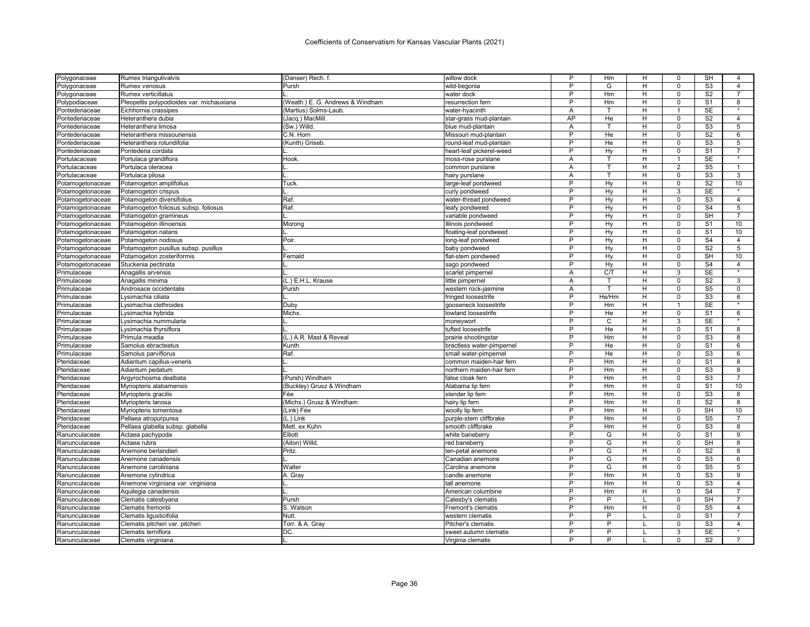| Polygonaceae     | Rumex triangulivalvis                     | (Danser) Rech. f.                | willow dock               | P              | Hm             | н      | 0              | SH                        | 4               |
|------------------|-------------------------------------------|----------------------------------|---------------------------|----------------|----------------|--------|----------------|---------------------------|-----------------|
| Polygonaceae     | Rumex venosus                             | Pursh                            | wild-begonia              | P              | G              | H      | $\Omega$       | S <sub>3</sub>            | $\overline{4}$  |
| Polygonaceae     | Rumex verticillatus                       |                                  | water dock                | P              | Hm             | н      | $\mathbf 0$    | S <sub>2</sub>            | $\overline{7}$  |
| Polypodiaceae    | Pleopeltis polypodioides var. michauxiana | (Weath.) E. G. Andrews & Windham | resurrection fern         | P              | Hm             | H      | $\Omega$       | S <sub>1</sub>            | 8               |
| Pontederiaceae   | Eichhornia crassipes                      | (Martius) Solms-Laub.            | water-hyacinth            | Α              | T              | н      | $\mathbf{1}$   | <b>SE</b>                 | $\star$         |
| Pontederiaceae   | Heteranthera dubia                        | (Jacq.) MacMill.                 | star-grass mud-plantain   | AP             | He             | н      | $\Omega$       | S <sub>2</sub>            | $\overline{4}$  |
| Pontederiaceae   | Heteranthera limosa                       | (Sw.) Willd.                     | blue mud-plantain         | A              | т              | H      | $\Omega$       | S <sub>3</sub>            | 5               |
| Pontederiaceae   | Heteranthera missouriensis                | C.N. Horn                        | Missouri mud-plantain     | P              | He             | H      | $\mathbf 0$    | S <sub>2</sub>            | 6               |
| Pontederiaceae   | Heteranthera rotundifolia                 | (Kunth) Griseb.                  | round-leaf mud-plantain   | P              | He             | H      | $\mathbf 0$    | S <sub>3</sub>            | 5               |
| Pontederiaceae   | Pontederia cordata                        |                                  | heart-leaf pickerel-weed  | P              | Hy             | н      | $\mathbf 0$    | S <sub>1</sub>            | $\overline{7}$  |
| Portulacaceae    | Portulaca grandiflora                     | Hook.                            | moss-rose purslane        | Α              | т              | н      |                | SE                        | $\star$         |
| Portulacaceae    | Portulaca oleracea                        |                                  | common purslane           | Α              | T.             | H      | 2              | S <sub>5</sub>            | $\overline{1}$  |
| Portulacaceae    | Portulaca pilosa                          |                                  | hairy purslane            | A              |                | н      | 0              | S <sub>3</sub>            | 3               |
| Potamogetonaceae | Potamogeton amplifolius                   | Tuck                             | large-leaf pondweed       | P              | Hy             | H      | $\mathbf 0$    | S <sub>2</sub>            | 10              |
| Potamogetonaceae | Potamogeton crispus                       |                                  | curly pondweed            | P              | Hy             | н      | 3              | <b>SE</b>                 |                 |
| Potamogetonaceae | Potamogeton diversifolius                 | Raf.                             | water-thread pondweed     | P              | Hv             | H      | $\Omega$       | S <sub>3</sub>            | $\overline{4}$  |
| Potamogetonaceae | Potamogeton foliosus subsp. foliosus      | Raf.                             | leafy pondweed            | P              | Hy             | H      | $\mathbf 0$    | $\overline{S4}$           | 5               |
| Potamogetonaceae | Potamogeton gramineus                     |                                  | variable pondweed         | P              | Hy             | H      | $\Omega$       | SH                        | $\overline{7}$  |
| Potamogetonaceae | Potamogeton illinoensis                   | Morono                           | Illinois pondweed         | P              | Hy             | н      | $\mathbf 0$    | S <sub>1</sub>            | 10              |
| Potamogetonaceae | Potamogeton natans                        |                                  | floating-leaf pondweed    | P              | Hy             | H      | $\Omega$       | S <sub>1</sub>            | 10              |
| Potamogetonaceae | Potamogeton nodosus                       | Poir                             | long-leaf pondweed        | P              | Hy             | H      | $\Omega$       | S <sub>4</sub>            | $\overline{4}$  |
| Potamogetonaceae | Potamogeton pusillus subsp. pusillus      |                                  | baby pondweed             | P              | Hy             | H      | $\overline{0}$ | S <sub>2</sub>            | $5\overline{)}$ |
| Potamogetonaceae | Potamogeton zosteriformis                 | Fernald                          | flat-stem pondweed        | P              | Hy             | H      | $\Omega$       | SH                        | 10              |
|                  | Stuckenia pectinata                       |                                  | sago pondweed             | $\overline{P}$ | Hy             | H      | $\Omega$       | $\overline{S4}$           | $\overline{4}$  |
| Potamogetonaceae |                                           |                                  |                           |                | C/T            |        | 3              | <b>SE</b>                 |                 |
| Primulaceae      | Anagallis arvensis                        |                                  | scarlet pimpernel         | Α              | T.             | н<br>H | $\Omega$       |                           | 3               |
| Primulaceae      | Anagallis minima                          | (L.) E.H.L. Krause               | little pimpernel          | Α              |                |        |                | S <sub>2</sub>            |                 |
| Primulaceae      | Androsace occidentalis                    | Pursh                            | western rock-jasmine      | Α              | т              | H      | $\mathbf 0$    | S <sub>5</sub>            | 0               |
| Primulaceae      | Lvsimachia ciliata                        |                                  | fringed loosestrife       | P              | He/Hm          | н      | $\Omega$       | S <sub>3</sub>            | 6               |
| Primulaceae      | Lysimachia clethroides                    | Duby                             | gooseneck loosestrife     | P              | Hm             | н      | 1              | <b>SE</b>                 |                 |
| Primulaceae      | Lysimachia hybrida                        | Michx.                           | lowland loosestrife       | P              | He             | H      | $\Omega$       | S <sub>1</sub>            | $6\overline{6}$ |
| Primulaceae      | Lysimachia nummularia                     |                                  | moneywort                 | P              | C              | н      | 3              | <b>SE</b>                 | $\star$         |
| Primulaceae      | Lysimachia thyrsiflora                    |                                  | tufted loosestrife        | P              | He             | Н      | $\Omega$       | S <sub>1</sub>            | 8               |
| Primulaceae      | Primula meadia                            | (L.) A.R. Mast & Reveal          | prairie shootingstar      | $\overline{P}$ | Hm             | H      | $\Omega$       | S <sub>3</sub>            | $\overline{8}$  |
| Primulaceae      | Samolus ebracteatus                       | Kunth                            | bractless water-pimpernel | P              | He             | H      | $\mathbf 0$    | S <sub>1</sub>            | 6               |
| Primulaceae      | Samolus parviflorus                       | Raf.                             | small water-pimpernel     | P              | He             | н      | $\mathbf 0$    | S <sub>3</sub>            | 6               |
| Pteridaceae      | Adiantum capillus-veneris                 |                                  | common maiden-hair fern   | P              | Hm             | H      | $\mathbf 0$    | S <sub>1</sub>            | 8               |
| Pteridaceae      | Adiantum pedatum                          |                                  | northern maiden-hair fern | P              | Hm             | Н      | 0              | S <sub>3</sub>            | 8               |
| Pteridaceae      | Argyrochosma dealbata                     | (Pursh) Windham                  | false cloak fern          | P              | Hm             | H      | $\mathbf 0$    | S <sub>3</sub>            | $\overline{7}$  |
| Pteridaceae      | Myriopteris alabamensis                   | (Buckley) Grusz & Windham        | Alabama lip fern          | $\overline{P}$ | Hm             | Н      | 0              | S <sub>1</sub>            | 10              |
| Pteridaceae      | Myriopteris gracilis                      | Fée                              | slender lip fern          | P              | Hm             | H      | $\mathbf 0$    | S3                        | 8               |
| Pteridaceae      | Myriopteris lanosa                        | (Michx.) Grusz & Windham         | hairy lip fern            | $\overline{P}$ | Hm             | н      | $\overline{0}$ | S <sub>2</sub>            | $\overline{8}$  |
| Pteridaceae      | Myriopteris tomentosa                     | (Link) Fée                       | woolly lip fern           | P              | Hm             | H      | $\Omega$       | <b>SH</b>                 | 10              |
| Pteridaceae      | Pellaea atropurpurea                      | (L.) Link                        | purple-stem cliffbrake    | P              | Hm             | н      | $\mathbf 0$    | $\overline{\text{S5}}$    | $\overline{7}$  |
| Pteridaceae      | Pellaea glabella subsp. glabella          | Mett. ex Kuhn                    | smooth cliffbrake         | P              | Hm             | н      | $\Omega$       | S <sub>3</sub>            | 8               |
| Ranunculaceae    | Actaea pachypoda                          | Elliott                          | white baneberry           | P              | G              | H      | $\mathbf 0$    | S <sub>1</sub>            | 9               |
| Ranunculaceae    | Actaea rubra                              | (Aiton) Willd.                   | red baneberry             | P              | G              | H      | $\Omega$       | SH                        | 8               |
| Ranunculaceae    | Anemone berlandieri                       | Pritz.                           | ten-petal anemone         | P              | G              | H      | $\overline{0}$ | S <sub>2</sub>            | 8               |
| Ranunculaceae    | Anemone canadensis                        |                                  | Canadian anemone          | P              | $\overline{G}$ | H      | $\mathbf 0$    | S3                        | 6               |
| Ranunculaceae    | Anemone caroliniana                       | Walter                           | Carolina anemone          | P              | G              | н      | $\mathbf 0$    | S <sub>5</sub>            | $\overline{5}$  |
| Ranunculaceae    | Anemone cylindrica                        | A. Gray                          | candle anemone            | P              | Hm             | H      | $\mathbf 0$    | S3                        | 9               |
| Ranunculaceae    | Anemone virginiana var. virginiana        |                                  | tall anemone              | P              | Hm             | н      | 0              | S <sub>3</sub>            | $\overline{4}$  |
| Ranunculaceae    | Aquilegia canadensis                      |                                  | American columbine        | P              | Hm             | H      | $\mathbf 0$    | S <sub>4</sub>            | $\overline{7}$  |
| Ranunculaceae    | Clematis catesbyana                       | Pursh                            | Catesby's clematis        | P              | P              |        | $\mathsf 0$    | SH                        | $\overline{7}$  |
| Ranunculaceae    | Clematis fremontii                        | S. Watson                        | Fremont's clematis        | P              | Hm             | H      | $\mathbf 0$    | S <sub>5</sub>            | $\overline{4}$  |
| Ranunculaceae    | Clematis ligusticifolia                   | Nutt.                            | western clematis          | P              | P              |        | $\mathbf 0$    | $\overline{\mathsf{s}}$ 1 | $\overline{7}$  |
| Ranunculaceae    | Clematis pitcheri var. pitcheri           | Torr. & A. Gray                  | Pitcher's clematis        | P              | P              |        | $\Omega$       | S3                        | $\overline{4}$  |
| Ranunculaceae    | Clematis terniflora                       | IDC.                             | sweet autumn clematis     | P              | P              |        | 3              | <b>SE</b>                 |                 |
| Ranunculaceae    | Clematis virginiana                       |                                  | Virginia clematis         | P              | P              |        | $\Omega$       | S <sub>2</sub>            | $\overline{7}$  |
|                  |                                           |                                  |                           |                |                |        |                |                           |                 |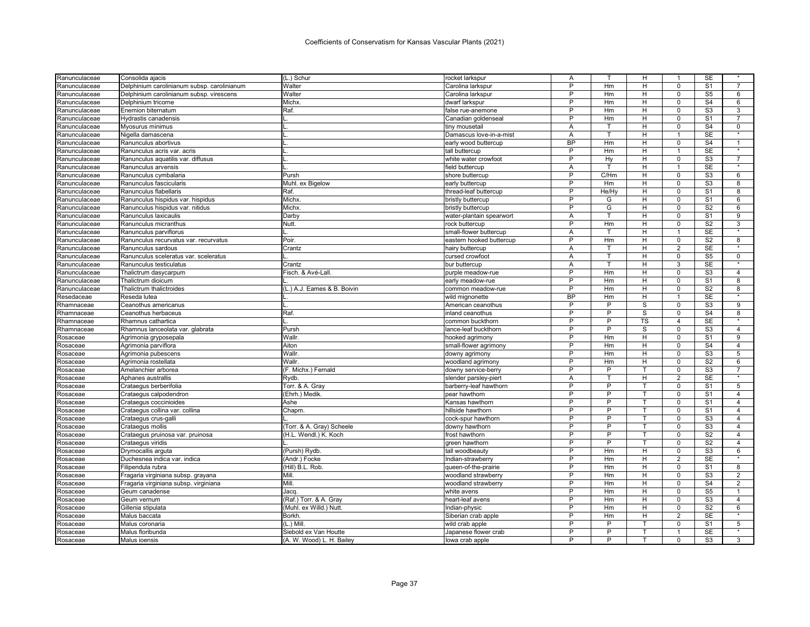| Ranunculaceae | Consolida ajacis                                       | (L.) Schur                  | rocket larkspur                          | Α              |                | н              | 1              | SE                       |                           |
|---------------|--------------------------------------------------------|-----------------------------|------------------------------------------|----------------|----------------|----------------|----------------|--------------------------|---------------------------|
| Ranunculaceae | Delphinium carolinianum subsp. carolinianum            | Walter                      | Carolina larkspur                        | P              | Hm             | H              | $\Omega$       | S <sub>1</sub>           | $\overline{7}$            |
| Ranunculaceae | Delphinium carolinianum subsp. virescens               | Walter                      | Carolina larkspur                        | P              | Hm             | н              | $\mathbf 0$    | S <sub>5</sub>           | 6                         |
| Ranunculaceae | Delphinium tricorne                                    | Michx.                      | dwarf larkspur                           | P              | Hm             | H              | $\Omega$       | S <sub>4</sub>           | 6                         |
| Ranunculaceae | Enemion biternatum                                     | Raf.                        | false rue-anemone                        | P              | Hm             | н              | $\mathbf 0$    | S3                       | 3                         |
| Ranunculaceae | Hydrastis canadensis                                   |                             | Canadian goldenseal                      | P              | Hm             | H              | $\Omega$       | S <sub>1</sub>           | 7                         |
| Ranunculaceae | Myosurus minimus                                       | ΙL                          | tiny mousetail                           | A              | T              | H              | $\Omega$       | S <sub>4</sub>           | 0                         |
| Ranunculaceae | Nigella damascena                                      | IL.                         | Damascus love-in-a-mist                  | Α              | T              | н              | $\mathbf{1}$   | <b>SE</b>                |                           |
| Ranunculaceae | Ranunculus abortivus                                   |                             | early wood buttercup                     | <b>BP</b>      | Hm             | H              | $\mathbf 0$    | $\overline{\mathsf{S}4}$ | $\overline{1}$            |
| Ranunculaceae | Ranunculus acris var. acris                            |                             | tall buttercup                           | P              | Hm             | H              | $\overline{1}$ | <b>SE</b>                |                           |
| Ranunculaceae | Ranunculus aquatilis var. diffusus                     |                             | white water crowfoot                     | P              | Hy             | н              | $\mathbf 0$    | S <sub>3</sub>           | $\overline{7}$            |
| Ranunculaceae | Ranunculus arvensis                                    |                             | field buttercup                          | Α              | т              | н              | $\mathbf{1}$   | SE                       | $\star$                   |
| Ranunculaceae | Ranunculus cymbalaria                                  | Pursh                       | shore buttercup                          | P              | C/Hm           | H              | $\mathbf 0$    | S <sub>3</sub>           | 6                         |
| Ranunculaceae | Ranunculus fascicularis                                | Muhl. ex Bigelow            | early buttercup                          | P              | Hm             | H              | $\mathbf 0$    | S <sub>3</sub>           | 8                         |
| Ranunculaceae | Ranunculus flabellaris                                 | Raf.                        | thread-leaf buttercup                    | $\overline{P}$ | He/Hy          | H              | $\overline{0}$ | $\overline{\mathsf{S}1}$ | 8                         |
| Ranunculaceae | Ranunculus hispidus var. hispidus                      | Michx.                      | bristly buttercup                        | P              | G              | H              | $\mathbf 0$    | S <sub>1</sub>           | 6                         |
| Ranunculaceae | Ranunculus hispidus var. nitidus                       | Michx.                      | bristly buttercup                        | $\overline{P}$ | G              | H              | $\Omega$       | S <sub>2</sub>           | 6                         |
| Ranunculaceae | Ranunculus laxicaulis                                  | Darby                       | water-plantain spearwort                 | A              | T              | H              | $\Omega$       | S <sub>1</sub>           | 9                         |
| Ranunculaceae | Ranunculus micranthus                                  | Nutt.                       | rock buttercup                           | P              | Hm             | H              | $\Omega$       | S <sub>2</sub>           | 3                         |
| Ranunculaceae | Ranunculus parviflorus                                 |                             | small-flower buttercup                   | A              | т              | H              | $\mathbf{1}$   | SE                       |                           |
| Ranunculaceae | Ranunculus recurvatus var. recurvatus                  | Poir.                       | eastern hooked buttercup                 | P              | Hm             | н              | $\overline{0}$ | S <sub>2</sub>           | 8                         |
| Ranunculaceae | Ranunculus sardous                                     | Crantz                      | hairy buttercup                          | Α              | T              | н              | $\overline{2}$ | <b>SE</b>                |                           |
| Ranunculaceae | Ranunculus sceleratus var. sceleratus                  |                             | cursed crowfoot                          | Α              | т              | H              | $\mathbf 0$    | S <sub>5</sub>           | $\mathbf 0$               |
| Ranunculaceae | Ranunculus testiculatus                                | Crantz                      | bur buttercup                            | Α              | т              | н              | 3              | <b>SE</b>                |                           |
| Ranunculaceae | Thalictrum dasycarpum                                  | Fisch. & Avé-Lall.          | purple meadow-rue                        | P              | Hm             | H              | 0              | S <sub>3</sub>           | 4                         |
| Ranunculaceae | Thalictrum dioicum                                     |                             | early meadow-rue                         | P              | Hm             | H              | $\mathbf 0$    | S <sub>1</sub>           | 8                         |
| Ranunculaceae | Thalictrum thalictroides                               | (L.) A.J. Eames & B. Boivin | common meadow-rue                        | P              | Hm             | H              | $\mathbf 0$    | S <sub>2</sub>           | 8                         |
| Resedaceae    | Reseda lutea                                           |                             | wild mignonette                          | <b>BP</b>      | Hm             | H              | 1              | <b>SE</b>                | $\overline{\ast}$         |
|               |                                                        |                             |                                          | P              | P              | S              | $\mathbf 0$    | S <sub>3</sub>           | 9                         |
| Rhamnaceae    | Ceanothus americanus                                   |                             | American ceanothus<br>inland ceanothus   | P              | P              | S              | $\Omega$       | S <sub>4</sub>           | 8                         |
| Rhamnaceae    | Ceanothus herbaceus                                    | Raf.                        |                                          | $\overline{P}$ | P              | <b>TS</b>      | 4              | <b>SE</b>                | $\star$                   |
| Rhamnaceae    | Rhamnus cathartica<br>Rhamnus lanceolata var. glabrata | Pursh                       | common buckthorn<br>lance-leaf buckthorn | P              | P              | S              | $\Omega$       | S <sub>3</sub>           | $\overline{4}$            |
| Rhamnaceae    |                                                        | Wallr                       |                                          | P              | Hm             | $\overline{H}$ | $\overline{0}$ | S <sub>1</sub>           | $\overline{9}$            |
| Rosaceae      | Agrimonia gryposepala                                  | Aiton                       | hooked agrimony                          | P              | Hm             | H              | $\mathbf 0$    | S <sub>4</sub>           | $\overline{4}$            |
| Rosaceae      | Agrimonia parviflora                                   |                             | small-flower agrimony                    | P              |                |                |                |                          |                           |
| Rosaceae      | Agrimonia pubescens                                    | Wallr.                      | downy agrimony                           |                | Hm             | H              | $\mathbf 0$    | S <sub>3</sub>           | 5                         |
| Rosaceae      | Agrimonia rostellata                                   | Wallr.                      | woodland agrimony                        | P              | Hm             | H              | $\mathbf 0$    | S <sub>2</sub>           | 6                         |
| Rosaceae      | Amelanchier arborea                                    | (F. Michx.) Fernald         | downy service-berry                      | P              | P              | т              | $\mathbf 0$    | S <sub>3</sub>           | $\overline{7}$<br>$\star$ |
| Rosaceae      | Aphanes australlis                                     | Rydb.                       | slender parsley-piert                    | A              |                | H              | $\overline{2}$ | SE                       |                           |
| Rosaceae      | Crataegus berberifolia                                 | Torr. & A. Gray             | barberry-leaf hawthorn                   | $\overline{P}$ | P              |                | $\mathbf 0$    | S <sub>1</sub>           | $5\overline{)}$           |
| Rosaceae      | Crataegus calpodendron                                 | (Ehrh.) Medik.              | pear hawthorn                            | P              | P              |                | $\mathbf 0$    | S <sub>1</sub>           | $\overline{4}$            |
| Rosaceae      | Crataegus coccinioides                                 | Ashe                        | Kansas hawthorn                          | P              | P              | т              | $\Omega$       | S <sub>1</sub>           | $\overline{4}$            |
| Rosaceae      | Crataegus collina var. collina                         | Chapm.                      | hillside hawthorn                        | P              | P              |                | $\Omega$       | S <sub>1</sub>           | $\overline{4}$            |
| Rosaceae      | Crataegus crus-galli                                   |                             | cock-spur hawthorn                       | P              | P              | T.             | $\Omega$       | S <sub>3</sub>           | $\overline{4}$            |
| Rosaceae      | Crataegus mollis                                       | (Torr. & A. Gray) Scheele   | downy hawthorr                           | P              | P              | т              | $\mathbf 0$    | S <sub>3</sub>           | $\overline{4}$            |
| Rosaceae      | Crataegus pruinosa var. pruinosa                       | (H.L. Wendl.) K. Koch       | frost hawthorn                           | P              | P              | T              | $\Omega$       | S <sub>2</sub>           | $\overline{4}$            |
| Rosaceae      | Crataegus viridis                                      |                             | green hawthorn                           | P              | $\overline{P}$ | $\mathsf{T}$   | $\mathbf 0$    | $\overline{\mathsf{S2}}$ | $\overline{4}$            |
| Rosaceae      | Drymocallis arguta                                     | (Pursh) Rydb.               | tall woodbeauty                          | P              | Hm             | H              | $\Omega$       | S <sub>3</sub>           | 6                         |
| Rosaceae      | Duchesnea indica var. indica                           | (Andr.) Focke               | Indian-strawberry                        | P              | Hm             | н              | $\overline{2}$ | <b>SE</b>                | $\star$                   |
| Rosaceae      | Filipendula rubra                                      | (Hill) B.L. Rob.            | queen-of-the-prairie                     | P              | Hm             | н              | $\Omega$       | S <sub>1</sub>           | 8                         |
| Rosaceae      | Fragaria virginiana subsp. grayana                     | Mill.                       | woodland strawberry                      | $\overline{P}$ | Hm             | H              | $\mathbf 0$    | S <sub>3</sub>           | $\overline{2}$            |
| Rosaceae      | Fragaria virginiana subsp. virginiana                  | Mill.                       | woodland strawberry                      | P              | Hm             | H              | $\mathbf 0$    | S <sub>4</sub>           | $\overline{2}$            |
| Rosaceae      | Geum canadense                                         | <b>Jacq</b>                 | white avens                              | P              | Hm             | H              | $\Omega$       | S <sub>5</sub>           | 1                         |
| Rosaceae      | Geum vernum                                            | (Raf.) Torr. & A. Gray      | heart-leaf avens                         | P              | Hm             | н              | $\mathbf 0$    | S <sub>3</sub>           | $\overline{4}$            |
| Rosaceae      | Gillenia stipulata                                     | (Muhl. ex Willd.) Nutt      | Indian-physic                            | P              | Hm             | н              | 0              | S <sub>2</sub>           | 6                         |
| Rosaceae      | Malus baccata                                          | <b>Borkh</b>                | Siberian crab apple                      | P              | Hm             | H              | 2              | <b>SE</b>                | $\star$                   |
| Rosaceae      | Malus coronaria                                        | $(L.)$ Mill                 | wild crab apple                          | P              | P              | т              | $\mathbf 0$    | S <sub>1</sub>           | 5                         |
| Rosaceae      | Malus floribunda                                       | Siebold ex Van Houtte       | Japanese flower crab                     | P              | P              | т              | 1              | <b>SE</b>                | $\star$                   |
| Rosaceae      | Malus ioensis                                          | (A. W. Wood) L. H. Bailey   | lowa crab apple                          | P              | P              |                | $\Omega$       | S3                       | 3                         |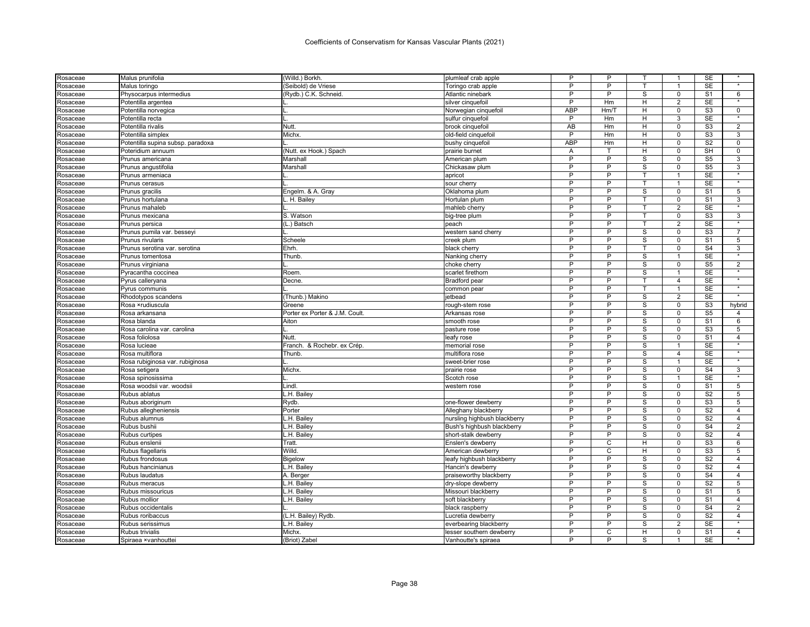| Rosaceae | Malus prunifolia                  | (Willd.) Borkh.                | plumleaf crab apple          | P              | P              |                         | 1              | SE                     |                   |
|----------|-----------------------------------|--------------------------------|------------------------------|----------------|----------------|-------------------------|----------------|------------------------|-------------------|
| Rosaceae | Malus toringo                     | (Seibold) de Vriese            | Toringo crab apple           | P              | P              | T.                      | $\overline{1}$ | <b>SE</b>              | $\star$           |
| Rosaceae | Physocarpus intermedius           | (Rydb.) C.K. Schneid           | Atlantic ninebark            | P              | P              | S                       | $\pmb{0}$      | S <sub>1</sub>         | 6                 |
| Rosaceae | Potentilla argentea               |                                | silver cinquefoil            | P              | Hm             | H                       | $\overline{2}$ | <b>SE</b>              | $\star$           |
| Rosaceae | Potentilla norvegica              |                                | Norwegian cinquefoil         | <b>ABP</b>     | Hm/T           | н                       | $\mathsf 0$    | S3                     | 0                 |
| Rosaceae | Potentilla recta                  |                                | sulfur cinquefoil            | P              | Hm             | H                       | 3              | <b>SE</b>              |                   |
| Rosaceae | Potentilla rivalis                | Nutt                           | brook cinquefoi              | <b>AB</b>      | Hm             | н                       | $\Omega$       | S <sub>3</sub>         | $\overline{2}$    |
| Rosaceae | Potentilla simplex                | Michx.                         | old-field cinquefoil         | P              | Hm             | Н                       | $\Omega$       | S <sub>3</sub>         | 3                 |
| Rosaceae | Potentilla supina subsp. paradoxa |                                | bushy cinquefoil             | <b>ABP</b>     | Hm             | H                       | $\mathbf 0$    | S <sub>2</sub>         | $\mathbf 0$       |
| Rosaceae | Poteridium annuum                 | (Nutt. ex Hook.) Spach         | prairie burnet               | A              | T.             | H                       | $\mathbf 0$    | SH                     | $\mathbf 0$       |
| Rosaceae | Prunus americana                  | Marshall                       | American plum                | P              | P              | S                       | $\Omega$       | S <sub>5</sub>         | 3                 |
| Rosaceae | Prunus angustifolia               | Marshall                       | Chickasaw plum               | P              | P              | S                       | $\mathbf 0$    | S <sub>5</sub>         | 3                 |
| Rosaceae | Prunus armeniaca                  |                                | apricot                      | P              | P              |                         | 1              | SE                     |                   |
| Rosaceae | Prunus cerasus                    |                                | sour cherry                  | P              | P              | T                       | $\overline{1}$ | <b>SE</b>              | $\star$           |
| Rosaceae | Prunus gracilis                   | Engelm. & A. Gray              | Oklahoma plum                | P              | P              | S                       | $\mathbf 0$    | S <sub>1</sub>         | 5                 |
| Rosaceae | Prunus hortulana                  | L. H. Bailey                   | Hortulan plum                | P              | ъ              | т                       | $\overline{0}$ | S <sub>1</sub>         | 3                 |
| Rosaceae | Prunus mahaleb                    |                                | mahleb cherry                | P              | P              | т                       | $\overline{2}$ | <b>SE</b>              |                   |
| Rosaceae | Prunus mexicana                   | S. Watson                      | big-tree plum                | P              | P              | т                       | $\Omega$       | S <sub>3</sub>         | 3                 |
| Rosaceae | Prunus persica                    | (L.) Batsch                    | peach                        | P              | P              | T.                      | $\overline{2}$ | <b>SE</b>              | $\star$           |
| Rosaceae | Prunus pumila var. besseyi        |                                | western sand cherry          | P              | P              | S                       | $\mathbf 0$    | S <sub>3</sub>         | $\overline{7}$    |
| Rosaceae | Prunus rivularis                  | Scheele                        | creek plum                   | P              | P              | $\mathbf S$             | $\overline{0}$ | S <sub>1</sub>         | 5                 |
| Rosaceae | Prunus serotina var. serotina     | Ehrh.                          | black cherry                 | P              | P              | $\mathsf{T}$            | $\overline{0}$ | S <sub>4</sub>         | 3                 |
| Rosaceae | Prunus tomentosa                  | Thunb.                         | Nanking cherry               | P              | $\overline{P}$ | $\overline{\mathbf{s}}$ | 1              | <b>SE</b>              |                   |
| Rosaceae | Prunus virginiana                 |                                | choke cherry                 | P              | P              | S                       | $\mathbf 0$    | S <sub>5</sub>         | 2                 |
| Rosaceae | Pyracantha coccinea               | Roem.                          | scarlet firethorn            | P              | P              | S                       |                | <b>SE</b>              |                   |
| Rosaceae | Pyrus calleryana                  | Decne.                         | <b>Bradford</b> pear         | P              | P              | $\mathsf{T}$            | $\overline{4}$ | SE                     | $\star$           |
| Rosaceae | Pyrus communis                    |                                | common pear                  | P              | P              | т                       | $\overline{1}$ | SE                     | $\star$           |
| Rosaceae | Rhodotypos scandens               | (Thunb.) Makino                | etbead                       | P              | P              | S                       | $\overline{2}$ | SE                     | $\star$           |
| Rosaceae | Rosa ×rudiuscula                  | Greene                         | rough-stem rose              | P              | $\overline{P}$ | $\mathsf{s}$            | $\mathbf 0$    | $\overline{\text{S3}}$ | hybrid            |
| Rosaceae | Rosa arkansana                    | Porter ex Porter & J.M. Coult. | Arkansas rose                | P              | P              | S                       | $\mathbf 0$    | S <sub>5</sub>         | 4                 |
| Rosaceae | Rosa blanda                       | Aiton                          | smooth rose                  | P              | P              | S                       | $\Omega$       | S <sub>1</sub>         | 6                 |
| Rosaceae | Rosa carolina var. carolina       |                                | pasture rose                 | P              | P              | S                       | 0              | S3                     | 5                 |
| Rosaceae | Rosa foliolosa                    | Nutt.                          | leafy rose                   | P              | P              | S                       | $\mathbf 0$    | S <sub>1</sub>         | $\overline{4}$    |
| Rosaceae | Rosa lucieae                      | Franch.<br>& Rochebr. ex Crép. | memorial rose                | P              | P              | S                       | $\mathbf{1}$   | <b>SE</b>              |                   |
| Rosaceae | Rosa multiflora                   | Thunb                          | multiflora rose              | P              | P              | S                       | $\overline{4}$ | SE                     | $\overline{\ast}$ |
| Rosaceae | Rosa rubiginosa var. rubiginosa   |                                | sweet-brier rose             | P              | P              | S                       | $\mathbf{1}$   | SE                     | $\star$           |
| Rosaceae | Rosa setigera                     | Michx.                         | prairie rose                 | P              | P              | S                       | 0              | S <sub>4</sub>         | 3                 |
| Rosaceae | Rosa spinosissima                 |                                | Scotch rose                  | P              | P              | S                       | $\overline{1}$ | <b>SE</b>              | $\star$           |
| Rosaceae | Rosa woodsii var. woodsii         | Lindl.                         | western rose                 | P              | P              | S                       | $\mathbf 0$    | S <sub>1</sub>         | 5                 |
| Rosaceae | Rubus ablatus                     | L.H. Bailev                    |                              | P              | P              | s                       | $\mathbf 0$    | S <sub>2</sub>         | $\overline{5}$    |
| Rosaceae | Rubus aboriginum                  | Rydb.                          | one-flower dewberry          | $\overline{P}$ | P              | s                       | $\mathbf 0$    | $\overline{\text{S3}}$ | $\overline{5}$    |
| Rosaceae | Rubus allegheniensis              | Porter                         | Alleghany blackberry         | P              | P              | S                       | $\Omega$       | S <sub>2</sub>         | $\overline{4}$    |
| Rosaceae | Rubus alumnus                     | L.H. Bailey                    | nursling highbush blackberry | P              | P              | S                       | $\mathbf 0$    | S <sub>2</sub>         | $\overline{4}$    |
| Rosaceae | Rubus bushii                      | L.H. Bailey                    | Bush's highbush blackberry   | P              | P              | S                       | $\mathbf 0$    | S <sub>4</sub>         | $\overline{2}$    |
| Rosaceae | Rubus curtipes                    | L.H. Bailey                    | short-stalk dewberry         | P              | Þ              | S                       | $\Omega$       | S <sub>2</sub>         | $\overline{4}$    |
| Rosaceae | Rubus enslenii                    | Tratt                          | Enslen's dewberry            | P              | C              | H                       | $\mathbf 0$    | S <sub>3</sub>         | 6                 |
| Rosaceae | Rubus flagellaris                 | Willd                          | American dewberry            | P              | $\overline{C}$ | H                       | $\Omega$       | S <sub>3</sub>         | $5\overline{)}$   |
| Rosaceae | Rubus frondosus                   | <b>Bigelow</b>                 | leafy highbush blackberry    | P              | P              | S                       | $\mathbf 0$    | S <sub>2</sub>         | $\overline{4}$    |
| Rosaceae | Rubus hancinianus                 | L.H. Bailey                    | Hancin's dewberry            | P              | P              | S                       | $\Omega$       | S <sub>2</sub>         | 4                 |
| Rosaceae | Rubus laudatus                    | A. Berger                      | praiseworthy blackberry      | P              | P              | S                       | $\mathbf 0$    | S <sub>4</sub>         | $\overline{4}$    |
| Rosaceae | Rubus meracus                     | L.H. Bailey                    | dry-slope dewberry           | P              | P              | S                       | $\mathbf 0$    | S <sub>2</sub>         | 5                 |
| Rosaceae | Rubus missouricus                 | L.H. Bailey                    | Missouri blackberry          | P              | P              | S                       | $\Omega$       | S <sub>1</sub>         | 5                 |
| Rosaceae | Rubus mollior                     | L.H. Bailey                    | soft blackberry              | P              | P              | S                       | $\mathbf 0$    | S <sub>1</sub>         | $\overline{4}$    |
| Rosaceae | Rubus occidentalis                |                                | black raspberry              | P              | P              | S                       | $\mathbf 0$    | S <sub>4</sub>         | $\sqrt{2}$        |
| Rosaceae | Rubus roribaccus                  | (L.H. Bailey) Rydb.            | Lucretia dewberry            | P              | P              | S                       | $\mathbf 0$    | S <sub>2</sub>         | $\overline{4}$    |
| Rosaceae | Rubus serissimus                  | L.H. Bailey                    | everbearing blackberry       | P              | P              | S                       | $\overline{2}$ | <b>SE</b>              |                   |
| Rosaceae | Rubus trivialis                   | Michx.                         | lesser southern dewberry     | P              | C              | H                       | $\Omega$       | S <sub>1</sub>         | $\overline{4}$    |
| Rosaceae | Spiraea ×vanhouttei               | (Briot) Zabel                  | Vanhoutte's spiraea          | P              | P              | S                       | $\mathbf{1}$   | <b>SE</b>              |                   |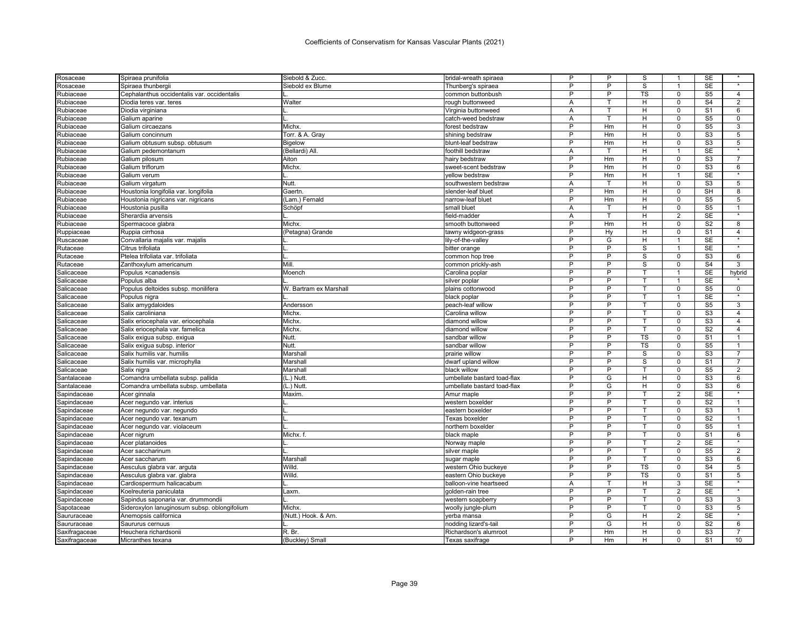| Rosaceae                 | Spiraea prunifolia                           | Siebold & Zucc.        | bridal-wreath spiraea                | P      | P              | S                      |                | SE             |                   |
|--------------------------|----------------------------------------------|------------------------|--------------------------------------|--------|----------------|------------------------|----------------|----------------|-------------------|
| Rosaceae                 | Spiraea thunbergii                           | Siebold ex Blume       | Thunberg's spiraea                   | P      | Þ              | S                      | $\overline{1}$ | <b>SE</b>      | $\star$           |
| Rubiaceae                | Cephalanthus occidentalis var. occidentalis  |                        | common buttonbush                    | P      | P              | <b>TS</b>              | 0              | S <sub>5</sub> | $\overline{4}$    |
| Rubiaceae                | Diodia teres var. teres                      | Walter                 | rough buttonweed                     | Α      |                | H                      | $\Omega$       | S <sub>4</sub> | $\overline{2}$    |
| Rubiaceae                | Diodia virginiana                            |                        | Virginia buttonweed                  | Α      | T              | H                      | $\Omega$       | S <sub>1</sub> | 6                 |
| Rubiaceae                | Galium aparine                               |                        | catch-weed bedstraw                  | A      |                | н                      | $\Omega$       | S <sub>5</sub> | 0                 |
| Rubiaceae                | Galium circaezans                            | Michx.                 | forest bedstraw                      | P      | Hm             | н                      | $\Omega$       | S <sub>5</sub> | 3                 |
| Rubiaceae                | Galium concinnum                             | Torr. & A. Gray        | shining bedstraw                     | P      | Hm             | H                      | $\Omega$       | S <sub>3</sub> | 5                 |
| Rubiaceae                | Galium obtusum subsp. obtusum                | Bigelow                | blunt-leaf bedstraw                  | P      | Hm             | н                      | $\mathbf 0$    | S3             | 5                 |
| Rubiaceae                | Galium pedemontanum                          | (Bellardi) All.        | foothill bedstraw                    | A      | т              | H                      | $\mathbf{1}$   | <b>SE</b>      |                   |
| Rubiaceae                | Galium pilosum                               | Aiton                  | hairy bedstraw                       | P      | Hm             | н                      | $\mathbf 0$    | S <sub>3</sub> |                   |
| Rubiaceae                | Galium triflorum                             | Michx.                 | sweet-scent bedstraw                 | P      | Hm             | H                      | $\Omega$       | S <sub>3</sub> | 6                 |
| Rubiaceae                | Galium verum                                 |                        | yellow bedstraw                      | P      | Hm             | H                      | -1             | <b>SE</b>      |                   |
| Rubiaceae                | Galium virgatum                              | Nutt.                  | southwestern bedstraw                | A      |                | H.                     | $\Omega$       | S <sub>3</sub> | 5                 |
| Rubiaceae                | Houstonia longifolia var. longifolia         | Gaertn                 | slender-leaf bluet                   | P      | Hm             | H                      | $\overline{0}$ | SH             | 8                 |
| Rubiaceae                | Houstonia nigricans var. nigricans           | (Lam.) Fernald         | narrow-leaf bluet                    | P      | Hm             | н                      | $\Omega$       | S <sub>5</sub> | 5                 |
| Rubiaceae                | Houstonia pusilla                            | Schöpf                 | small bluet                          | A      | т              | H.                     | $\Omega$       | S <sub>5</sub> | 1                 |
| Rubiaceae                | Sherardia arvensis                           |                        | field-madder                         | Α      |                | H                      | $\overline{2}$ | <b>SE</b>      |                   |
| Rubiaceae                | Spermacoce glabra                            | Michx.                 | smooth buttonweed                    | P      | Hm             | H                      | $\Omega$       | S <sub>2</sub> | 8                 |
| Ruppiaceae               | Ruppia cirrhosa                              | (Petagna) Grande       | tawny widgeon-grass                  | P      | Hy             | н                      | 0              | S <sub>1</sub> | 4                 |
| Ruscaceae                | Convallaria majalis var. majalis             |                        | lily-of-the-valley                   | P      | G              | H                      | 1              | <b>SE</b>      | $\star$           |
| Rutaceae                 | Citrus trifoliata                            |                        | bitter orange                        | P      | $\overline{P}$ | $\mathbf{s}$           | $\mathbf{1}$   | <b>SE</b>      |                   |
| Rutaceae                 | Ptelea trifoliata var. trifoliata            |                        | common hop tree                      | P      | P              | $\overline{s}$         | $\Omega$       | S <sub>3</sub> | 6                 |
| Rutaceae                 | Zanthoxylum americanum                       | Mill.                  | common prickly-ash                   | P      | P              | S                      | $\Omega$       | S <sub>4</sub> | 3                 |
| Salicaceae               | Populus × canadensis                         | Moench                 | Carolina poplar                      | P      | P              |                        | -1             | <b>SE</b>      | hybrid            |
| Salicaceae               | Populus alba                                 |                        | silver poplar                        | P      | P              | т                      | $\mathbf{1}$   | <b>SE</b>      |                   |
| Salicaceae               | Populus deltoides subsp. monilifera          | W. Bartram ex Marshall | plains cottonwood                    | P      | P              | т                      | $\Omega$       | S <sub>5</sub> | 0                 |
| Salicaceae               | Populus nigra                                |                        | black poplar                         | P      | P              | т                      | $\overline{1}$ | <b>SE</b>      | $\overline{\ast}$ |
|                          |                                              |                        |                                      | P      | P              | т                      | 0              | S <sub>5</sub> | 3                 |
| Salicaceae<br>Salicaceae | Salix amygdaloides<br>Salix caroliniana      | Andersson<br>Michx.    | peach-leaf willow<br>Carolina willow | P      | P              |                        | $\Omega$       | S <sub>3</sub> | 4                 |
|                          |                                              |                        |                                      | P      | P              | т                      | $\Omega$       | S3             | 4                 |
| Salicaceae               | Salix eriocephala var. eriocephala           | Michx<br>Michx.        | diamond willow                       | P      | P              |                        | $\Omega$       | S <sub>2</sub> | $\overline{4}$    |
| Salicaceae               | Salix eriocephala var. famelica              | Nutt                   | diamond willow                       | P      | Б              | <b>TS</b>              | $\Omega$       | S <sub>1</sub> |                   |
| Salicaceae               | Salix exigua subsp. exigua                   | Nutt.                  | sandbar willow                       | P      | P              | $\overline{\text{TS}}$ | $\mathbf 0$    | S <sub>5</sub> | 1                 |
| Salicaceae               | Salix exigua subsp. interior                 |                        | sandbar willow                       | P      | P              |                        | $\Omega$       |                | $\overline{7}$    |
| Salicaceae               | Salix humilis var. humilis                   | Marshall               | prairie willow                       | P      | P              | S                      |                | S <sub>3</sub> |                   |
| Salicaceae               | Salix humilis var. microphylla               | Marshall               | dwarf upland willow                  |        |                | S                      | $\Omega$       | S <sub>1</sub> | $\overline{7}$    |
| Salicaceae               | Salix nigra                                  | Marshall               | black willow                         | P<br>P | P              |                        | $\mathbf 0$    | S <sub>5</sub> | $\overline{2}$    |
| Santalaceae              | Comandra umbellata subsp. pallida            | (L.) Nutt              | umbellate bastard toad-flax          |        | G              | H                      | $\Omega$       | S <sub>3</sub> | 6                 |
| Santalaceae              | Comandra umbellata subsp. umbellata          | (L.) Nutt.             | umbellate bastard toad-flax          | P      | G              | H                      | $\overline{0}$ | S3             | 6                 |
| Sapindaceae              | Acer ginnala                                 | Maxim.                 | Amur maple                           | P      | $\overline{P}$ |                        | $\overline{2}$ | <b>SE</b>      |                   |
| Sapindaceae              | Acer negundo var. interius                   |                        | western boxelder                     | P      | P              | т                      | $\Omega$       | S <sub>2</sub> | 1                 |
| Sapindaceae              | Acer negundo var. negundo                    |                        | eastern boxelder                     | P      | P              |                        | $\Omega$       | S <sub>3</sub> |                   |
| Sapindaceae              | Acer negundo var. texanum                    |                        | Texas boxelder                       | P      | P              | $\mathbf{T}$           | $\Omega$       | S <sub>2</sub> | $\mathbf{1}$      |
| Sapindaceae              | Acer negundo var. violaceum                  |                        | northern boxelder                    | P      | P              |                        | 0              | S <sub>5</sub> | 1                 |
| Sapindaceae              | Acer nigrum                                  | Michx. f.              | black maple                          | P      | Þ              | т                      | $\Omega$       | S <sub>1</sub> | 6                 |
| Sapindaceae              | Acer platanoides                             |                        | Norway maple                         | P      | P              | т                      | $\overline{2}$ | <b>SE</b>      | $\star$           |
| Sapindaceae              | Acer saccharinum                             |                        | silver maple                         | P      | P              |                        | $\Omega$       | S <sub>5</sub> | $\overline{2}$    |
| Sapindaceae              | Acer saccharum                               | Marshall               | sugar maple                          | P      | P              | т                      | $\mathbf 0$    | S <sub>3</sub> | 6                 |
| Sapindaceae              | Aesculus glabra var. arguta                  | Willd.                 | western Ohio buckeye                 | P      | P              | TS                     | $\Omega$       | S <sub>4</sub> | 5                 |
| Sapindaceae              | Aesculus glabra var. glabra                  | Willd.                 | eastern Ohio buckeye                 | P      | P              | TS                     | $\Omega$       | S <sub>1</sub> | 5                 |
| Sapindaceae              | Cardiospermum halicacabum                    |                        | balloon-vine heartseed               | A      |                | H                      | 3              | <b>SE</b>      |                   |
| Sapindaceae              | Koelreuteria paniculata                      | Laxm                   | golden-rain tree                     | P      | P              |                        | $\overline{2}$ | <b>SE</b>      | $\overline{\ast}$ |
| Sapindaceae              | Sapindus saponaria var. drummondii           |                        | western soapberry                    | P      | P              | т                      | $\mathbf 0$    | S <sub>3</sub> | 3                 |
| Sapotaceae               | Sideroxylon lanuginosum subsp. oblongifolium | Michx.                 | woolly jungle-plum                   | P      | P              |                        | $\Omega$       | S <sub>3</sub> | 5                 |
| Saururaceae              | Anemopsis californica                        | (Nutt.) Hook. & Arn    | yerba mansa                          | P      | G              | H                      | $\overline{2}$ | <b>SE</b>      | $\star$           |
| Saururaceae              | Saururus cernuus                             |                        | nodding lizard's-tail                | P      | G              | H                      | $\Omega$       | S <sub>2</sub> | 6                 |
| Saxifragaceae            | Heuchera richardsonii                        | R. Br.                 | Richardson's alumroot                | P      | Hm             | H                      | $\Omega$       | S <sub>3</sub> | 7                 |
| Saxifragaceae            | Micranthes texana                            | (Buckley) Small        | Texas saxifrage                      | P      | Hm             | н                      | $\Omega$       | S <sub>1</sub> | 10                |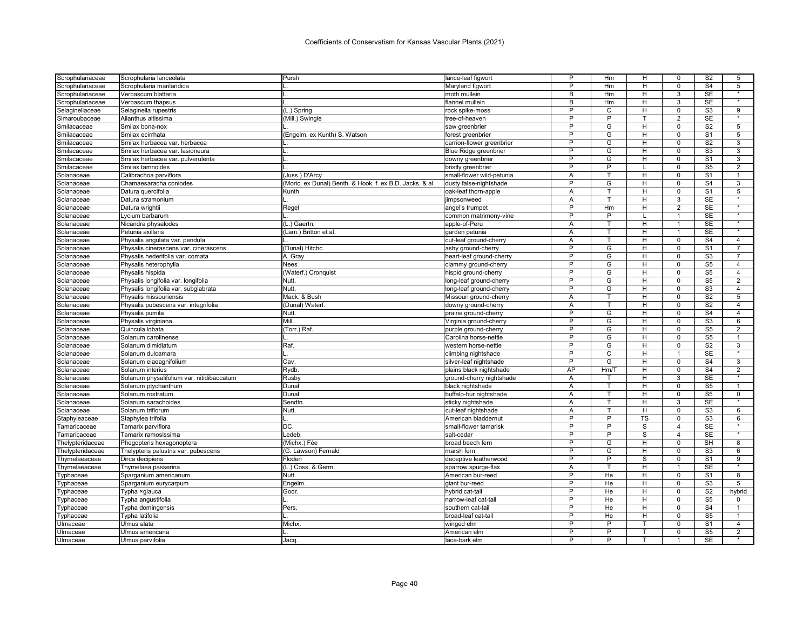| Scrophulariaceae | Scrophularia lanceolata                   | Pursh                                                    | lance-leaf figwort        | P              | Hm             | н                       | 0                       | S <sub>2</sub>           | 5                 |
|------------------|-------------------------------------------|----------------------------------------------------------|---------------------------|----------------|----------------|-------------------------|-------------------------|--------------------------|-------------------|
| Scrophulariaceae | Scrophularia marilandica                  |                                                          | Maryland figwort          | P              | Hm             | н                       | $\Omega$                | S <sub>4</sub>           | 5                 |
| Scrophulariaceae | Verbascum blattaria                       |                                                          | moth mullein              | B              | Hm             | н                       | 3                       | <b>SE</b>                |                   |
| Scrophulariaceae | Verbascum thapsus                         |                                                          | flannel mullein           | B              | Hm             | н                       | 3                       | <b>SE</b>                | $\overline{\ast}$ |
| Selaginellaceae  | Selaginella rupestris                     | (L.) Spring                                              | rock spike-moss           | P              | C              | н                       | $\Omega$                | S <sub>3</sub>           | 9                 |
| Simaroubaceae    | Ailanthus altissima                       | (Mill.) Swingle                                          | tree-of-heaven            | P              | P              |                         | $\overline{2}$          | SE                       |                   |
| Smilacaceae      | Smilax bona-nox                           |                                                          | saw greenbrier            | $\overline{P}$ | G              | H                       | $\Omega$                | S <sub>2</sub>           | $\overline{5}$    |
| Smilacaceae      | Smilax ecirrhata                          | (Engelm. ex Kunth) S. Watson                             | forest greenbrier         | P              | G              | н                       | $\mathbf 0$             | S <sub>1</sub>           | 5                 |
| Smilacaceae      | Smilax herbacea var. herbacea             |                                                          | carrion-flower greenbrier | P              | G              | H                       | $\mathbf 0$             | S <sub>2</sub>           | 3                 |
| Smilacaceae      | Smilax herbacea var. lasioneura           |                                                          | Blue Ridge greenbrier     | P              | G              | H                       | $\mathbf 0$             | S <sub>3</sub>           | 3                 |
| Smilacaceae      | Smilax herbacea var. pulverulenta         |                                                          | downy greenbrier          | P              | G              | н                       | 0                       | S <sub>1</sub>           | 3                 |
| Smilacaceae      | Smilax tamnoides                          |                                                          | bristly greenbrier        | P              | P              |                         | $\mathbf 0$             | S <sub>5</sub>           | $\overline{2}$    |
| Solanaceae       | Calibrachoa parviflora                    | (Juss.) D'Arcy                                           | small-flower wild-petunia | A              |                | н                       | $\mathbf 0$             | S <sub>1</sub>           | 1                 |
| Solanaceae       | Chamaesaracha coniodes                    | (Moric. ex Dunal) Benth. & Hook. f. ex B.D. Jacks. & al. | dusty false-nightshade    | P              | G              | H                       | $\mathbf 0$             | S <sub>4</sub>           | 3                 |
| Solanaceae       | Datura quercifolia                        | Kunth                                                    | oak-leaf thorn-apple      | Α              | T              | H                       | $\overline{0}$          | $\overline{\mathsf{S}1}$ | 5                 |
| Solanaceae       | Datura stramonium                         |                                                          | jimpsonweed               | Α              | т              | н                       | 3                       | <b>SE</b>                |                   |
| Solanaceae       | Datura wrightii                           | Regel                                                    | angel's trumpet           | $\overline{P}$ | Hm             | H                       | $\overline{2}$          | $\overline{\text{SE}}$   | $\star$           |
| Solanaceae       | Lycium barbarum                           |                                                          | common matrimony-vine     | P              | P              |                         | 1                       | SE                       | $\star$           |
| Solanaceae       | Nicandra physalodes                       | (L.) Gaertn.                                             | apple-of-Peru             | A              | T              | H                       | $\overline{1}$          | SE                       | $\star$           |
| Solanaceae       | Petunia axillaris                         | (Lam.) Britton et al.                                    | garden petunia            | Α              | T              | H                       | $\mathbf{1}$            | SE                       | $\star$           |
| Solanaceae       | Physalis angulata var. pendula            |                                                          | cut-leaf ground-cherry    | A              | т              | н                       | $\mathbf 0$             | S <sub>4</sub>           | $\overline{4}$    |
| Solanaceae       | Physalis cinerascens var. cinerascens     | (Dunal) Hitchc.                                          | ashy ground-cherry        | P              | G              | H                       | $\mathbf 0$             | S <sub>1</sub>           | $\overline{7}$    |
| Solanaceae       | Physalis hederifolia var. comata          | A. Gray                                                  | heart-leaf ground-cherry  | P              | G              | н                       | $\Omega$                | S <sub>3</sub>           |                   |
| Solanaceae       | Physalis heterophylla                     | Nees                                                     | clammy ground-cherry      | P              | G              | н                       | $\Omega$                | S <sub>5</sub>           | $\overline{4}$    |
| Solanaceae       | Physalis hispida                          | (Waterf.) Cronquist                                      | hispid ground-cherry      | P              | G              | н                       | $\Omega$                | S <sub>5</sub>           | 4                 |
| Solanaceae       | Physalis longifolia var. longifolia       | Nutt.                                                    | long-leaf ground-cherry   | P              | G              | H                       | $\mathbf 0$             | S <sub>5</sub>           | $\overline{2}$    |
| Solanaceae       | Physalis longifolia var. subglabrata      | Nutt.                                                    | long-leaf ground-cherry   | P              | G              | H                       | $\mathbf 0$             | S <sub>3</sub>           | $\overline{4}$    |
| Solanaceae       | Physalis missouriensis                    | Mack. & Bush                                             | Missouri ground-cherry    | A              | т              | H                       | $\Omega$                | S <sub>2</sub>           | 5                 |
| Solanaceae       | Physalis pubescens var. integrifolia      | (Dunal) Waterf.                                          | downy ground-cherry       | Α              | т              | H                       | $\mathbf 0$             | S <sub>2</sub>           | $\overline{4}$    |
| Solanaceae       | Physalis pumila                           | Nutt.                                                    | prairie ground-cherry     | P              | G              | н                       | $\Omega$                | S <sub>4</sub>           | 4                 |
| Solanaceae       | Physalis virginiana                       | Mill.                                                    | Virginia ground-cherr     | P              | G              | н                       | $\Omega$                | S3                       | 6                 |
| Solanaceae       | Quincula lobata                           | (Torr.) Raf.                                             | purple ground-cherry      | P              | G              | H                       | $\Omega$                | S <sub>5</sub>           | $\overline{2}$    |
| Solanaceae       | Solanum carolinense                       |                                                          | Carolina horse-nettle     | $\overline{P}$ | G              | $\overline{\mathsf{H}}$ | $\overline{0}$          | S <sub>5</sub>           | 1                 |
| Solanaceae       | Solanum dimidiatum                        | Raf.                                                     | western horse-nettle      | P              | G              | H                       | $\mathbf 0$             | S <sub>2</sub>           | 3                 |
| Solanaceae       | Solanum dulcamara                         |                                                          | climbing nightshade       | P              | C              | н                       | 1                       | SE                       | $\star$           |
| Solanaceae       | Solanum elaeagnifolium                    | Cav.                                                     | silver-leaf nightshade    | P              | G              | H                       | $\mathbf 0$             | S <sub>4</sub>           | 3                 |
| Solanaceae       | Solanum interius                          | Rydb.                                                    | plains black nightshade   | AP             | Hm/T           | H                       | $\mathbf 0$             | S <sub>4</sub>           | $\overline{2}$    |
| Solanaceae       | Solanum physalifolium var. nitidibaccatum | <b>Rusby</b>                                             | ground-cherry nightshade  | A              |                | н                       | 3                       | <b>SE</b>                | $\star$           |
| Solanaceae       | Solanum ptychanthum                       | Dunal                                                    | black nightshade          | A              | T              | H                       | $\overline{0}$          | S <sub>5</sub>           | $\mathbf{1}$      |
| Solanaceae       | Solanum rostratum                         | Dunal                                                    | buffalo-bur nightshade    | A              | T              | н                       | $\mathbf 0$             | S <sub>5</sub>           | $\mathbf 0$       |
| Solanaceae       | Solanum sarachoides                       | Sendtn                                                   | sticky nightshade         | A              | т              | H                       | 3                       | <b>SE</b>                |                   |
| Solanaceae       | Solanum triflorum                         | Nutt.                                                    | cut-leaf nightshade       | Α              |                | H                       | $\Omega$                | S <sub>3</sub>           | 6                 |
| Staphyleaceae    | Staphylea trifolia                        |                                                          | American bladdernut       | P              | P              | TS                      | $\Omega$                | S <sub>3</sub>           | 6                 |
| Tamaricaceae     | Tamarix parviflora                        | DC.                                                      | small-flower tamarisk     | P              | P              | S                       | 4                       | <b>SE</b>                |                   |
| Tamaricaceae     | Tamarix ramosissima                       | Ledeb.                                                   | salt-cedar                | P              | P              | S                       | $\overline{\mathbf{A}}$ | SE                       | $\star$           |
| Thelypteridaceae | Phegopteris hexagonoptera                 | (Michx.) Fée                                             | broad beech fern          | P              | G              | H                       | $\mathbf 0$             | SH                       | 8                 |
| Thelypteridaceae | Thelypteris palustris var. pubescens      | (G. Lawson) Fernald                                      | marsh fern                | P              | G              | н                       | $\Omega$                | S3                       | 6                 |
| Thymelaeaceae    | Dirca decipiens                           | Floden                                                   | deceptive leatherwood     | $\overline{P}$ | $\overline{P}$ | S                       | $\mathbf 0$             | $\overline{S1}$          | 9                 |
| Thymelaeaceae    | Thymelaea passerina                       | (L.) Coss. & Germ                                        | sparrow spurge-flax       | Α              |                | н                       |                         | SE                       |                   |
| Typhaceae        | Sparganium americanum                     | Nutt.                                                    | American bur-reed         | P              | He             | н                       | $\mathbf 0$             | S <sub>1</sub>           | 8                 |
| Typhaceae        | Sparganium eurycarpum                     | Engelm.                                                  | giant bur-reed            | P              | He             | H                       | $\mathbf 0$             | S <sub>3</sub>           | 5                 |
| Typhaceae        | Typha xglauca                             | Godr.                                                    | hybrid cat-tail           | P              | He             | H                       | $\Omega$                | S <sub>2</sub>           | hybrid            |
| Typhaceae        | Typha angustifolia                        |                                                          | narrow-leaf cat-tai       | P              | He             | н                       | $\mathbf 0$             | S <sub>5</sub>           | 0                 |
| Typhaceae        | Typha domingensis                         | Pers.                                                    | southern cat-tail         | P              | He             | н                       | 0                       | S <sub>4</sub>           | $\overline{1}$    |
| Typhaceae        | Typha latifolia                           |                                                          | broad-leaf cat-tail       | P              | He             | H                       | $\Omega$                | S <sub>5</sub>           | $\mathbf{1}$      |
| Ulmaceae         | Ulmus alata                               | Michx.                                                   | winged elm                | P              | P              |                         | $\Omega$                | S <sub>1</sub>           | $\overline{4}$    |
| Ulmaceae         | Ulmus americana                           |                                                          | American elm              | P              | P              |                         | $\Omega$                | S <sub>5</sub>           | $\overline{2}$    |
| Ulmaceae         | Ulmus parvifolia                          | Jacq                                                     | lace-bark elm             | P              | P              |                         | -1                      | <b>SE</b>                |                   |